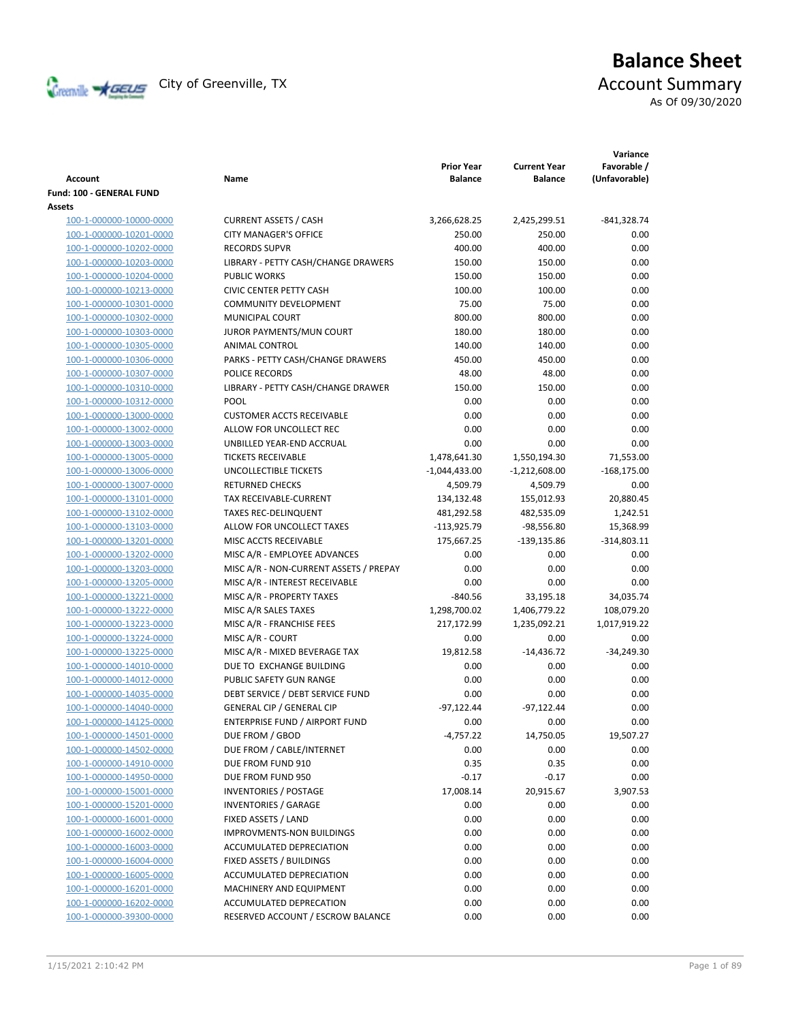

# **Balance Sheet**

As Of 09/30/2020

| Account                  | Name                                   | <b>Prior Year</b><br><b>Balance</b> | <b>Current Year</b><br><b>Balance</b> | Variance<br>Favorable /<br>(Unfavorable) |
|--------------------------|----------------------------------------|-------------------------------------|---------------------------------------|------------------------------------------|
| Fund: 100 - GENERAL FUND |                                        |                                     |                                       |                                          |
| Assets                   |                                        |                                     |                                       |                                          |
| 100-1-000000-10000-0000  | <b>CURRENT ASSETS / CASH</b>           | 3,266,628.25                        | 2,425,299.51                          | $-841,328.74$                            |
| 100-1-000000-10201-0000  | <b>CITY MANAGER'S OFFICE</b>           | 250.00                              | 250.00                                | 0.00                                     |
| 100-1-000000-10202-0000  | <b>RECORDS SUPVR</b>                   | 400.00                              | 400.00                                | 0.00                                     |
| 100-1-000000-10203-0000  | LIBRARY - PETTY CASH/CHANGE DRAWERS    | 150.00                              | 150.00                                | 0.00                                     |
| 100-1-000000-10204-0000  | <b>PUBLIC WORKS</b>                    | 150.00                              | 150.00                                | 0.00                                     |
| 100-1-000000-10213-0000  | <b>CIVIC CENTER PETTY CASH</b>         | 100.00                              | 100.00                                | 0.00                                     |
| 100-1-000000-10301-0000  | <b>COMMUNITY DEVELOPMENT</b>           | 75.00                               | 75.00                                 | 0.00                                     |
| 100-1-000000-10302-0000  | MUNICIPAL COURT                        | 800.00                              | 800.00                                | 0.00                                     |
| 100-1-000000-10303-0000  | JUROR PAYMENTS/MUN COURT               | 180.00                              | 180.00                                | 0.00                                     |
| 100-1-000000-10305-0000  | ANIMAL CONTROL                         | 140.00                              | 140.00                                | 0.00                                     |
| 100-1-000000-10306-0000  | PARKS - PETTY CASH/CHANGE DRAWERS      | 450.00                              | 450.00                                | 0.00                                     |
| 100-1-000000-10307-0000  | POLICE RECORDS                         | 48.00                               | 48.00                                 | 0.00                                     |
| 100-1-000000-10310-0000  | LIBRARY - PETTY CASH/CHANGE DRAWER     | 150.00                              | 150.00                                | 0.00                                     |
| 100-1-000000-10312-0000  | POOL                                   | 0.00                                | 0.00                                  | 0.00                                     |
| 100-1-000000-13000-0000  | <b>CUSTOMER ACCTS RECEIVABLE</b>       | 0.00                                | 0.00                                  | 0.00                                     |
| 100-1-000000-13002-0000  | ALLOW FOR UNCOLLECT REC                | 0.00                                | 0.00                                  | 0.00                                     |
| 100-1-000000-13003-0000  | UNBILLED YEAR-END ACCRUAL              | 0.00                                | 0.00                                  | 0.00                                     |
| 100-1-000000-13005-0000  | <b>TICKETS RECEIVABLE</b>              | 1,478,641.30                        | 1,550,194.30                          | 71,553.00                                |
| 100-1-000000-13006-0000  | UNCOLLECTIBLE TICKETS                  | -1,044,433.00                       | $-1,212,608.00$                       | $-168,175.00$                            |
| 100-1-000000-13007-0000  | <b>RETURNED CHECKS</b>                 | 4,509.79                            | 4,509.79                              | 0.00                                     |
| 100-1-000000-13101-0000  | <b>TAX RECEIVABLE-CURRENT</b>          | 134,132.48                          | 155,012.93                            | 20,880.45                                |
| 100-1-000000-13102-0000  | <b>TAXES REC-DELINQUENT</b>            | 481,292.58                          | 482,535.09                            | 1,242.51                                 |
| 100-1-000000-13103-0000  | ALLOW FOR UNCOLLECT TAXES              | $-113,925.79$                       | $-98,556.80$                          | 15,368.99                                |
| 100-1-000000-13201-0000  | MISC ACCTS RECEIVABLE                  | 175,667.25                          | $-139,135.86$                         | $-314,803.11$                            |
| 100-1-000000-13202-0000  | MISC A/R - EMPLOYEE ADVANCES           | 0.00                                | 0.00                                  | 0.00                                     |
| 100-1-000000-13203-0000  | MISC A/R - NON-CURRENT ASSETS / PREPAY | 0.00                                | 0.00                                  | 0.00                                     |
| 100-1-000000-13205-0000  | MISC A/R - INTEREST RECEIVABLE         | 0.00                                | 0.00                                  | 0.00                                     |
| 100-1-000000-13221-0000  | MISC A/R - PROPERTY TAXES              | $-840.56$                           | 33,195.18                             | 34,035.74                                |
| 100-1-000000-13222-0000  | MISC A/R SALES TAXES                   | 1,298,700.02                        | 1,406,779.22                          | 108,079.20                               |
| 100-1-000000-13223-0000  | MISC A/R - FRANCHISE FEES              | 217,172.99                          | 1,235,092.21                          | 1,017,919.22                             |
| 100-1-000000-13224-0000  | MISC A/R - COURT                       | 0.00                                | 0.00                                  | 0.00                                     |
| 100-1-000000-13225-0000  | MISC A/R - MIXED BEVERAGE TAX          | 19,812.58                           | $-14,436.72$                          | $-34,249.30$                             |
| 100-1-000000-14010-0000  | DUE TO EXCHANGE BUILDING               | 0.00                                | 0.00                                  | 0.00                                     |
| 100-1-000000-14012-0000  | PUBLIC SAFETY GUN RANGE                | 0.00                                | 0.00                                  | 0.00                                     |
| 100-1-000000-14035-0000  | DEBT SERVICE / DEBT SERVICE FUND       | 0.00                                | 0.00                                  | 0.00                                     |
| 100-1-000000-14040-0000  | <b>GENERAL CIP / GENERAL CIP</b>       | $-97,122.44$                        | $-97,122.44$                          | 0.00                                     |
| 100-1-000000-14125-0000  | ENTERPRISE FUND / AIRPORT FUND         | 0.00                                | 0.00                                  | 0.00                                     |
| 100-1-000000-14501-0000  | DUE FROM / GBOD                        | $-4,757.22$                         | 14,750.05                             | 19,507.27                                |
| 100-1-000000-14502-0000  | DUE FROM / CABLE/INTERNET              | 0.00                                | 0.00                                  | 0.00                                     |
| 100-1-000000-14910-0000  | DUE FROM FUND 910                      | 0.35                                | 0.35                                  | 0.00                                     |
| 100-1-000000-14950-0000  | DUE FROM FUND 950                      | $-0.17$                             | $-0.17$                               | 0.00                                     |
| 100-1-000000-15001-0000  | <b>INVENTORIES / POSTAGE</b>           | 17,008.14                           | 20,915.67                             | 3,907.53                                 |
| 100-1-000000-15201-0000  | <b>INVENTORIES / GARAGE</b>            | 0.00                                | 0.00                                  | 0.00                                     |
| 100-1-000000-16001-0000  | FIXED ASSETS / LAND                    | 0.00                                | 0.00                                  | 0.00                                     |
| 100-1-000000-16002-0000  | IMPROVMENTS-NON BUILDINGS              | 0.00                                | 0.00                                  | 0.00                                     |
| 100-1-000000-16003-0000  | ACCUMULATED DEPRECIATION               | 0.00                                | 0.00                                  | 0.00                                     |
| 100-1-000000-16004-0000  | FIXED ASSETS / BUILDINGS               | 0.00                                | 0.00                                  | 0.00                                     |
| 100-1-000000-16005-0000  | ACCUMULATED DEPRECIATION               | 0.00                                | 0.00                                  | 0.00                                     |
| 100-1-000000-16201-0000  | MACHINERY AND EQUIPMENT                | 0.00                                | 0.00                                  | 0.00                                     |
| 100-1-000000-16202-0000  | ACCUMULATED DEPRECATION                | 0.00                                | 0.00                                  | 0.00                                     |
| 100-1-000000-39300-0000  | RESERVED ACCOUNT / ESCROW BALANCE      | 0.00                                | 0.00                                  | 0.00                                     |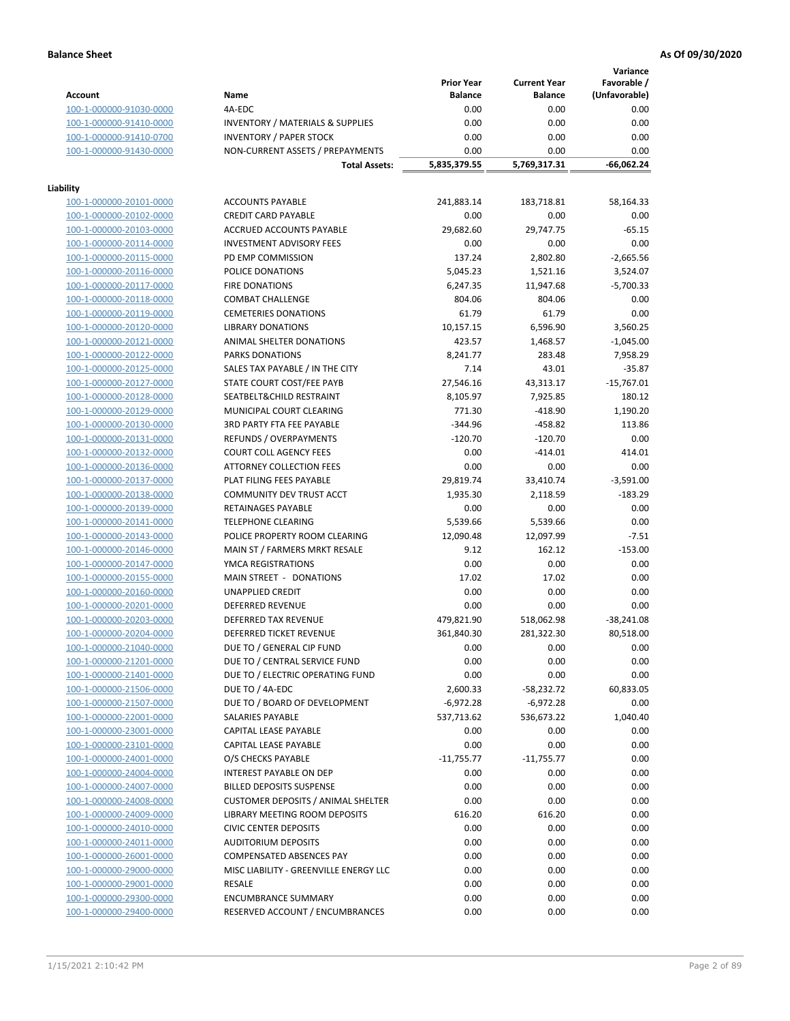**Variance**

|                         |                                             | <b>Prior Year</b> | <b>Current Year</b> | Favorable /   |
|-------------------------|---------------------------------------------|-------------------|---------------------|---------------|
| <b>Account</b>          | Name                                        | <b>Balance</b>    | <b>Balance</b>      | (Unfavorable) |
| 100-1-000000-91030-0000 | 4A-EDC                                      | 0.00              | 0.00                | 0.00          |
| 100-1-000000-91410-0000 | <b>INVENTORY / MATERIALS &amp; SUPPLIES</b> | 0.00              | 0.00                | 0.00          |
| 100-1-000000-91410-0700 | <b>INVENTORY / PAPER STOCK</b>              | 0.00              | 0.00                | 0.00          |
| 100-1-000000-91430-0000 | NON-CURRENT ASSETS / PREPAYMENTS            | 0.00              | 0.00                | 0.00          |
|                         | <b>Total Assets:</b>                        | 5,835,379.55      | 5,769,317.31        | -66,062.24    |
|                         |                                             |                   |                     |               |
| Liability               |                                             |                   |                     |               |
| 100-1-000000-20101-0000 | <b>ACCOUNTS PAYABLE</b>                     | 241,883.14        | 183,718.81          | 58,164.33     |
| 100-1-000000-20102-0000 | <b>CREDIT CARD PAYABLE</b>                  | 0.00              | 0.00                | 0.00          |
| 100-1-000000-20103-0000 | ACCRUED ACCOUNTS PAYABLE                    | 29,682.60         | 29,747.75           | $-65.15$      |
| 100-1-000000-20114-0000 | <b>INVESTMENT ADVISORY FEES</b>             | 0.00              | 0.00                | 0.00          |
| 100-1-000000-20115-0000 | PD EMP COMMISSION                           | 137.24            | 2,802.80            | $-2,665.56$   |
| 100-1-000000-20116-0000 | POLICE DONATIONS                            | 5,045.23          | 1,521.16            | 3,524.07      |
| 100-1-000000-20117-0000 | <b>FIRE DONATIONS</b>                       | 6,247.35          | 11,947.68           | $-5,700.33$   |
| 100-1-000000-20118-0000 | <b>COMBAT CHALLENGE</b>                     | 804.06            | 804.06              | 0.00          |
| 100-1-000000-20119-0000 | <b>CEMETERIES DONATIONS</b>                 | 61.79             | 61.79               | 0.00          |
| 100-1-000000-20120-0000 | <b>LIBRARY DONATIONS</b>                    | 10,157.15         | 6,596.90            | 3,560.25      |
| 100-1-000000-20121-0000 | ANIMAL SHELTER DONATIONS                    | 423.57            | 1,468.57            | $-1,045.00$   |
| 100-1-000000-20122-0000 | <b>PARKS DONATIONS</b>                      | 8,241.77          | 283.48              | 7,958.29      |
| 100-1-000000-20125-0000 | SALES TAX PAYABLE / IN THE CITY             | 7.14              | 43.01               | $-35.87$      |
| 100-1-000000-20127-0000 | STATE COURT COST/FEE PAYB                   | 27,546.16         | 43,313.17           | $-15,767.01$  |
| 100-1-000000-20128-0000 | SEATBELT&CHILD RESTRAINT                    | 8,105.97          | 7,925.85            | 180.12        |
| 100-1-000000-20129-0000 | MUNICIPAL COURT CLEARING                    | 771.30            | $-418.90$           | 1,190.20      |
|                         | 3RD PARTY FTA FEE PAYABLE                   | $-344.96$         | $-458.82$           | 113.86        |
| 100-1-000000-20130-0000 |                                             |                   |                     |               |
| 100-1-000000-20131-0000 | REFUNDS / OVERPAYMENTS                      | $-120.70$         | $-120.70$           | 0.00          |
| 100-1-000000-20132-0000 | <b>COURT COLL AGENCY FEES</b>               | 0.00              | $-414.01$           | 414.01        |
| 100-1-000000-20136-0000 | <b>ATTORNEY COLLECTION FEES</b>             | 0.00              | 0.00                | 0.00          |
| 100-1-000000-20137-0000 | PLAT FILING FEES PAYABLE                    | 29,819.74         | 33,410.74           | $-3,591.00$   |
| 100-1-000000-20138-0000 | COMMUNITY DEV TRUST ACCT                    | 1,935.30          | 2,118.59            | $-183.29$     |
| 100-1-000000-20139-0000 | RETAINAGES PAYABLE                          | 0.00              | 0.00                | 0.00          |
| 100-1-000000-20141-0000 | <b>TELEPHONE CLEARING</b>                   | 5,539.66          | 5,539.66            | 0.00          |
| 100-1-000000-20143-0000 | POLICE PROPERTY ROOM CLEARING               | 12,090.48         | 12,097.99           | $-7.51$       |
| 100-1-000000-20146-0000 | MAIN ST / FARMERS MRKT RESALE               | 9.12              | 162.12              | $-153.00$     |
| 100-1-000000-20147-0000 | YMCA REGISTRATIONS                          | 0.00              | 0.00                | 0.00          |
| 100-1-000000-20155-0000 | MAIN STREET - DONATIONS                     | 17.02             | 17.02               | 0.00          |
| 100-1-000000-20160-0000 | <b>UNAPPLIED CREDIT</b>                     | 0.00              | 0.00                | 0.00          |
| 100-1-000000-20201-0000 | <b>DEFERRED REVENUE</b>                     | 0.00              | 0.00                | 0.00          |
| 100-1-000000-20203-0000 | DEFERRED TAX REVENUE                        | 479,821.90        | 518,062.98          | $-38,241.08$  |
| 100-1-000000-20204-0000 | DEFERRED TICKET REVENUE                     | 361,840.30        | 281,322.30          | 80,518.00     |
| 100-1-000000-21040-0000 | DUE TO / GENERAL CIP FUND                   | 0.00              | 0.00                | 0.00          |
| 100-1-000000-21201-0000 | DUE TO / CENTRAL SERVICE FUND               | 0.00              | 0.00                | 0.00          |
| 100-1-000000-21401-0000 | DUE TO / ELECTRIC OPERATING FUND            | 0.00              | 0.00                | 0.00          |
| 100-1-000000-21506-0000 | DUE TO / 4A-EDC                             | 2,600.33          | $-58,232.72$        | 60,833.05     |
| 100-1-000000-21507-0000 | DUE TO / BOARD OF DEVELOPMENT               | $-6,972.28$       | $-6,972.28$         | 0.00          |
| 100-1-000000-22001-0000 | <b>SALARIES PAYABLE</b>                     | 537,713.62        | 536,673.22          | 1,040.40      |
| 100-1-000000-23001-0000 | <b>CAPITAL LEASE PAYABLE</b>                | 0.00              | 0.00                | 0.00          |
| 100-1-000000-23101-0000 | CAPITAL LEASE PAYABLE                       | 0.00              | 0.00                | 0.00          |
| 100-1-000000-24001-0000 | O/S CHECKS PAYABLE                          | $-11,755.77$      | $-11,755.77$        | 0.00          |
| 100-1-000000-24004-0000 | INTEREST PAYABLE ON DEP                     | 0.00              | 0.00                | 0.00          |
| 100-1-000000-24007-0000 | <b>BILLED DEPOSITS SUSPENSE</b>             | 0.00              | 0.00                | 0.00          |
| 100-1-000000-24008-0000 | <b>CUSTOMER DEPOSITS / ANIMAL SHELTER</b>   | 0.00              | 0.00                | 0.00          |
| 100-1-000000-24009-0000 | LIBRARY MEETING ROOM DEPOSITS               | 616.20            | 616.20              | 0.00          |
| 100-1-000000-24010-0000 | <b>CIVIC CENTER DEPOSITS</b>                | 0.00              | 0.00                | 0.00          |
| 100-1-000000-24011-0000 | <b>AUDITORIUM DEPOSITS</b>                  | 0.00              | 0.00                | 0.00          |
| 100-1-000000-26001-0000 | COMPENSATED ABSENCES PAY                    | 0.00              | 0.00                | 0.00          |
| 100-1-000000-29000-0000 | MISC LIABILITY - GREENVILLE ENERGY LLC      | 0.00              | 0.00                | 0.00          |
| 100-1-000000-29001-0000 | <b>RESALE</b>                               | 0.00              | 0.00                | 0.00          |
|                         | <b>ENCUMBRANCE SUMMARY</b>                  |                   |                     |               |
| 100-1-000000-29300-0000 |                                             | 0.00              | 0.00                | 0.00          |
| 100-1-000000-29400-0000 | RESERVED ACCOUNT / ENCUMBRANCES             | 0.00              | 0.00                | 0.00          |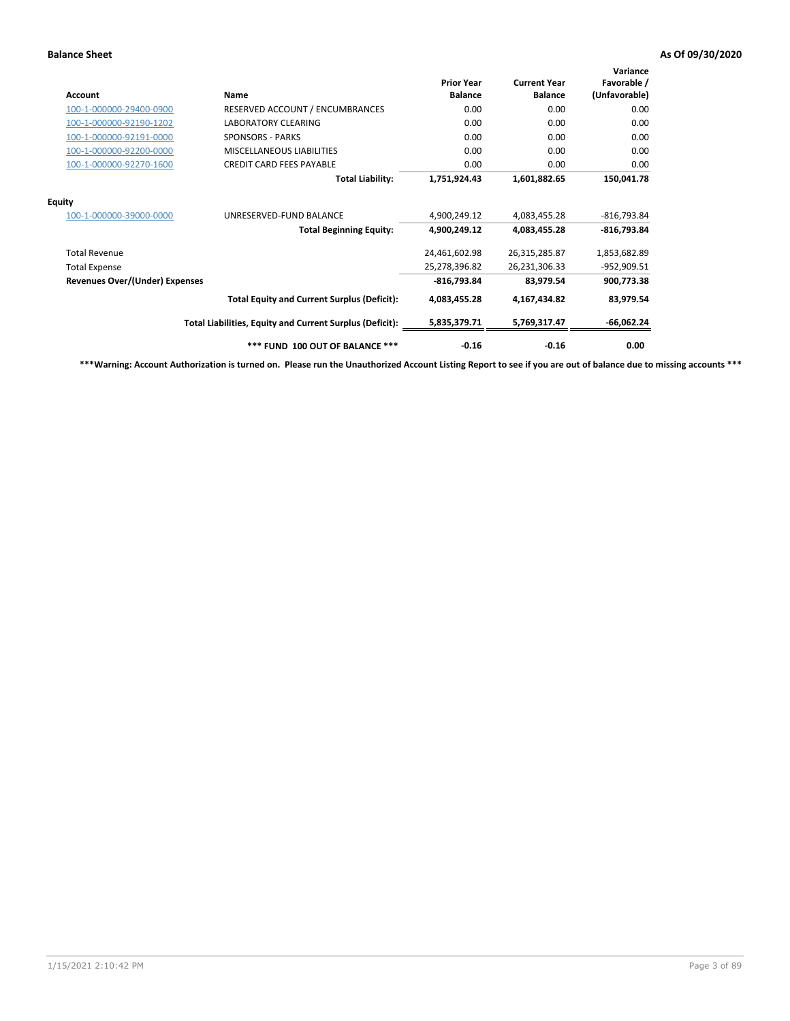| Account                               | Name                                                     | <b>Prior Year</b><br><b>Balance</b> | <b>Current Year</b><br><b>Balance</b> | Variance<br>Favorable /<br>(Unfavorable) |
|---------------------------------------|----------------------------------------------------------|-------------------------------------|---------------------------------------|------------------------------------------|
| 100-1-000000-29400-0900               | RESERVED ACCOUNT / ENCUMBRANCES                          | 0.00                                | 0.00                                  | 0.00                                     |
| 100-1-000000-92190-1202               | <b>LABORATORY CLEARING</b>                               | 0.00                                | 0.00                                  | 0.00                                     |
| 100-1-000000-92191-0000               | <b>SPONSORS - PARKS</b>                                  | 0.00                                | 0.00                                  | 0.00                                     |
| 100-1-000000-92200-0000               | <b>MISCELLANEOUS LIABILITIES</b>                         | 0.00                                | 0.00                                  | 0.00                                     |
| 100-1-000000-92270-1600               | <b>CREDIT CARD FEES PAYABLE</b>                          | 0.00                                | 0.00                                  | 0.00                                     |
|                                       | <b>Total Liability:</b>                                  | 1,751,924.43                        | 1,601,882.65                          | 150,041.78                               |
| <b>Equity</b>                         |                                                          |                                     |                                       |                                          |
| 100-1-000000-39000-0000               | UNRESERVED-FUND BALANCE                                  | 4,900,249.12                        | 4,083,455.28                          | $-816,793.84$                            |
|                                       | <b>Total Beginning Equity:</b>                           | 4,900,249.12                        | 4,083,455.28                          | $-816,793.84$                            |
| <b>Total Revenue</b>                  |                                                          | 24,461,602.98                       | 26,315,285.87                         | 1,853,682.89                             |
| <b>Total Expense</b>                  |                                                          | 25,278,396.82                       | 26,231,306.33                         | -952,909.51                              |
| <b>Revenues Over/(Under) Expenses</b> |                                                          | $-816,793.84$                       | 83,979.54                             | 900,773.38                               |
|                                       | <b>Total Equity and Current Surplus (Deficit):</b>       | 4,083,455.28                        | 4,167,434.82                          | 83,979.54                                |
|                                       | Total Liabilities, Equity and Current Surplus (Deficit): | 5,835,379.71                        | 5,769,317.47                          | $-66,062.24$                             |
|                                       | *** FUND 100 OUT OF BALANCE ***                          | $-0.16$                             | $-0.16$                               | 0.00                                     |

**\*\*\*Warning: Account Authorization is turned on. Please run the Unauthorized Account Listing Report to see if you are out of balance due to missing accounts \*\*\***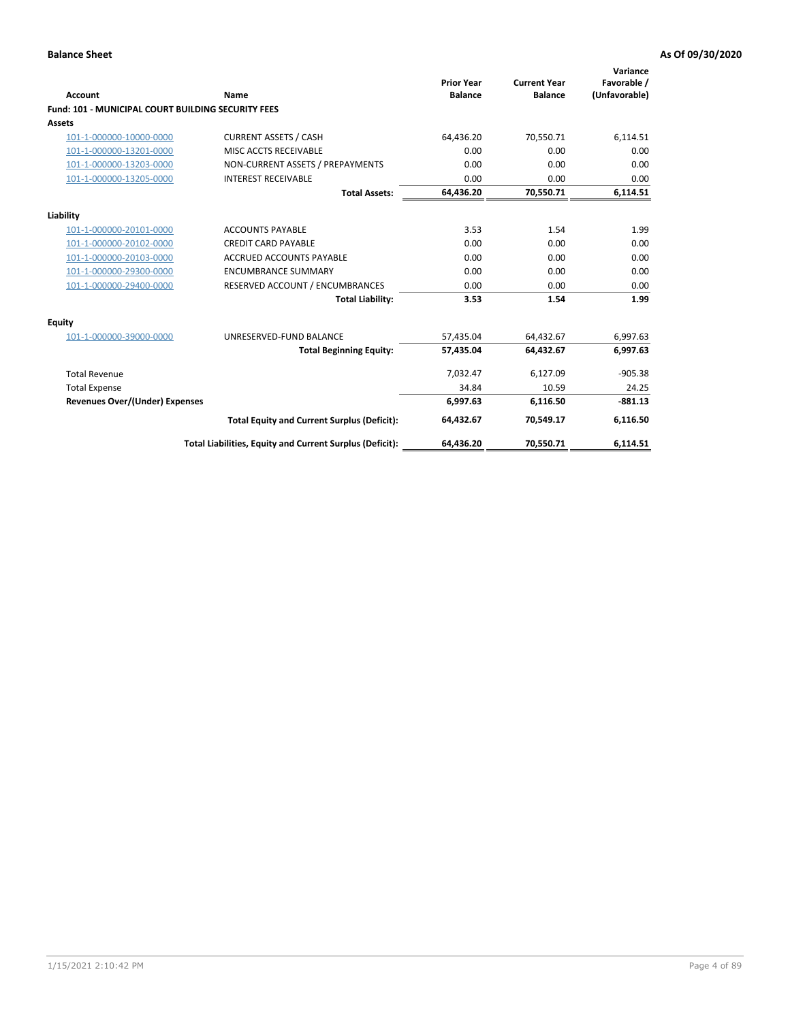| Account                                                   | Name                                                     | <b>Prior Year</b><br><b>Balance</b> | <b>Current Year</b><br><b>Balance</b> | Variance<br>Favorable /<br>(Unfavorable) |
|-----------------------------------------------------------|----------------------------------------------------------|-------------------------------------|---------------------------------------|------------------------------------------|
| <b>Fund: 101 - MUNICIPAL COURT BUILDING SECURITY FEES</b> |                                                          |                                     |                                       |                                          |
| Assets                                                    |                                                          |                                     |                                       |                                          |
| 101-1-000000-10000-0000                                   | <b>CURRENT ASSETS / CASH</b>                             | 64,436.20                           | 70,550.71                             | 6,114.51                                 |
| 101-1-000000-13201-0000                                   | MISC ACCTS RECEIVABLE                                    | 0.00                                | 0.00                                  | 0.00                                     |
| 101-1-000000-13203-0000                                   | NON-CURRENT ASSETS / PREPAYMENTS                         | 0.00                                | 0.00                                  | 0.00                                     |
| 101-1-000000-13205-0000                                   | <b>INTEREST RECEIVABLE</b>                               | 0.00                                | 0.00                                  | 0.00                                     |
|                                                           | <b>Total Assets:</b>                                     | 64,436.20                           | 70,550.71                             | 6,114.51                                 |
| Liability                                                 |                                                          |                                     |                                       |                                          |
| 101-1-000000-20101-0000                                   | <b>ACCOUNTS PAYABLE</b>                                  | 3.53                                | 1.54                                  | 1.99                                     |
| 101-1-000000-20102-0000                                   | <b>CREDIT CARD PAYABLE</b>                               | 0.00                                | 0.00                                  | 0.00                                     |
| 101-1-000000-20103-0000                                   | <b>ACCRUED ACCOUNTS PAYABLE</b>                          | 0.00                                | 0.00                                  | 0.00                                     |
| 101-1-000000-29300-0000                                   | <b>ENCUMBRANCE SUMMARY</b>                               | 0.00                                | 0.00                                  | 0.00                                     |
| 101-1-000000-29400-0000                                   | RESERVED ACCOUNT / ENCUMBRANCES                          | 0.00                                | 0.00                                  | 0.00                                     |
|                                                           | <b>Total Liability:</b>                                  | 3.53                                | 1.54                                  | 1.99                                     |
| <b>Equity</b>                                             |                                                          |                                     |                                       |                                          |
| 101-1-000000-39000-0000                                   | UNRESERVED-FUND BALANCE                                  | 57,435.04                           | 64,432.67                             | 6,997.63                                 |
|                                                           | <b>Total Beginning Equity:</b>                           | 57,435.04                           | 64,432.67                             | 6,997.63                                 |
| <b>Total Revenue</b>                                      |                                                          | 7,032.47                            | 6,127.09                              | $-905.38$                                |
| <b>Total Expense</b>                                      |                                                          | 34.84                               | 10.59                                 | 24.25                                    |
| <b>Revenues Over/(Under) Expenses</b>                     |                                                          | 6,997.63                            | 6,116.50                              | $-881.13$                                |
|                                                           | <b>Total Equity and Current Surplus (Deficit):</b>       | 64,432.67                           | 70.549.17                             | 6,116.50                                 |
|                                                           | Total Liabilities, Equity and Current Surplus (Deficit): | 64,436.20                           | 70,550.71                             | 6,114.51                                 |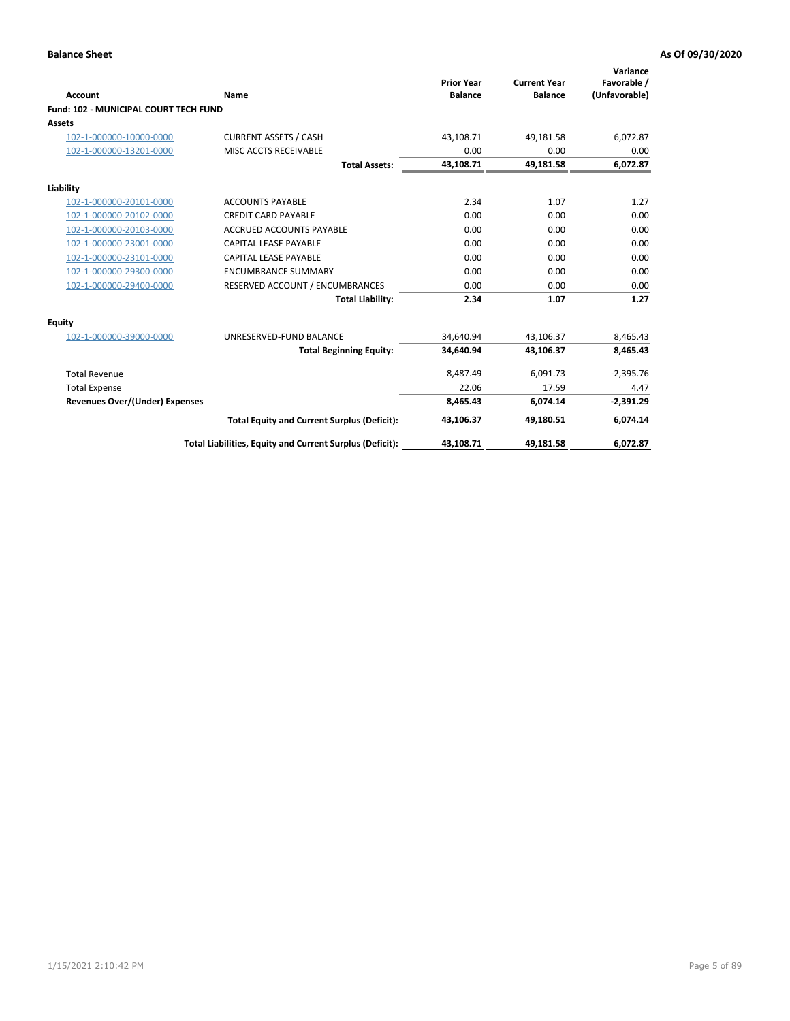| <b>Account</b>                        | Name                                                     | <b>Prior Year</b><br><b>Balance</b> | <b>Current Year</b><br><b>Balance</b> | Variance<br>Favorable /<br>(Unfavorable) |
|---------------------------------------|----------------------------------------------------------|-------------------------------------|---------------------------------------|------------------------------------------|
| Fund: 102 - MUNICIPAL COURT TECH FUND |                                                          |                                     |                                       |                                          |
| Assets                                |                                                          |                                     |                                       |                                          |
| 102-1-000000-10000-0000               | <b>CURRENT ASSETS / CASH</b>                             | 43,108.71                           | 49,181.58                             | 6,072.87                                 |
| 102-1-000000-13201-0000               | MISC ACCTS RECEIVABLE                                    | 0.00                                | 0.00                                  | 0.00                                     |
|                                       | <b>Total Assets:</b>                                     | 43,108.71                           | 49,181.58                             | 6,072.87                                 |
| Liability                             |                                                          |                                     |                                       |                                          |
| 102-1-000000-20101-0000               | <b>ACCOUNTS PAYABLE</b>                                  | 2.34                                | 1.07                                  | 1.27                                     |
| 102-1-000000-20102-0000               | <b>CREDIT CARD PAYABLE</b>                               | 0.00                                | 0.00                                  | 0.00                                     |
| 102-1-000000-20103-0000               | <b>ACCRUED ACCOUNTS PAYABLE</b>                          | 0.00                                | 0.00                                  | 0.00                                     |
| 102-1-000000-23001-0000               | CAPITAL LEASE PAYABLE                                    | 0.00                                | 0.00                                  | 0.00                                     |
| 102-1-000000-23101-0000               | CAPITAL LEASE PAYABLE                                    | 0.00                                | 0.00                                  | 0.00                                     |
| 102-1-000000-29300-0000               | <b>ENCUMBRANCE SUMMARY</b>                               | 0.00                                | 0.00                                  | 0.00                                     |
| 102-1-000000-29400-0000               | RESERVED ACCOUNT / ENCUMBRANCES                          | 0.00                                | 0.00                                  | 0.00                                     |
|                                       | <b>Total Liability:</b>                                  | 2.34                                | 1.07                                  | 1.27                                     |
| <b>Equity</b>                         |                                                          |                                     |                                       |                                          |
| 102-1-000000-39000-0000               | UNRESERVED-FUND BALANCE                                  | 34,640.94                           | 43,106.37                             | 8,465.43                                 |
|                                       | <b>Total Beginning Equity:</b>                           | 34,640.94                           | 43,106.37                             | 8,465.43                                 |
| <b>Total Revenue</b>                  |                                                          | 8,487.49                            | 6,091.73                              | $-2,395.76$                              |
| <b>Total Expense</b>                  |                                                          | 22.06                               | 17.59                                 | 4.47                                     |
| <b>Revenues Over/(Under) Expenses</b> |                                                          | 8.465.43                            | 6,074.14                              | $-2,391.29$                              |
|                                       | <b>Total Equity and Current Surplus (Deficit):</b>       | 43,106.37                           | 49,180.51                             | 6,074.14                                 |
|                                       | Total Liabilities, Equity and Current Surplus (Deficit): | 43,108.71                           | 49,181.58                             | 6,072.87                                 |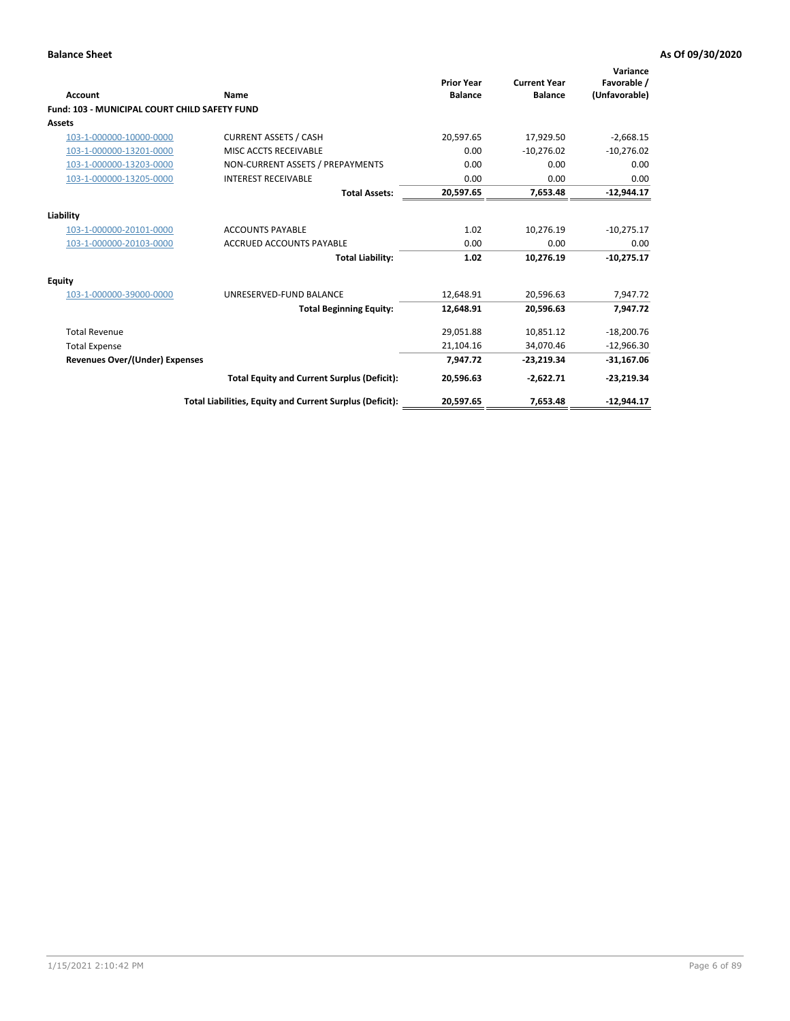| <b>Account</b>                                       | Name                                                     | <b>Prior Year</b><br><b>Balance</b> | <b>Current Year</b><br><b>Balance</b> | Variance<br>Favorable /<br>(Unfavorable) |
|------------------------------------------------------|----------------------------------------------------------|-------------------------------------|---------------------------------------|------------------------------------------|
| <b>Fund: 103 - MUNICIPAL COURT CHILD SAFETY FUND</b> |                                                          |                                     |                                       |                                          |
| <b>Assets</b>                                        |                                                          |                                     |                                       |                                          |
| 103-1-000000-10000-0000                              | <b>CURRENT ASSETS / CASH</b>                             | 20.597.65                           | 17.929.50                             | $-2,668.15$                              |
| 103-1-000000-13201-0000                              | MISC ACCTS RECEIVABLE                                    | 0.00                                | $-10,276.02$                          | $-10,276.02$                             |
| 103-1-000000-13203-0000                              | NON-CURRENT ASSETS / PREPAYMENTS                         | 0.00                                | 0.00                                  | 0.00                                     |
| 103-1-000000-13205-0000                              | <b>INTEREST RECEIVABLE</b>                               | 0.00                                | 0.00                                  | 0.00                                     |
|                                                      | <b>Total Assets:</b>                                     | 20,597.65                           | 7,653.48                              | $-12,944.17$                             |
| Liability                                            |                                                          |                                     |                                       |                                          |
| 103-1-000000-20101-0000                              | <b>ACCOUNTS PAYABLE</b>                                  | 1.02                                | 10,276.19                             | $-10,275.17$                             |
| 103-1-000000-20103-0000                              | <b>ACCRUED ACCOUNTS PAYABLE</b>                          | 0.00                                | 0.00                                  | 0.00                                     |
|                                                      | <b>Total Liability:</b>                                  | 1.02                                | 10,276.19                             | $-10,275.17$                             |
| <b>Equity</b>                                        |                                                          |                                     |                                       |                                          |
| 103-1-000000-39000-0000                              | UNRESERVED-FUND BALANCE                                  | 12,648.91                           | 20,596.63                             | 7,947.72                                 |
|                                                      | <b>Total Beginning Equity:</b>                           | 12,648.91                           | 20.596.63                             | 7.947.72                                 |
| <b>Total Revenue</b>                                 |                                                          | 29,051.88                           | 10,851.12                             | $-18,200.76$                             |
| <b>Total Expense</b>                                 |                                                          | 21,104.16                           | 34.070.46                             | $-12,966.30$                             |
| <b>Revenues Over/(Under) Expenses</b>                |                                                          | 7,947.72                            | $-23,219.34$                          | $-31,167.06$                             |
|                                                      | <b>Total Equity and Current Surplus (Deficit):</b>       | 20,596.63                           | $-2,622.71$                           | $-23,219.34$                             |
|                                                      | Total Liabilities, Equity and Current Surplus (Deficit): | 20,597.65                           | 7,653.48                              | $-12,944.17$                             |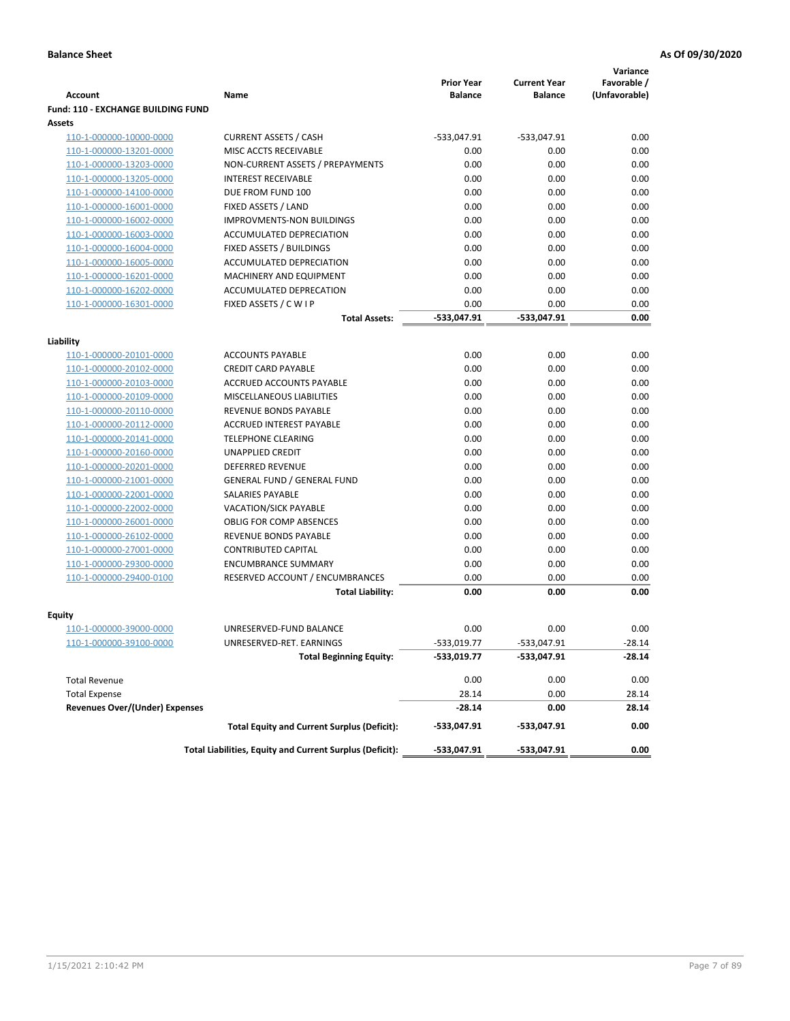|                                           |                                                          |                                     |                                       | Variance                     |
|-------------------------------------------|----------------------------------------------------------|-------------------------------------|---------------------------------------|------------------------------|
| <b>Account</b>                            | Name                                                     | <b>Prior Year</b><br><b>Balance</b> | <b>Current Year</b><br><b>Balance</b> | Favorable /<br>(Unfavorable) |
| <b>Fund: 110 - EXCHANGE BUILDING FUND</b> |                                                          |                                     |                                       |                              |
| <b>Assets</b>                             |                                                          |                                     |                                       |                              |
| 110-1-000000-10000-0000                   | <b>CURRENT ASSETS / CASH</b>                             | -533,047.91                         | $-533,047.91$                         | 0.00                         |
| 110-1-000000-13201-0000                   | MISC ACCTS RECEIVABLE                                    | 0.00                                | 0.00                                  | 0.00                         |
| 110-1-000000-13203-0000                   | NON-CURRENT ASSETS / PREPAYMENTS                         | 0.00                                | 0.00                                  | 0.00                         |
| 110-1-000000-13205-0000                   | <b>INTEREST RECEIVABLE</b>                               | 0.00                                | 0.00                                  | 0.00                         |
| 110-1-000000-14100-0000                   | DUE FROM FUND 100                                        | 0.00                                | 0.00                                  | 0.00                         |
| 110-1-000000-16001-0000                   | FIXED ASSETS / LAND                                      | 0.00                                | 0.00                                  | 0.00                         |
| 110-1-000000-16002-0000                   | <b>IMPROVMENTS-NON BUILDINGS</b>                         | 0.00                                | 0.00                                  | 0.00                         |
| 110-1-000000-16003-0000                   | ACCUMULATED DEPRECIATION                                 | 0.00                                | 0.00                                  | 0.00                         |
| 110-1-000000-16004-0000                   | FIXED ASSETS / BUILDINGS                                 | 0.00                                | 0.00                                  | 0.00                         |
| 110-1-000000-16005-0000                   | ACCUMULATED DEPRECIATION                                 | 0.00                                | 0.00                                  | 0.00                         |
| 110-1-000000-16201-0000                   | <b>MACHINERY AND EQUIPMENT</b>                           | 0.00                                | 0.00                                  | 0.00                         |
| 110-1-000000-16202-0000                   | ACCUMULATED DEPRECATION                                  | 0.00                                | 0.00                                  | 0.00                         |
| 110-1-000000-16301-0000                   | FIXED ASSETS / C W I P                                   | 0.00                                | 0.00                                  | 0.00                         |
|                                           | <b>Total Assets:</b>                                     | $-533,047.91$                       | -533,047.91                           | 0.00                         |
| Liability                                 |                                                          |                                     |                                       |                              |
| 110-1-000000-20101-0000                   | <b>ACCOUNTS PAYABLE</b>                                  | 0.00                                | 0.00                                  | 0.00                         |
| 110-1-000000-20102-0000                   | <b>CREDIT CARD PAYABLE</b>                               | 0.00                                | 0.00                                  | 0.00                         |
| 110-1-000000-20103-0000                   | ACCRUED ACCOUNTS PAYABLE                                 | 0.00                                | 0.00                                  | 0.00                         |
| 110-1-000000-20109-0000                   | MISCELLANEOUS LIABILITIES                                | 0.00                                | 0.00                                  | 0.00                         |
| 110-1-000000-20110-0000                   | REVENUE BONDS PAYABLE                                    | 0.00                                | 0.00                                  | 0.00                         |
| 110-1-000000-20112-0000                   | <b>ACCRUED INTEREST PAYABLE</b>                          | 0.00                                | 0.00                                  | 0.00                         |
| 110-1-000000-20141-0000                   | <b>TELEPHONE CLEARING</b>                                | 0.00                                | 0.00                                  | 0.00                         |
| 110-1-000000-20160-0000                   | <b>UNAPPLIED CREDIT</b>                                  | 0.00                                | 0.00                                  | 0.00                         |
| 110-1-000000-20201-0000                   | <b>DEFERRED REVENUE</b>                                  | 0.00                                | 0.00                                  | 0.00                         |
| 110-1-000000-21001-0000                   | <b>GENERAL FUND / GENERAL FUND</b>                       | 0.00                                | 0.00                                  | 0.00                         |
| 110-1-000000-22001-0000                   | SALARIES PAYABLE                                         | 0.00                                | 0.00                                  | 0.00                         |
| 110-1-000000-22002-0000                   | <b>VACATION/SICK PAYABLE</b>                             | 0.00                                | 0.00                                  | 0.00                         |
| 110-1-000000-26001-0000                   | <b>OBLIG FOR COMP ABSENCES</b>                           | 0.00                                | 0.00                                  | 0.00                         |
| 110-1-000000-26102-0000                   | REVENUE BONDS PAYABLE                                    | 0.00                                | 0.00                                  | 0.00                         |
| 110-1-000000-27001-0000                   | <b>CONTRIBUTED CAPITAL</b>                               | 0.00                                | 0.00                                  | 0.00                         |
| 110-1-000000-29300-0000                   | <b>ENCUMBRANCE SUMMARY</b>                               | 0.00                                | 0.00                                  | 0.00                         |
| 110-1-000000-29400-0100                   | RESERVED ACCOUNT / ENCUMBRANCES                          | 0.00                                | 0.00                                  | 0.00                         |
|                                           | <b>Total Liability:</b>                                  | 0.00                                | 0.00                                  | 0.00                         |
|                                           |                                                          |                                     |                                       |                              |
| <b>Equity</b>                             | UNRESERVED-FUND BALANCE                                  | 0.00                                | 0.00                                  |                              |
| 110-1-000000-39000-0000                   |                                                          | $-533,019.77$                       |                                       | 0.00<br>$-28.14$             |
| <u>110-1-000000-39100-0000</u>            | UNRESERVED-RET. EARNINGS                                 |                                     | -533,047.91                           |                              |
|                                           | <b>Total Beginning Equity:</b>                           | -533,019.77                         | -533,047.91                           | -28.14                       |
| <b>Total Revenue</b>                      |                                                          | 0.00                                | 0.00                                  | 0.00                         |
| <b>Total Expense</b>                      |                                                          | 28.14                               | 0.00                                  | 28.14                        |
| <b>Revenues Over/(Under) Expenses</b>     |                                                          | $-28.14$                            | 0.00                                  | 28.14                        |
|                                           | <b>Total Equity and Current Surplus (Deficit):</b>       | -533,047.91                         | -533,047.91                           | 0.00                         |
|                                           | Total Liabilities, Equity and Current Surplus (Deficit): | -533,047.91                         | -533,047.91                           | 0.00                         |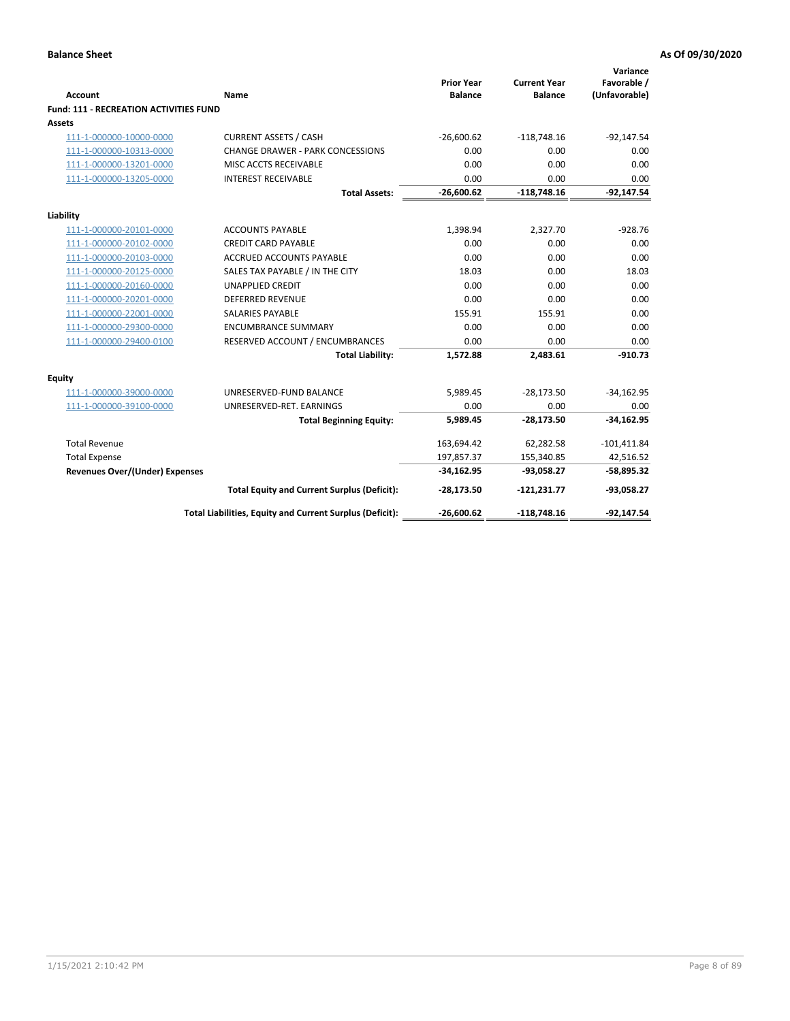|                                               |                                                          | <b>Prior Year</b> | <b>Current Year</b> | Variance<br>Favorable / |
|-----------------------------------------------|----------------------------------------------------------|-------------------|---------------------|-------------------------|
| Account                                       | Name                                                     | <b>Balance</b>    | <b>Balance</b>      | (Unfavorable)           |
| <b>Fund: 111 - RECREATION ACTIVITIES FUND</b> |                                                          |                   |                     |                         |
| <b>Assets</b>                                 |                                                          |                   |                     |                         |
| 111-1-000000-10000-0000                       | <b>CURRENT ASSETS / CASH</b>                             | $-26,600.62$      | $-118,748.16$       | $-92,147.54$            |
| 111-1-000000-10313-0000                       | <b>CHANGE DRAWER - PARK CONCESSIONS</b>                  | 0.00              | 0.00                | 0.00                    |
| 111-1-000000-13201-0000                       | MISC ACCTS RECEIVABLE                                    | 0.00              | 0.00                | 0.00                    |
| 111-1-000000-13205-0000                       | <b>INTEREST RECEIVABLE</b>                               | 0.00              | 0.00                | 0.00                    |
|                                               | <b>Total Assets:</b>                                     | $-26,600.62$      | $-118,748.16$       | $-92,147.54$            |
| Liability                                     |                                                          |                   |                     |                         |
| 111-1-000000-20101-0000                       | <b>ACCOUNTS PAYABLE</b>                                  | 1,398.94          | 2,327.70            | $-928.76$               |
| 111-1-000000-20102-0000                       | <b>CREDIT CARD PAYABLE</b>                               | 0.00              | 0.00                | 0.00                    |
| 111-1-000000-20103-0000                       | ACCRUED ACCOUNTS PAYABLE                                 | 0.00              | 0.00                | 0.00                    |
| 111-1-000000-20125-0000                       | SALES TAX PAYABLE / IN THE CITY                          | 18.03             | 0.00                | 18.03                   |
| 111-1-000000-20160-0000                       | <b>UNAPPLIED CREDIT</b>                                  | 0.00              | 0.00                | 0.00                    |
| 111-1-000000-20201-0000                       | <b>DEFERRED REVENUE</b>                                  | 0.00              | 0.00                | 0.00                    |
| 111-1-000000-22001-0000                       | <b>SALARIES PAYABLE</b>                                  | 155.91            | 155.91              | 0.00                    |
| 111-1-000000-29300-0000                       | <b>ENCUMBRANCE SUMMARY</b>                               | 0.00              | 0.00                | 0.00                    |
| 111-1-000000-29400-0100                       | RESERVED ACCOUNT / ENCUMBRANCES                          | 0.00              | 0.00                | 0.00                    |
|                                               | <b>Total Liability:</b>                                  | 1,572.88          | 2,483.61            | $-910.73$               |
| <b>Equity</b>                                 |                                                          |                   |                     |                         |
| 111-1-000000-39000-0000                       | UNRESERVED-FUND BALANCE                                  | 5,989.45          | $-28,173.50$        | $-34,162.95$            |
| 111-1-000000-39100-0000                       | UNRESERVED-RET. EARNINGS                                 | 0.00              | 0.00                | 0.00                    |
|                                               | <b>Total Beginning Equity:</b>                           | 5.989.45          | $-28,173.50$        | $-34,162.95$            |
| <b>Total Revenue</b>                          |                                                          | 163,694.42        | 62,282.58           | $-101,411.84$           |
| <b>Total Expense</b>                          |                                                          | 197,857.37        | 155,340.85          | 42,516.52               |
| Revenues Over/(Under) Expenses                |                                                          | $-34,162.95$      | $-93,058.27$        | $-58,895.32$            |
|                                               | <b>Total Equity and Current Surplus (Deficit):</b>       | $-28,173.50$      | $-121,231.77$       | $-93,058.27$            |
|                                               | Total Liabilities, Equity and Current Surplus (Deficit): | $-26,600.62$      | $-118,748.16$       | $-92,147.54$            |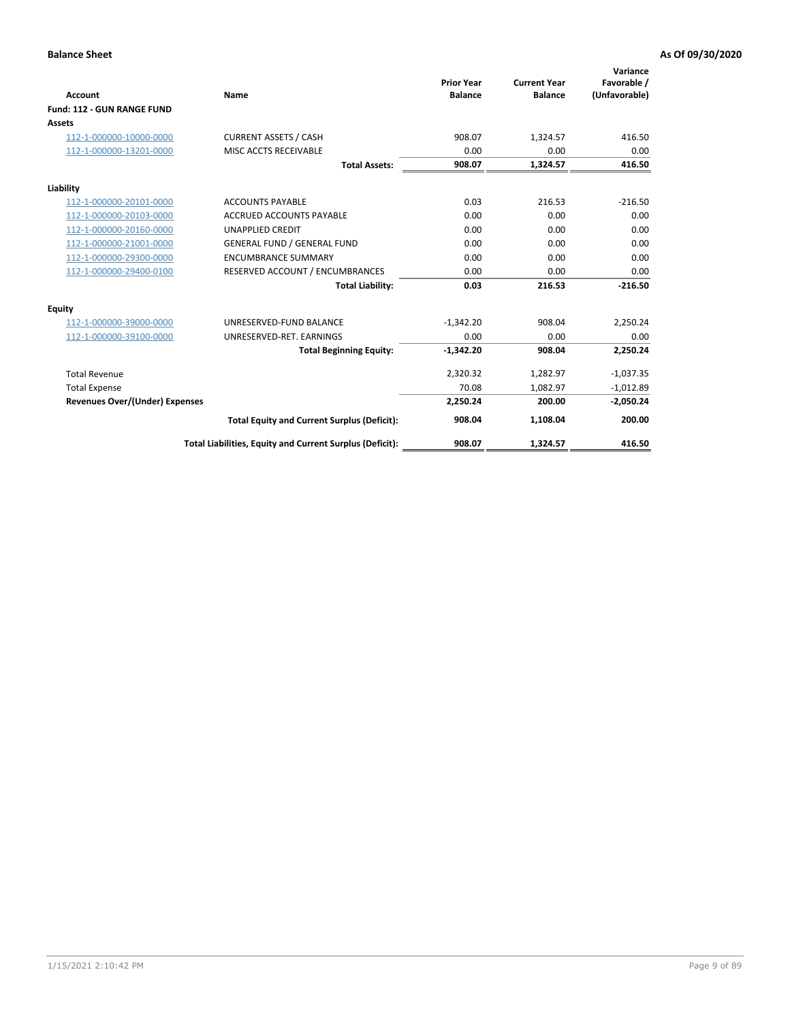|                                       |                                                          |                                     |                                       | Variance                     |
|---------------------------------------|----------------------------------------------------------|-------------------------------------|---------------------------------------|------------------------------|
| <b>Account</b>                        | Name                                                     | <b>Prior Year</b><br><b>Balance</b> | <b>Current Year</b><br><b>Balance</b> | Favorable /<br>(Unfavorable) |
| Fund: 112 - GUN RANGE FUND            |                                                          |                                     |                                       |                              |
| <b>Assets</b>                         |                                                          |                                     |                                       |                              |
| 112-1-000000-10000-0000               | <b>CURRENT ASSETS / CASH</b>                             | 908.07                              | 1,324.57                              | 416.50                       |
| 112-1-000000-13201-0000               | MISC ACCTS RECEIVABLE                                    | 0.00                                | 0.00                                  | 0.00                         |
|                                       | <b>Total Assets:</b>                                     | 908.07                              | 1,324.57                              | 416.50                       |
| Liability                             |                                                          |                                     |                                       |                              |
| 112-1-000000-20101-0000               | <b>ACCOUNTS PAYABLE</b>                                  | 0.03                                | 216.53                                | $-216.50$                    |
| 112-1-000000-20103-0000               | <b>ACCRUED ACCOUNTS PAYABLE</b>                          | 0.00                                | 0.00                                  | 0.00                         |
| 112-1-000000-20160-0000               | <b>UNAPPLIED CREDIT</b>                                  | 0.00                                | 0.00                                  | 0.00                         |
| 112-1-000000-21001-0000               | <b>GENERAL FUND / GENERAL FUND</b>                       | 0.00                                | 0.00                                  | 0.00                         |
| 112-1-000000-29300-0000               | <b>ENCUMBRANCE SUMMARY</b>                               | 0.00                                | 0.00                                  | 0.00                         |
| 112-1-000000-29400-0100               | RESERVED ACCOUNT / ENCUMBRANCES                          | 0.00                                | 0.00                                  | 0.00                         |
|                                       | <b>Total Liability:</b>                                  | 0.03                                | 216.53                                | $-216.50$                    |
| Equity                                |                                                          |                                     |                                       |                              |
| 112-1-000000-39000-0000               | UNRESERVED-FUND BALANCE                                  | $-1,342.20$                         | 908.04                                | 2,250.24                     |
| 112-1-000000-39100-0000               | UNRESERVED-RET. EARNINGS                                 | 0.00                                | 0.00                                  | 0.00                         |
|                                       | <b>Total Beginning Equity:</b>                           | $-1,342.20$                         | 908.04                                | 2,250.24                     |
| <b>Total Revenue</b>                  |                                                          | 2,320.32                            | 1,282.97                              | $-1,037.35$                  |
| <b>Total Expense</b>                  |                                                          | 70.08                               | 1,082.97                              | $-1,012.89$                  |
| <b>Revenues Over/(Under) Expenses</b> |                                                          | 2,250.24                            | 200.00                                | $-2,050.24$                  |
|                                       | <b>Total Equity and Current Surplus (Deficit):</b>       | 908.04                              | 1,108.04                              | 200.00                       |
|                                       | Total Liabilities, Equity and Current Surplus (Deficit): | 908.07                              | 1,324.57                              | 416.50                       |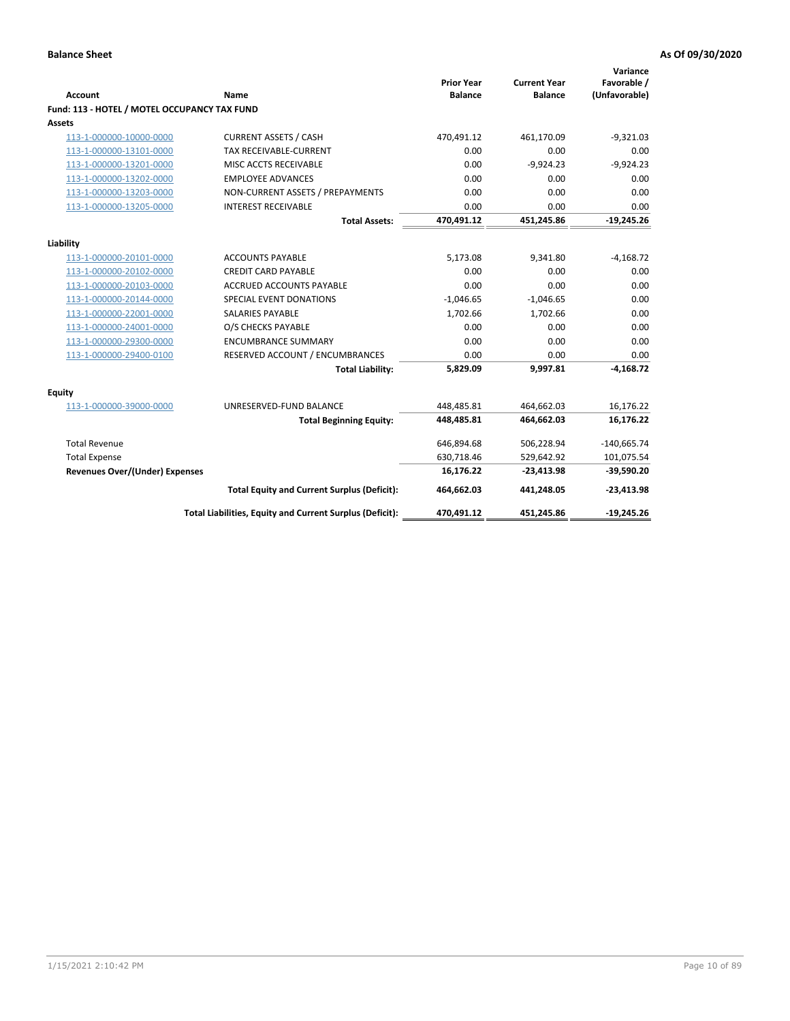| <b>Account</b>                               | <b>Name</b>                                              | <b>Prior Year</b><br><b>Balance</b> | <b>Current Year</b><br><b>Balance</b> | Variance<br>Favorable /<br>(Unfavorable) |
|----------------------------------------------|----------------------------------------------------------|-------------------------------------|---------------------------------------|------------------------------------------|
| Fund: 113 - HOTEL / MOTEL OCCUPANCY TAX FUND |                                                          |                                     |                                       |                                          |
| Assets                                       |                                                          |                                     |                                       |                                          |
| 113-1-000000-10000-0000                      | <b>CURRENT ASSETS / CASH</b>                             | 470,491.12                          | 461,170.09                            | $-9,321.03$                              |
| 113-1-000000-13101-0000                      | TAX RECEIVABLE-CURRENT                                   | 0.00                                | 0.00                                  | 0.00                                     |
| 113-1-000000-13201-0000                      | MISC ACCTS RECEIVABLE                                    | 0.00                                | $-9,924.23$                           | $-9,924.23$                              |
| 113-1-000000-13202-0000                      | <b>EMPLOYEE ADVANCES</b>                                 | 0.00                                | 0.00                                  | 0.00                                     |
| 113-1-000000-13203-0000                      | NON-CURRENT ASSETS / PREPAYMENTS                         | 0.00                                | 0.00                                  | 0.00                                     |
| 113-1-000000-13205-0000                      | <b>INTEREST RECEIVABLE</b>                               | 0.00                                | 0.00                                  | 0.00                                     |
|                                              | <b>Total Assets:</b>                                     | 470,491.12                          | 451,245.86                            | $-19,245.26$                             |
|                                              |                                                          |                                     |                                       |                                          |
| Liability                                    |                                                          |                                     |                                       |                                          |
| 113-1-000000-20101-0000                      | <b>ACCOUNTS PAYABLE</b>                                  | 5,173.08                            | 9,341.80                              | $-4,168.72$                              |
| 113-1-000000-20102-0000                      | <b>CREDIT CARD PAYABLE</b>                               | 0.00                                | 0.00                                  | 0.00                                     |
| 113-1-000000-20103-0000                      | ACCRUED ACCOUNTS PAYABLE                                 | 0.00                                | 0.00                                  | 0.00                                     |
| 113-1-000000-20144-0000                      | SPECIAL EVENT DONATIONS                                  | $-1,046.65$                         | $-1,046.65$                           | 0.00                                     |
| 113-1-000000-22001-0000                      | <b>SALARIES PAYABLE</b>                                  | 1,702.66                            | 1,702.66                              | 0.00                                     |
| 113-1-000000-24001-0000                      | O/S CHECKS PAYABLE                                       | 0.00                                | 0.00                                  | 0.00                                     |
| 113-1-000000-29300-0000                      | <b>ENCUMBRANCE SUMMARY</b>                               | 0.00                                | 0.00                                  | 0.00                                     |
| 113-1-000000-29400-0100                      | RESERVED ACCOUNT / ENCUMBRANCES                          | 0.00                                | 0.00                                  | 0.00                                     |
|                                              | <b>Total Liability:</b>                                  | 5,829.09                            | 9,997.81                              | $-4,168.72$                              |
| Equity                                       |                                                          |                                     |                                       |                                          |
| 113-1-000000-39000-0000                      | UNRESERVED-FUND BALANCE                                  | 448,485.81                          | 464,662.03                            | 16,176.22                                |
|                                              | <b>Total Beginning Equity:</b>                           | 448,485.81                          | 464,662.03                            | 16,176.22                                |
| <b>Total Revenue</b>                         |                                                          | 646,894.68                          | 506,228.94                            | $-140,665.74$                            |
| <b>Total Expense</b>                         |                                                          | 630,718.46                          | 529,642.92                            | 101,075.54                               |
| <b>Revenues Over/(Under) Expenses</b>        |                                                          | 16,176.22                           | $-23,413.98$                          | $-39,590.20$                             |
|                                              | <b>Total Equity and Current Surplus (Deficit):</b>       | 464,662.03                          | 441,248.05                            | $-23,413.98$                             |
|                                              | Total Liabilities, Equity and Current Surplus (Deficit): | 470,491.12                          | 451,245.86                            | $-19,245.26$                             |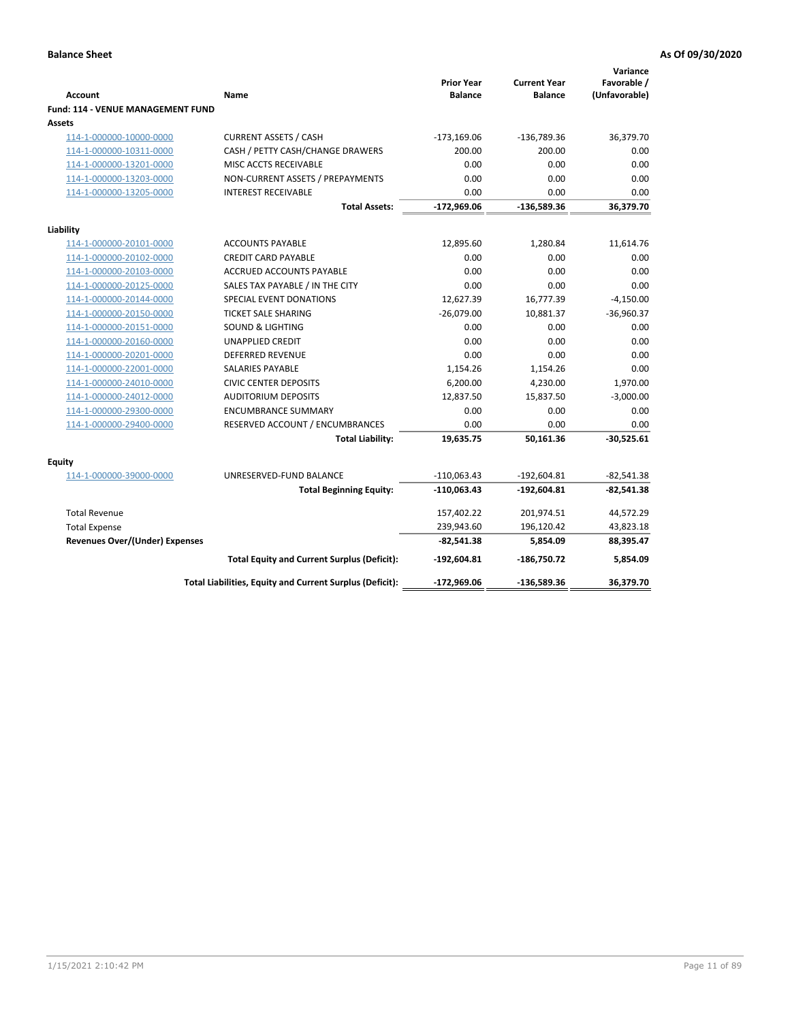| <b>Account</b>                                     | Name                                                     | <b>Prior Year</b><br><b>Balance</b> | <b>Current Year</b><br><b>Balance</b> | Variance<br>Favorable /<br>(Unfavorable) |
|----------------------------------------------------|----------------------------------------------------------|-------------------------------------|---------------------------------------|------------------------------------------|
| <b>Fund: 114 - VENUE MANAGEMENT FUND</b><br>Assets |                                                          |                                     |                                       |                                          |
| 114-1-000000-10000-0000                            | <b>CURRENT ASSETS / CASH</b>                             | $-173,169.06$                       | $-136,789.36$                         | 36,379.70                                |
| 114-1-000000-10311-0000                            | CASH / PETTY CASH/CHANGE DRAWERS                         | 200.00                              | 200.00                                | 0.00                                     |
| 114-1-000000-13201-0000                            | MISC ACCTS RECEIVABLE                                    | 0.00                                | 0.00                                  | 0.00                                     |
| 114-1-000000-13203-0000                            | NON-CURRENT ASSETS / PREPAYMENTS                         | 0.00                                | 0.00                                  | 0.00                                     |
| 114-1-000000-13205-0000                            | <b>INTEREST RECEIVABLE</b>                               | 0.00                                | 0.00                                  | 0.00                                     |
|                                                    | <b>Total Assets:</b>                                     | $-172,969.06$                       | -136,589.36                           | 36,379.70                                |
| Liability                                          |                                                          |                                     |                                       |                                          |
| 114-1-000000-20101-0000                            | <b>ACCOUNTS PAYABLE</b>                                  | 12,895.60                           | 1,280.84                              | 11,614.76                                |
| 114-1-000000-20102-0000                            | <b>CREDIT CARD PAYABLE</b>                               | 0.00                                | 0.00                                  | 0.00                                     |
| 114-1-000000-20103-0000                            | <b>ACCRUED ACCOUNTS PAYABLE</b>                          | 0.00                                | 0.00                                  | 0.00                                     |
| 114-1-000000-20125-0000                            | SALES TAX PAYABLE / IN THE CITY                          | 0.00                                | 0.00                                  | 0.00                                     |
| 114-1-000000-20144-0000                            | SPECIAL EVENT DONATIONS                                  | 12,627.39                           | 16,777.39                             | $-4,150.00$                              |
| 114-1-000000-20150-0000                            | <b>TICKET SALE SHARING</b>                               | $-26,079.00$                        | 10,881.37                             | $-36,960.37$                             |
| 114-1-000000-20151-0000                            | <b>SOUND &amp; LIGHTING</b>                              | 0.00                                | 0.00                                  | 0.00                                     |
| 114-1-000000-20160-0000                            | <b>UNAPPLIED CREDIT</b>                                  | 0.00                                | 0.00                                  | 0.00                                     |
| 114-1-000000-20201-0000                            | <b>DEFERRED REVENUE</b>                                  | 0.00                                | 0.00                                  | 0.00                                     |
| 114-1-000000-22001-0000                            | SALARIES PAYABLE                                         | 1,154.26                            | 1,154.26                              | 0.00                                     |
| 114-1-000000-24010-0000                            | <b>CIVIC CENTER DEPOSITS</b>                             | 6,200.00                            | 4,230.00                              | 1,970.00                                 |
| 114-1-000000-24012-0000                            | <b>AUDITORIUM DEPOSITS</b>                               | 12,837.50                           | 15,837.50                             | $-3,000.00$                              |
| 114-1-000000-29300-0000                            | <b>ENCUMBRANCE SUMMARY</b>                               | 0.00                                | 0.00                                  | 0.00                                     |
| 114-1-000000-29400-0000                            | RESERVED ACCOUNT / ENCUMBRANCES                          | 0.00                                | 0.00                                  | 0.00                                     |
|                                                    | <b>Total Liability:</b>                                  | 19,635.75                           | 50,161.36                             | $-30,525.61$                             |
| Equity                                             |                                                          |                                     |                                       |                                          |
| 114-1-000000-39000-0000                            | UNRESERVED-FUND BALANCE                                  | $-110,063.43$                       | $-192,604.81$                         | $-82,541.38$                             |
|                                                    | <b>Total Beginning Equity:</b>                           | $-110,063.43$                       | $-192,604.81$                         | $-82,541.38$                             |
| <b>Total Revenue</b>                               |                                                          | 157,402.22                          | 201,974.51                            | 44,572.29                                |
| <b>Total Expense</b>                               |                                                          | 239,943.60                          | 196,120.42                            | 43,823.18                                |
| <b>Revenues Over/(Under) Expenses</b>              |                                                          | $-82,541.38$                        | 5,854.09                              | 88,395.47                                |
|                                                    | <b>Total Equity and Current Surplus (Deficit):</b>       | $-192,604.81$                       | -186,750.72                           | 5,854.09                                 |
|                                                    | Total Liabilities, Equity and Current Surplus (Deficit): | -172,969.06                         | $-136,589.36$                         | 36,379.70                                |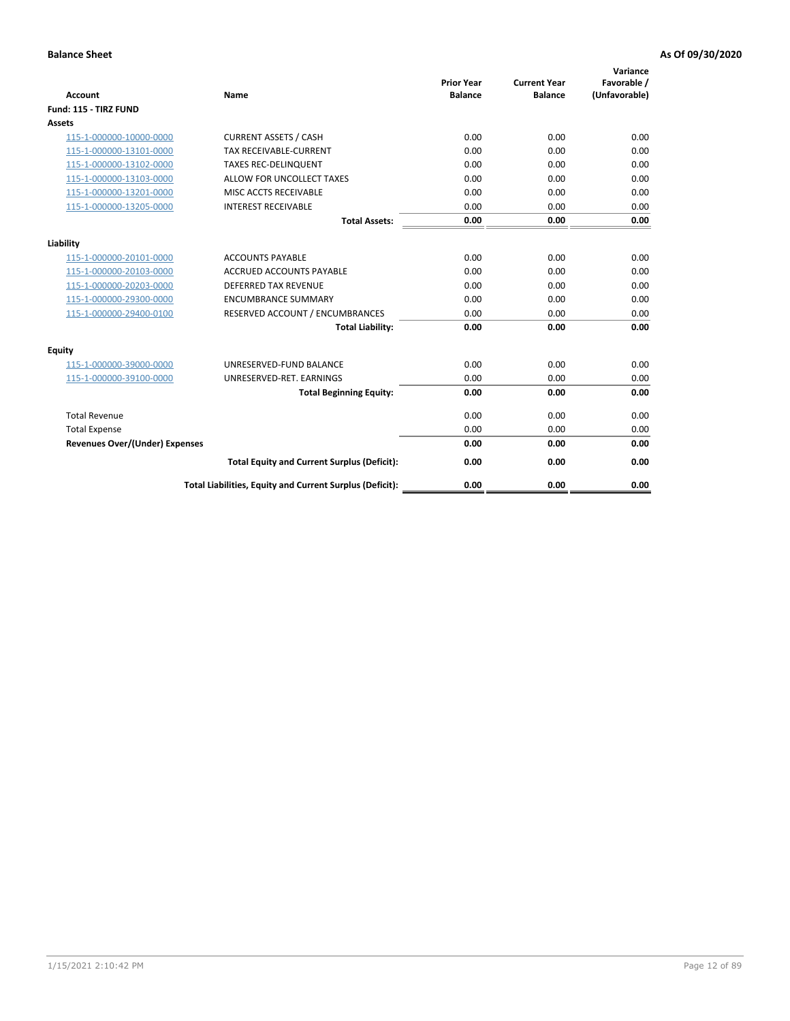| <b>Account</b>                        | <b>Name</b>                                              | <b>Prior Year</b><br><b>Balance</b> | <b>Current Year</b><br><b>Balance</b> | Variance<br>Favorable /<br>(Unfavorable) |
|---------------------------------------|----------------------------------------------------------|-------------------------------------|---------------------------------------|------------------------------------------|
| Fund: 115 - TIRZ FUND                 |                                                          |                                     |                                       |                                          |
| <b>Assets</b>                         |                                                          |                                     |                                       |                                          |
| 115-1-000000-10000-0000               | <b>CURRENT ASSETS / CASH</b>                             | 0.00                                | 0.00                                  | 0.00                                     |
| 115-1-000000-13101-0000               | <b>TAX RECEIVABLE-CURRENT</b>                            | 0.00                                | 0.00                                  | 0.00                                     |
| 115-1-000000-13102-0000               | <b>TAXES REC-DELINQUENT</b>                              | 0.00                                | 0.00                                  | 0.00                                     |
| 115-1-000000-13103-0000               | ALLOW FOR UNCOLLECT TAXES                                | 0.00                                | 0.00                                  | 0.00                                     |
| 115-1-000000-13201-0000               | MISC ACCTS RECEIVABLE                                    | 0.00                                | 0.00                                  | 0.00                                     |
| 115-1-000000-13205-0000               | <b>INTEREST RECEIVABLE</b>                               | 0.00                                | 0.00                                  | 0.00                                     |
|                                       | <b>Total Assets:</b>                                     | 0.00                                | 0.00                                  | 0.00                                     |
| Liability                             |                                                          |                                     |                                       |                                          |
| 115-1-000000-20101-0000               | <b>ACCOUNTS PAYABLE</b>                                  | 0.00                                | 0.00                                  | 0.00                                     |
| 115-1-000000-20103-0000               | <b>ACCRUED ACCOUNTS PAYABLE</b>                          | 0.00                                | 0.00                                  | 0.00                                     |
| 115-1-000000-20203-0000               | <b>DEFERRED TAX REVENUE</b>                              | 0.00                                | 0.00                                  | 0.00                                     |
| 115-1-000000-29300-0000               | <b>ENCUMBRANCE SUMMARY</b>                               | 0.00                                | 0.00                                  | 0.00                                     |
| 115-1-000000-29400-0100               | RESERVED ACCOUNT / ENCUMBRANCES                          | 0.00                                | 0.00                                  | 0.00                                     |
|                                       | <b>Total Liability:</b>                                  | 0.00                                | 0.00                                  | 0.00                                     |
| Equity                                |                                                          |                                     |                                       |                                          |
| 115-1-000000-39000-0000               | UNRESERVED-FUND BALANCE                                  | 0.00                                | 0.00                                  | 0.00                                     |
| 115-1-000000-39100-0000               | UNRESERVED-RET. EARNINGS                                 | 0.00                                | 0.00                                  | 0.00                                     |
|                                       | <b>Total Beginning Equity:</b>                           | 0.00                                | 0.00                                  | 0.00                                     |
| <b>Total Revenue</b>                  |                                                          | 0.00                                | 0.00                                  | 0.00                                     |
| <b>Total Expense</b>                  |                                                          | 0.00                                | 0.00                                  | 0.00                                     |
| <b>Revenues Over/(Under) Expenses</b> |                                                          | 0.00                                | 0.00                                  | 0.00                                     |
|                                       | <b>Total Equity and Current Surplus (Deficit):</b>       | 0.00                                | 0.00                                  | 0.00                                     |
|                                       | Total Liabilities, Equity and Current Surplus (Deficit): | 0.00                                | 0.00                                  | 0.00                                     |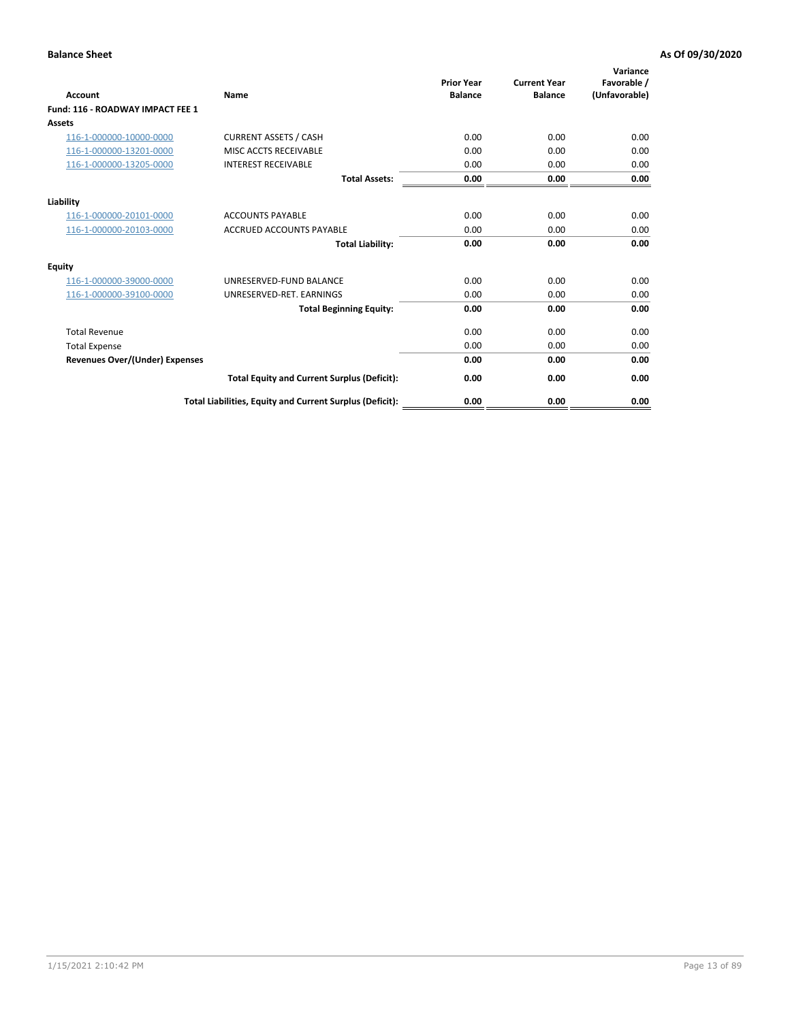| Account                               | <b>Name</b>                                              | <b>Prior Year</b><br><b>Balance</b> | <b>Current Year</b><br><b>Balance</b> | Variance<br>Favorable /<br>(Unfavorable) |
|---------------------------------------|----------------------------------------------------------|-------------------------------------|---------------------------------------|------------------------------------------|
| Fund: 116 - ROADWAY IMPACT FEE 1      |                                                          |                                     |                                       |                                          |
| Assets                                |                                                          |                                     |                                       |                                          |
| 116-1-000000-10000-0000               | <b>CURRENT ASSETS / CASH</b>                             | 0.00                                | 0.00                                  | 0.00                                     |
| 116-1-000000-13201-0000               | MISC ACCTS RECEIVABLE                                    | 0.00                                | 0.00                                  | 0.00                                     |
| 116-1-000000-13205-0000               | <b>INTEREST RECEIVABLE</b>                               | 0.00                                | 0.00                                  | 0.00                                     |
|                                       | <b>Total Assets:</b>                                     | 0.00                                | 0.00                                  | 0.00                                     |
| Liability                             |                                                          |                                     |                                       |                                          |
| 116-1-000000-20101-0000               | <b>ACCOUNTS PAYABLE</b>                                  | 0.00                                | 0.00                                  | 0.00                                     |
| 116-1-000000-20103-0000               | <b>ACCRUED ACCOUNTS PAYABLE</b>                          | 0.00                                | 0.00                                  | 0.00                                     |
|                                       | <b>Total Liability:</b>                                  | 0.00                                | 0.00                                  | 0.00                                     |
| Equity                                |                                                          |                                     |                                       |                                          |
| 116-1-000000-39000-0000               | UNRESERVED-FUND BALANCE                                  | 0.00                                | 0.00                                  | 0.00                                     |
| 116-1-000000-39100-0000               | UNRESERVED-RET. EARNINGS                                 | 0.00                                | 0.00                                  | 0.00                                     |
|                                       | <b>Total Beginning Equity:</b>                           | 0.00                                | 0.00                                  | 0.00                                     |
| <b>Total Revenue</b>                  |                                                          | 0.00                                | 0.00                                  | 0.00                                     |
| <b>Total Expense</b>                  |                                                          | 0.00                                | 0.00                                  | 0.00                                     |
| <b>Revenues Over/(Under) Expenses</b> |                                                          | 0.00                                | 0.00                                  | 0.00                                     |
|                                       | <b>Total Equity and Current Surplus (Deficit):</b>       | 0.00                                | 0.00                                  | 0.00                                     |
|                                       | Total Liabilities, Equity and Current Surplus (Deficit): | 0.00                                | 0.00                                  | 0.00                                     |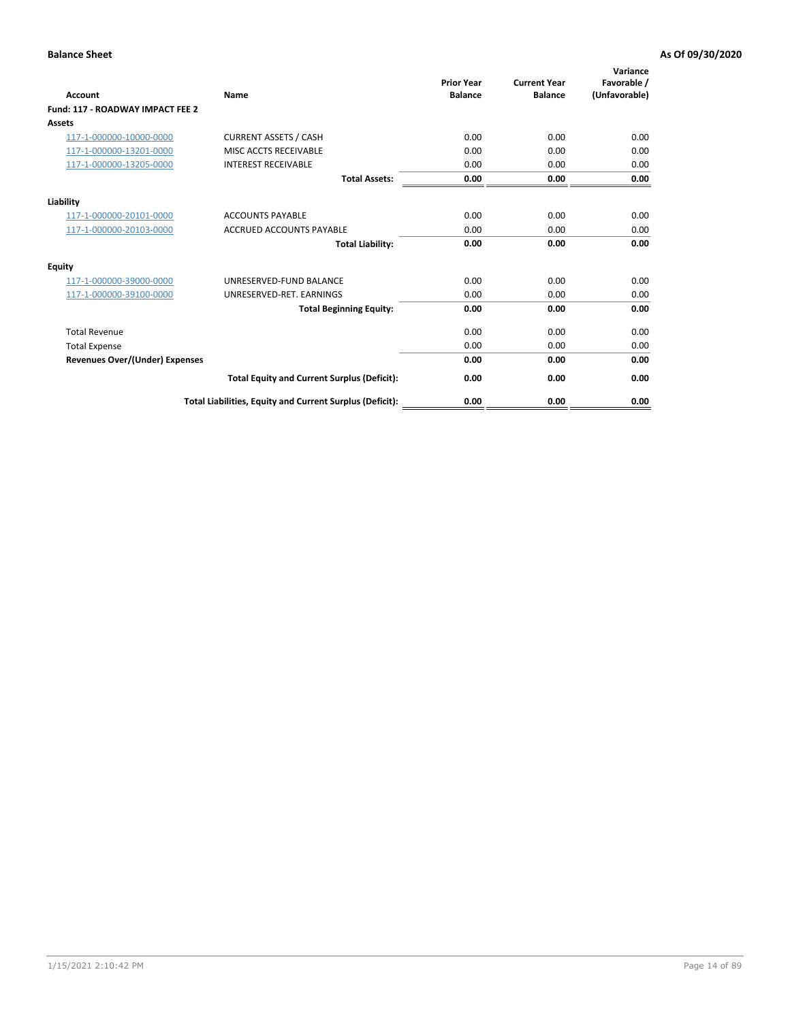| Account                               | <b>Name</b>                                              | <b>Prior Year</b><br><b>Balance</b> | <b>Current Year</b><br><b>Balance</b> | Variance<br>Favorable /<br>(Unfavorable) |
|---------------------------------------|----------------------------------------------------------|-------------------------------------|---------------------------------------|------------------------------------------|
| Fund: 117 - ROADWAY IMPACT FEE 2      |                                                          |                                     |                                       |                                          |
| Assets                                |                                                          |                                     |                                       |                                          |
| 117-1-000000-10000-0000               | <b>CURRENT ASSETS / CASH</b>                             | 0.00                                | 0.00                                  | 0.00                                     |
| 117-1-000000-13201-0000               | MISC ACCTS RECEIVABLE                                    | 0.00                                | 0.00                                  | 0.00                                     |
| 117-1-000000-13205-0000               | <b>INTEREST RECEIVABLE</b>                               | 0.00                                | 0.00                                  | 0.00                                     |
|                                       | <b>Total Assets:</b>                                     | 0.00                                | 0.00                                  | 0.00                                     |
| Liability                             |                                                          |                                     |                                       |                                          |
| 117-1-000000-20101-0000               | <b>ACCOUNTS PAYABLE</b>                                  | 0.00                                | 0.00                                  | 0.00                                     |
| 117-1-000000-20103-0000               | <b>ACCRUED ACCOUNTS PAYABLE</b>                          | 0.00                                | 0.00                                  | 0.00                                     |
|                                       | <b>Total Liability:</b>                                  | 0.00                                | 0.00                                  | 0.00                                     |
| Equity                                |                                                          |                                     |                                       |                                          |
| 117-1-000000-39000-0000               | UNRESERVED-FUND BALANCE                                  | 0.00                                | 0.00                                  | 0.00                                     |
| 117-1-000000-39100-0000               | UNRESERVED-RET. EARNINGS                                 | 0.00                                | 0.00                                  | 0.00                                     |
|                                       | <b>Total Beginning Equity:</b>                           | 0.00                                | 0.00                                  | 0.00                                     |
| <b>Total Revenue</b>                  |                                                          | 0.00                                | 0.00                                  | 0.00                                     |
| <b>Total Expense</b>                  |                                                          | 0.00                                | 0.00                                  | 0.00                                     |
| <b>Revenues Over/(Under) Expenses</b> |                                                          | 0.00                                | 0.00                                  | 0.00                                     |
|                                       | <b>Total Equity and Current Surplus (Deficit):</b>       | 0.00                                | 0.00                                  | 0.00                                     |
|                                       | Total Liabilities, Equity and Current Surplus (Deficit): | 0.00                                | 0.00                                  | 0.00                                     |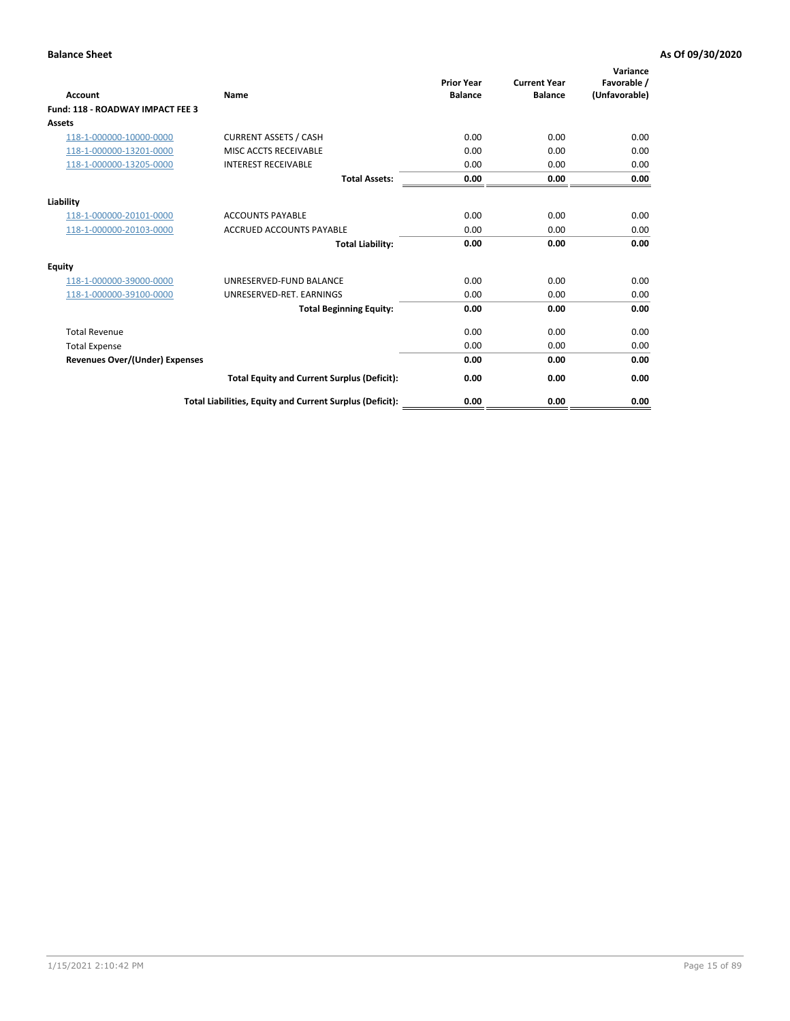| Account                                 | <b>Name</b>                                              | <b>Prior Year</b><br><b>Balance</b> | <b>Current Year</b><br><b>Balance</b> | Variance<br>Favorable /<br>(Unfavorable) |
|-----------------------------------------|----------------------------------------------------------|-------------------------------------|---------------------------------------|------------------------------------------|
| <b>Fund: 118 - ROADWAY IMPACT FEE 3</b> |                                                          |                                     |                                       |                                          |
| Assets                                  |                                                          |                                     |                                       |                                          |
| 118-1-000000-10000-0000                 | <b>CURRENT ASSETS / CASH</b>                             | 0.00                                | 0.00                                  | 0.00                                     |
| 118-1-000000-13201-0000                 | MISC ACCTS RECEIVABLE                                    | 0.00                                | 0.00                                  | 0.00                                     |
| 118-1-000000-13205-0000                 | <b>INTEREST RECEIVABLE</b>                               | 0.00                                | 0.00                                  | 0.00                                     |
|                                         | <b>Total Assets:</b>                                     | 0.00                                | 0.00                                  | 0.00                                     |
| Liability                               |                                                          |                                     |                                       |                                          |
| 118-1-000000-20101-0000                 | <b>ACCOUNTS PAYABLE</b>                                  | 0.00                                | 0.00                                  | 0.00                                     |
| 118-1-000000-20103-0000                 | <b>ACCRUED ACCOUNTS PAYABLE</b>                          | 0.00                                | 0.00                                  | 0.00                                     |
|                                         | <b>Total Liability:</b>                                  | 0.00                                | 0.00                                  | 0.00                                     |
| Equity                                  |                                                          |                                     |                                       |                                          |
| 118-1-000000-39000-0000                 | UNRESERVED-FUND BALANCE                                  | 0.00                                | 0.00                                  | 0.00                                     |
| 118-1-000000-39100-0000                 | UNRESERVED-RET. EARNINGS                                 | 0.00                                | 0.00                                  | 0.00                                     |
|                                         | <b>Total Beginning Equity:</b>                           | 0.00                                | 0.00                                  | 0.00                                     |
| <b>Total Revenue</b>                    |                                                          | 0.00                                | 0.00                                  | 0.00                                     |
| <b>Total Expense</b>                    |                                                          | 0.00                                | 0.00                                  | 0.00                                     |
| <b>Revenues Over/(Under) Expenses</b>   |                                                          | 0.00                                | 0.00                                  | 0.00                                     |
|                                         | <b>Total Equity and Current Surplus (Deficit):</b>       | 0.00                                | 0.00                                  | 0.00                                     |
|                                         | Total Liabilities, Equity and Current Surplus (Deficit): | 0.00                                | 0.00                                  | 0.00                                     |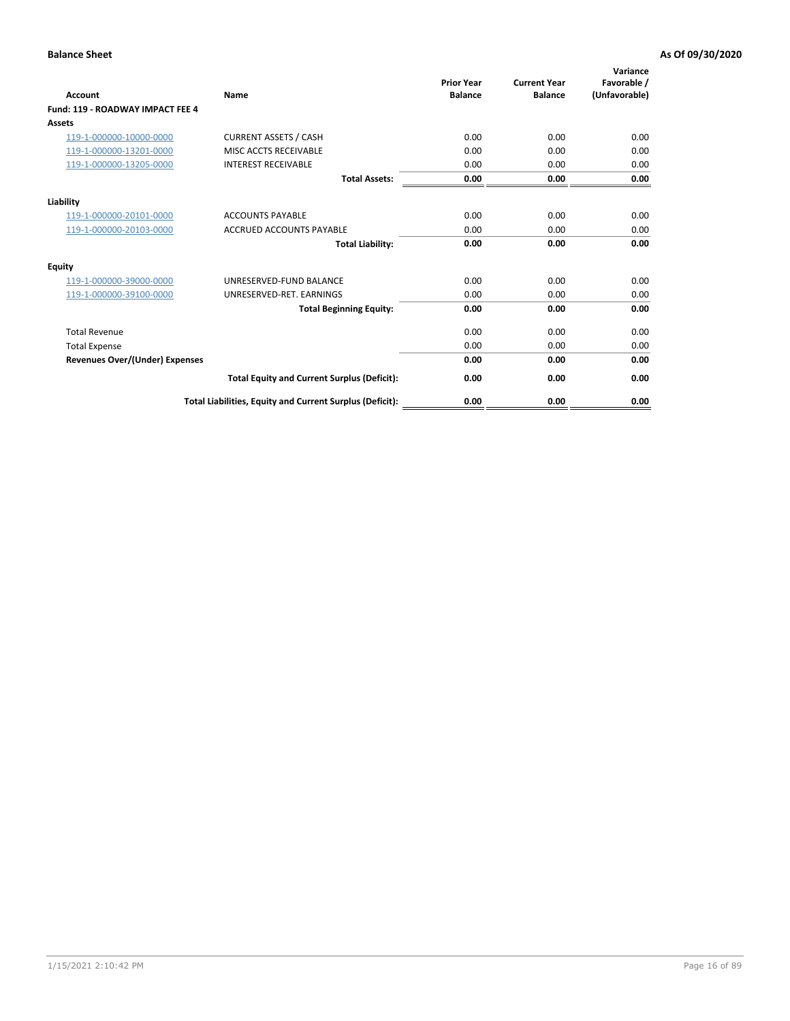| Account                                 | <b>Name</b>                                              | <b>Prior Year</b><br><b>Balance</b> | <b>Current Year</b><br><b>Balance</b> | Variance<br>Favorable /<br>(Unfavorable) |
|-----------------------------------------|----------------------------------------------------------|-------------------------------------|---------------------------------------|------------------------------------------|
| <b>Fund: 119 - ROADWAY IMPACT FEE 4</b> |                                                          |                                     |                                       |                                          |
| Assets                                  |                                                          |                                     |                                       |                                          |
| 119-1-000000-10000-0000                 | <b>CURRENT ASSETS / CASH</b>                             | 0.00                                | 0.00                                  | 0.00                                     |
| 119-1-000000-13201-0000                 | MISC ACCTS RECEIVABLE                                    | 0.00                                | 0.00                                  | 0.00                                     |
| 119-1-000000-13205-0000                 | <b>INTEREST RECEIVABLE</b>                               | 0.00                                | 0.00                                  | 0.00                                     |
|                                         | <b>Total Assets:</b>                                     | 0.00                                | 0.00                                  | 0.00                                     |
| Liability                               |                                                          |                                     |                                       |                                          |
| 119-1-000000-20101-0000                 | <b>ACCOUNTS PAYABLE</b>                                  | 0.00                                | 0.00                                  | 0.00                                     |
| 119-1-000000-20103-0000                 | <b>ACCRUED ACCOUNTS PAYABLE</b>                          | 0.00                                | 0.00                                  | 0.00                                     |
|                                         | <b>Total Liability:</b>                                  | 0.00                                | 0.00                                  | 0.00                                     |
| Equity                                  |                                                          |                                     |                                       |                                          |
| 119-1-000000-39000-0000                 | UNRESERVED-FUND BALANCE                                  | 0.00                                | 0.00                                  | 0.00                                     |
| 119-1-000000-39100-0000                 | UNRESERVED-RET. EARNINGS                                 | 0.00                                | 0.00                                  | 0.00                                     |
|                                         | <b>Total Beginning Equity:</b>                           | 0.00                                | 0.00                                  | 0.00                                     |
| <b>Total Revenue</b>                    |                                                          | 0.00                                | 0.00                                  | 0.00                                     |
| <b>Total Expense</b>                    |                                                          | 0.00                                | 0.00                                  | 0.00                                     |
| <b>Revenues Over/(Under) Expenses</b>   |                                                          | 0.00                                | 0.00                                  | 0.00                                     |
|                                         | <b>Total Equity and Current Surplus (Deficit):</b>       | 0.00                                | 0.00                                  | 0.00                                     |
|                                         | Total Liabilities, Equity and Current Surplus (Deficit): | 0.00                                | 0.00                                  | 0.00                                     |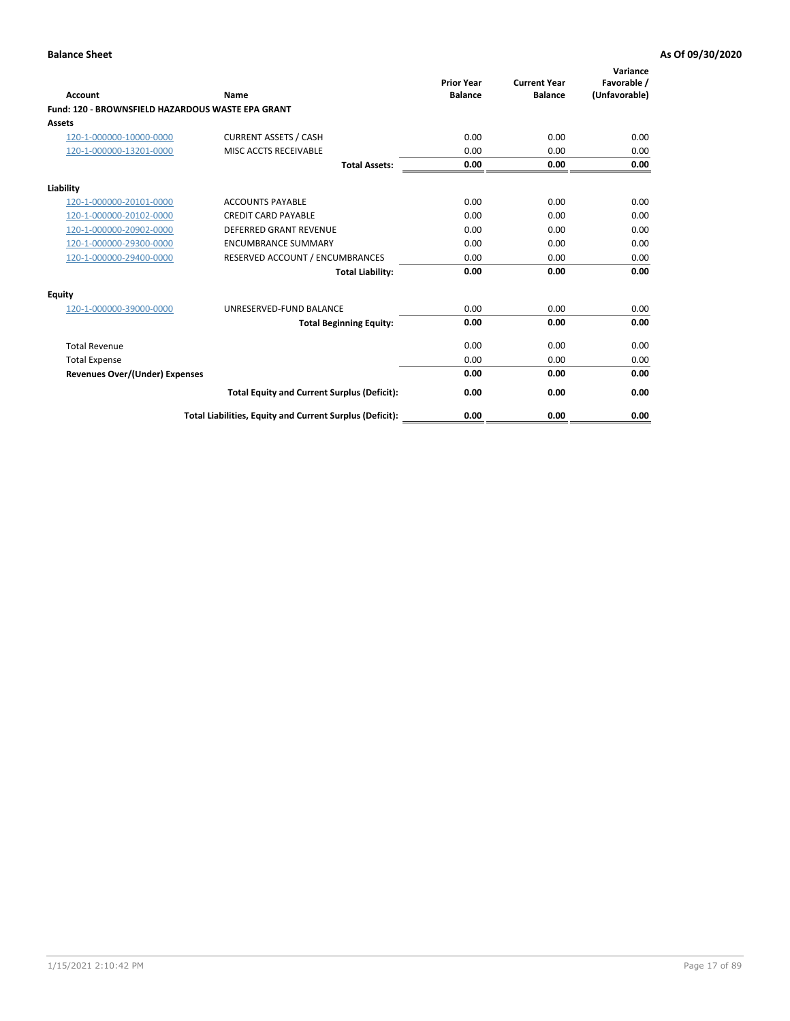| Account                                           | Name                                                     | <b>Prior Year</b><br><b>Balance</b> | <b>Current Year</b><br><b>Balance</b> | Variance<br>Favorable /<br>(Unfavorable) |
|---------------------------------------------------|----------------------------------------------------------|-------------------------------------|---------------------------------------|------------------------------------------|
| Fund: 120 - BROWNSFIELD HAZARDOUS WASTE EPA GRANT |                                                          |                                     |                                       |                                          |
| <b>Assets</b>                                     |                                                          |                                     |                                       |                                          |
| 120-1-000000-10000-0000                           | <b>CURRENT ASSETS / CASH</b>                             | 0.00                                | 0.00                                  | 0.00                                     |
| 120-1-000000-13201-0000                           | MISC ACCTS RECEIVABLE                                    | 0.00                                | 0.00                                  | 0.00                                     |
|                                                   | <b>Total Assets:</b>                                     | 0.00                                | 0.00                                  | 0.00                                     |
| Liability                                         |                                                          |                                     |                                       |                                          |
| 120-1-000000-20101-0000                           | <b>ACCOUNTS PAYABLE</b>                                  | 0.00                                | 0.00                                  | 0.00                                     |
| 120-1-000000-20102-0000                           | <b>CREDIT CARD PAYABLE</b>                               | 0.00                                | 0.00                                  | 0.00                                     |
| 120-1-000000-20902-0000                           | <b>DEFERRED GRANT REVENUE</b>                            | 0.00                                | 0.00                                  | 0.00                                     |
| 120-1-000000-29300-0000                           | <b>ENCUMBRANCE SUMMARY</b>                               | 0.00                                | 0.00                                  | 0.00                                     |
| 120-1-000000-29400-0000                           | RESERVED ACCOUNT / ENCUMBRANCES                          | 0.00                                | 0.00                                  | 0.00                                     |
|                                                   | <b>Total Liability:</b>                                  | 0.00                                | 0.00                                  | 0.00                                     |
| Equity                                            |                                                          |                                     |                                       |                                          |
| 120-1-000000-39000-0000                           | UNRESERVED-FUND BALANCE                                  | 0.00                                | 0.00                                  | 0.00                                     |
|                                                   | <b>Total Beginning Equity:</b>                           | 0.00                                | 0.00                                  | 0.00                                     |
| <b>Total Revenue</b>                              |                                                          | 0.00                                | 0.00                                  | 0.00                                     |
| <b>Total Expense</b>                              |                                                          | 0.00                                | 0.00                                  | 0.00                                     |
| <b>Revenues Over/(Under) Expenses</b>             |                                                          | 0.00                                | 0.00                                  | 0.00                                     |
|                                                   | <b>Total Equity and Current Surplus (Deficit):</b>       | 0.00                                | 0.00                                  | 0.00                                     |
|                                                   | Total Liabilities, Equity and Current Surplus (Deficit): | 0.00                                | 0.00                                  | 0.00                                     |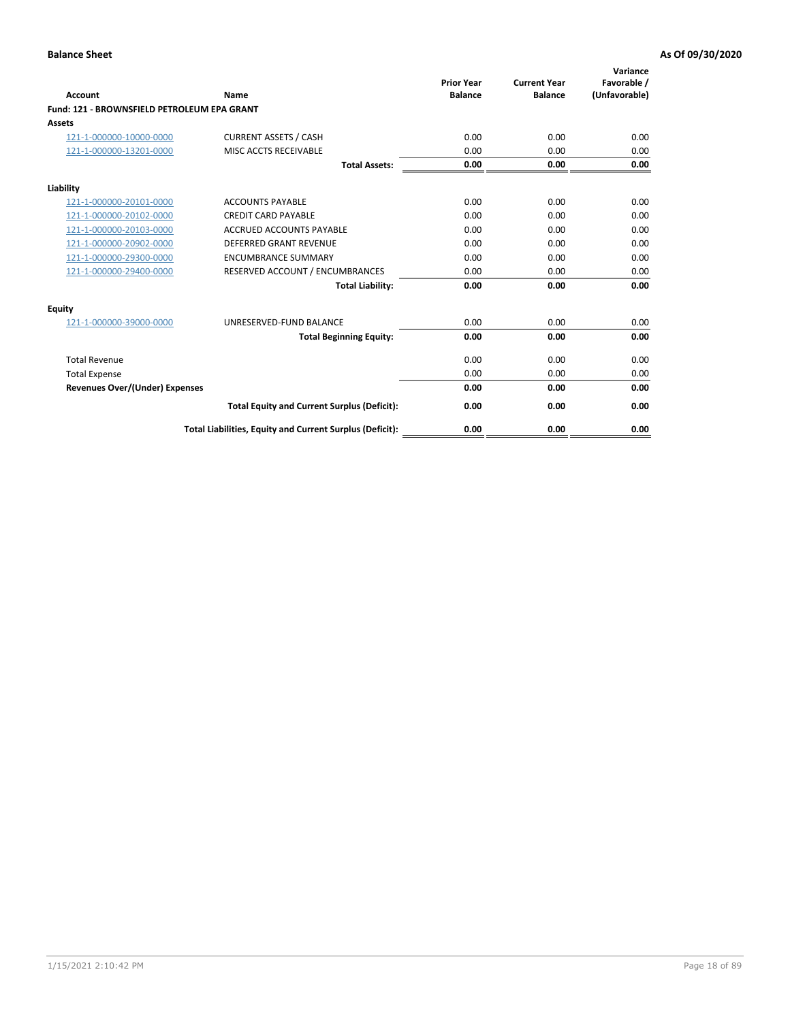| Account                                     | Name                                                     | <b>Prior Year</b><br><b>Balance</b> | <b>Current Year</b><br><b>Balance</b> | Variance<br>Favorable /<br>(Unfavorable) |
|---------------------------------------------|----------------------------------------------------------|-------------------------------------|---------------------------------------|------------------------------------------|
| Fund: 121 - BROWNSFIELD PETROLEUM EPA GRANT |                                                          |                                     |                                       |                                          |
| <b>Assets</b>                               |                                                          |                                     |                                       |                                          |
| 121-1-000000-10000-0000                     | <b>CURRENT ASSETS / CASH</b>                             | 0.00                                | 0.00                                  | 0.00                                     |
| 121-1-000000-13201-0000                     | MISC ACCTS RECEIVABLE                                    | 0.00                                | 0.00                                  | 0.00                                     |
|                                             | <b>Total Assets:</b>                                     | 0.00                                | 0.00                                  | 0.00                                     |
| Liability                                   |                                                          |                                     |                                       |                                          |
| 121-1-000000-20101-0000                     | <b>ACCOUNTS PAYABLE</b>                                  | 0.00                                | 0.00                                  | 0.00                                     |
| 121-1-000000-20102-0000                     | <b>CREDIT CARD PAYABLE</b>                               | 0.00                                | 0.00                                  | 0.00                                     |
| 121-1-000000-20103-0000                     | <b>ACCRUED ACCOUNTS PAYABLE</b>                          | 0.00                                | 0.00                                  | 0.00                                     |
| 121-1-000000-20902-0000                     | <b>DEFERRED GRANT REVENUE</b>                            | 0.00                                | 0.00                                  | 0.00                                     |
| 121-1-000000-29300-0000                     | <b>ENCUMBRANCE SUMMARY</b>                               | 0.00                                | 0.00                                  | 0.00                                     |
| 121-1-000000-29400-0000                     | RESERVED ACCOUNT / ENCUMBRANCES                          | 0.00                                | 0.00                                  | 0.00                                     |
|                                             | <b>Total Liability:</b>                                  | 0.00                                | 0.00                                  | 0.00                                     |
| <b>Equity</b>                               |                                                          |                                     |                                       |                                          |
| 121-1-000000-39000-0000                     | UNRESERVED-FUND BALANCE                                  | 0.00                                | 0.00                                  | 0.00                                     |
|                                             | <b>Total Beginning Equity:</b>                           | 0.00                                | 0.00                                  | 0.00                                     |
| <b>Total Revenue</b>                        |                                                          | 0.00                                | 0.00                                  | 0.00                                     |
| <b>Total Expense</b>                        |                                                          | 0.00                                | 0.00                                  | 0.00                                     |
| <b>Revenues Over/(Under) Expenses</b>       |                                                          | 0.00                                | 0.00                                  | 0.00                                     |
|                                             | <b>Total Equity and Current Surplus (Deficit):</b>       | 0.00                                | 0.00                                  | 0.00                                     |
|                                             | Total Liabilities, Equity and Current Surplus (Deficit): | 0.00                                | 0.00                                  | 0.00                                     |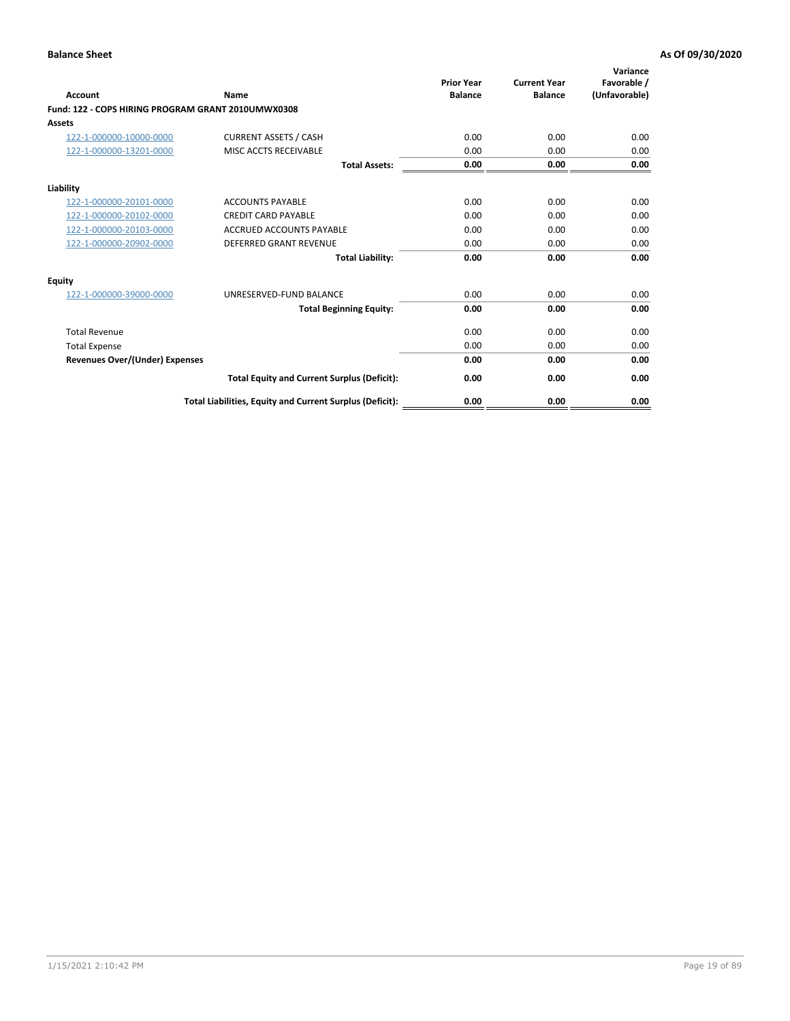| <b>Account</b>                                     | Name                                                     | <b>Prior Year</b><br><b>Balance</b> | <b>Current Year</b><br><b>Balance</b> | Variance<br>Favorable /<br>(Unfavorable) |
|----------------------------------------------------|----------------------------------------------------------|-------------------------------------|---------------------------------------|------------------------------------------|
| Fund: 122 - COPS HIRING PROGRAM GRANT 2010UMWX0308 |                                                          |                                     |                                       |                                          |
| Assets                                             |                                                          |                                     |                                       |                                          |
| 122-1-000000-10000-0000                            | <b>CURRENT ASSETS / CASH</b>                             | 0.00                                | 0.00                                  | 0.00                                     |
| 122-1-000000-13201-0000                            | MISC ACCTS RECEIVABLE                                    | 0.00                                | 0.00                                  | 0.00                                     |
|                                                    | <b>Total Assets:</b>                                     | 0.00                                | 0.00                                  | 0.00                                     |
| Liability                                          |                                                          |                                     |                                       |                                          |
| 122-1-000000-20101-0000                            | <b>ACCOUNTS PAYABLE</b>                                  | 0.00                                | 0.00                                  | 0.00                                     |
| 122-1-000000-20102-0000                            | <b>CREDIT CARD PAYABLE</b>                               | 0.00                                | 0.00                                  | 0.00                                     |
| 122-1-000000-20103-0000                            | <b>ACCRUED ACCOUNTS PAYABLE</b>                          | 0.00                                | 0.00                                  | 0.00                                     |
| 122-1-000000-20902-0000                            | <b>DEFERRED GRANT REVENUE</b>                            | 0.00                                | 0.00                                  | 0.00                                     |
|                                                    | <b>Total Liability:</b>                                  | 0.00                                | 0.00                                  | 0.00                                     |
| Equity                                             |                                                          |                                     |                                       |                                          |
| 122-1-000000-39000-0000                            | UNRESERVED-FUND BALANCE                                  | 0.00                                | 0.00                                  | 0.00                                     |
|                                                    | <b>Total Beginning Equity:</b>                           | 0.00                                | 0.00                                  | 0.00                                     |
| <b>Total Revenue</b>                               |                                                          | 0.00                                | 0.00                                  | 0.00                                     |
| <b>Total Expense</b>                               |                                                          | 0.00                                | 0.00                                  | 0.00                                     |
| <b>Revenues Over/(Under) Expenses</b>              |                                                          | 0.00                                | 0.00                                  | 0.00                                     |
|                                                    | <b>Total Equity and Current Surplus (Deficit):</b>       | 0.00                                | 0.00                                  | 0.00                                     |
|                                                    | Total Liabilities, Equity and Current Surplus (Deficit): | 0.00                                | 0.00                                  | 0.00                                     |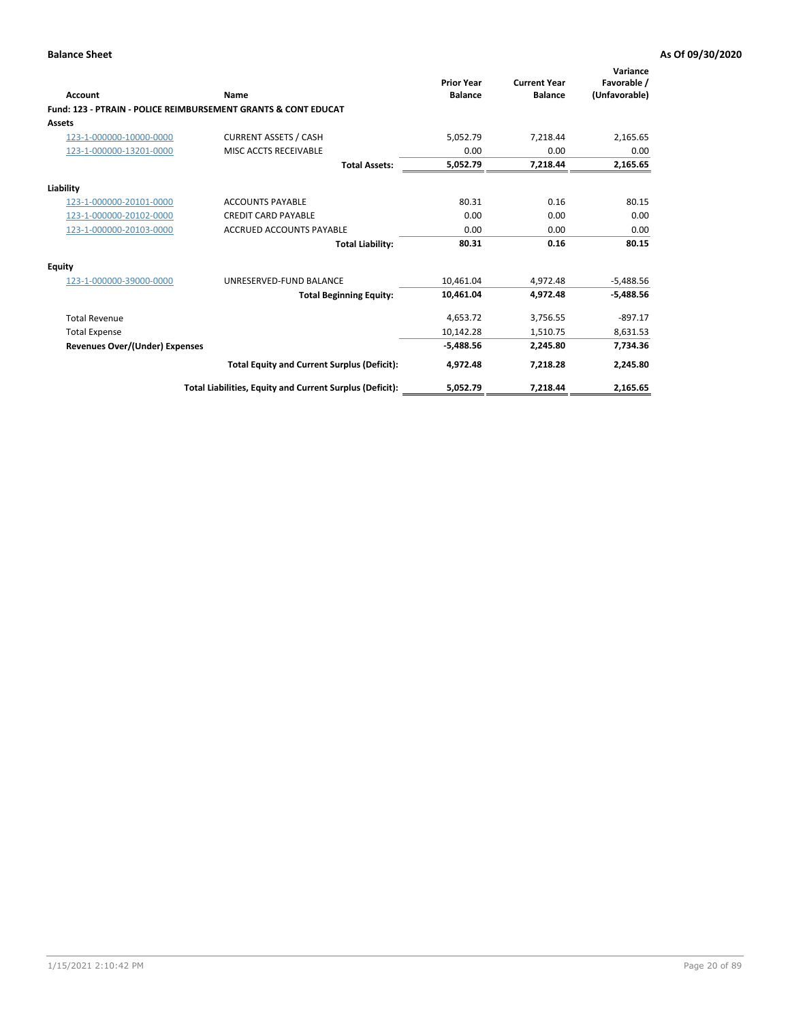| Account                               | Name                                                           | <b>Prior Year</b><br><b>Balance</b> | <b>Current Year</b><br><b>Balance</b> | Variance<br>Favorable /<br>(Unfavorable) |
|---------------------------------------|----------------------------------------------------------------|-------------------------------------|---------------------------------------|------------------------------------------|
|                                       | Fund: 123 - PTRAIN - POLICE REIMBURSEMENT GRANTS & CONT EDUCAT |                                     |                                       |                                          |
| Assets                                |                                                                |                                     |                                       |                                          |
| 123-1-000000-10000-0000               | <b>CURRENT ASSETS / CASH</b>                                   | 5,052.79                            | 7,218.44                              | 2,165.65                                 |
| 123-1-000000-13201-0000               | MISC ACCTS RECEIVABLE                                          | 0.00                                | 0.00                                  | 0.00                                     |
|                                       | <b>Total Assets:</b>                                           | 5,052.79                            | 7,218.44                              | 2,165.65                                 |
| Liability                             |                                                                |                                     |                                       |                                          |
| 123-1-000000-20101-0000               | <b>ACCOUNTS PAYABLE</b>                                        | 80.31                               | 0.16                                  | 80.15                                    |
| 123-1-000000-20102-0000               | <b>CREDIT CARD PAYABLE</b>                                     | 0.00                                | 0.00                                  | 0.00                                     |
| 123-1-000000-20103-0000               | <b>ACCRUED ACCOUNTS PAYABLE</b>                                | 0.00                                | 0.00                                  | 0.00                                     |
|                                       | <b>Total Liability:</b>                                        | 80.31                               | 0.16                                  | 80.15                                    |
| Equity                                |                                                                |                                     |                                       |                                          |
| 123-1-000000-39000-0000               | UNRESERVED-FUND BALANCE                                        | 10.461.04                           | 4,972.48                              | $-5,488.56$                              |
|                                       | <b>Total Beginning Equity:</b>                                 | 10,461.04                           | 4,972.48                              | $-5,488.56$                              |
| <b>Total Revenue</b>                  |                                                                | 4,653.72                            | 3,756.55                              | $-897.17$                                |
| <b>Total Expense</b>                  |                                                                | 10,142.28                           | 1,510.75                              | 8,631.53                                 |
| <b>Revenues Over/(Under) Expenses</b> |                                                                | $-5,488.56$                         | 2,245.80                              | 7,734.36                                 |
|                                       | <b>Total Equity and Current Surplus (Deficit):</b>             | 4,972.48                            | 7,218.28                              | 2,245.80                                 |
|                                       | Total Liabilities, Equity and Current Surplus (Deficit):       | 5,052.79                            | 7,218.44                              | 2,165.65                                 |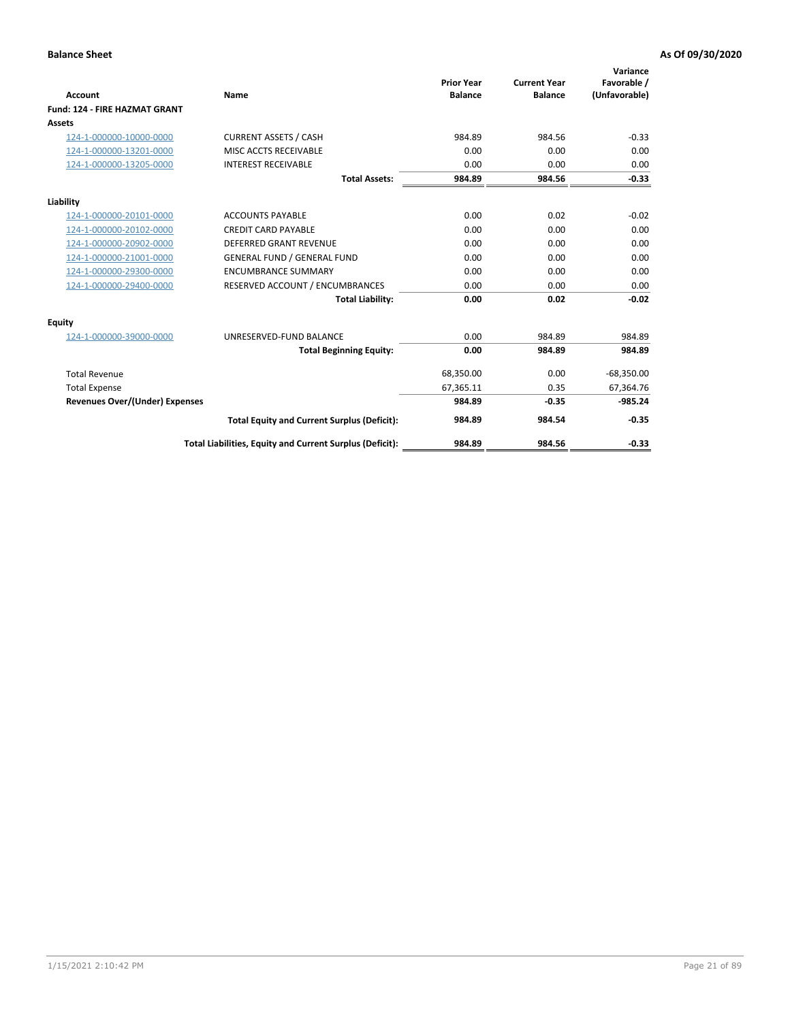|                                       |                                                          |                                     |                                       | Variance                     |
|---------------------------------------|----------------------------------------------------------|-------------------------------------|---------------------------------------|------------------------------|
| <b>Account</b>                        | Name                                                     | <b>Prior Year</b><br><b>Balance</b> | <b>Current Year</b><br><b>Balance</b> | Favorable /<br>(Unfavorable) |
| <b>Fund: 124 - FIRE HAZMAT GRANT</b>  |                                                          |                                     |                                       |                              |
| <b>Assets</b>                         |                                                          |                                     |                                       |                              |
| 124-1-000000-10000-0000               | <b>CURRENT ASSETS / CASH</b>                             | 984.89                              | 984.56                                | $-0.33$                      |
| 124-1-000000-13201-0000               | MISC ACCTS RECEIVABLE                                    | 0.00                                | 0.00                                  | 0.00                         |
| 124-1-000000-13205-0000               | <b>INTEREST RECEIVABLE</b>                               | 0.00                                | 0.00                                  | 0.00                         |
|                                       | <b>Total Assets:</b>                                     | 984.89                              | 984.56                                | $-0.33$                      |
| Liability                             |                                                          |                                     |                                       |                              |
| 124-1-000000-20101-0000               | <b>ACCOUNTS PAYABLE</b>                                  | 0.00                                | 0.02                                  | $-0.02$                      |
| 124-1-000000-20102-0000               | <b>CREDIT CARD PAYABLE</b>                               | 0.00                                | 0.00                                  | 0.00                         |
| 124-1-000000-20902-0000               | DEFERRED GRANT REVENUE                                   | 0.00                                | 0.00                                  | 0.00                         |
| 124-1-000000-21001-0000               | <b>GENERAL FUND / GENERAL FUND</b>                       | 0.00                                | 0.00                                  | 0.00                         |
| 124-1-000000-29300-0000               | <b>ENCUMBRANCE SUMMARY</b>                               | 0.00                                | 0.00                                  | 0.00                         |
| 124-1-000000-29400-0000               | RESERVED ACCOUNT / ENCUMBRANCES                          | 0.00                                | 0.00                                  | 0.00                         |
|                                       | <b>Total Liability:</b>                                  | 0.00                                | 0.02                                  | $-0.02$                      |
| Equity                                |                                                          |                                     |                                       |                              |
| 124-1-000000-39000-0000               | UNRESERVED-FUND BALANCE                                  | 0.00                                | 984.89                                | 984.89                       |
|                                       | <b>Total Beginning Equity:</b>                           | 0.00                                | 984.89                                | 984.89                       |
| <b>Total Revenue</b>                  |                                                          | 68,350.00                           | 0.00                                  | $-68,350.00$                 |
| <b>Total Expense</b>                  |                                                          | 67,365.11                           | 0.35                                  | 67,364.76                    |
| <b>Revenues Over/(Under) Expenses</b> |                                                          | 984.89                              | $-0.35$                               | $-985.24$                    |
|                                       | <b>Total Equity and Current Surplus (Deficit):</b>       | 984.89                              | 984.54                                | $-0.35$                      |
|                                       | Total Liabilities, Equity and Current Surplus (Deficit): | 984.89                              | 984.56                                | $-0.33$                      |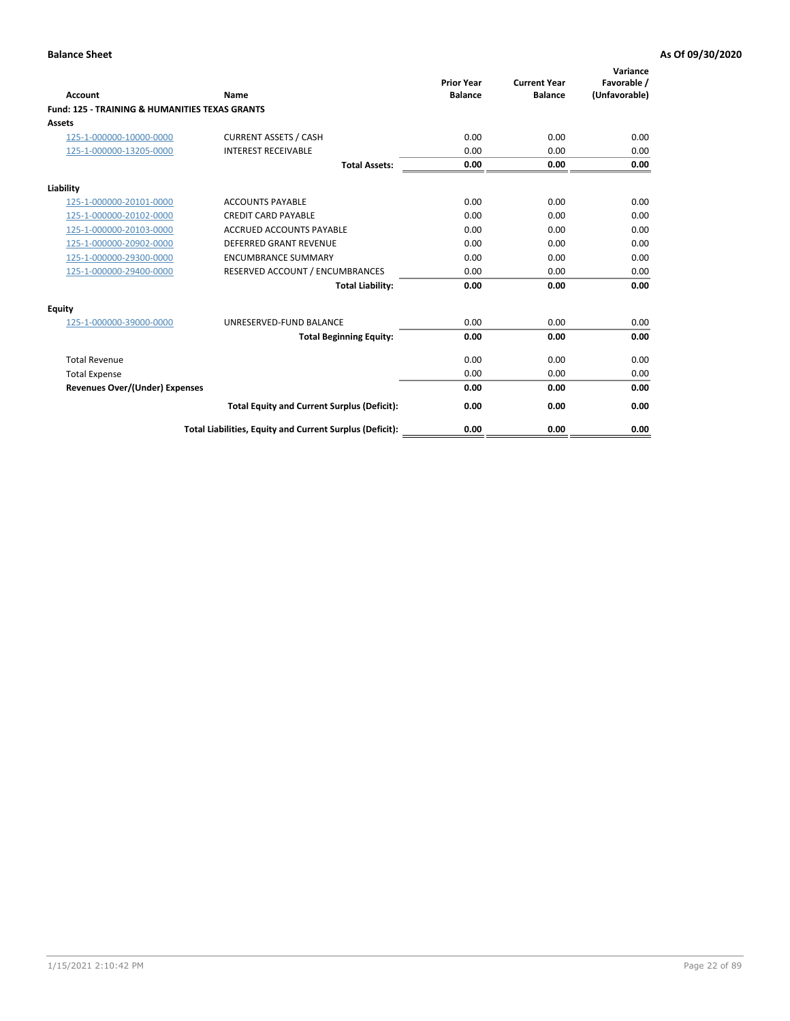| Account                                                   | Name                                                     | <b>Prior Year</b><br><b>Balance</b> | <b>Current Year</b><br><b>Balance</b> | Variance<br>Favorable /<br>(Unfavorable) |
|-----------------------------------------------------------|----------------------------------------------------------|-------------------------------------|---------------------------------------|------------------------------------------|
| <b>Fund: 125 - TRAINING &amp; HUMANITIES TEXAS GRANTS</b> |                                                          |                                     |                                       |                                          |
| <b>Assets</b>                                             |                                                          |                                     |                                       |                                          |
| 125-1-000000-10000-0000                                   | <b>CURRENT ASSETS / CASH</b>                             | 0.00                                | 0.00                                  | 0.00                                     |
| 125-1-000000-13205-0000                                   | <b>INTEREST RECEIVABLE</b>                               | 0.00                                | 0.00                                  | 0.00                                     |
|                                                           | <b>Total Assets:</b>                                     | 0.00                                | 0.00                                  | 0.00                                     |
| Liability                                                 |                                                          |                                     |                                       |                                          |
| 125-1-000000-20101-0000                                   | <b>ACCOUNTS PAYABLE</b>                                  | 0.00                                | 0.00                                  | 0.00                                     |
| 125-1-000000-20102-0000                                   | <b>CREDIT CARD PAYABLE</b>                               | 0.00                                | 0.00                                  | 0.00                                     |
| 125-1-000000-20103-0000                                   | <b>ACCRUED ACCOUNTS PAYABLE</b>                          | 0.00                                | 0.00                                  | 0.00                                     |
| 125-1-000000-20902-0000                                   | <b>DEFERRED GRANT REVENUE</b>                            | 0.00                                | 0.00                                  | 0.00                                     |
| 125-1-000000-29300-0000                                   | <b>ENCUMBRANCE SUMMARY</b>                               | 0.00                                | 0.00                                  | 0.00                                     |
| 125-1-000000-29400-0000                                   | RESERVED ACCOUNT / ENCUMBRANCES                          | 0.00                                | 0.00                                  | 0.00                                     |
|                                                           | <b>Total Liability:</b>                                  | 0.00                                | 0.00                                  | 0.00                                     |
| <b>Equity</b>                                             |                                                          |                                     |                                       |                                          |
| 125-1-000000-39000-0000                                   | UNRESERVED-FUND BALANCE                                  | 0.00                                | 0.00                                  | 0.00                                     |
|                                                           | <b>Total Beginning Equity:</b>                           | 0.00                                | 0.00                                  | 0.00                                     |
| <b>Total Revenue</b>                                      |                                                          | 0.00                                | 0.00                                  | 0.00                                     |
| <b>Total Expense</b>                                      |                                                          | 0.00                                | 0.00                                  | 0.00                                     |
| <b>Revenues Over/(Under) Expenses</b>                     |                                                          | 0.00                                | 0.00                                  | 0.00                                     |
|                                                           | <b>Total Equity and Current Surplus (Deficit):</b>       | 0.00                                | 0.00                                  | 0.00                                     |
|                                                           | Total Liabilities, Equity and Current Surplus (Deficit): | 0.00                                | 0.00                                  | 0.00                                     |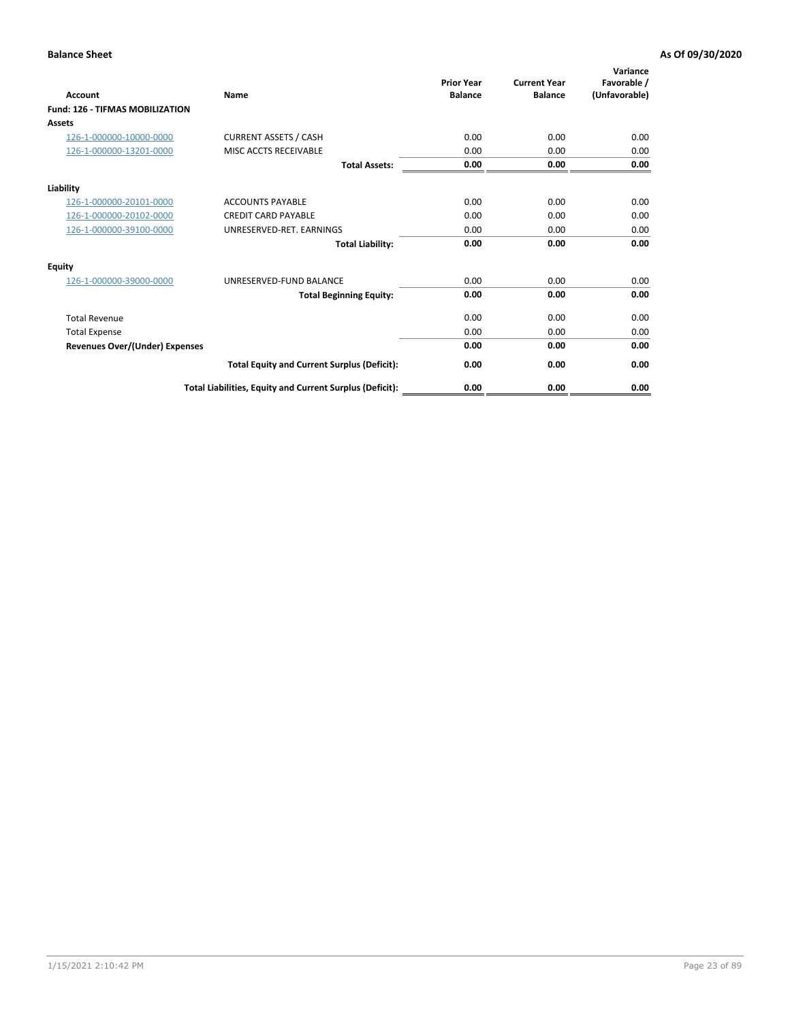| Account                                | Name                                                     | <b>Prior Year</b><br><b>Balance</b> | <b>Current Year</b><br><b>Balance</b> | Variance<br>Favorable /<br>(Unfavorable) |
|----------------------------------------|----------------------------------------------------------|-------------------------------------|---------------------------------------|------------------------------------------|
| <b>Fund: 126 - TIFMAS MOBILIZATION</b> |                                                          |                                     |                                       |                                          |
| Assets                                 |                                                          |                                     |                                       |                                          |
| 126-1-000000-10000-0000                | <b>CURRENT ASSETS / CASH</b>                             | 0.00                                | 0.00                                  | 0.00                                     |
| 126-1-000000-13201-0000                | MISC ACCTS RECEIVABLE                                    | 0.00                                | 0.00                                  | 0.00                                     |
|                                        | <b>Total Assets:</b>                                     | 0.00                                | 0.00                                  | 0.00                                     |
| Liability                              |                                                          |                                     |                                       |                                          |
| 126-1-000000-20101-0000                | <b>ACCOUNTS PAYABLE</b>                                  | 0.00                                | 0.00                                  | 0.00                                     |
| 126-1-000000-20102-0000                | <b>CREDIT CARD PAYABLE</b>                               | 0.00                                | 0.00                                  | 0.00                                     |
| 126-1-000000-39100-0000                | UNRESERVED-RET. EARNINGS                                 | 0.00                                | 0.00                                  | 0.00                                     |
|                                        | <b>Total Liability:</b>                                  | 0.00                                | 0.00                                  | 0.00                                     |
| Equity                                 |                                                          |                                     |                                       |                                          |
| 126-1-000000-39000-0000                | UNRESERVED-FUND BALANCE                                  | 0.00                                | 0.00                                  | 0.00                                     |
|                                        | <b>Total Beginning Equity:</b>                           | 0.00                                | 0.00                                  | 0.00                                     |
| <b>Total Revenue</b>                   |                                                          | 0.00                                | 0.00                                  | 0.00                                     |
| <b>Total Expense</b>                   |                                                          | 0.00                                | 0.00                                  | 0.00                                     |
| Revenues Over/(Under) Expenses         |                                                          | 0.00                                | 0.00                                  | 0.00                                     |
|                                        | <b>Total Equity and Current Surplus (Deficit):</b>       | 0.00                                | 0.00                                  | 0.00                                     |
|                                        | Total Liabilities, Equity and Current Surplus (Deficit): | 0.00                                | 0.00                                  | 0.00                                     |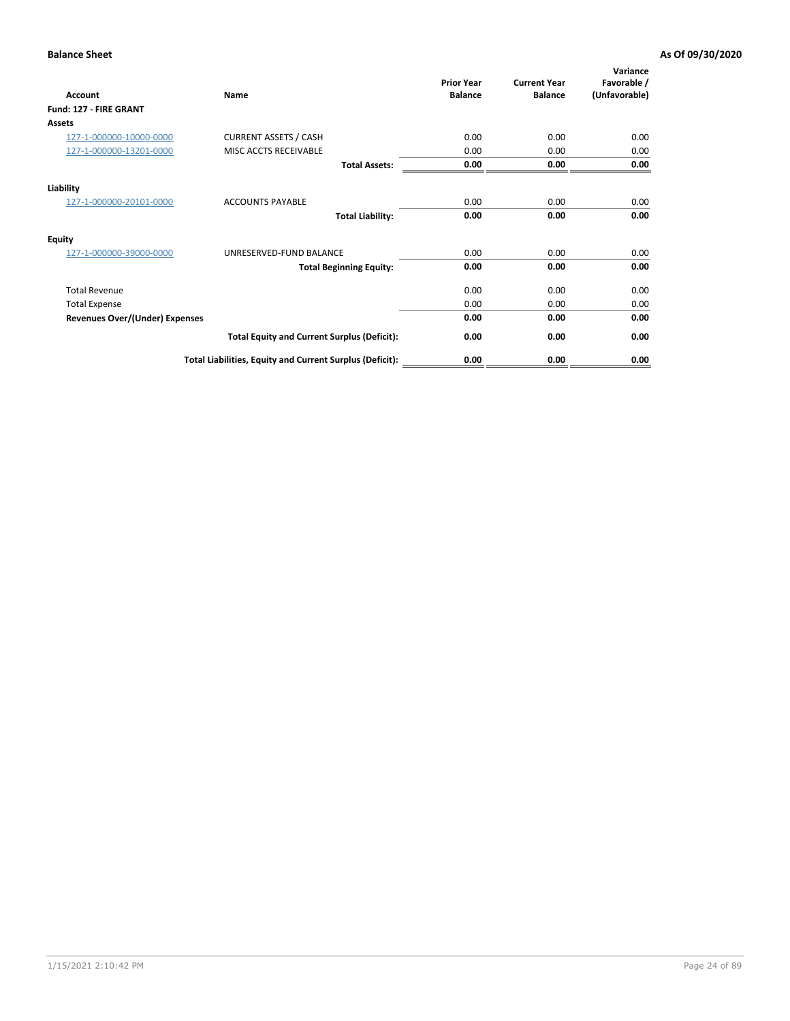| <b>Account</b>                        | Name                                                     | <b>Prior Year</b><br><b>Balance</b> | <b>Current Year</b><br><b>Balance</b> | Variance<br>Favorable /<br>(Unfavorable) |
|---------------------------------------|----------------------------------------------------------|-------------------------------------|---------------------------------------|------------------------------------------|
| Fund: 127 - FIRE GRANT                |                                                          |                                     |                                       |                                          |
| Assets                                |                                                          |                                     |                                       |                                          |
| 127-1-000000-10000-0000               | <b>CURRENT ASSETS / CASH</b>                             | 0.00                                | 0.00                                  | 0.00                                     |
| 127-1-000000-13201-0000               | MISC ACCTS RECEIVABLE                                    | 0.00                                | 0.00                                  | 0.00                                     |
|                                       | <b>Total Assets:</b>                                     | 0.00                                | 0.00                                  | 0.00                                     |
| Liability                             |                                                          |                                     |                                       |                                          |
| 127-1-000000-20101-0000               | <b>ACCOUNTS PAYABLE</b>                                  | 0.00                                | 0.00                                  | 0.00                                     |
|                                       | <b>Total Liability:</b>                                  | 0.00                                | 0.00                                  | 0.00                                     |
| <b>Equity</b>                         |                                                          |                                     |                                       |                                          |
| 127-1-000000-39000-0000               | UNRESERVED-FUND BALANCE                                  | 0.00                                | 0.00                                  | 0.00                                     |
|                                       | <b>Total Beginning Equity:</b>                           | 0.00                                | 0.00                                  | 0.00                                     |
| <b>Total Revenue</b>                  |                                                          | 0.00                                | 0.00                                  | 0.00                                     |
| <b>Total Expense</b>                  |                                                          | 0.00                                | 0.00                                  | 0.00                                     |
| <b>Revenues Over/(Under) Expenses</b> |                                                          | 0.00                                | 0.00                                  | 0.00                                     |
|                                       | <b>Total Equity and Current Surplus (Deficit):</b>       | 0.00                                | 0.00                                  | 0.00                                     |
|                                       | Total Liabilities, Equity and Current Surplus (Deficit): | 0.00                                | 0.00                                  | 0.00                                     |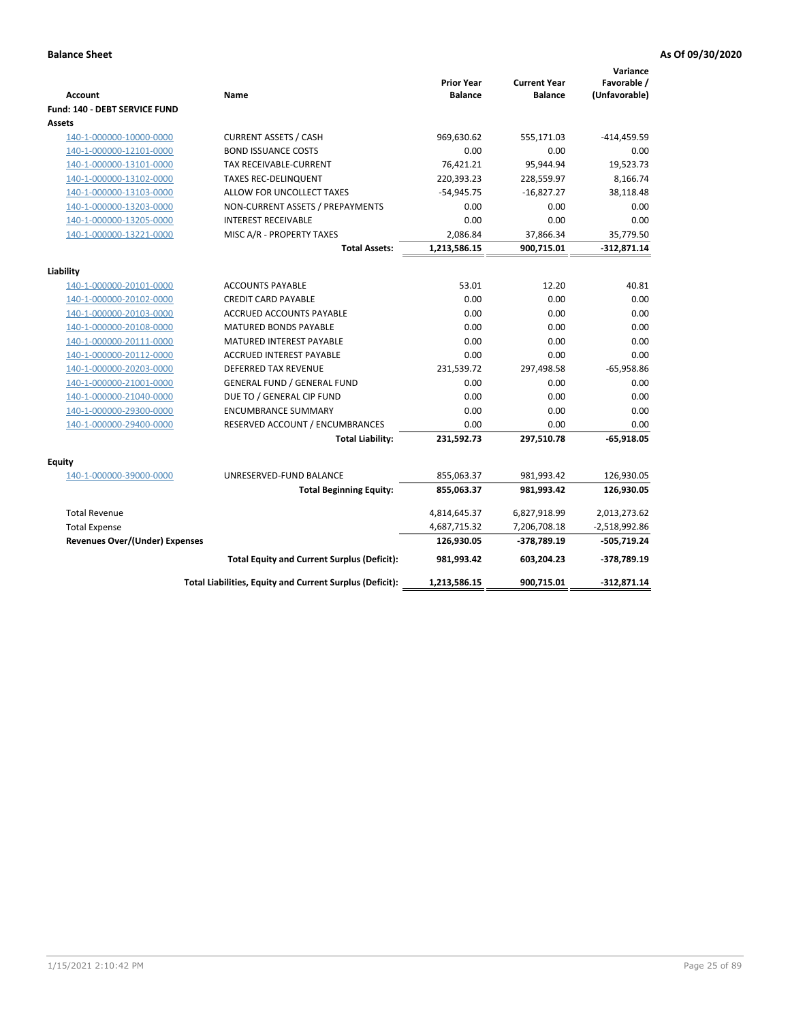| <b>Account</b>                        | Name                                                     | <b>Prior Year</b><br><b>Balance</b> | <b>Current Year</b><br><b>Balance</b> | Variance<br>Favorable /<br>(Unfavorable) |
|---------------------------------------|----------------------------------------------------------|-------------------------------------|---------------------------------------|------------------------------------------|
| Fund: 140 - DEBT SERVICE FUND         |                                                          |                                     |                                       |                                          |
| Assets                                |                                                          |                                     |                                       |                                          |
| 140-1-000000-10000-0000               | <b>CURRENT ASSETS / CASH</b>                             | 969,630.62                          | 555,171.03                            | $-414,459.59$                            |
| 140-1-000000-12101-0000               | <b>BOND ISSUANCE COSTS</b>                               | 0.00                                | 0.00                                  | 0.00                                     |
| 140-1-000000-13101-0000               | <b>TAX RECEIVABLE-CURRENT</b>                            | 76,421.21                           | 95,944.94                             | 19,523.73                                |
| 140-1-000000-13102-0000               | <b>TAXES REC-DELINQUENT</b>                              | 220,393.23                          | 228,559.97                            | 8,166.74                                 |
| 140-1-000000-13103-0000               | ALLOW FOR UNCOLLECT TAXES                                | $-54,945.75$                        | $-16,827.27$                          | 38,118.48                                |
| 140-1-000000-13203-0000               | NON-CURRENT ASSETS / PREPAYMENTS                         | 0.00                                | 0.00                                  | 0.00                                     |
| 140-1-000000-13205-0000               | <b>INTEREST RECEIVABLE</b>                               | 0.00                                | 0.00                                  | 0.00                                     |
| 140-1-000000-13221-0000               | MISC A/R - PROPERTY TAXES                                | 2,086.84                            | 37,866.34                             | 35,779.50                                |
|                                       | <b>Total Assets:</b>                                     | 1,213,586.15                        | 900,715.01                            | $-312,871.14$                            |
| Liability                             |                                                          |                                     |                                       |                                          |
| 140-1-000000-20101-0000               | <b>ACCOUNTS PAYABLE</b>                                  | 53.01                               | 12.20                                 | 40.81                                    |
| 140-1-000000-20102-0000               | <b>CREDIT CARD PAYABLE</b>                               | 0.00                                | 0.00                                  | 0.00                                     |
| 140-1-000000-20103-0000               | <b>ACCRUED ACCOUNTS PAYABLE</b>                          | 0.00                                | 0.00                                  | 0.00                                     |
| 140-1-000000-20108-0000               | <b>MATURED BONDS PAYABLE</b>                             | 0.00                                | 0.00                                  | 0.00                                     |
| 140-1-000000-20111-0000               | MATURED INTEREST PAYABLE                                 | 0.00                                | 0.00                                  | 0.00                                     |
| 140-1-000000-20112-0000               | ACCRUED INTEREST PAYABLE                                 | 0.00                                | 0.00                                  | 0.00                                     |
| 140-1-000000-20203-0000               | <b>DEFERRED TAX REVENUE</b>                              | 231,539.72                          | 297,498.58                            | $-65,958.86$                             |
| 140-1-000000-21001-0000               | <b>GENERAL FUND / GENERAL FUND</b>                       | 0.00                                | 0.00                                  | 0.00                                     |
| 140-1-000000-21040-0000               | DUE TO / GENERAL CIP FUND                                | 0.00                                | 0.00                                  | 0.00                                     |
| 140-1-000000-29300-0000               | <b>ENCUMBRANCE SUMMARY</b>                               | 0.00                                | 0.00                                  | 0.00                                     |
| 140-1-000000-29400-0000               | RESERVED ACCOUNT / ENCUMBRANCES                          | 0.00                                | 0.00                                  | 0.00                                     |
|                                       | <b>Total Liability:</b>                                  | 231,592.73                          | 297,510.78                            | $-65,918.05$                             |
|                                       |                                                          |                                     |                                       |                                          |
| Equity<br>140-1-000000-39000-0000     | UNRESERVED-FUND BALANCE                                  | 855,063.37                          | 981,993.42                            | 126,930.05                               |
|                                       | <b>Total Beginning Equity:</b>                           | 855,063.37                          | 981,993.42                            | 126,930.05                               |
|                                       |                                                          |                                     |                                       |                                          |
| <b>Total Revenue</b>                  |                                                          | 4,814,645.37                        | 6,827,918.99                          | 2,013,273.62                             |
| <b>Total Expense</b>                  |                                                          | 4,687,715.32                        | 7,206,708.18                          | $-2,518,992.86$                          |
| <b>Revenues Over/(Under) Expenses</b> |                                                          | 126,930.05                          | -378,789.19                           | $-505,719.24$                            |
|                                       | <b>Total Equity and Current Surplus (Deficit):</b>       | 981,993.42                          | 603,204.23                            | -378,789.19                              |
|                                       | Total Liabilities, Equity and Current Surplus (Deficit): | 1,213,586.15                        | 900,715.01                            | $-312,871.14$                            |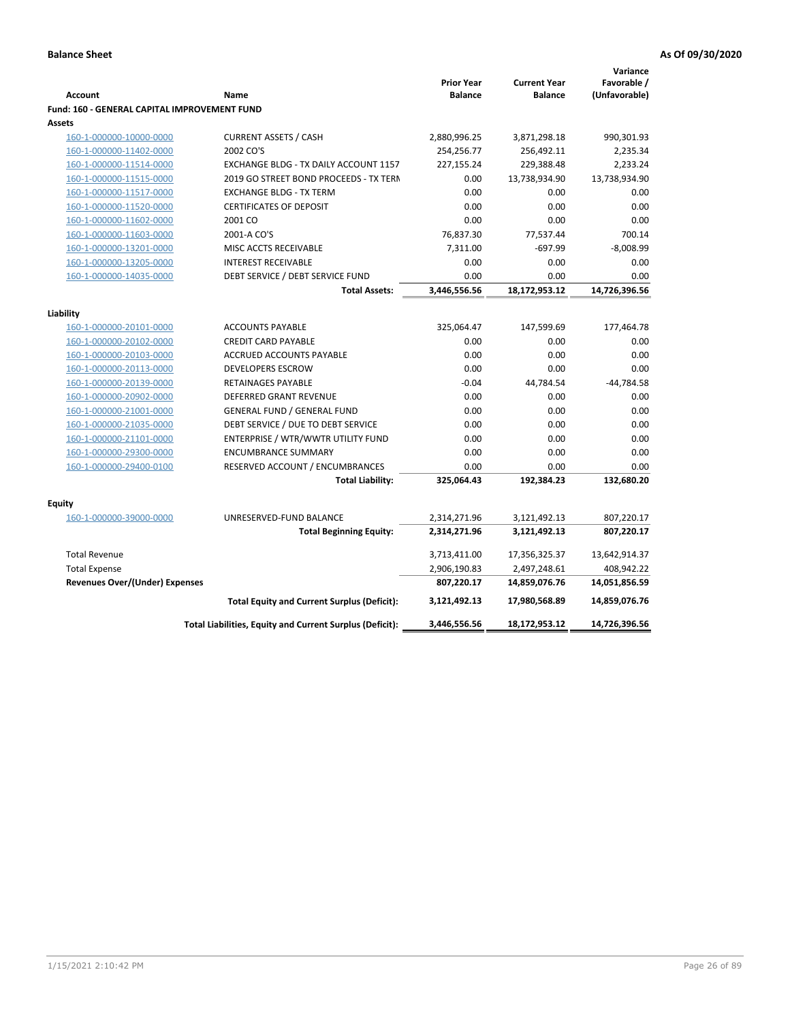|                                                                                                            | Variance              |
|------------------------------------------------------------------------------------------------------------|-----------------------|
| <b>Prior Year</b><br><b>Current Year</b>                                                                   | Favorable /           |
| <b>Balance</b><br><b>Balance</b><br><b>Account</b><br>Name                                                 | (Unfavorable)         |
| Fund: 160 - GENERAL CAPITAL IMPROVEMENT FUND<br><b>Assets</b>                                              |                       |
| <b>CURRENT ASSETS / CASH</b><br>2,880,996.25<br>160-1-000000-10000-0000<br>3,871,298.18                    | 990,301.93            |
| 2002 CO'S<br>254,256.77                                                                                    |                       |
| 160-1-000000-11402-0000<br>256,492.11<br>EXCHANGE BLDG - TX DAILY ACCOUNT 1157<br>227,155.24<br>229,388.48 | 2,235.34              |
| 160-1-000000-11514-0000<br>160-1-000000-11515-0000<br>2019 GO STREET BOND PROCEEDS - TX TERN               | 2,233.24              |
| 13,738,934.90<br>0.00<br><b>EXCHANGE BLDG - TX TERM</b><br>0.00<br>0.00                                    | 13,738,934.90<br>0.00 |
| 160-1-000000-11517-0000<br><b>CERTIFICATES OF DEPOSIT</b><br>0.00<br>0.00                                  | 0.00                  |
| 160-1-000000-11520-0000                                                                                    |                       |
| 160-1-000000-11602-0000<br>2001 CO<br>0.00<br>0.00                                                         | 0.00                  |
| 160-1-000000-11603-0000<br>2001-A CO'S<br>76,837.30<br>77,537.44                                           | 700.14                |
| 160-1-000000-13201-0000<br>MISC ACCTS RECEIVABLE<br>7,311.00<br>$-697.99$                                  | $-8,008.99$           |
| <b>INTEREST RECEIVABLE</b><br>0.00<br>0.00<br>160-1-000000-13205-0000                                      | 0.00                  |
| DEBT SERVICE / DEBT SERVICE FUND<br>0.00<br>0.00<br>160-1-000000-14035-0000                                | 0.00                  |
| 3,446,556.56<br>18,172,953.12<br><b>Total Assets:</b>                                                      | 14,726,396.56         |
| Liability                                                                                                  |                       |
| 160-1-000000-20101-0000<br><b>ACCOUNTS PAYABLE</b><br>325,064.47<br>147,599.69                             | 177,464.78            |
| <b>CREDIT CARD PAYABLE</b><br>0.00<br>160-1-000000-20102-0000<br>0.00                                      | 0.00                  |
| 0.00<br>0.00<br>160-1-000000-20103-0000<br>ACCRUED ACCOUNTS PAYABLE                                        | 0.00                  |
| DEVELOPERS ESCROW<br>0.00<br>160-1-000000-20113-0000<br>0.00                                               | 0.00                  |
| 160-1-000000-20139-0000<br>RETAINAGES PAYABLE<br>$-0.04$<br>44,784.54                                      | $-44,784.58$          |
| 160-1-000000-20902-0000<br><b>DEFERRED GRANT REVENUE</b><br>0.00<br>0.00                                   | 0.00                  |
| <b>GENERAL FUND / GENERAL FUND</b><br>0.00<br>160-1-000000-21001-0000<br>0.00                              | 0.00                  |
| 160-1-000000-21035-0000<br>DEBT SERVICE / DUE TO DEBT SERVICE<br>0.00<br>0.00                              | 0.00                  |
| 160-1-000000-21101-0000<br>ENTERPRISE / WTR/WWTR UTILITY FUND<br>0.00<br>0.00                              | 0.00                  |
| <b>ENCUMBRANCE SUMMARY</b><br>0.00<br>160-1-000000-29300-0000<br>0.00                                      | 0.00                  |
| 160-1-000000-29400-0100<br>RESERVED ACCOUNT / ENCUMBRANCES<br>0.00<br>0.00                                 | 0.00                  |
| <b>Total Liability:</b><br>325,064.43<br>192,384.23                                                        | 132,680.20            |
|                                                                                                            |                       |
| <b>Equity</b>                                                                                              |                       |
| 160-1-000000-39000-0000<br>UNRESERVED-FUND BALANCE<br>2,314,271.96<br>3,121,492.13                         | 807,220.17            |
| <b>Total Beginning Equity:</b><br>2,314,271.96<br>3,121,492.13                                             | 807,220.17            |
| <b>Total Revenue</b><br>3,713,411.00<br>17,356,325.37                                                      | 13,642,914.37         |
| 2,906,190.83<br><b>Total Expense</b><br>2,497,248.61                                                       | 408,942.22            |
| Revenues Over/(Under) Expenses<br>807,220.17<br>14,859,076.76                                              | 14,051,856.59         |
| <b>Total Equity and Current Surplus (Deficit):</b><br>17,980,568.89<br>3,121,492.13                        | 14,859,076.76         |
| Total Liabilities, Equity and Current Surplus (Deficit):<br>18,172,953.12<br>3,446,556.56                  | 14,726,396.56         |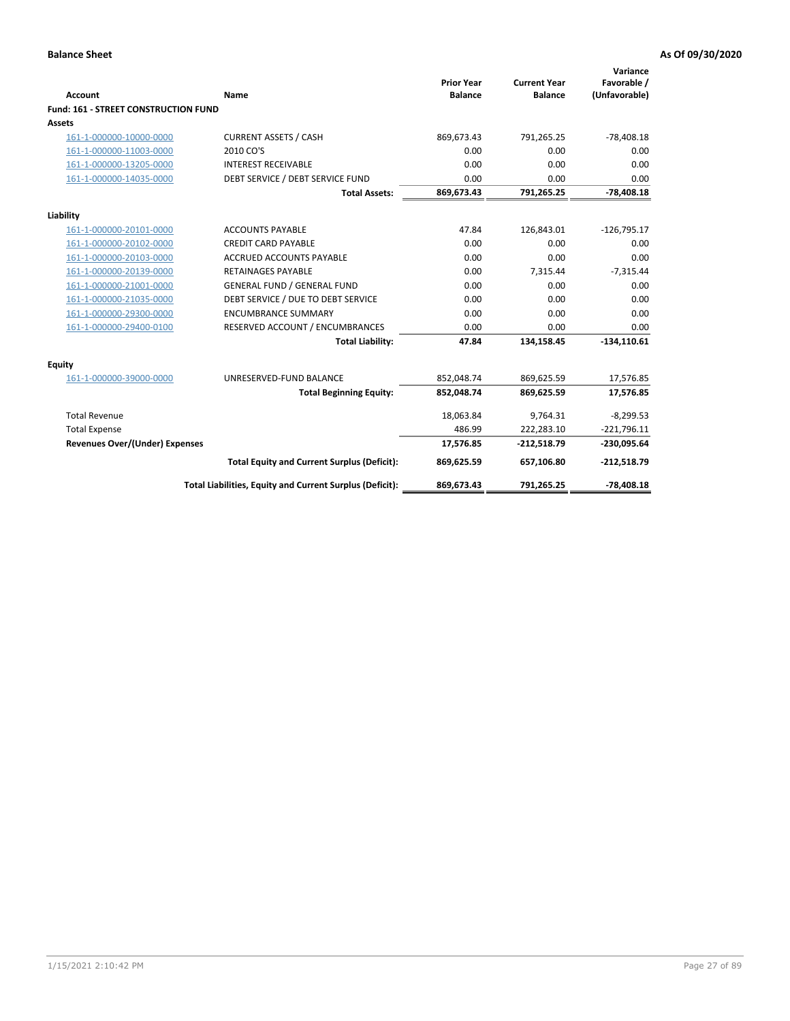|                                      |                                                          | <b>Prior Year</b> | <b>Current Year</b> | Variance<br>Favorable / |
|--------------------------------------|----------------------------------------------------------|-------------------|---------------------|-------------------------|
| <b>Account</b>                       | <b>Name</b>                                              | <b>Balance</b>    | <b>Balance</b>      | (Unfavorable)           |
| Fund: 161 - STREET CONSTRUCTION FUND |                                                          |                   |                     |                         |
| <b>Assets</b>                        |                                                          |                   |                     |                         |
| 161-1-000000-10000-0000              | <b>CURRENT ASSETS / CASH</b>                             | 869,673.43        | 791,265.25          | $-78,408.18$            |
| 161-1-000000-11003-0000              | 2010 CO'S                                                | 0.00              | 0.00                | 0.00                    |
| 161-1-000000-13205-0000              | <b>INTEREST RECEIVABLE</b>                               | 0.00              | 0.00                | 0.00                    |
| 161-1-000000-14035-0000              | DEBT SERVICE / DEBT SERVICE FUND                         | 0.00              | 0.00                | 0.00                    |
|                                      | <b>Total Assets:</b>                                     | 869,673.43        | 791,265.25          | $-78,408.18$            |
| Liability                            |                                                          |                   |                     |                         |
| 161-1-000000-20101-0000              | <b>ACCOUNTS PAYABLE</b>                                  | 47.84             | 126,843.01          | $-126,795.17$           |
| 161-1-000000-20102-0000              | <b>CREDIT CARD PAYABLE</b>                               | 0.00              | 0.00                | 0.00                    |
| 161-1-000000-20103-0000              | <b>ACCRUED ACCOUNTS PAYABLE</b>                          | 0.00              | 0.00                | 0.00                    |
| 161-1-000000-20139-0000              | <b>RETAINAGES PAYABLE</b>                                | 0.00              | 7,315.44            | $-7,315.44$             |
| 161-1-000000-21001-0000              | <b>GENERAL FUND / GENERAL FUND</b>                       | 0.00              | 0.00                | 0.00                    |
| 161-1-000000-21035-0000              | DEBT SERVICE / DUE TO DEBT SERVICE                       | 0.00              | 0.00                | 0.00                    |
| 161-1-000000-29300-0000              | <b>ENCUMBRANCE SUMMARY</b>                               | 0.00              | 0.00                | 0.00                    |
| 161-1-000000-29400-0100              | RESERVED ACCOUNT / ENCUMBRANCES                          | 0.00              | 0.00                | 0.00                    |
|                                      | <b>Total Liability:</b>                                  | 47.84             | 134,158.45          | $-134,110.61$           |
| <b>Equity</b>                        |                                                          |                   |                     |                         |
| 161-1-000000-39000-0000              | UNRESERVED-FUND BALANCE                                  | 852,048.74        | 869,625.59          | 17,576.85               |
|                                      | <b>Total Beginning Equity:</b>                           | 852,048.74        | 869,625.59          | 17,576.85               |
| <b>Total Revenue</b>                 |                                                          | 18,063.84         | 9.764.31            | $-8,299.53$             |
| <b>Total Expense</b>                 |                                                          | 486.99            | 222,283.10          | $-221,796.11$           |
| Revenues Over/(Under) Expenses       |                                                          | 17,576.85         | $-212,518.79$       | $-230,095.64$           |
|                                      | <b>Total Equity and Current Surplus (Deficit):</b>       | 869,625.59        | 657,106.80          | $-212,518.79$           |
|                                      | Total Liabilities, Equity and Current Surplus (Deficit): | 869,673.43        | 791,265.25          | $-78,408.18$            |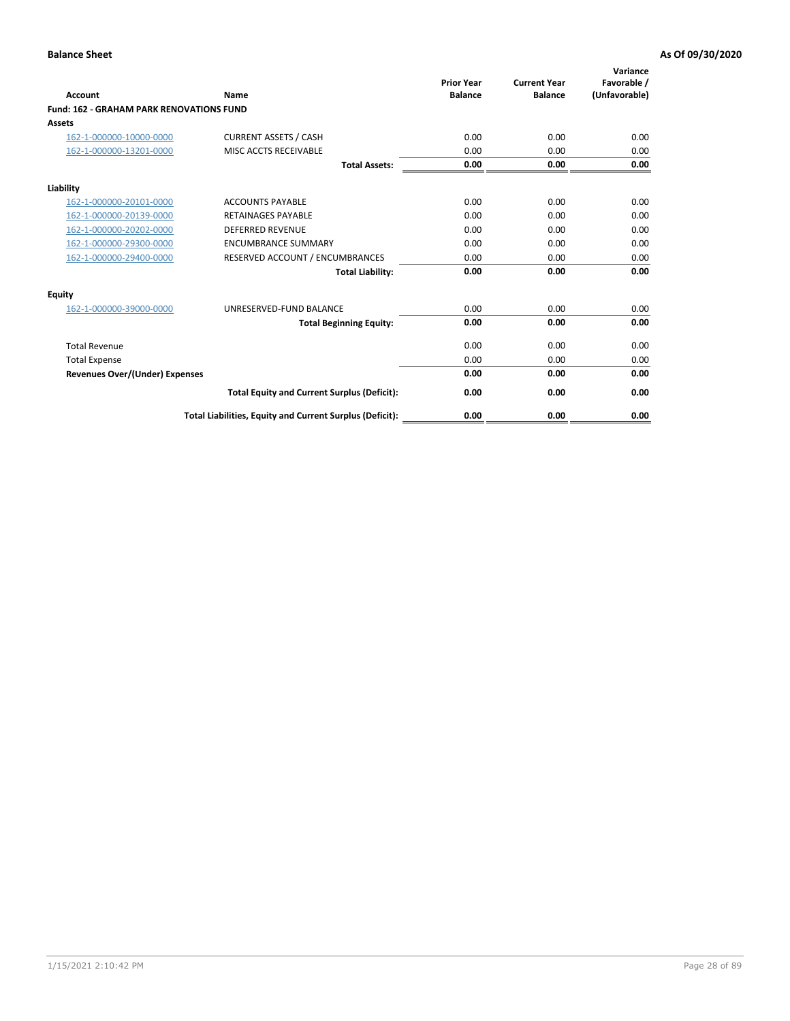| Account                                         | Name                                                     | <b>Prior Year</b><br><b>Balance</b> | <b>Current Year</b><br><b>Balance</b> | Variance<br>Favorable /<br>(Unfavorable) |
|-------------------------------------------------|----------------------------------------------------------|-------------------------------------|---------------------------------------|------------------------------------------|
| <b>Fund: 162 - GRAHAM PARK RENOVATIONS FUND</b> |                                                          |                                     |                                       |                                          |
| <b>Assets</b>                                   |                                                          |                                     |                                       |                                          |
| 162-1-000000-10000-0000                         | <b>CURRENT ASSETS / CASH</b>                             | 0.00                                | 0.00                                  | 0.00                                     |
| 162-1-000000-13201-0000                         | MISC ACCTS RECEIVABLE                                    | 0.00                                | 0.00                                  | 0.00                                     |
|                                                 | <b>Total Assets:</b>                                     | 0.00                                | 0.00                                  | 0.00                                     |
| Liability                                       |                                                          |                                     |                                       |                                          |
| 162-1-000000-20101-0000                         | <b>ACCOUNTS PAYABLE</b>                                  | 0.00                                | 0.00                                  | 0.00                                     |
| 162-1-000000-20139-0000                         | <b>RETAINAGES PAYABLE</b>                                | 0.00                                | 0.00                                  | 0.00                                     |
| 162-1-000000-20202-0000                         | <b>DEFERRED REVENUE</b>                                  | 0.00                                | 0.00                                  | 0.00                                     |
| 162-1-000000-29300-0000                         | <b>ENCUMBRANCE SUMMARY</b>                               | 0.00                                | 0.00                                  | 0.00                                     |
| 162-1-000000-29400-0000                         | RESERVED ACCOUNT / ENCUMBRANCES                          | 0.00                                | 0.00                                  | 0.00                                     |
|                                                 | <b>Total Liability:</b>                                  | 0.00                                | 0.00                                  | 0.00                                     |
| Equity                                          |                                                          |                                     |                                       |                                          |
| 162-1-000000-39000-0000                         | UNRESERVED-FUND BALANCE                                  | 0.00                                | 0.00                                  | 0.00                                     |
|                                                 | <b>Total Beginning Equity:</b>                           | 0.00                                | 0.00                                  | 0.00                                     |
| <b>Total Revenue</b>                            |                                                          | 0.00                                | 0.00                                  | 0.00                                     |
| <b>Total Expense</b>                            |                                                          | 0.00                                | 0.00                                  | 0.00                                     |
| <b>Revenues Over/(Under) Expenses</b>           |                                                          | 0.00                                | 0.00                                  | 0.00                                     |
|                                                 | <b>Total Equity and Current Surplus (Deficit):</b>       | 0.00                                | 0.00                                  | 0.00                                     |
|                                                 | Total Liabilities, Equity and Current Surplus (Deficit): | 0.00                                | 0.00                                  | 0.00                                     |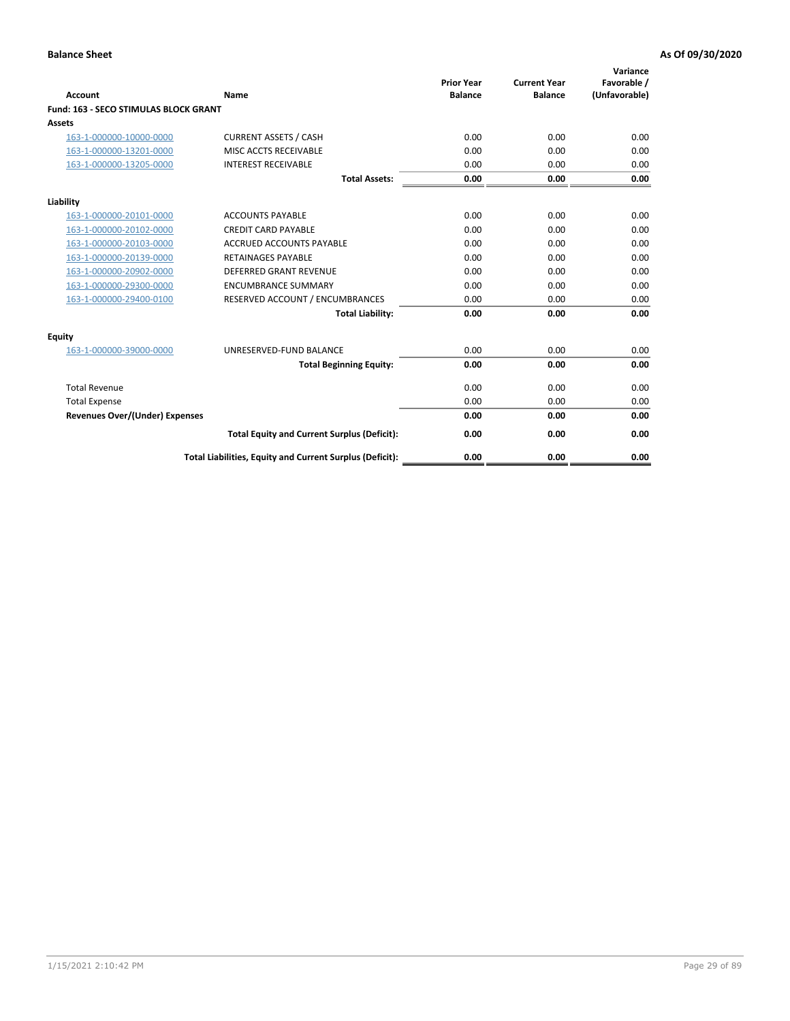| Account                               | Name                                                     | <b>Prior Year</b><br><b>Balance</b> | <b>Current Year</b><br><b>Balance</b> | Variance<br>Favorable /<br>(Unfavorable) |
|---------------------------------------|----------------------------------------------------------|-------------------------------------|---------------------------------------|------------------------------------------|
| Fund: 163 - SECO STIMULAS BLOCK GRANT |                                                          |                                     |                                       |                                          |
| <b>Assets</b>                         |                                                          |                                     |                                       |                                          |
| 163-1-000000-10000-0000               | <b>CURRENT ASSETS / CASH</b>                             | 0.00                                | 0.00                                  | 0.00                                     |
| 163-1-000000-13201-0000               | MISC ACCTS RECEIVABLE                                    | 0.00                                | 0.00                                  | 0.00                                     |
| 163-1-000000-13205-0000               | <b>INTEREST RECEIVABLE</b>                               | 0.00                                | 0.00                                  | 0.00                                     |
|                                       | <b>Total Assets:</b>                                     | 0.00                                | 0.00                                  | 0.00                                     |
| Liability                             |                                                          |                                     |                                       |                                          |
| 163-1-000000-20101-0000               | <b>ACCOUNTS PAYABLE</b>                                  | 0.00                                | 0.00                                  | 0.00                                     |
| 163-1-000000-20102-0000               | <b>CREDIT CARD PAYABLE</b>                               | 0.00                                | 0.00                                  | 0.00                                     |
| 163-1-000000-20103-0000               | <b>ACCRUED ACCOUNTS PAYABLE</b>                          | 0.00                                | 0.00                                  | 0.00                                     |
| 163-1-000000-20139-0000               | <b>RETAINAGES PAYABLE</b>                                | 0.00                                | 0.00                                  | 0.00                                     |
| 163-1-000000-20902-0000               | DEFERRED GRANT REVENUE                                   | 0.00                                | 0.00                                  | 0.00                                     |
| 163-1-000000-29300-0000               | <b>ENCUMBRANCE SUMMARY</b>                               | 0.00                                | 0.00                                  | 0.00                                     |
| 163-1-000000-29400-0100               | RESERVED ACCOUNT / ENCUMBRANCES                          | 0.00                                | 0.00                                  | 0.00                                     |
|                                       | <b>Total Liability:</b>                                  | 0.00                                | 0.00                                  | 0.00                                     |
| <b>Equity</b>                         |                                                          |                                     |                                       |                                          |
| 163-1-000000-39000-0000               | UNRESERVED-FUND BALANCE                                  | 0.00                                | 0.00                                  | 0.00                                     |
|                                       | <b>Total Beginning Equity:</b>                           | 0.00                                | 0.00                                  | 0.00                                     |
| <b>Total Revenue</b>                  |                                                          | 0.00                                | 0.00                                  | 0.00                                     |
| <b>Total Expense</b>                  |                                                          | 0.00                                | 0.00                                  | 0.00                                     |
| <b>Revenues Over/(Under) Expenses</b> |                                                          | 0.00                                | 0.00                                  | 0.00                                     |
|                                       | <b>Total Equity and Current Surplus (Deficit):</b>       | 0.00                                | 0.00                                  | 0.00                                     |
|                                       | Total Liabilities, Equity and Current Surplus (Deficit): | 0.00                                | 0.00                                  | 0.00                                     |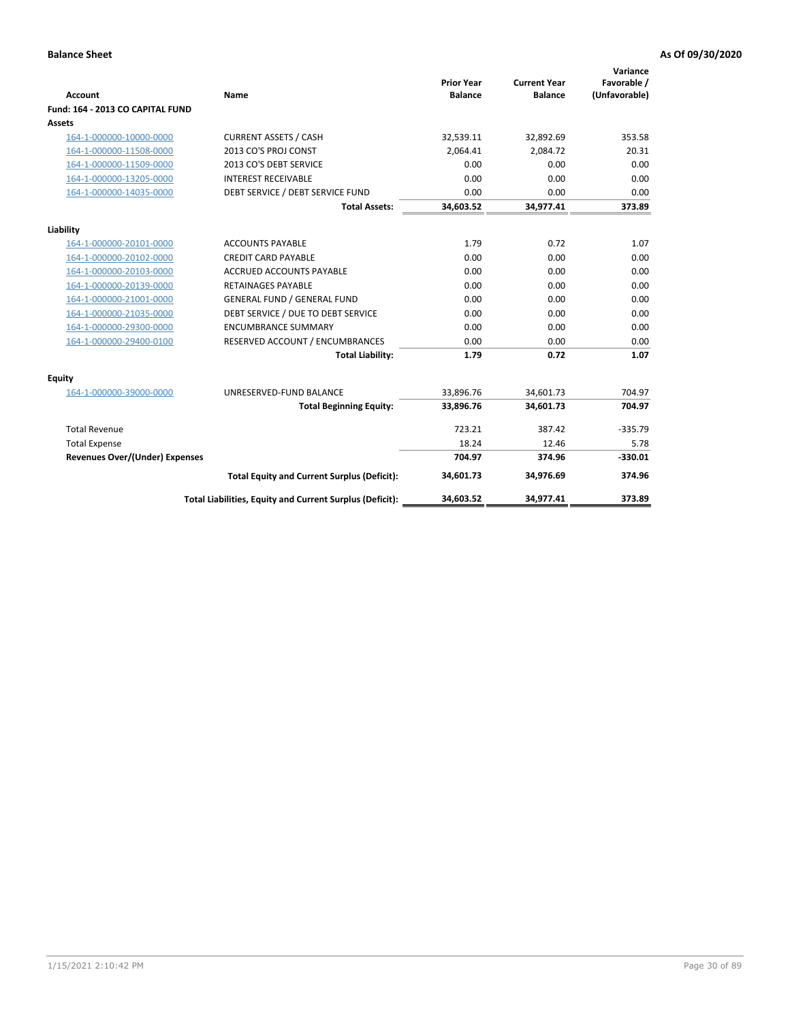| <b>Account</b>                        | <b>Name</b>                                              | <b>Prior Year</b><br><b>Balance</b> | <b>Current Year</b><br><b>Balance</b> | Variance<br>Favorable /<br>(Unfavorable) |
|---------------------------------------|----------------------------------------------------------|-------------------------------------|---------------------------------------|------------------------------------------|
| Fund: 164 - 2013 CO CAPITAL FUND      |                                                          |                                     |                                       |                                          |
| Assets                                |                                                          |                                     |                                       |                                          |
| 164-1-000000-10000-0000               | <b>CURRENT ASSETS / CASH</b>                             | 32,539.11                           | 32,892.69                             | 353.58                                   |
| 164-1-000000-11508-0000               | 2013 CO'S PROJ CONST                                     | 2,064.41                            | 2,084.72                              | 20.31                                    |
| 164-1-000000-11509-0000               | 2013 CO'S DEBT SERVICE                                   | 0.00                                | 0.00                                  | 0.00                                     |
| 164-1-000000-13205-0000               | <b>INTEREST RECEIVABLE</b>                               | 0.00                                | 0.00                                  | 0.00                                     |
| 164-1-000000-14035-0000               | DEBT SERVICE / DEBT SERVICE FUND                         | 0.00                                | 0.00                                  | 0.00                                     |
|                                       | <b>Total Assets:</b>                                     | 34,603.52                           | 34,977.41                             | 373.89                                   |
| Liability                             |                                                          |                                     |                                       |                                          |
| 164-1-000000-20101-0000               | <b>ACCOUNTS PAYABLE</b>                                  | 1.79                                | 0.72                                  | 1.07                                     |
| 164-1-000000-20102-0000               | <b>CREDIT CARD PAYABLE</b>                               | 0.00                                | 0.00                                  | 0.00                                     |
| 164-1-000000-20103-0000               | <b>ACCRUED ACCOUNTS PAYABLE</b>                          | 0.00                                | 0.00                                  | 0.00                                     |
| 164-1-000000-20139-0000               | <b>RETAINAGES PAYABLE</b>                                | 0.00                                | 0.00                                  | 0.00                                     |
| 164-1-000000-21001-0000               | <b>GENERAL FUND / GENERAL FUND</b>                       | 0.00                                | 0.00                                  | 0.00                                     |
| 164-1-000000-21035-0000               | DEBT SERVICE / DUE TO DEBT SERVICE                       | 0.00                                | 0.00                                  | 0.00                                     |
| 164-1-000000-29300-0000               | <b>ENCUMBRANCE SUMMARY</b>                               | 0.00                                | 0.00                                  | 0.00                                     |
| 164-1-000000-29400-0100               | RESERVED ACCOUNT / ENCUMBRANCES                          | 0.00                                | 0.00                                  | 0.00                                     |
|                                       | <b>Total Liability:</b>                                  | 1.79                                | 0.72                                  | 1.07                                     |
| Equity                                |                                                          |                                     |                                       |                                          |
| 164-1-000000-39000-0000               | UNRESERVED-FUND BALANCE                                  | 33,896.76                           | 34,601.73                             | 704.97                                   |
|                                       | <b>Total Beginning Equity:</b>                           | 33,896.76                           | 34,601.73                             | 704.97                                   |
| <b>Total Revenue</b>                  |                                                          | 723.21                              | 387.42                                | $-335.79$                                |
| <b>Total Expense</b>                  |                                                          | 18.24                               | 12.46                                 | 5.78                                     |
| <b>Revenues Over/(Under) Expenses</b> |                                                          | 704.97                              | 374.96                                | $-330.01$                                |
|                                       | <b>Total Equity and Current Surplus (Deficit):</b>       | 34,601.73                           | 34,976.69                             | 374.96                                   |
|                                       | Total Liabilities, Equity and Current Surplus (Deficit): | 34,603.52                           | 34,977.41                             | 373.89                                   |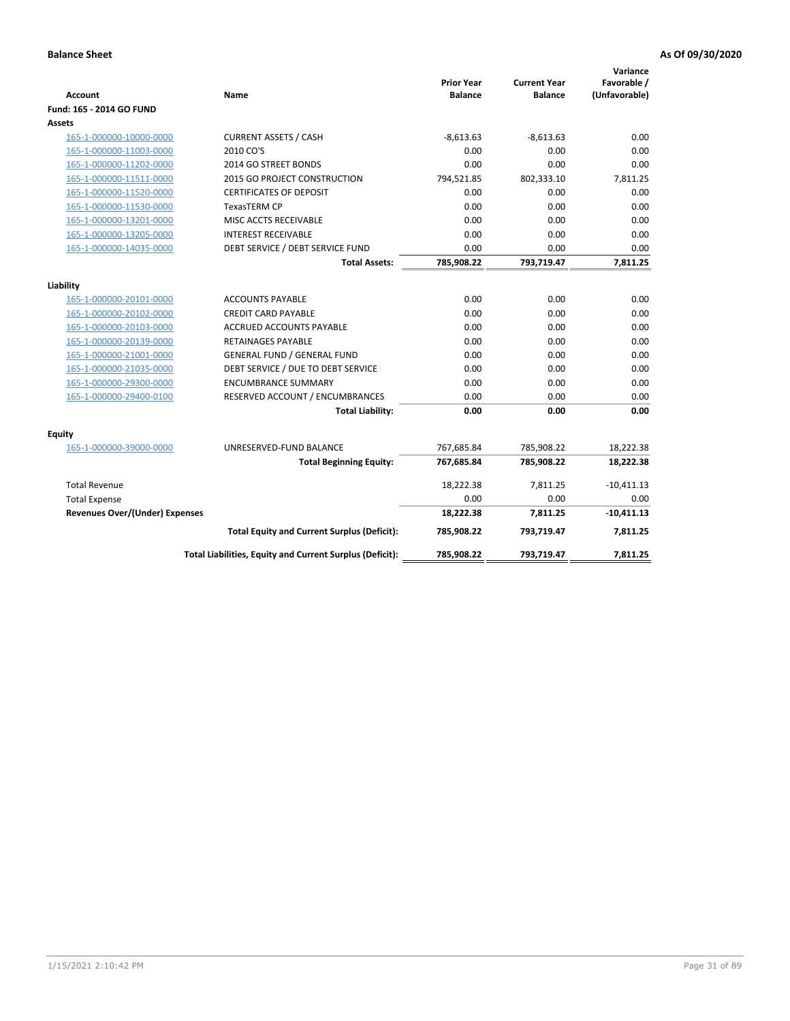| <b>Account</b>                        | Name                                                     | <b>Prior Year</b><br><b>Balance</b> | <b>Current Year</b><br><b>Balance</b> | Variance<br>Favorable /<br>(Unfavorable) |
|---------------------------------------|----------------------------------------------------------|-------------------------------------|---------------------------------------|------------------------------------------|
| Fund: 165 - 2014 GO FUND              |                                                          |                                     |                                       |                                          |
| Assets                                |                                                          |                                     |                                       |                                          |
| 165-1-000000-10000-0000               | <b>CURRENT ASSETS / CASH</b>                             | $-8,613.63$                         | $-8,613.63$                           | 0.00                                     |
| 165-1-000000-11003-0000               | 2010 CO'S                                                | 0.00                                | 0.00                                  | 0.00                                     |
| 165-1-000000-11202-0000               | 2014 GO STREET BONDS                                     | 0.00                                | 0.00                                  | 0.00                                     |
| 165-1-000000-11511-0000               | 2015 GO PROJECT CONSTRUCTION                             | 794,521.85                          | 802,333.10                            | 7,811.25                                 |
| 165-1-000000-11520-0000               | <b>CERTIFICATES OF DEPOSIT</b>                           | 0.00                                | 0.00                                  | 0.00                                     |
| 165-1-000000-11530-0000               | <b>TexasTERM CP</b>                                      | 0.00                                | 0.00                                  | 0.00                                     |
| 165-1-000000-13201-0000               | MISC ACCTS RECEIVABLE                                    | 0.00                                | 0.00                                  | 0.00                                     |
| 165-1-000000-13205-0000               | <b>INTEREST RECEIVABLE</b>                               | 0.00                                | 0.00                                  | 0.00                                     |
| 165-1-000000-14035-0000               | DEBT SERVICE / DEBT SERVICE FUND                         | 0.00                                | 0.00                                  | 0.00                                     |
|                                       | <b>Total Assets:</b>                                     | 785,908.22                          | 793,719.47                            | 7,811.25                                 |
| Liability                             |                                                          |                                     |                                       |                                          |
| 165-1-000000-20101-0000               | <b>ACCOUNTS PAYABLE</b>                                  | 0.00                                | 0.00                                  | 0.00                                     |
| 165-1-000000-20102-0000               | <b>CREDIT CARD PAYABLE</b>                               | 0.00                                | 0.00                                  | 0.00                                     |
| 165-1-000000-20103-0000               | <b>ACCRUED ACCOUNTS PAYABLE</b>                          | 0.00                                | 0.00                                  | 0.00                                     |
| 165-1-000000-20139-0000               | <b>RETAINAGES PAYABLE</b>                                | 0.00                                | 0.00                                  | 0.00                                     |
| 165-1-000000-21001-0000               | <b>GENERAL FUND / GENERAL FUND</b>                       | 0.00                                | 0.00                                  | 0.00                                     |
| 165-1-000000-21035-0000               | DEBT SERVICE / DUE TO DEBT SERVICE                       | 0.00                                | 0.00                                  | 0.00                                     |
| 165-1-000000-29300-0000               | <b>ENCUMBRANCE SUMMARY</b>                               | 0.00                                | 0.00                                  | 0.00                                     |
| 165-1-000000-29400-0100               | RESERVED ACCOUNT / ENCUMBRANCES                          | 0.00                                | 0.00                                  | 0.00                                     |
|                                       | <b>Total Liability:</b>                                  | 0.00                                | 0.00                                  | 0.00                                     |
| Fquity                                |                                                          |                                     |                                       |                                          |
| 165-1-000000-39000-0000               | UNRESERVED-FUND BALANCE                                  | 767,685.84                          | 785,908.22                            | 18,222.38                                |
|                                       | <b>Total Beginning Equity:</b>                           | 767,685.84                          | 785,908.22                            | 18,222.38                                |
| <b>Total Revenue</b>                  |                                                          | 18,222.38                           | 7,811.25                              | $-10,411.13$                             |
| <b>Total Expense</b>                  |                                                          | 0.00                                | 0.00                                  | 0.00                                     |
| <b>Revenues Over/(Under) Expenses</b> |                                                          | 18,222.38                           | 7,811.25                              | $-10,411.13$                             |
|                                       | <b>Total Equity and Current Surplus (Deficit):</b>       | 785,908.22                          | 793,719.47                            | 7,811.25                                 |
|                                       | Total Liabilities, Equity and Current Surplus (Deficit): | 785,908.22                          | 793,719.47                            | 7.811.25                                 |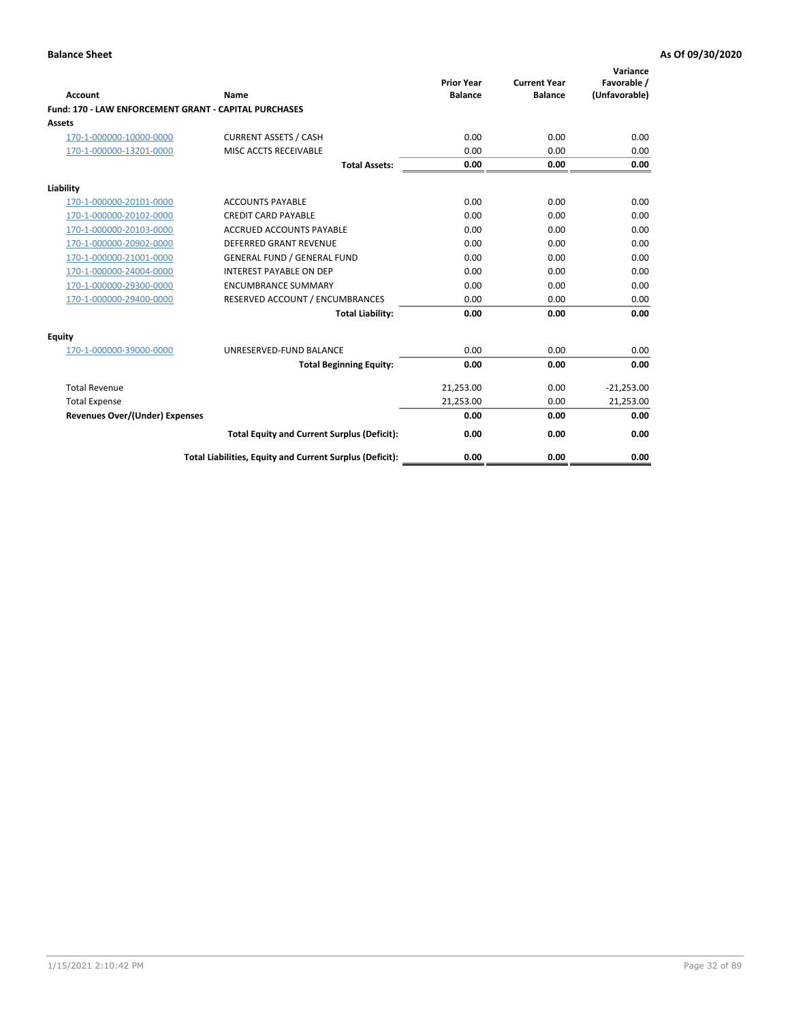| Account                                                      | Name                                                     | <b>Prior Year</b><br><b>Balance</b> | <b>Current Year</b><br><b>Balance</b> | Variance<br>Favorable /<br>(Unfavorable) |
|--------------------------------------------------------------|----------------------------------------------------------|-------------------------------------|---------------------------------------|------------------------------------------|
| <b>Fund: 170 - LAW ENFORCEMENT GRANT - CAPITAL PURCHASES</b> |                                                          |                                     |                                       |                                          |
| <b>Assets</b>                                                |                                                          |                                     |                                       |                                          |
| 170-1-000000-10000-0000                                      | <b>CURRENT ASSETS / CASH</b>                             | 0.00                                | 0.00                                  | 0.00                                     |
| 170-1-000000-13201-0000                                      | MISC ACCTS RECEIVABLE                                    | 0.00                                | 0.00                                  | 0.00                                     |
|                                                              | <b>Total Assets:</b>                                     | 0.00                                | 0.00                                  | 0.00                                     |
| Liability                                                    |                                                          |                                     |                                       |                                          |
| 170-1-000000-20101-0000                                      | <b>ACCOUNTS PAYABLE</b>                                  | 0.00                                | 0.00                                  | 0.00                                     |
| 170-1-000000-20102-0000                                      | <b>CREDIT CARD PAYABLE</b>                               | 0.00                                | 0.00                                  | 0.00                                     |
| 170-1-000000-20103-0000                                      | <b>ACCRUED ACCOUNTS PAYABLE</b>                          | 0.00                                | 0.00                                  | 0.00                                     |
| 170-1-000000-20902-0000                                      | <b>DEFERRED GRANT REVENUE</b>                            | 0.00                                | 0.00                                  | 0.00                                     |
| 170-1-000000-21001-0000                                      | <b>GENERAL FUND / GENERAL FUND</b>                       | 0.00                                | 0.00                                  | 0.00                                     |
| 170-1-000000-24004-0000                                      | <b>INTEREST PAYABLE ON DEP</b>                           | 0.00                                | 0.00                                  | 0.00                                     |
| 170-1-000000-29300-0000                                      | <b>ENCUMBRANCE SUMMARY</b>                               | 0.00                                | 0.00                                  | 0.00                                     |
| 170-1-000000-29400-0000                                      | RESERVED ACCOUNT / ENCUMBRANCES                          | 0.00                                | 0.00                                  | 0.00                                     |
|                                                              | <b>Total Liability:</b>                                  | 0.00                                | 0.00                                  | 0.00                                     |
| <b>Equity</b>                                                |                                                          |                                     |                                       |                                          |
| 170-1-000000-39000-0000                                      | UNRESERVED-FUND BALANCE                                  | 0.00                                | 0.00                                  | 0.00                                     |
|                                                              | <b>Total Beginning Equity:</b>                           | 0.00                                | 0.00                                  | 0.00                                     |
| <b>Total Revenue</b>                                         |                                                          | 21,253.00                           | 0.00                                  | $-21,253.00$                             |
| <b>Total Expense</b>                                         |                                                          | 21,253.00                           | 0.00                                  | 21,253.00                                |
| <b>Revenues Over/(Under) Expenses</b>                        |                                                          | 0.00                                | 0.00                                  | 0.00                                     |
|                                                              | <b>Total Equity and Current Surplus (Deficit):</b>       | 0.00                                | 0.00                                  | 0.00                                     |
|                                                              | Total Liabilities, Equity and Current Surplus (Deficit): | 0.00                                | 0.00                                  | 0.00                                     |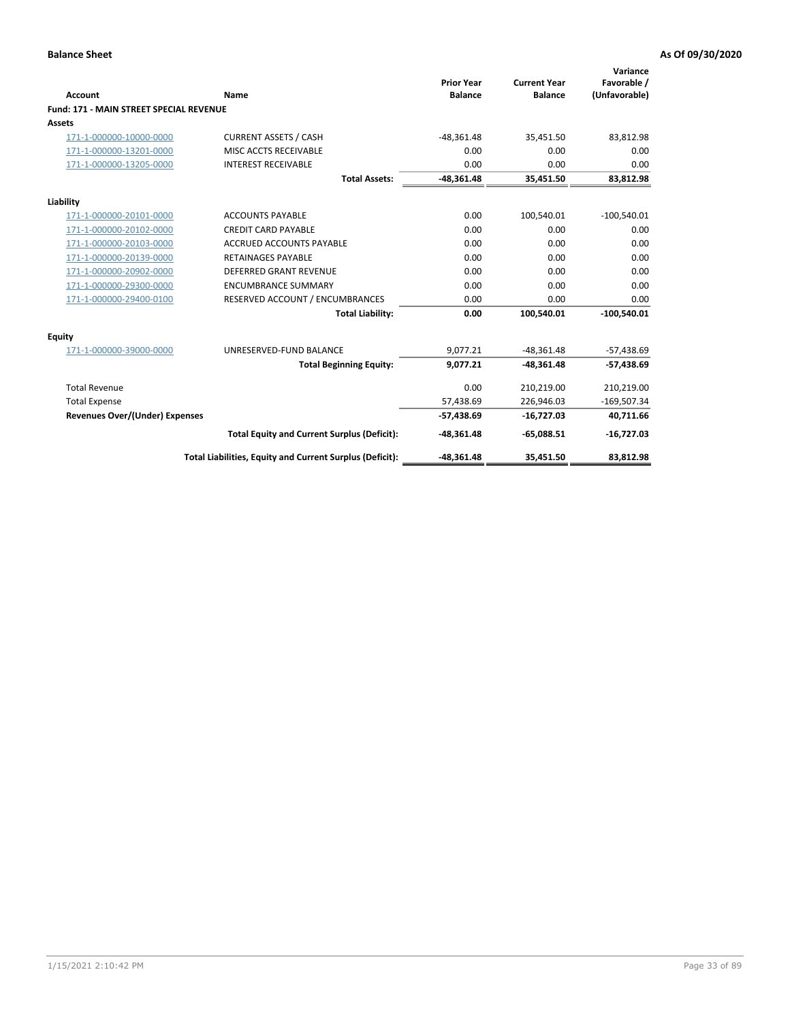| Account                                        | Name                                                     | <b>Prior Year</b><br><b>Balance</b> | <b>Current Year</b><br><b>Balance</b> | Variance<br>Favorable /<br>(Unfavorable) |
|------------------------------------------------|----------------------------------------------------------|-------------------------------------|---------------------------------------|------------------------------------------|
| <b>Fund: 171 - MAIN STREET SPECIAL REVENUE</b> |                                                          |                                     |                                       |                                          |
| Assets                                         |                                                          |                                     |                                       |                                          |
| 171-1-000000-10000-0000                        | <b>CURRENT ASSETS / CASH</b>                             | $-48,361.48$                        | 35,451.50                             | 83,812.98                                |
| 171-1-000000-13201-0000                        | MISC ACCTS RECEIVABLE                                    | 0.00                                | 0.00                                  | 0.00                                     |
| 171-1-000000-13205-0000                        | <b>INTEREST RECEIVABLE</b>                               | 0.00                                | 0.00                                  | 0.00                                     |
|                                                | <b>Total Assets:</b>                                     | $-48,361.48$                        | 35,451.50                             | 83,812.98                                |
| Liability                                      |                                                          |                                     |                                       |                                          |
| 171-1-000000-20101-0000                        | <b>ACCOUNTS PAYABLE</b>                                  | 0.00                                | 100,540.01                            | $-100,540.01$                            |
| 171-1-000000-20102-0000                        | <b>CREDIT CARD PAYABLE</b>                               | 0.00                                | 0.00                                  | 0.00                                     |
| 171-1-000000-20103-0000                        | <b>ACCRUED ACCOUNTS PAYABLE</b>                          | 0.00                                | 0.00                                  | 0.00                                     |
| 171-1-000000-20139-0000                        | <b>RETAINAGES PAYABLE</b>                                | 0.00                                | 0.00                                  | 0.00                                     |
| 171-1-000000-20902-0000                        | <b>DEFERRED GRANT REVENUE</b>                            | 0.00                                | 0.00                                  | 0.00                                     |
| 171-1-000000-29300-0000                        | <b>ENCUMBRANCE SUMMARY</b>                               | 0.00                                | 0.00                                  | 0.00                                     |
| 171-1-000000-29400-0100                        | RESERVED ACCOUNT / ENCUMBRANCES                          | 0.00                                | 0.00                                  | 0.00                                     |
|                                                | <b>Total Liability:</b>                                  | 0.00                                | 100,540.01                            | $-100,540.01$                            |
| <b>Equity</b>                                  |                                                          |                                     |                                       |                                          |
| 171-1-000000-39000-0000                        | UNRESERVED-FUND BALANCE                                  | 9,077.21                            | $-48,361.48$                          | $-57,438.69$                             |
|                                                | <b>Total Beginning Equity:</b>                           | 9,077.21                            | $-48,361.48$                          | $-57,438.69$                             |
| <b>Total Revenue</b>                           |                                                          | 0.00                                | 210,219.00                            | 210,219.00                               |
| <b>Total Expense</b>                           |                                                          | 57,438.69                           | 226,946.03                            | $-169,507.34$                            |
| <b>Revenues Over/(Under) Expenses</b>          |                                                          | $-57,438.69$                        | $-16,727.03$                          | 40,711.66                                |
|                                                | <b>Total Equity and Current Surplus (Deficit):</b>       | $-48,361.48$                        | $-65,088.51$                          | $-16,727.03$                             |
|                                                | Total Liabilities, Equity and Current Surplus (Deficit): | $-48,361.48$                        | 35,451.50                             | 83,812.98                                |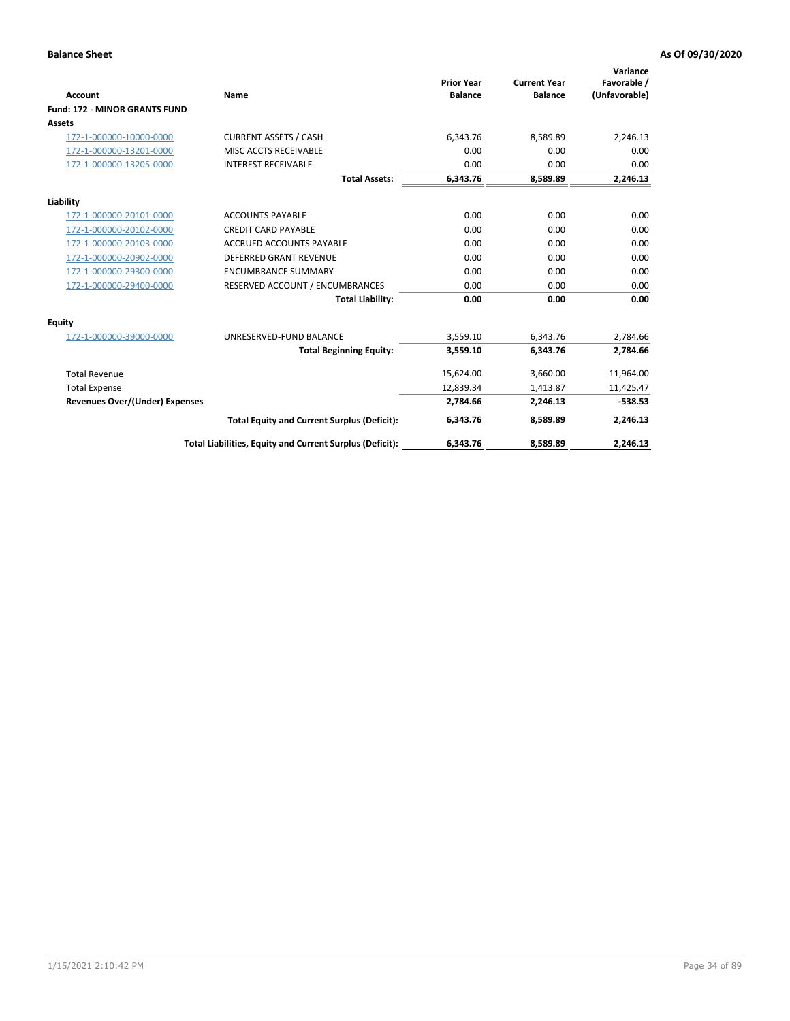|                                       |                                                          |                                     |                                       | Variance                     |
|---------------------------------------|----------------------------------------------------------|-------------------------------------|---------------------------------------|------------------------------|
| <b>Account</b>                        | <b>Name</b>                                              | <b>Prior Year</b><br><b>Balance</b> | <b>Current Year</b><br><b>Balance</b> | Favorable /<br>(Unfavorable) |
| <b>Fund: 172 - MINOR GRANTS FUND</b>  |                                                          |                                     |                                       |                              |
| <b>Assets</b>                         |                                                          |                                     |                                       |                              |
| 172-1-000000-10000-0000               | <b>CURRENT ASSETS / CASH</b>                             | 6,343.76                            | 8,589.89                              | 2,246.13                     |
| 172-1-000000-13201-0000               | MISC ACCTS RECEIVABLE                                    | 0.00                                | 0.00                                  | 0.00                         |
| 172-1-000000-13205-0000               | <b>INTEREST RECEIVABLE</b>                               | 0.00                                | 0.00                                  | 0.00                         |
|                                       | <b>Total Assets:</b>                                     | 6,343.76                            | 8,589.89                              | 2,246.13                     |
| Liability                             |                                                          |                                     |                                       |                              |
| 172-1-000000-20101-0000               | <b>ACCOUNTS PAYABLE</b>                                  | 0.00                                | 0.00                                  | 0.00                         |
| 172-1-000000-20102-0000               | <b>CREDIT CARD PAYABLE</b>                               | 0.00                                | 0.00                                  | 0.00                         |
| 172-1-000000-20103-0000               | <b>ACCRUED ACCOUNTS PAYABLE</b>                          | 0.00                                | 0.00                                  | 0.00                         |
| 172-1-000000-20902-0000               | <b>DEFERRED GRANT REVENUE</b>                            | 0.00                                | 0.00                                  | 0.00                         |
| 172-1-000000-29300-0000               | <b>ENCUMBRANCE SUMMARY</b>                               | 0.00                                | 0.00                                  | 0.00                         |
| 172-1-000000-29400-0000               | RESERVED ACCOUNT / ENCUMBRANCES                          | 0.00                                | 0.00                                  | 0.00                         |
|                                       | <b>Total Liability:</b>                                  | 0.00                                | 0.00                                  | 0.00                         |
| Equity                                |                                                          |                                     |                                       |                              |
| 172-1-000000-39000-0000               | UNRESERVED-FUND BALANCE                                  | 3,559.10                            | 6.343.76                              | 2,784.66                     |
|                                       | <b>Total Beginning Equity:</b>                           | 3,559.10                            | 6,343.76                              | 2,784.66                     |
| <b>Total Revenue</b>                  |                                                          | 15,624.00                           | 3,660.00                              | $-11,964.00$                 |
| <b>Total Expense</b>                  |                                                          | 12,839.34                           | 1,413.87                              | 11,425.47                    |
| <b>Revenues Over/(Under) Expenses</b> |                                                          | 2,784.66                            | 2,246.13                              | $-538.53$                    |
|                                       | <b>Total Equity and Current Surplus (Deficit):</b>       | 6,343.76                            | 8,589.89                              | 2,246.13                     |
|                                       | Total Liabilities, Equity and Current Surplus (Deficit): | 6,343.76                            | 8,589.89                              | 2,246.13                     |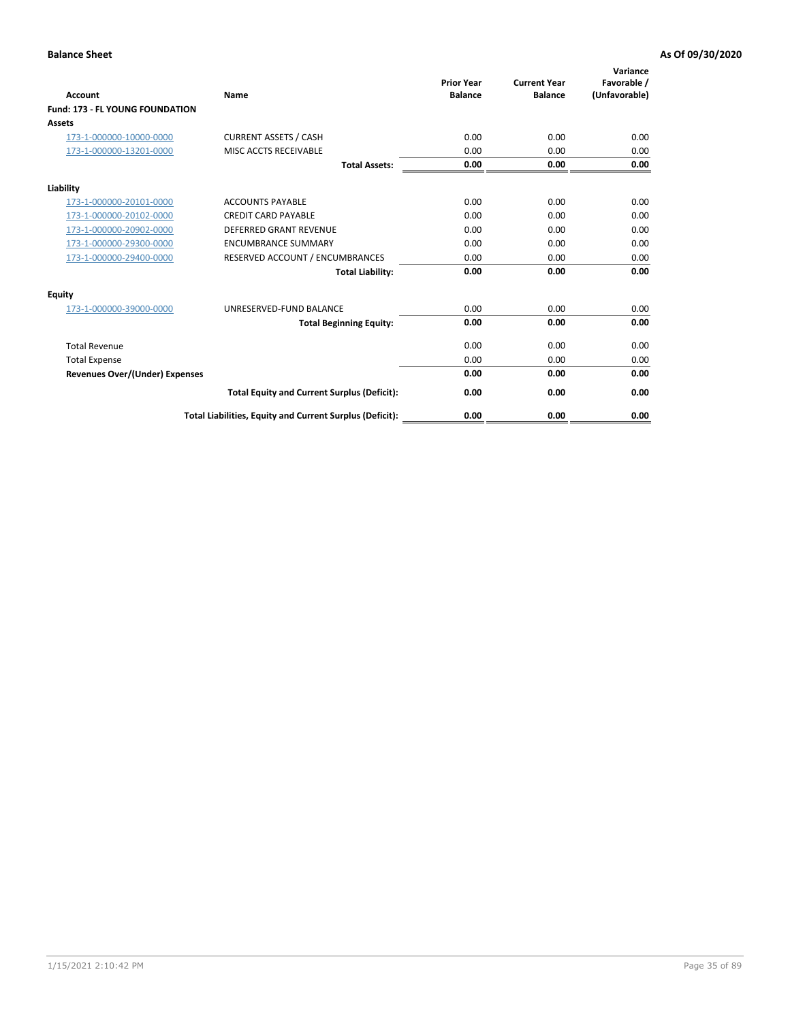| <b>Account</b>                         | <b>Name</b>                                              | <b>Prior Year</b><br><b>Balance</b> | <b>Current Year</b><br><b>Balance</b> | Variance<br>Favorable /<br>(Unfavorable) |
|----------------------------------------|----------------------------------------------------------|-------------------------------------|---------------------------------------|------------------------------------------|
| <b>Fund: 173 - FL YOUNG FOUNDATION</b> |                                                          |                                     |                                       |                                          |
| Assets                                 |                                                          |                                     |                                       |                                          |
| 173-1-000000-10000-0000                | <b>CURRENT ASSETS / CASH</b>                             | 0.00                                | 0.00                                  | 0.00                                     |
| 173-1-000000-13201-0000                | MISC ACCTS RECEIVABLE                                    | 0.00                                | 0.00                                  | 0.00                                     |
|                                        | <b>Total Assets:</b>                                     | 0.00                                | 0.00                                  | 0.00                                     |
| Liability                              |                                                          |                                     |                                       |                                          |
| 173-1-000000-20101-0000                | <b>ACCOUNTS PAYABLE</b>                                  | 0.00                                | 0.00                                  | 0.00                                     |
| 173-1-000000-20102-0000                | <b>CREDIT CARD PAYABLE</b>                               | 0.00                                | 0.00                                  | 0.00                                     |
| 173-1-000000-20902-0000                | <b>DEFERRED GRANT REVENUE</b>                            | 0.00                                | 0.00                                  | 0.00                                     |
| 173-1-000000-29300-0000                | <b>ENCUMBRANCE SUMMARY</b>                               | 0.00                                | 0.00                                  | 0.00                                     |
| 173-1-000000-29400-0000                | RESERVED ACCOUNT / ENCUMBRANCES                          | 0.00                                | 0.00                                  | 0.00                                     |
|                                        | <b>Total Liability:</b>                                  | 0.00                                | 0.00                                  | 0.00                                     |
| Equity                                 |                                                          |                                     |                                       |                                          |
| 173-1-000000-39000-0000                | UNRESERVED-FUND BALANCE                                  | 0.00                                | 0.00                                  | 0.00                                     |
|                                        | <b>Total Beginning Equity:</b>                           | 0.00                                | 0.00                                  | 0.00                                     |
| <b>Total Revenue</b>                   |                                                          | 0.00                                | 0.00                                  | 0.00                                     |
| <b>Total Expense</b>                   |                                                          | 0.00                                | 0.00                                  | 0.00                                     |
| <b>Revenues Over/(Under) Expenses</b>  |                                                          | 0.00                                | 0.00                                  | 0.00                                     |
|                                        | <b>Total Equity and Current Surplus (Deficit):</b>       | 0.00                                | 0.00                                  | 0.00                                     |
|                                        | Total Liabilities, Equity and Current Surplus (Deficit): | 0.00                                | 0.00                                  | 0.00                                     |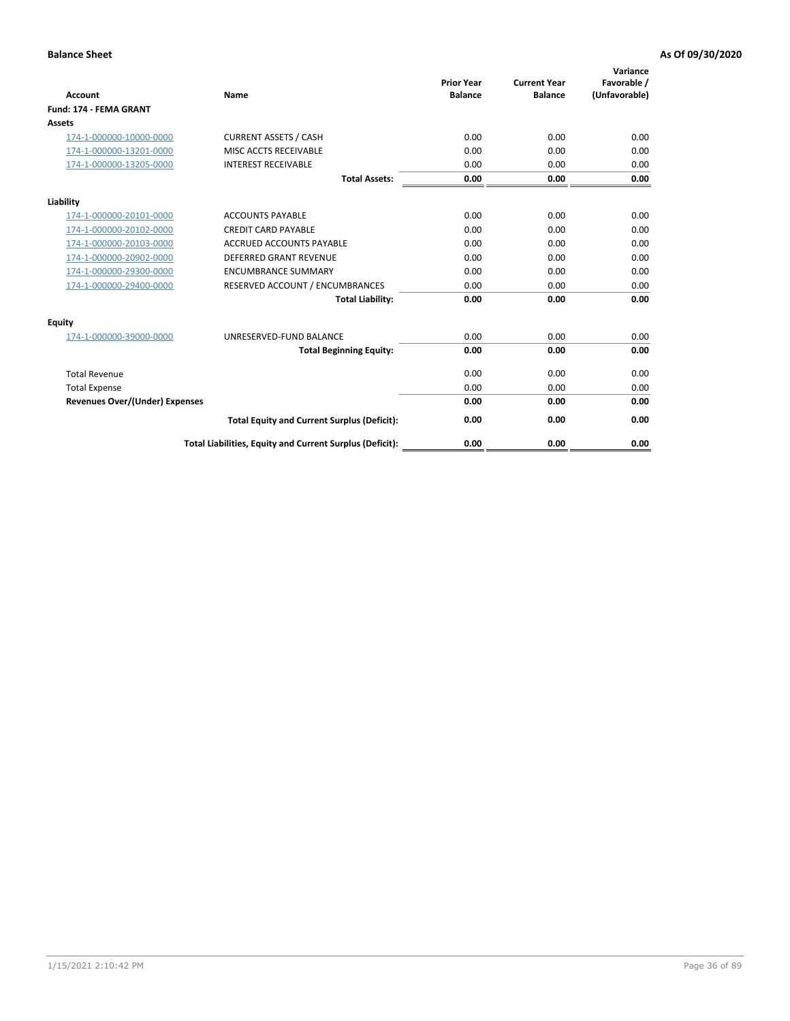| <b>Account</b>                        | Name                                                     | <b>Prior Year</b><br><b>Balance</b> | <b>Current Year</b><br><b>Balance</b> | Variance<br>Favorable /<br>(Unfavorable) |
|---------------------------------------|----------------------------------------------------------|-------------------------------------|---------------------------------------|------------------------------------------|
| <b>Fund: 174 - FEMA GRANT</b>         |                                                          |                                     |                                       |                                          |
| Assets                                |                                                          |                                     |                                       |                                          |
| 174-1-000000-10000-0000               | <b>CURRENT ASSETS / CASH</b>                             | 0.00                                | 0.00                                  | 0.00                                     |
| 174-1-000000-13201-0000               | MISC ACCTS RECEIVABLE                                    | 0.00                                | 0.00                                  | 0.00                                     |
| 174-1-000000-13205-0000               | <b>INTEREST RECEIVABLE</b>                               | 0.00                                | 0.00                                  | 0.00                                     |
|                                       | <b>Total Assets:</b>                                     | 0.00                                | 0.00                                  | 0.00                                     |
| Liability                             |                                                          |                                     |                                       |                                          |
| 174-1-000000-20101-0000               | <b>ACCOUNTS PAYABLE</b>                                  | 0.00                                | 0.00                                  | 0.00                                     |
| 174-1-000000-20102-0000               | <b>CREDIT CARD PAYABLE</b>                               | 0.00                                | 0.00                                  | 0.00                                     |
| 174-1-000000-20103-0000               | <b>ACCRUED ACCOUNTS PAYABLE</b>                          | 0.00                                | 0.00                                  | 0.00                                     |
| 174-1-000000-20902-0000               | <b>DEFERRED GRANT REVENUE</b>                            | 0.00                                | 0.00                                  | 0.00                                     |
| 174-1-000000-29300-0000               | <b>ENCUMBRANCE SUMMARY</b>                               | 0.00                                | 0.00                                  | 0.00                                     |
| 174-1-000000-29400-0000               | RESERVED ACCOUNT / ENCUMBRANCES                          | 0.00                                | 0.00                                  | 0.00                                     |
|                                       | <b>Total Liability:</b>                                  | 0.00                                | 0.00                                  | 0.00                                     |
| <b>Equity</b>                         |                                                          |                                     |                                       |                                          |
| 174-1-000000-39000-0000               | UNRESERVED-FUND BALANCE                                  | 0.00                                | 0.00                                  | 0.00                                     |
|                                       | <b>Total Beginning Equity:</b>                           | 0.00                                | 0.00                                  | 0.00                                     |
| <b>Total Revenue</b>                  |                                                          | 0.00                                | 0.00                                  | 0.00                                     |
| <b>Total Expense</b>                  |                                                          | 0.00                                | 0.00                                  | 0.00                                     |
| <b>Revenues Over/(Under) Expenses</b> |                                                          | 0.00                                | 0.00                                  | 0.00                                     |
|                                       | <b>Total Equity and Current Surplus (Deficit):</b>       | 0.00                                | 0.00                                  | 0.00                                     |
|                                       | Total Liabilities, Equity and Current Surplus (Deficit): | 0.00                                | 0.00                                  | 0.00                                     |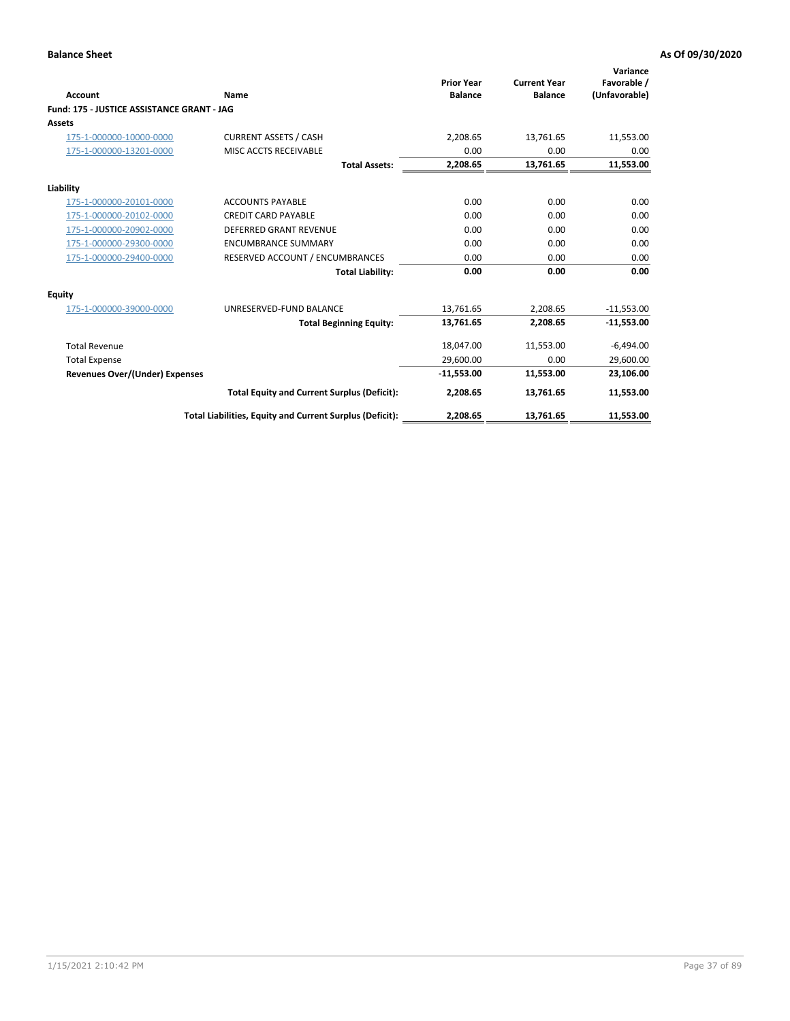| <b>Account</b>                             | Name                                                     | <b>Prior Year</b><br><b>Balance</b> | <b>Current Year</b><br><b>Balance</b> | Variance<br>Favorable /<br>(Unfavorable) |
|--------------------------------------------|----------------------------------------------------------|-------------------------------------|---------------------------------------|------------------------------------------|
| Fund: 175 - JUSTICE ASSISTANCE GRANT - JAG |                                                          |                                     |                                       |                                          |
| <b>Assets</b>                              |                                                          |                                     |                                       |                                          |
| 175-1-000000-10000-0000                    | <b>CURRENT ASSETS / CASH</b>                             | 2,208.65                            | 13,761.65                             | 11,553.00                                |
| 175-1-000000-13201-0000                    | MISC ACCTS RECEIVABLE                                    | 0.00                                | 0.00                                  | 0.00                                     |
|                                            | <b>Total Assets:</b>                                     | 2,208.65                            | 13,761.65                             | 11,553.00                                |
| Liability                                  |                                                          |                                     |                                       |                                          |
| 175-1-000000-20101-0000                    | <b>ACCOUNTS PAYABLE</b>                                  | 0.00                                | 0.00                                  | 0.00                                     |
| 175-1-000000-20102-0000                    | <b>CREDIT CARD PAYABLE</b>                               | 0.00                                | 0.00                                  | 0.00                                     |
| 175-1-000000-20902-0000                    | <b>DEFERRED GRANT REVENUE</b>                            | 0.00                                | 0.00                                  | 0.00                                     |
| 175-1-000000-29300-0000                    | <b>ENCUMBRANCE SUMMARY</b>                               | 0.00                                | 0.00                                  | 0.00                                     |
| 175-1-000000-29400-0000                    | RESERVED ACCOUNT / ENCUMBRANCES                          | 0.00                                | 0.00                                  | 0.00                                     |
|                                            | <b>Total Liability:</b>                                  | 0.00                                | 0.00                                  | 0.00                                     |
| Equity                                     |                                                          |                                     |                                       |                                          |
| 175-1-000000-39000-0000                    | UNRESERVED-FUND BALANCE                                  | 13,761.65                           | 2,208.65                              | $-11,553.00$                             |
|                                            | <b>Total Beginning Equity:</b>                           | 13,761.65                           | 2,208.65                              | $-11,553.00$                             |
| <b>Total Revenue</b>                       |                                                          | 18,047.00                           | 11,553.00                             | $-6,494.00$                              |
| <b>Total Expense</b>                       |                                                          | 29,600.00                           | 0.00                                  | 29,600.00                                |
| <b>Revenues Over/(Under) Expenses</b>      |                                                          | $-11,553.00$                        | 11,553.00                             | 23,106.00                                |
|                                            | <b>Total Equity and Current Surplus (Deficit):</b>       | 2,208.65                            | 13,761.65                             | 11,553.00                                |
|                                            | Total Liabilities, Equity and Current Surplus (Deficit): | 2,208.65                            | 13,761.65                             | 11,553.00                                |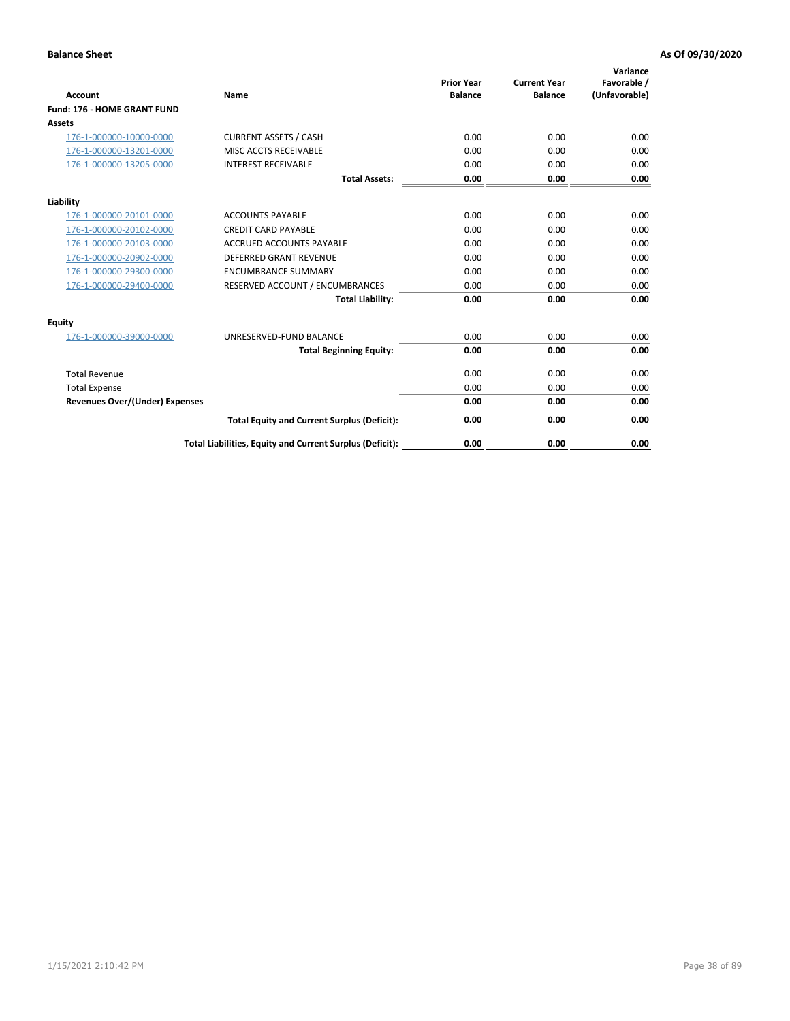| <b>Account</b>                        | Name                                                     | <b>Prior Year</b><br><b>Balance</b> | <b>Current Year</b><br><b>Balance</b> | Variance<br>Favorable /<br>(Unfavorable) |
|---------------------------------------|----------------------------------------------------------|-------------------------------------|---------------------------------------|------------------------------------------|
| Fund: 176 - HOME GRANT FUND           |                                                          |                                     |                                       |                                          |
| Assets                                |                                                          |                                     |                                       |                                          |
| 176-1-000000-10000-0000               | <b>CURRENT ASSETS / CASH</b>                             | 0.00                                | 0.00                                  | 0.00                                     |
| 176-1-000000-13201-0000               | MISC ACCTS RECEIVABLE                                    | 0.00                                | 0.00                                  | 0.00                                     |
| 176-1-000000-13205-0000               | <b>INTEREST RECEIVABLE</b>                               | 0.00                                | 0.00                                  | 0.00                                     |
|                                       | <b>Total Assets:</b>                                     | 0.00                                | 0.00                                  | 0.00                                     |
| Liability                             |                                                          |                                     |                                       |                                          |
| 176-1-000000-20101-0000               | <b>ACCOUNTS PAYABLE</b>                                  | 0.00                                | 0.00                                  | 0.00                                     |
| 176-1-000000-20102-0000               | <b>CREDIT CARD PAYABLE</b>                               | 0.00                                | 0.00                                  | 0.00                                     |
| 176-1-000000-20103-0000               | <b>ACCRUED ACCOUNTS PAYABLE</b>                          | 0.00                                | 0.00                                  | 0.00                                     |
| 176-1-000000-20902-0000               | <b>DEFERRED GRANT REVENUE</b>                            | 0.00                                | 0.00                                  | 0.00                                     |
| 176-1-000000-29300-0000               | <b>ENCUMBRANCE SUMMARY</b>                               | 0.00                                | 0.00                                  | 0.00                                     |
| 176-1-000000-29400-0000               | RESERVED ACCOUNT / ENCUMBRANCES                          | 0.00                                | 0.00                                  | 0.00                                     |
|                                       | <b>Total Liability:</b>                                  | 0.00                                | 0.00                                  | 0.00                                     |
| <b>Equity</b>                         |                                                          |                                     |                                       |                                          |
| 176-1-000000-39000-0000               | UNRESERVED-FUND BALANCE                                  | 0.00                                | 0.00                                  | 0.00                                     |
|                                       | <b>Total Beginning Equity:</b>                           | 0.00                                | 0.00                                  | 0.00                                     |
| <b>Total Revenue</b>                  |                                                          | 0.00                                | 0.00                                  | 0.00                                     |
| <b>Total Expense</b>                  |                                                          | 0.00                                | 0.00                                  | 0.00                                     |
| <b>Revenues Over/(Under) Expenses</b> |                                                          | 0.00                                | 0.00                                  | 0.00                                     |
|                                       | <b>Total Equity and Current Surplus (Deficit):</b>       | 0.00                                | 0.00                                  | 0.00                                     |
|                                       | Total Liabilities, Equity and Current Surplus (Deficit): | 0.00                                | 0.00                                  | 0.00                                     |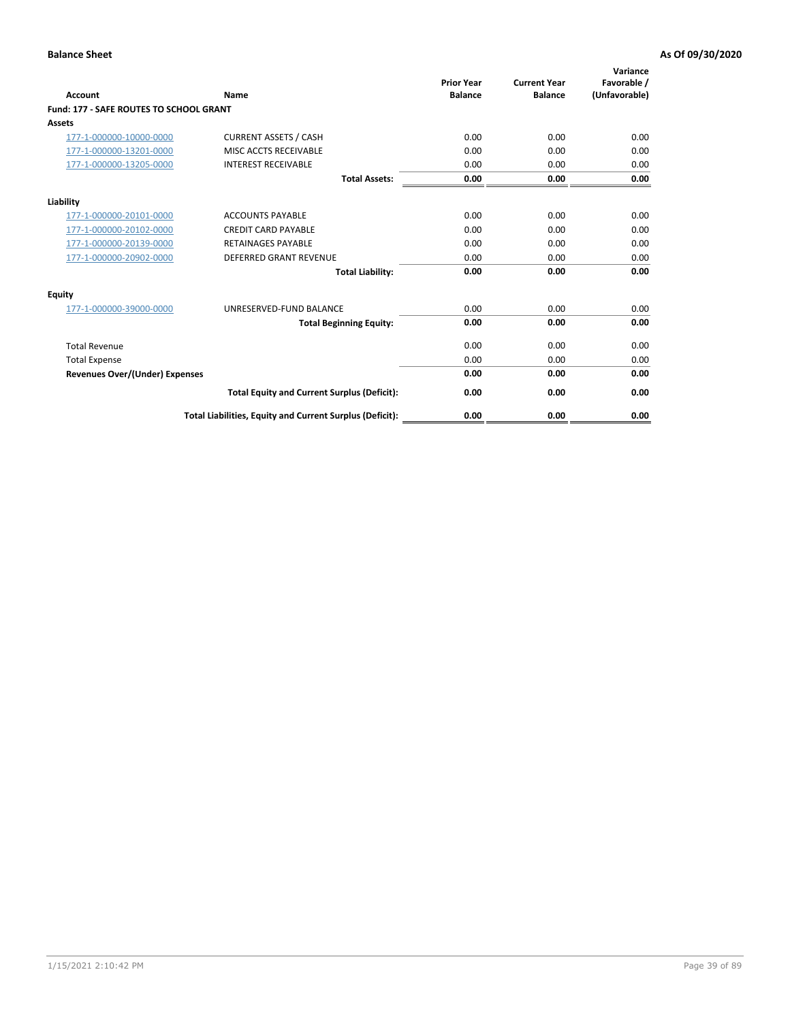| Account                                        | Name                                                     | <b>Prior Year</b><br><b>Balance</b> | <b>Current Year</b><br><b>Balance</b> | Variance<br>Favorable /<br>(Unfavorable) |
|------------------------------------------------|----------------------------------------------------------|-------------------------------------|---------------------------------------|------------------------------------------|
| <b>Fund: 177 - SAFE ROUTES TO SCHOOL GRANT</b> |                                                          |                                     |                                       |                                          |
| <b>Assets</b>                                  |                                                          |                                     |                                       |                                          |
| 177-1-000000-10000-0000                        | <b>CURRENT ASSETS / CASH</b>                             | 0.00                                | 0.00                                  | 0.00                                     |
| 177-1-000000-13201-0000                        | MISC ACCTS RECEIVABLE                                    | 0.00                                | 0.00                                  | 0.00                                     |
| 177-1-000000-13205-0000                        | <b>INTEREST RECEIVABLE</b>                               | 0.00                                | 0.00                                  | 0.00                                     |
|                                                | <b>Total Assets:</b>                                     | 0.00                                | 0.00                                  | 0.00                                     |
| Liability                                      |                                                          |                                     |                                       |                                          |
| 177-1-000000-20101-0000                        | <b>ACCOUNTS PAYABLE</b>                                  | 0.00                                | 0.00                                  | 0.00                                     |
| 177-1-000000-20102-0000                        | <b>CREDIT CARD PAYABLE</b>                               | 0.00                                | 0.00                                  | 0.00                                     |
| 177-1-000000-20139-0000                        | <b>RETAINAGES PAYABLE</b>                                | 0.00                                | 0.00                                  | 0.00                                     |
| 177-1-000000-20902-0000                        | <b>DEFERRED GRANT REVENUE</b>                            | 0.00                                | 0.00                                  | 0.00                                     |
|                                                | <b>Total Liability:</b>                                  | 0.00                                | 0.00                                  | 0.00                                     |
| Equity                                         |                                                          |                                     |                                       |                                          |
| 177-1-000000-39000-0000                        | UNRESERVED-FUND BALANCE                                  | 0.00                                | 0.00                                  | 0.00                                     |
|                                                | <b>Total Beginning Equity:</b>                           | 0.00                                | 0.00                                  | 0.00                                     |
| <b>Total Revenue</b>                           |                                                          | 0.00                                | 0.00                                  | 0.00                                     |
| <b>Total Expense</b>                           |                                                          | 0.00                                | 0.00                                  | 0.00                                     |
| <b>Revenues Over/(Under) Expenses</b>          |                                                          | 0.00                                | 0.00                                  | 0.00                                     |
|                                                | <b>Total Equity and Current Surplus (Deficit):</b>       | 0.00                                | 0.00                                  | 0.00                                     |
|                                                | Total Liabilities, Equity and Current Surplus (Deficit): | 0.00                                | 0.00                                  | 0.00                                     |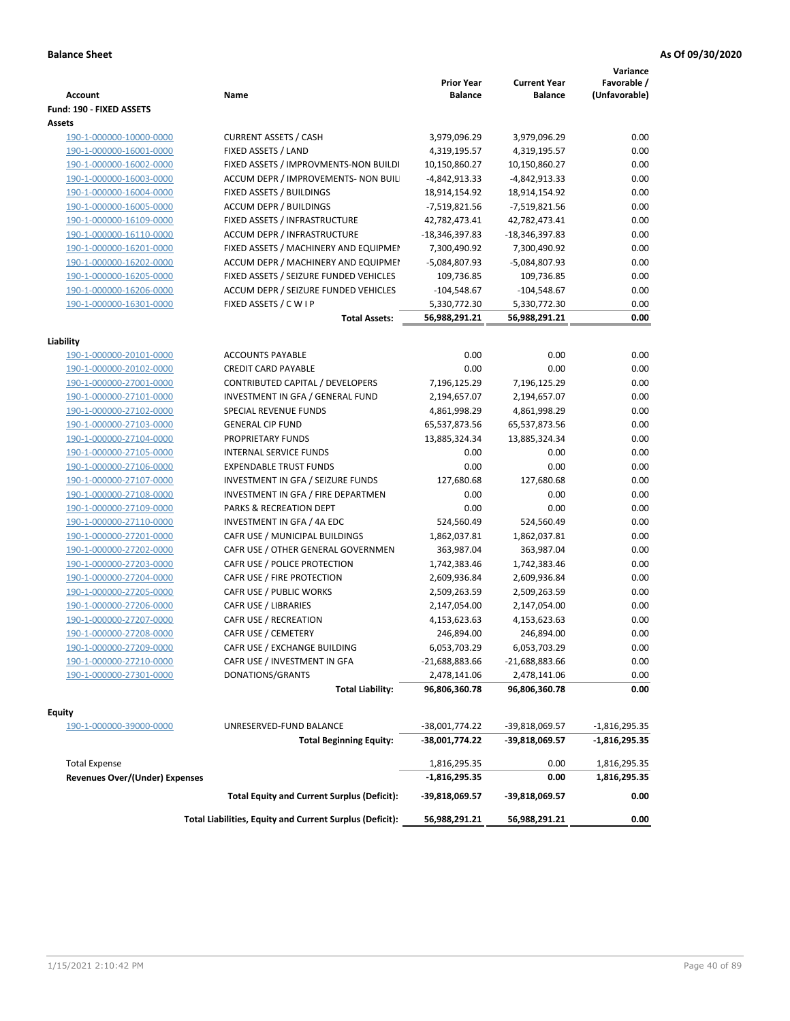| <b>Account</b>                        | Name                                                     | <b>Prior Year</b><br><b>Balance</b> | <b>Current Year</b><br><b>Balance</b> | Variance<br>Favorable /<br>(Unfavorable) |
|---------------------------------------|----------------------------------------------------------|-------------------------------------|---------------------------------------|------------------------------------------|
| Fund: 190 - FIXED ASSETS              |                                                          |                                     |                                       |                                          |
| Assets                                |                                                          |                                     |                                       |                                          |
| 190-1-000000-10000-0000               | <b>CURRENT ASSETS / CASH</b>                             | 3,979,096.29                        | 3,979,096.29                          | 0.00                                     |
| 190-1-000000-16001-0000               | FIXED ASSETS / LAND                                      | 4,319,195.57                        | 4,319,195.57                          | 0.00                                     |
| 190-1-000000-16002-0000               | FIXED ASSETS / IMPROVMENTS-NON BUILDI                    | 10,150,860.27                       | 10,150,860.27                         | 0.00                                     |
| 190-1-000000-16003-0000               | ACCUM DEPR / IMPROVEMENTS- NON BUIL                      | -4,842,913.33                       | -4,842,913.33                         | 0.00                                     |
| 190-1-000000-16004-0000               | FIXED ASSETS / BUILDINGS                                 | 18,914,154.92                       | 18,914,154.92                         | 0.00                                     |
| 190-1-000000-16005-0000               | <b>ACCUM DEPR / BUILDINGS</b>                            | -7,519,821.56                       | $-7,519,821.56$                       | 0.00                                     |
| 190-1-000000-16109-0000               | FIXED ASSETS / INFRASTRUCTURE                            | 42,782,473.41                       | 42,782,473.41                         | 0.00                                     |
| 190-1-000000-16110-0000               | ACCUM DEPR / INFRASTRUCTURE                              | -18,346,397.83                      | -18,346,397.83                        | 0.00                                     |
| 190-1-000000-16201-0000               | FIXED ASSETS / MACHINERY AND EQUIPMEN                    | 7,300,490.92                        | 7,300,490.92                          | 0.00                                     |
| 190-1-000000-16202-0000               | ACCUM DEPR / MACHINERY AND EQUIPMEI                      | -5,084,807.93                       | -5,084,807.93                         | 0.00                                     |
| 190-1-000000-16205-0000               | FIXED ASSETS / SEIZURE FUNDED VEHICLES                   | 109,736.85                          | 109,736.85                            | 0.00                                     |
| 190-1-000000-16206-0000               | ACCUM DEPR / SEIZURE FUNDED VEHICLES                     | $-104,548.67$                       | $-104,548.67$                         | 0.00                                     |
| 190-1-000000-16301-0000               | FIXED ASSETS / C W I P                                   | 5,330,772.30                        | 5,330,772.30                          | 0.00                                     |
|                                       | <b>Total Assets:</b>                                     | 56,988,291.21                       | 56,988,291.21                         | 0.00                                     |
|                                       |                                                          |                                     |                                       |                                          |
| Liability                             |                                                          |                                     |                                       |                                          |
| 190-1-000000-20101-0000               | <b>ACCOUNTS PAYABLE</b>                                  | 0.00                                | 0.00                                  | 0.00                                     |
| 190-1-000000-20102-0000               | <b>CREDIT CARD PAYABLE</b>                               | 0.00                                | 0.00                                  | 0.00                                     |
| 190-1-000000-27001-0000               | <b>CONTRIBUTED CAPITAL / DEVELOPERS</b>                  | 7,196,125.29                        | 7,196,125.29                          | 0.00                                     |
| 190-1-000000-27101-0000               | INVESTMENT IN GFA / GENERAL FUND                         | 2,194,657.07                        | 2,194,657.07                          | 0.00                                     |
| 190-1-000000-27102-0000               | SPECIAL REVENUE FUNDS                                    | 4,861,998.29                        | 4,861,998.29                          | 0.00                                     |
| 190-1-000000-27103-0000               | <b>GENERAL CIP FUND</b>                                  | 65,537,873.56                       | 65,537,873.56                         | 0.00                                     |
| 190-1-000000-27104-0000               | PROPRIETARY FUNDS                                        | 13,885,324.34                       | 13,885,324.34                         | 0.00                                     |
| 190-1-000000-27105-0000               | <b>INTERNAL SERVICE FUNDS</b>                            | 0.00                                | 0.00                                  | 0.00                                     |
| 190-1-000000-27106-0000               | <b>EXPENDABLE TRUST FUNDS</b>                            | 0.00                                | 0.00                                  | 0.00                                     |
| 190-1-000000-27107-0000               | INVESTMENT IN GFA / SEIZURE FUNDS                        | 127,680.68                          | 127,680.68                            | 0.00                                     |
| 190-1-000000-27108-0000               | INVESTMENT IN GFA / FIRE DEPARTMEN                       | 0.00                                | 0.00                                  | 0.00                                     |
| 190-1-000000-27109-0000               | PARKS & RECREATION DEPT                                  | 0.00                                | 0.00                                  | 0.00                                     |
| 190-1-000000-27110-0000               | INVESTMENT IN GFA / 4A EDC                               | 524,560.49                          | 524,560.49                            | 0.00                                     |
| 190-1-000000-27201-0000               | CAFR USE / MUNICIPAL BUILDINGS                           | 1,862,037.81                        | 1,862,037.81                          | 0.00                                     |
| 190-1-000000-27202-0000               | CAFR USE / OTHER GENERAL GOVERNMEN                       | 363,987.04                          | 363,987.04                            | 0.00                                     |
| 190-1-000000-27203-0000               | CAFR USE / POLICE PROTECTION                             | 1,742,383.46                        | 1,742,383.46                          | 0.00                                     |
| 190-1-000000-27204-0000               | CAFR USE / FIRE PROTECTION                               | 2,609,936.84                        | 2,609,936.84                          | 0.00                                     |
| 190-1-000000-27205-0000               | CAFR USE / PUBLIC WORKS                                  | 2,509,263.59                        | 2,509,263.59                          | 0.00                                     |
| 190-1-000000-27206-0000               | CAFR USE / LIBRARIES                                     | 2,147,054.00                        | 2,147,054.00                          | 0.00                                     |
| 190-1-000000-27207-0000               | CAFR USE / RECREATION                                    | 4,153,623.63                        | 4,153,623.63                          | 0.00                                     |
| 190-1-000000-27208-0000               | CAFR USE / CEMETERY                                      | 246,894.00                          | 246,894.00                            | 0.00                                     |
| 190-1-000000-27209-0000               | CAFR USE / EXCHANGE BUILDING                             | 6,053,703.29                        | 6,053,703.29                          | 0.00                                     |
| 190-1-000000-27210-0000               | CAFR USE / INVESTMENT IN GFA                             | -21,688,883.66                      | -21,688,883.66                        | 0.00                                     |
| 190-1-000000-27301-0000               | DONATIONS/GRANTS                                         | 2,478,141.06                        | 2,478,141.06                          | 0.00                                     |
|                                       | <b>Total Liability:</b>                                  | 96,806,360.78                       | 96,806,360.78                         | 0.00                                     |
|                                       |                                                          |                                     |                                       |                                          |
| <b>Equity</b>                         | UNRESERVED-FUND BALANCE                                  |                                     | -39,818,069.57                        |                                          |
| 190-1-000000-39000-0000               | <b>Total Beginning Equity:</b>                           | -38,001,774.22<br>-38,001,774.22    | -39,818,069.57                        | -1,816,295.35<br>-1,816,295.35           |
|                                       |                                                          |                                     |                                       |                                          |
| <b>Total Expense</b>                  |                                                          | 1,816,295.35                        | 0.00                                  | 1,816,295.35                             |
| <b>Revenues Over/(Under) Expenses</b> |                                                          | $-1,816,295.35$                     | 0.00                                  | 1,816,295.35                             |
|                                       | <b>Total Equity and Current Surplus (Deficit):</b>       | -39,818,069.57                      | -39,818,069.57                        | 0.00                                     |
|                                       | Total Liabilities, Equity and Current Surplus (Deficit): | 56,988,291.21                       | 56,988,291.21                         | 0.00                                     |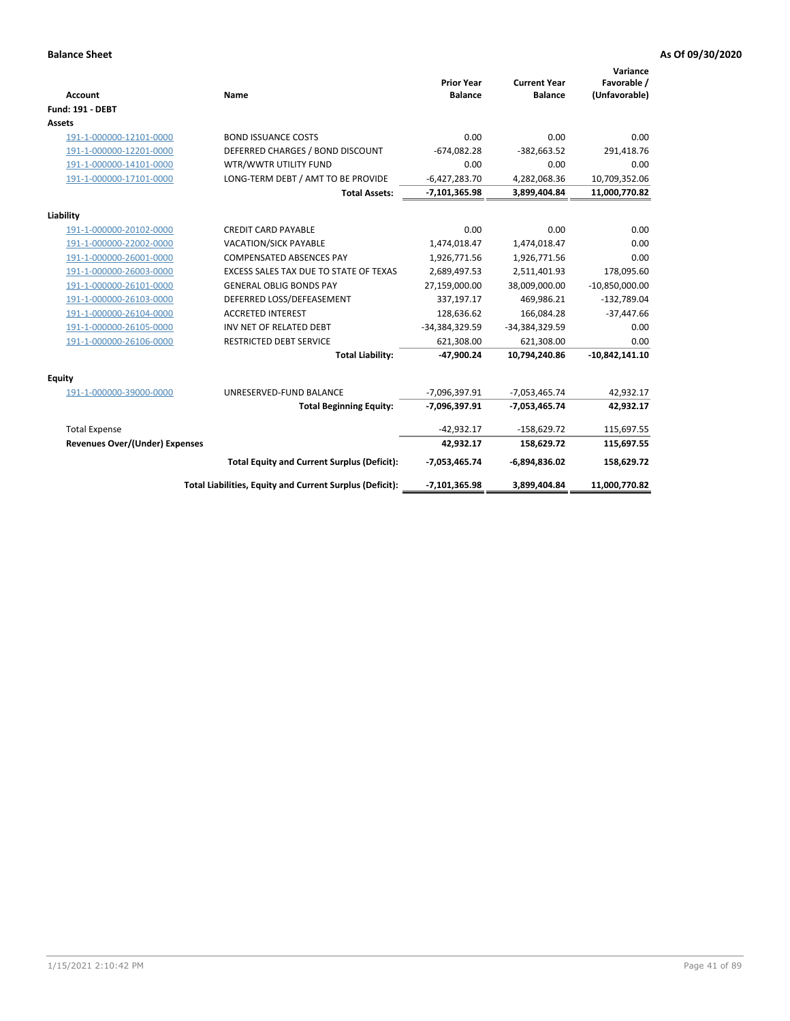| <b>Account</b>                 | Name                                                     | <b>Prior Year</b><br><b>Balance</b> | <b>Current Year</b><br><b>Balance</b> | Variance<br>Favorable /<br>(Unfavorable) |
|--------------------------------|----------------------------------------------------------|-------------------------------------|---------------------------------------|------------------------------------------|
| <b>Fund: 191 - DEBT</b>        |                                                          |                                     |                                       |                                          |
| <b>Assets</b>                  |                                                          |                                     |                                       |                                          |
| 191-1-000000-12101-0000        | <b>BOND ISSUANCE COSTS</b>                               | 0.00                                | 0.00                                  | 0.00                                     |
| 191-1-000000-12201-0000        | DEFERRED CHARGES / BOND DISCOUNT                         | $-674,082.28$                       | $-382,663.52$                         | 291,418.76                               |
| 191-1-000000-14101-0000        | WTR/WWTR UTILITY FUND                                    | 0.00                                | 0.00                                  | 0.00                                     |
| 191-1-000000-17101-0000        | LONG-TERM DEBT / AMT TO BE PROVIDE                       | $-6,427,283.70$                     | 4,282,068.36                          | 10,709,352.06                            |
|                                | <b>Total Assets:</b>                                     | $-7,101,365.98$                     | 3,899,404.84                          | 11,000,770.82                            |
| Liability                      |                                                          |                                     |                                       |                                          |
| 191-1-000000-20102-0000        | <b>CREDIT CARD PAYABLE</b>                               | 0.00                                | 0.00                                  | 0.00                                     |
| 191-1-000000-22002-0000        | <b>VACATION/SICK PAYABLE</b>                             | 1,474,018.47                        | 1,474,018.47                          | 0.00                                     |
| 191-1-000000-26001-0000        | <b>COMPENSATED ABSENCES PAY</b>                          | 1,926,771.56                        | 1,926,771.56                          | 0.00                                     |
| 191-1-000000-26003-0000        | EXCESS SALES TAX DUE TO STATE OF TEXAS                   | 2,689,497.53                        | 2,511,401.93                          | 178,095.60                               |
| 191-1-000000-26101-0000        | <b>GENERAL OBLIG BONDS PAY</b>                           | 27,159,000.00                       | 38,009,000.00                         | $-10,850,000.00$                         |
| 191-1-000000-26103-0000        | DEFERRED LOSS/DEFEASEMENT                                | 337,197.17                          | 469,986.21                            | $-132,789.04$                            |
| 191-1-000000-26104-0000        | <b>ACCRETED INTEREST</b>                                 | 128,636.62                          | 166,084.28                            | $-37,447.66$                             |
| 191-1-000000-26105-0000        | INV NET OF RELATED DEBT                                  | -34,384,329.59                      | -34,384,329.59                        | 0.00                                     |
| 191-1-000000-26106-0000        | <b>RESTRICTED DEBT SERVICE</b>                           | 621,308.00                          | 621,308.00                            | 0.00                                     |
|                                | <b>Total Liability:</b>                                  | $-47,900.24$                        | 10,794,240.86                         | $-10,842,141.10$                         |
| Equity                         |                                                          |                                     |                                       |                                          |
| 191-1-000000-39000-0000        | UNRESERVED-FUND BALANCE                                  | $-7,096,397.91$                     | $-7,053,465.74$                       | 42,932.17                                |
|                                | <b>Total Beginning Equity:</b>                           | -7,096,397.91                       | $-7,053,465.74$                       | 42,932.17                                |
| <b>Total Expense</b>           |                                                          | $-42,932.17$                        | $-158,629.72$                         | 115,697.55                               |
| Revenues Over/(Under) Expenses |                                                          | 42,932.17                           | 158,629.72                            | 115,697.55                               |
|                                | <b>Total Equity and Current Surplus (Deficit):</b>       | $-7,053,465.74$                     | $-6,894,836.02$                       | 158,629.72                               |
|                                | Total Liabilities, Equity and Current Surplus (Deficit): | $-7,101,365.98$                     | 3,899,404.84                          | 11,000,770.82                            |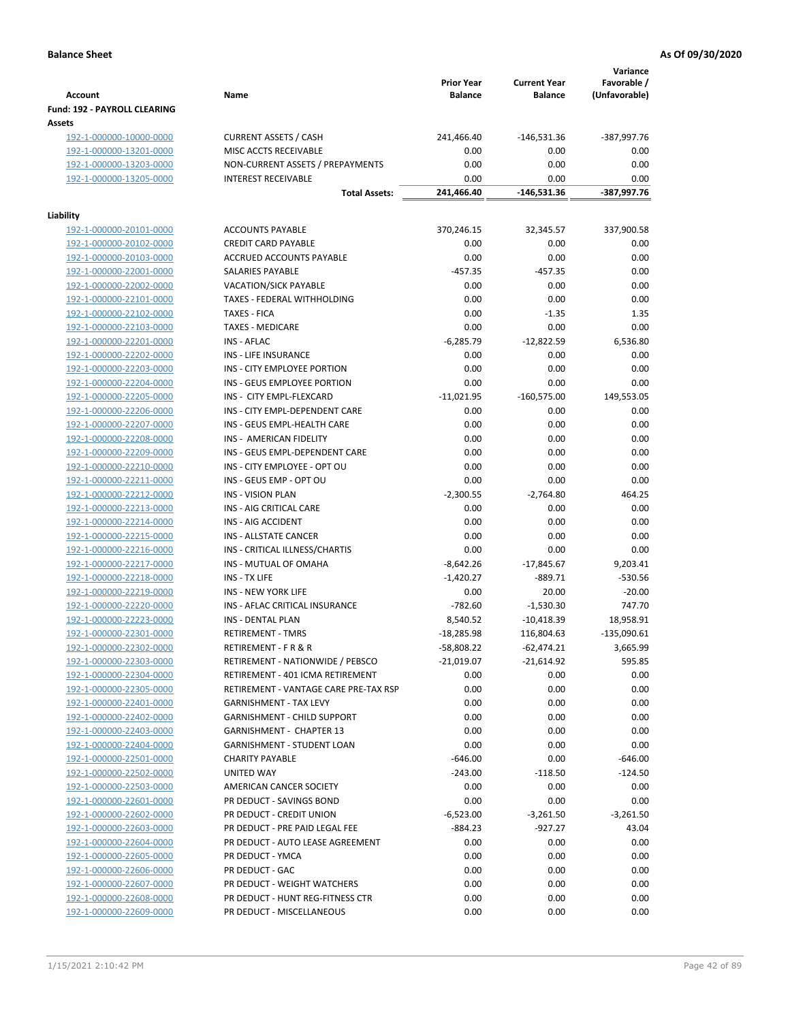| <b>Account</b>                         | Name                                  | <b>Prior Year</b><br><b>Balance</b> | <b>Current Year</b><br><b>Balance</b> | Variance<br>Favorable /<br>(Unfavorable) |
|----------------------------------------|---------------------------------------|-------------------------------------|---------------------------------------|------------------------------------------|
| Fund: 192 - PAYROLL CLEARING<br>Assets |                                       |                                     |                                       |                                          |
| 192-1-000000-10000-0000                | <b>CURRENT ASSETS / CASH</b>          | 241,466.40                          | -146,531.36                           | -387,997.76                              |
| 192-1-000000-13201-0000                | MISC ACCTS RECEIVABLE                 | 0.00                                | 0.00                                  | 0.00                                     |
| 192-1-000000-13203-0000                | NON-CURRENT ASSETS / PREPAYMENTS      | 0.00                                | 0.00                                  | 0.00                                     |
| 192-1-000000-13205-0000                | <b>INTEREST RECEIVABLE</b>            | 0.00                                | 0.00                                  | 0.00                                     |
|                                        | <b>Total Assets:</b>                  | 241,466.40                          | -146,531.36                           | -387,997.76                              |
| Liability                              |                                       |                                     |                                       |                                          |
| 192-1-000000-20101-0000                | <b>ACCOUNTS PAYABLE</b>               | 370,246.15                          | 32,345.57                             | 337,900.58                               |
| 192-1-000000-20102-0000                | <b>CREDIT CARD PAYABLE</b>            | 0.00                                | 0.00                                  | 0.00                                     |
| 192-1-000000-20103-0000                | ACCRUED ACCOUNTS PAYABLE              | 0.00                                | 0.00                                  | 0.00                                     |
| 192-1-000000-22001-0000                | SALARIES PAYABLE                      | $-457.35$                           | $-457.35$                             | 0.00                                     |
| 192-1-000000-22002-0000                | <b>VACATION/SICK PAYABLE</b>          | 0.00                                | 0.00                                  | 0.00                                     |
| 192-1-000000-22101-0000                | TAXES - FEDERAL WITHHOLDING           | 0.00                                | 0.00                                  | 0.00                                     |
| 192-1-000000-22102-0000                | <b>TAXES - FICA</b>                   | 0.00                                | $-1.35$                               | 1.35                                     |
| 192-1-000000-22103-0000                | <b>TAXES - MEDICARE</b>               | 0.00                                | 0.00                                  | 0.00                                     |
| 192-1-000000-22201-0000                | <b>INS - AFLAC</b>                    | $-6,285.79$                         | $-12,822.59$                          | 6,536.80                                 |
| 192-1-000000-22202-0000                | INS - LIFE INSURANCE                  | 0.00                                | 0.00                                  | 0.00                                     |
| 192-1-000000-22203-0000                | INS - CITY EMPLOYEE PORTION           | 0.00                                | 0.00                                  | 0.00                                     |
|                                        | INS - GEUS EMPLOYEE PORTION           | 0.00                                | 0.00                                  | 0.00                                     |
| 192-1-000000-22204-0000                | INS - CITY EMPL-FLEXCARD              | $-11,021.95$                        | $-160,575.00$                         |                                          |
| 192-1-000000-22205-0000                | INS - CITY EMPL-DEPENDENT CARE        |                                     |                                       | 149,553.05                               |
| 192-1-000000-22206-0000                | INS - GEUS EMPL-HEALTH CARE           | 0.00                                | 0.00                                  | 0.00                                     |
| 192-1-000000-22207-0000                |                                       | 0.00                                | 0.00                                  | 0.00                                     |
| 192-1-000000-22208-0000                | INS - AMERICAN FIDELITY               | 0.00                                | 0.00                                  | 0.00                                     |
| 192-1-000000-22209-0000                | INS - GEUS EMPL-DEPENDENT CARE        | 0.00                                | 0.00                                  | 0.00                                     |
| 192-1-000000-22210-0000                | INS - CITY EMPLOYEE - OPT OU          | 0.00                                | 0.00                                  | 0.00                                     |
| 192-1-000000-22211-0000                | INS - GEUS EMP - OPT OU               | 0.00                                | 0.00                                  | 0.00                                     |
| 192-1-000000-22212-0000                | <b>INS - VISION PLAN</b>              | $-2,300.55$                         | $-2,764.80$                           | 464.25                                   |
| 192-1-000000-22213-0000                | INS - AIG CRITICAL CARE               | 0.00                                | 0.00                                  | 0.00                                     |
| 192-1-000000-22214-0000                | INS - AIG ACCIDENT                    | 0.00                                | 0.00                                  | 0.00                                     |
| 192-1-000000-22215-0000                | INS - ALLSTATE CANCER                 | 0.00                                | 0.00                                  | 0.00                                     |
| 192-1-000000-22216-0000                | INS - CRITICAL ILLNESS/CHARTIS        | 0.00                                | 0.00                                  | 0.00                                     |
| 192-1-000000-22217-0000                | INS - MUTUAL OF OMAHA                 | $-8,642.26$                         | $-17,845.67$                          | 9,203.41                                 |
| 192-1-000000-22218-0000                | INS - TX LIFE                         | $-1,420.27$                         | $-889.71$                             | $-530.56$                                |
| 192-1-000000-22219-0000                | <b>INS - NEW YORK LIFE</b>            | 0.00                                | 20.00                                 | $-20.00$                                 |
| 192-1-000000-22220-0000                | INS - AFLAC CRITICAL INSURANCE        | $-782.60$                           | $-1,530.30$                           | 747.70                                   |
| 192-1-000000-22223-0000                | INS - DENTAL PLAN                     | 8,540.52                            | $-10,418.39$                          | 18,958.91                                |
| 192-1-000000-22301-0000                | <b>RETIREMENT - TMRS</b>              | $-18,285.98$                        | 116,804.63                            | -135,090.61                              |
| 192-1-000000-22302-0000                | RETIREMENT - F R & R                  | -58,808.22                          | $-62,474.21$                          | 3,665.99                                 |
| 192-1-000000-22303-0000                | RETIREMENT - NATIONWIDE / PEBSCO      | $-21,019.07$                        | $-21,614.92$                          | 595.85                                   |
| 192-1-000000-22304-0000                | RETIREMENT - 401 ICMA RETIREMENT      | 0.00                                | 0.00                                  | 0.00                                     |
| 192-1-000000-22305-0000                | RETIREMENT - VANTAGE CARE PRE-TAX RSP | 0.00                                | 0.00                                  | 0.00                                     |
| 192-1-000000-22401-0000                | <b>GARNISHMENT - TAX LEVY</b>         | 0.00                                | 0.00                                  | 0.00                                     |
| 192-1-000000-22402-0000                | <b>GARNISHMENT - CHILD SUPPORT</b>    | 0.00                                | 0.00                                  | 0.00                                     |
| 192-1-000000-22403-0000                | <b>GARNISHMENT - CHAPTER 13</b>       | 0.00                                | 0.00                                  | 0.00                                     |
| 192-1-000000-22404-0000                | <b>GARNISHMENT - STUDENT LOAN</b>     | 0.00                                | 0.00                                  | 0.00                                     |
| 192-1-000000-22501-0000                | <b>CHARITY PAYABLE</b>                | $-646.00$                           | 0.00                                  | $-646.00$                                |
| 192-1-000000-22502-0000                | UNITED WAY                            | $-243.00$                           | $-118.50$                             | $-124.50$                                |
| 192-1-000000-22503-0000                | AMERICAN CANCER SOCIETY               | 0.00                                | 0.00                                  | 0.00                                     |
| 192-1-000000-22601-0000                | PR DEDUCT - SAVINGS BOND              | 0.00                                | 0.00                                  | 0.00                                     |
| 192-1-000000-22602-0000                | PR DEDUCT - CREDIT UNION              | $-6,523.00$                         | $-3,261.50$                           | $-3,261.50$                              |
| 192-1-000000-22603-0000                | PR DEDUCT - PRE PAID LEGAL FEE        | $-884.23$                           | $-927.27$                             | 43.04                                    |
| 192-1-000000-22604-0000                | PR DEDUCT - AUTO LEASE AGREEMENT      | 0.00                                | 0.00                                  | 0.00                                     |
| 192-1-000000-22605-0000                | PR DEDUCT - YMCA                      | 0.00                                | 0.00                                  | 0.00                                     |
| 192-1-000000-22606-0000                | PR DEDUCT - GAC                       | 0.00                                | 0.00                                  | 0.00                                     |
| 192-1-000000-22607-0000                | PR DEDUCT - WEIGHT WATCHERS           | 0.00                                | 0.00                                  | 0.00                                     |
| 192-1-000000-22608-0000                | PR DEDUCT - HUNT REG-FITNESS CTR      | 0.00                                | 0.00                                  | 0.00                                     |
| 192-1-000000-22609-0000                | PR DEDUCT - MISCELLANEOUS             | 0.00                                | 0.00                                  | 0.00                                     |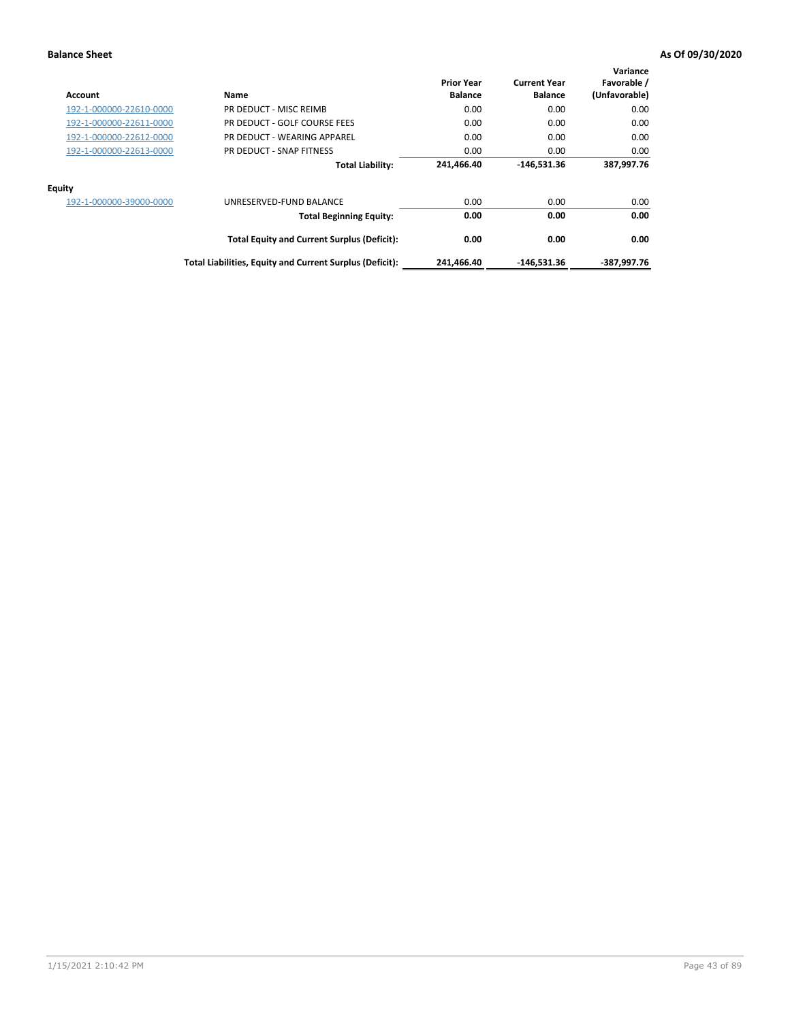| Account                 | <b>Name</b>                                              | <b>Prior Year</b><br><b>Balance</b> | <b>Current Year</b><br><b>Balance</b> | Variance<br>Favorable /<br>(Unfavorable) |
|-------------------------|----------------------------------------------------------|-------------------------------------|---------------------------------------|------------------------------------------|
| 192-1-000000-22610-0000 | PR DEDUCT - MISC REIMB                                   | 0.00                                | 0.00                                  | 0.00                                     |
| 192-1-000000-22611-0000 | PR DEDUCT - GOLF COURSE FEES                             | 0.00                                | 0.00                                  | 0.00                                     |
| 192-1-000000-22612-0000 | PR DEDUCT - WEARING APPAREL                              | 0.00                                | 0.00                                  | 0.00                                     |
| 192-1-000000-22613-0000 | PR DEDUCT - SNAP FITNESS                                 | 0.00                                | 0.00                                  | 0.00                                     |
|                         | <b>Total Liability:</b>                                  | 241,466.40                          | $-146,531.36$                         | 387,997.76                               |
| Equity                  |                                                          |                                     |                                       |                                          |
| 192-1-000000-39000-0000 | UNRESERVED-FUND BALANCE                                  | 0.00                                | 0.00                                  | 0.00                                     |
|                         | <b>Total Beginning Equity:</b>                           | 0.00                                | 0.00                                  | 0.00                                     |
|                         | <b>Total Equity and Current Surplus (Deficit):</b>       | 0.00                                | 0.00                                  | 0.00                                     |
|                         | Total Liabilities, Equity and Current Surplus (Deficit): | 241,466.40                          | -146,531.36                           | -387.997.76                              |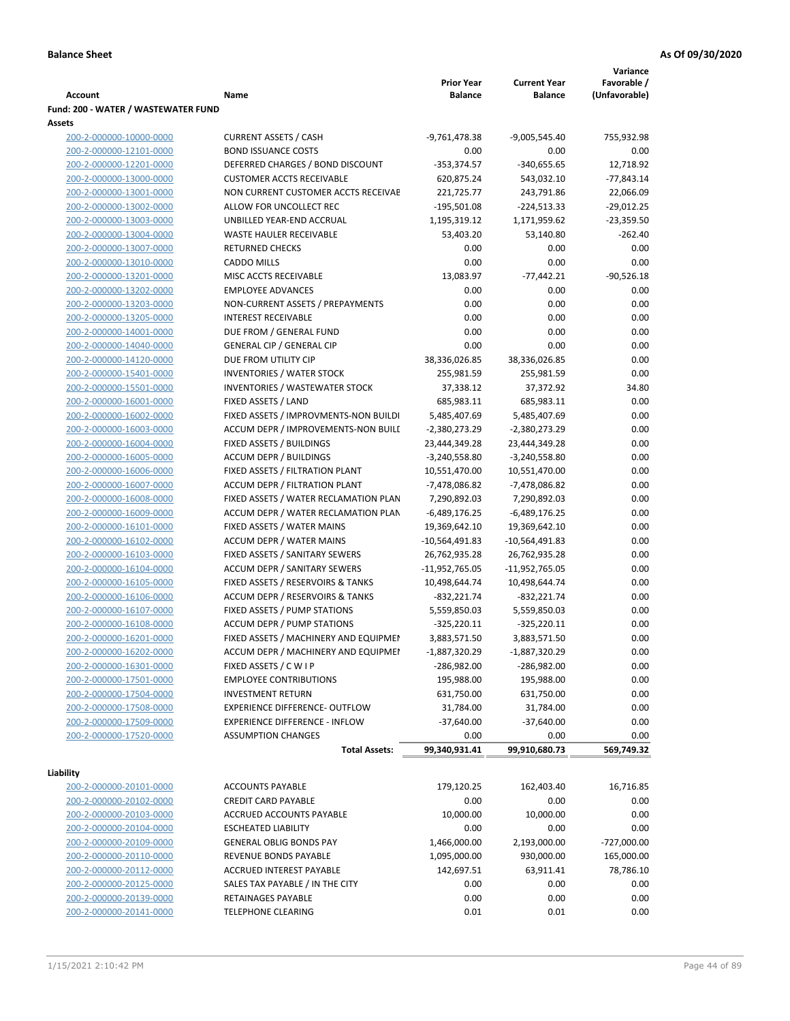|                                     |                                            |                   |                     | Variance      |
|-------------------------------------|--------------------------------------------|-------------------|---------------------|---------------|
|                                     |                                            | <b>Prior Year</b> | <b>Current Year</b> | Favorable /   |
| <b>Account</b>                      | Name                                       | <b>Balance</b>    | <b>Balance</b>      | (Unfavorable) |
| Fund: 200 - WATER / WASTEWATER FUND |                                            |                   |                     |               |
| Assets                              |                                            |                   |                     |               |
| 200-2-000000-10000-0000             | <b>CURRENT ASSETS / CASH</b>               | $-9,761,478.38$   | $-9,005,545.40$     | 755,932.98    |
| 200-2-000000-12101-0000             | <b>BOND ISSUANCE COSTS</b>                 | 0.00              | 0.00                | 0.00          |
| 200-2-000000-12201-0000             | DEFERRED CHARGES / BOND DISCOUNT           | $-353,374.57$     | $-340,655.65$       | 12,718.92     |
| 200-2-000000-13000-0000             | <b>CUSTOMER ACCTS RECEIVABLE</b>           | 620,875.24        | 543,032.10          | $-77,843.14$  |
| 200-2-000000-13001-0000             | NON CURRENT CUSTOMER ACCTS RECEIVAE        | 221,725.77        | 243,791.86          | 22,066.09     |
| 200-2-000000-13002-0000             | ALLOW FOR UNCOLLECT REC                    | $-195,501.08$     | $-224,513.33$       | $-29,012.25$  |
| 200-2-000000-13003-0000             | UNBILLED YEAR-END ACCRUAL                  | 1,195,319.12      | 1,171,959.62        | $-23,359.50$  |
| 200-2-000000-13004-0000             | <b>WASTE HAULER RECEIVABLE</b>             | 53,403.20         | 53,140.80           | $-262.40$     |
| 200-2-000000-13007-0000             | <b>RETURNED CHECKS</b>                     | 0.00              | 0.00                | 0.00          |
| 200-2-000000-13010-0000             | <b>CADDO MILLS</b>                         | 0.00              | 0.00                | 0.00          |
| 200-2-000000-13201-0000             | MISC ACCTS RECEIVABLE                      | 13,083.97         | $-77,442.21$        | $-90,526.18$  |
| 200-2-000000-13202-0000             | <b>EMPLOYEE ADVANCES</b>                   | 0.00              | 0.00                | 0.00          |
| 200-2-000000-13203-0000             | NON-CURRENT ASSETS / PREPAYMENTS           | 0.00              | 0.00                | 0.00          |
| 200-2-000000-13205-0000             | <b>INTEREST RECEIVABLE</b>                 | 0.00              | 0.00                | 0.00          |
| 200-2-000000-14001-0000             | DUE FROM / GENERAL FUND                    | 0.00              | 0.00                | 0.00          |
| 200-2-000000-14040-0000             | <b>GENERAL CIP / GENERAL CIP</b>           | 0.00              | 0.00                | 0.00          |
| 200-2-000000-14120-0000             | DUE FROM UTILITY CIP                       | 38,336,026.85     | 38,336,026.85       | 0.00          |
| 200-2-000000-15401-0000             | <b>INVENTORIES / WATER STOCK</b>           | 255,981.59        | 255,981.59          | 0.00          |
| 200-2-000000-15501-0000             | <b>INVENTORIES / WASTEWATER STOCK</b>      | 37,338.12         | 37,372.92           | 34.80         |
| 200-2-000000-16001-0000             | FIXED ASSETS / LAND                        | 685,983.11        | 685,983.11          | 0.00          |
| 200-2-000000-16002-0000             | FIXED ASSETS / IMPROVMENTS-NON BUILDI      | 5,485,407.69      | 5,485,407.69        | 0.00          |
| 200-2-000000-16003-0000             | ACCUM DEPR / IMPROVEMENTS-NON BUILI        | $-2,380,273.29$   |                     | 0.00          |
|                                     |                                            |                   | -2,380,273.29       |               |
| 200-2-000000-16004-0000             | FIXED ASSETS / BUILDINGS                   | 23,444,349.28     | 23,444,349.28       | 0.00          |
| 200-2-000000-16005-0000             | <b>ACCUM DEPR / BUILDINGS</b>              | $-3,240,558.80$   | $-3,240,558.80$     | 0.00          |
| 200-2-000000-16006-0000             | FIXED ASSETS / FILTRATION PLANT            | 10,551,470.00     | 10,551,470.00       | 0.00          |
| 200-2-000000-16007-0000             | ACCUM DEPR / FILTRATION PLANT              | -7,478,086.82     | -7,478,086.82       | 0.00          |
| 200-2-000000-16008-0000             | FIXED ASSETS / WATER RECLAMATION PLAN      | 7,290,892.03      | 7,290,892.03        | 0.00          |
| 200-2-000000-16009-0000             | ACCUM DEPR / WATER RECLAMATION PLAN        | $-6,489,176.25$   | $-6,489,176.25$     | 0.00          |
| 200-2-000000-16101-0000             | FIXED ASSETS / WATER MAINS                 | 19,369,642.10     | 19,369,642.10       | 0.00          |
| 200-2-000000-16102-0000             | <b>ACCUM DEPR / WATER MAINS</b>            | -10,564,491.83    | -10,564,491.83      | 0.00          |
| 200-2-000000-16103-0000             | FIXED ASSETS / SANITARY SEWERS             | 26,762,935.28     | 26,762,935.28       | 0.00          |
| 200-2-000000-16104-0000             | <b>ACCUM DEPR / SANITARY SEWERS</b>        | -11,952,765.05    | -11,952,765.05      | 0.00          |
| 200-2-000000-16105-0000             | FIXED ASSETS / RESERVOIRS & TANKS          | 10,498,644.74     | 10,498,644.74       | 0.00          |
| 200-2-000000-16106-0000             | <b>ACCUM DEPR / RESERVOIRS &amp; TANKS</b> | $-832,221.74$     | $-832,221.74$       | 0.00          |
| 200-2-000000-16107-0000             | FIXED ASSETS / PUMP STATIONS               | 5,559,850.03      | 5,559,850.03        | 0.00          |
| 200-2-000000-16108-0000             | <b>ACCUM DEPR / PUMP STATIONS</b>          | $-325,220.11$     | $-325,220.11$       | 0.00          |
| 200-2-000000-16201-0000             | FIXED ASSETS / MACHINERY AND EQUIPMEN      | 3,883,571.50      | 3,883,571.50        | 0.00          |
| 200-2-000000-16202-0000             | ACCUM DEPR / MACHINERY AND EQUIPMEI        | $-1,887,320.29$   | $-1,887,320.29$     | 0.00          |
| 200-2-000000-16301-0000             | FIXED ASSETS / C W I P                     | -286,982.00       | -286,982.00         | 0.00          |
| 200-2-000000-17501-0000             | <b>EMPLOYEE CONTRIBUTIONS</b>              | 195,988.00        | 195,988.00          | 0.00          |
| 200-2-000000-17504-0000             | <b>INVESTMENT RETURN</b>                   | 631,750.00        | 631,750.00          | 0.00          |
| 200-2-000000-17508-0000             | <b>EXPERIENCE DIFFERENCE- OUTFLOW</b>      | 31,784.00         | 31,784.00           | 0.00          |
| 200-2-000000-17509-0000             | <b>EXPERIENCE DIFFERENCE - INFLOW</b>      | $-37,640.00$      | $-37,640.00$        | 0.00          |
| 200-2-000000-17520-0000             | <b>ASSUMPTION CHANGES</b>                  | 0.00              | 0.00                | 0.00          |
|                                     | <b>Total Assets:</b>                       | 99,340,931.41     | 99,910,680.73       | 569,749.32    |
|                                     |                                            |                   |                     |               |
| Liability                           |                                            |                   |                     |               |
| 200-2-000000-20101-0000             | <b>ACCOUNTS PAYABLE</b>                    | 179,120.25        | 162,403.40          | 16,716.85     |
| 200-2-000000-20102-0000             | <b>CREDIT CARD PAYABLE</b>                 | 0.00              | 0.00                | 0.00          |
| 200-2-000000-20103-0000             | ACCRUED ACCOUNTS PAYABLE                   | 10,000.00         | 10,000.00           | 0.00          |
| 200-2-000000-20104-0000             | <b>ESCHEATED LIABILITY</b>                 | 0.00              | 0.00                | 0.00          |
| 200-2-000000-20109-0000             | <b>GENERAL OBLIG BONDS PAY</b>             | 1,466,000.00      | 2,193,000.00        | -727,000.00   |
| 200-2-000000-20110-0000             | REVENUE BONDS PAYABLE                      | 1,095,000.00      | 930,000.00          | 165,000.00    |
| 200-2-000000-20112-0000             | <b>ACCRUED INTEREST PAYABLE</b>            | 142,697.51        | 63,911.41           | 78,786.10     |
| 200-2-000000-20125-0000             | SALES TAX PAYABLE / IN THE CITY            | 0.00              | 0.00                | 0.00          |
| 200-2-000000-20139-0000             | RETAINAGES PAYABLE                         | 0.00              | 0.00                | 0.00          |
| 200-2-000000-20141-0000             | <b>TELEPHONE CLEARING</b>                  | 0.01              | 0.01                | 0.00          |
|                                     |                                            |                   |                     |               |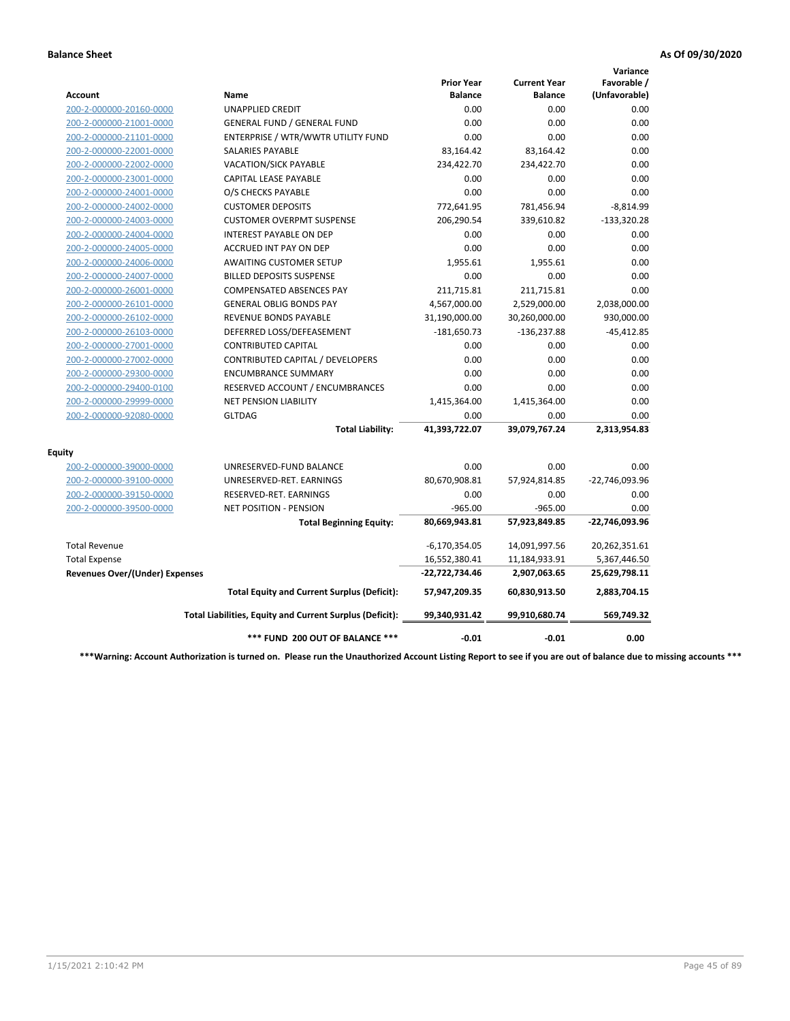|                                       |                                                          |                                     |                                       | Variance                     |
|---------------------------------------|----------------------------------------------------------|-------------------------------------|---------------------------------------|------------------------------|
| Account                               | Name                                                     | <b>Prior Year</b><br><b>Balance</b> | <b>Current Year</b><br><b>Balance</b> | Favorable /<br>(Unfavorable) |
| 200-2-000000-20160-0000               | <b>UNAPPLIED CREDIT</b>                                  | 0.00                                | 0.00                                  | 0.00                         |
| 200-2-000000-21001-0000               | <b>GENERAL FUND / GENERAL FUND</b>                       | 0.00                                | 0.00                                  | 0.00                         |
| 200-2-000000-21101-0000               | ENTERPRISE / WTR/WWTR UTILITY FUND                       | 0.00                                | 0.00                                  | 0.00                         |
| 200-2-000000-22001-0000               | <b>SALARIES PAYABLE</b>                                  | 83,164.42                           | 83,164.42                             | 0.00                         |
| 200-2-000000-22002-0000               | <b>VACATION/SICK PAYABLE</b>                             | 234,422.70                          | 234,422.70                            | 0.00                         |
| 200-2-000000-23001-0000               | CAPITAL LEASE PAYABLE                                    | 0.00                                | 0.00                                  | 0.00                         |
| 200-2-000000-24001-0000               | O/S CHECKS PAYABLE                                       | 0.00                                | 0.00                                  | 0.00                         |
| 200-2-000000-24002-0000               | <b>CUSTOMER DEPOSITS</b>                                 | 772,641.95                          | 781,456.94                            | $-8,814.99$                  |
| 200-2-000000-24003-0000               | <b>CUSTOMER OVERPMT SUSPENSE</b>                         | 206,290.54                          | 339,610.82                            | $-133,320.28$                |
| 200-2-000000-24004-0000               | <b>INTEREST PAYABLE ON DEP</b>                           | 0.00                                | 0.00                                  | 0.00                         |
| 200-2-000000-24005-0000               | <b>ACCRUED INT PAY ON DEP</b>                            | 0.00                                | 0.00                                  | 0.00                         |
| 200-2-000000-24006-0000               | <b>AWAITING CUSTOMER SETUP</b>                           | 1,955.61                            | 1,955.61                              | 0.00                         |
| 200-2-000000-24007-0000               | <b>BILLED DEPOSITS SUSPENSE</b>                          | 0.00                                | 0.00                                  | 0.00                         |
| 200-2-000000-26001-0000               | <b>COMPENSATED ABSENCES PAY</b>                          | 211,715.81                          | 211,715.81                            | 0.00                         |
| 200-2-000000-26101-0000               | <b>GENERAL OBLIG BONDS PAY</b>                           | 4,567,000.00                        | 2,529,000.00                          | 2,038,000.00                 |
| 200-2-000000-26102-0000               | <b>REVENUE BONDS PAYABLE</b>                             | 31,190,000.00                       | 30,260,000.00                         | 930,000.00                   |
| 200-2-000000-26103-0000               | DEFERRED LOSS/DEFEASEMENT                                | $-181,650.73$                       | $-136,237.88$                         | $-45,412.85$                 |
| 200-2-000000-27001-0000               | <b>CONTRIBUTED CAPITAL</b>                               | 0.00                                | 0.00                                  | 0.00                         |
| 200-2-000000-27002-0000               | CONTRIBUTED CAPITAL / DEVELOPERS                         | 0.00                                | 0.00                                  | 0.00                         |
| 200-2-000000-29300-0000               | <b>ENCUMBRANCE SUMMARY</b>                               | 0.00                                | 0.00                                  | 0.00                         |
| 200-2-000000-29400-0100               | RESERVED ACCOUNT / ENCUMBRANCES                          | 0.00                                | 0.00                                  | 0.00                         |
| 200-2-000000-29999-0000               | <b>NET PENSION LIABILITY</b>                             | 1,415,364.00                        | 1,415,364.00                          | 0.00                         |
| 200-2-000000-92080-0000               | <b>GLTDAG</b>                                            | 0.00                                | 0.00                                  | 0.00                         |
|                                       | <b>Total Liability:</b>                                  | 41,393,722.07                       | 39,079,767.24                         | 2,313,954.83                 |
| <b>Equity</b>                         |                                                          |                                     |                                       |                              |
| 200-2-000000-39000-0000               | UNRESERVED-FUND BALANCE                                  | 0.00                                | 0.00                                  | 0.00                         |
| 200-2-000000-39100-0000               | UNRESERVED-RET. EARNINGS                                 | 80,670,908.81                       | 57,924,814.85                         | -22,746,093.96               |
| 200-2-000000-39150-0000               | RESERVED-RET. EARNINGS                                   | 0.00                                | 0.00                                  | 0.00                         |
| 200-2-000000-39500-0000               | NET POSITION - PENSION                                   | $-965.00$                           | $-965.00$                             | 0.00                         |
|                                       | <b>Total Beginning Equity:</b>                           | 80,669,943.81                       | 57,923,849.85                         | -22,746,093.96               |
| <b>Total Revenue</b>                  |                                                          | $-6,170,354.05$                     | 14,091,997.56                         | 20,262,351.61                |
| <b>Total Expense</b>                  |                                                          | 16,552,380.41                       | 11,184,933.91                         | 5,367,446.50                 |
| <b>Revenues Over/(Under) Expenses</b> |                                                          | -22,722,734.46                      | 2,907,063.65                          | 25,629,798.11                |
|                                       | <b>Total Equity and Current Surplus (Deficit):</b>       | 57,947,209.35                       | 60,830,913.50                         | 2,883,704.15                 |
|                                       | Total Liabilities, Equity and Current Surplus (Deficit): | 99,340,931.42                       | 99,910,680.74                         | 569,749.32                   |
|                                       | *** FUND 200 OUT OF BALANCE ***                          | $-0.01$                             | $-0.01$                               | 0.00                         |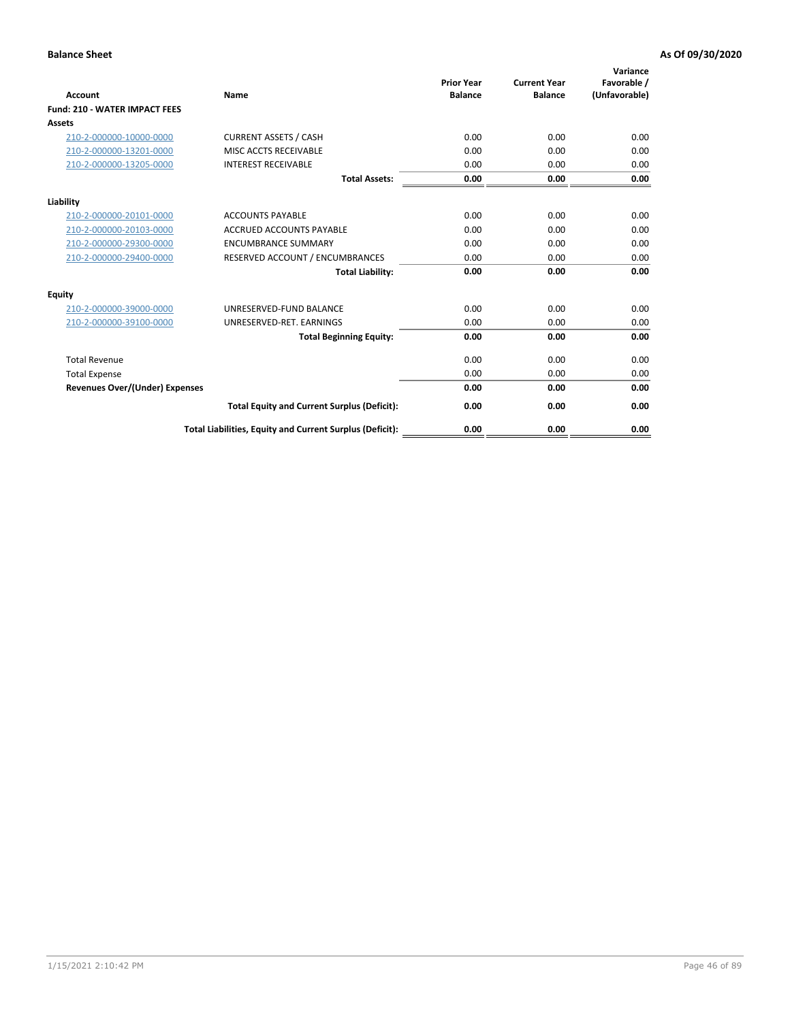| <b>Account</b>                        | Name                                                     | <b>Prior Year</b><br><b>Balance</b> | <b>Current Year</b><br><b>Balance</b> | Variance<br>Favorable /<br>(Unfavorable) |
|---------------------------------------|----------------------------------------------------------|-------------------------------------|---------------------------------------|------------------------------------------|
| <b>Fund: 210 - WATER IMPACT FEES</b>  |                                                          |                                     |                                       |                                          |
| <b>Assets</b>                         |                                                          |                                     |                                       |                                          |
| 210-2-000000-10000-0000               | <b>CURRENT ASSETS / CASH</b>                             | 0.00                                | 0.00                                  | 0.00                                     |
| 210-2-000000-13201-0000               | MISC ACCTS RECEIVABLE                                    | 0.00                                | 0.00                                  | 0.00                                     |
| 210-2-000000-13205-0000               | <b>INTEREST RECEIVABLE</b>                               | 0.00                                | 0.00                                  | 0.00                                     |
|                                       | <b>Total Assets:</b>                                     | 0.00                                | 0.00                                  | 0.00                                     |
| Liability                             |                                                          |                                     |                                       |                                          |
| 210-2-000000-20101-0000               | <b>ACCOUNTS PAYABLE</b>                                  | 0.00                                | 0.00                                  | 0.00                                     |
| 210-2-000000-20103-0000               | <b>ACCRUED ACCOUNTS PAYABLE</b>                          | 0.00                                | 0.00                                  | 0.00                                     |
| 210-2-000000-29300-0000               | <b>ENCUMBRANCE SUMMARY</b>                               | 0.00                                | 0.00                                  | 0.00                                     |
| 210-2-000000-29400-0000               | RESERVED ACCOUNT / ENCUMBRANCES                          | 0.00                                | 0.00                                  | 0.00                                     |
|                                       | <b>Total Liability:</b>                                  | 0.00                                | 0.00                                  | 0.00                                     |
| Equity                                |                                                          |                                     |                                       |                                          |
| 210-2-000000-39000-0000               | UNRESERVED-FUND BALANCE                                  | 0.00                                | 0.00                                  | 0.00                                     |
| 210-2-000000-39100-0000               | UNRESERVED-RET. EARNINGS                                 | 0.00                                | 0.00                                  | 0.00                                     |
|                                       | <b>Total Beginning Equity:</b>                           | 0.00                                | 0.00                                  | 0.00                                     |
| <b>Total Revenue</b>                  |                                                          | 0.00                                | 0.00                                  | 0.00                                     |
| <b>Total Expense</b>                  |                                                          | 0.00                                | 0.00                                  | 0.00                                     |
| <b>Revenues Over/(Under) Expenses</b> |                                                          | 0.00                                | 0.00                                  | 0.00                                     |
|                                       | <b>Total Equity and Current Surplus (Deficit):</b>       | 0.00                                | 0.00                                  | 0.00                                     |
|                                       | Total Liabilities, Equity and Current Surplus (Deficit): | 0.00                                | 0.00                                  | 0.00                                     |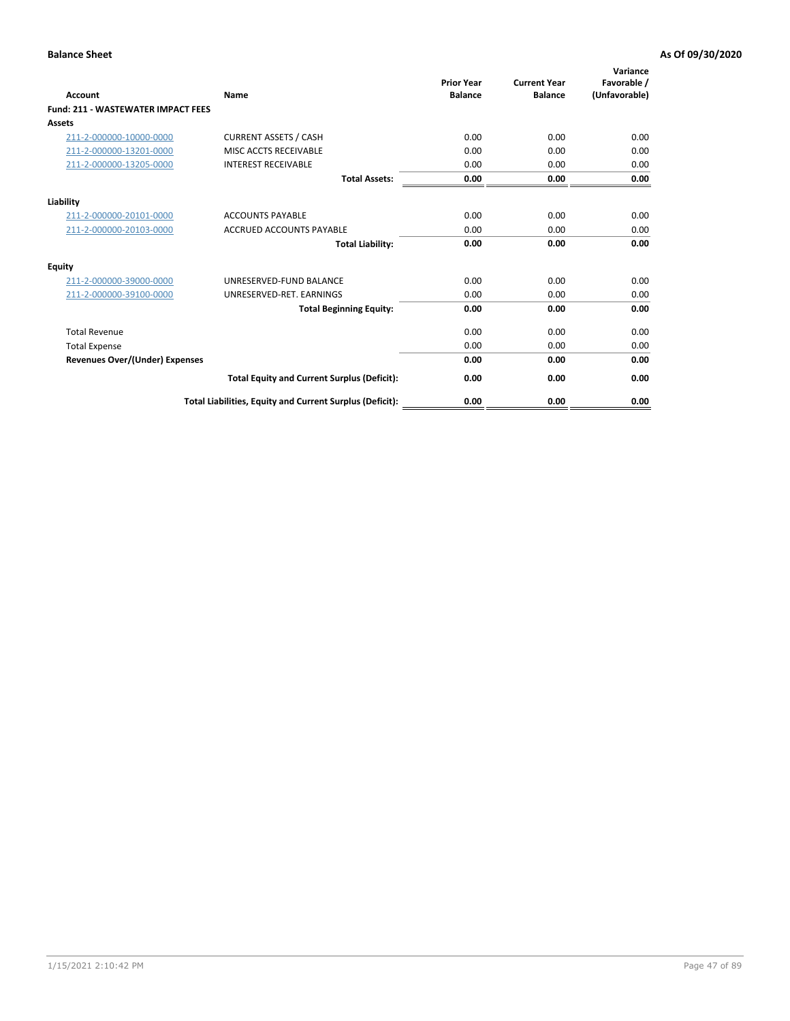| Account                                   | Name                                                     | <b>Prior Year</b><br><b>Balance</b> | <b>Current Year</b><br><b>Balance</b> | Variance<br>Favorable /<br>(Unfavorable) |
|-------------------------------------------|----------------------------------------------------------|-------------------------------------|---------------------------------------|------------------------------------------|
| <b>Fund: 211 - WASTEWATER IMPACT FEES</b> |                                                          |                                     |                                       |                                          |
| <b>Assets</b>                             |                                                          |                                     |                                       |                                          |
| 211-2-000000-10000-0000                   | <b>CURRENT ASSETS / CASH</b>                             | 0.00                                | 0.00                                  | 0.00                                     |
| 211-2-000000-13201-0000                   | MISC ACCTS RECEIVABLE                                    | 0.00                                | 0.00                                  | 0.00                                     |
| 211-2-000000-13205-0000                   | <b>INTEREST RECEIVABLE</b>                               | 0.00                                | 0.00                                  | 0.00                                     |
|                                           | <b>Total Assets:</b>                                     | 0.00                                | 0.00                                  | 0.00                                     |
| Liability                                 |                                                          |                                     |                                       |                                          |
| 211-2-000000-20101-0000                   | <b>ACCOUNTS PAYABLE</b>                                  | 0.00                                | 0.00                                  | 0.00                                     |
| 211-2-000000-20103-0000                   | <b>ACCRUED ACCOUNTS PAYABLE</b>                          | 0.00                                | 0.00                                  | 0.00                                     |
|                                           | <b>Total Liability:</b>                                  | 0.00                                | 0.00                                  | 0.00                                     |
| Equity                                    |                                                          |                                     |                                       |                                          |
| 211-2-000000-39000-0000                   | UNRESERVED-FUND BALANCE                                  | 0.00                                | 0.00                                  | 0.00                                     |
| 211-2-000000-39100-0000                   | UNRESERVED-RET. EARNINGS                                 | 0.00                                | 0.00                                  | 0.00                                     |
|                                           | <b>Total Beginning Equity:</b>                           | 0.00                                | 0.00                                  | 0.00                                     |
| <b>Total Revenue</b>                      |                                                          | 0.00                                | 0.00                                  | 0.00                                     |
| <b>Total Expense</b>                      |                                                          | 0.00                                | 0.00                                  | 0.00                                     |
| <b>Revenues Over/(Under) Expenses</b>     |                                                          | 0.00                                | 0.00                                  | 0.00                                     |
|                                           | <b>Total Equity and Current Surplus (Deficit):</b>       | 0.00                                | 0.00                                  | 0.00                                     |
|                                           | Total Liabilities, Equity and Current Surplus (Deficit): | 0.00                                | 0.00                                  | 0.00                                     |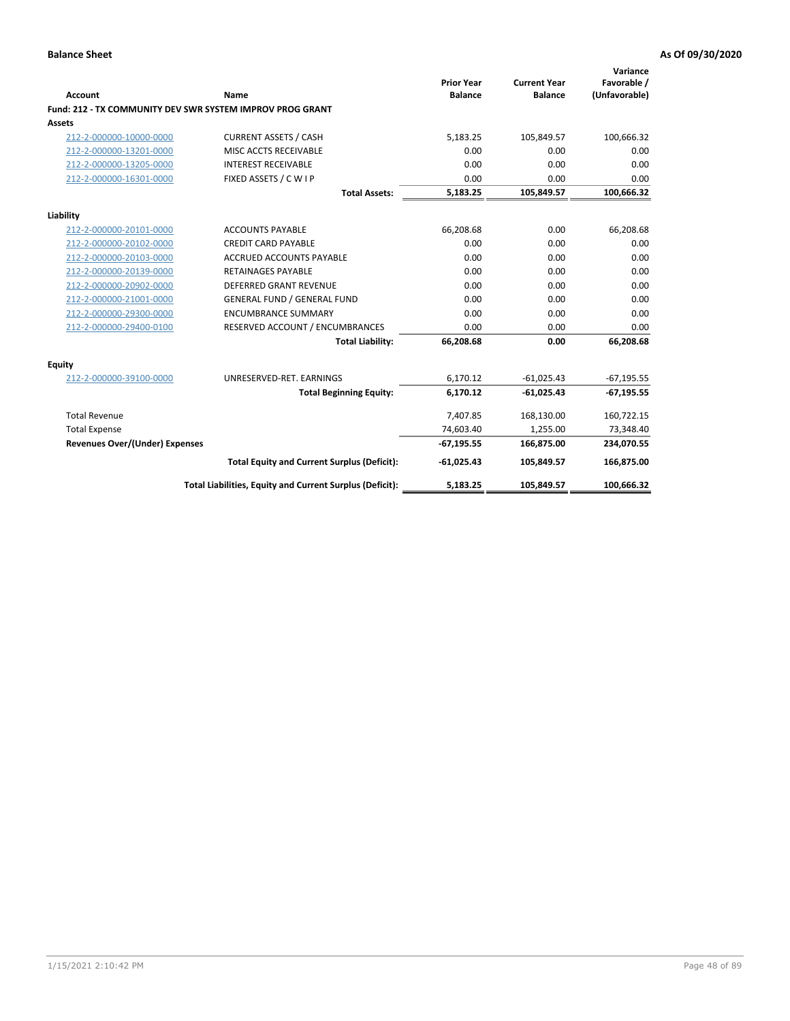| <b>Account</b>                        | Name                                                      | <b>Prior Year</b><br><b>Balance</b> | <b>Current Year</b><br><b>Balance</b> | Variance<br>Favorable /<br>(Unfavorable) |
|---------------------------------------|-----------------------------------------------------------|-------------------------------------|---------------------------------------|------------------------------------------|
|                                       | Fund: 212 - TX COMMUNITY DEV SWR SYSTEM IMPROV PROG GRANT |                                     |                                       |                                          |
| Assets                                |                                                           |                                     |                                       |                                          |
| 212-2-000000-10000-0000               | <b>CURRENT ASSETS / CASH</b>                              | 5,183.25                            | 105,849.57                            | 100,666.32                               |
| 212-2-000000-13201-0000               | MISC ACCTS RECEIVABLE                                     | 0.00                                | 0.00                                  | 0.00                                     |
| 212-2-000000-13205-0000               | <b>INTEREST RECEIVABLE</b>                                | 0.00                                | 0.00                                  | 0.00                                     |
| 212-2-000000-16301-0000               | FIXED ASSETS / C W I P                                    | 0.00                                | 0.00                                  | 0.00                                     |
|                                       | <b>Total Assets:</b>                                      | 5,183.25                            | 105,849.57                            | 100,666.32                               |
| Liability                             |                                                           |                                     |                                       |                                          |
| 212-2-000000-20101-0000               | <b>ACCOUNTS PAYABLE</b>                                   | 66,208.68                           | 0.00                                  | 66,208.68                                |
| 212-2-000000-20102-0000               | <b>CREDIT CARD PAYABLE</b>                                | 0.00                                | 0.00                                  | 0.00                                     |
| 212-2-000000-20103-0000               | <b>ACCRUED ACCOUNTS PAYABLE</b>                           | 0.00                                | 0.00                                  | 0.00                                     |
| 212-2-000000-20139-0000               | <b>RETAINAGES PAYABLE</b>                                 | 0.00                                | 0.00                                  | 0.00                                     |
| 212-2-000000-20902-0000               | <b>DEFERRED GRANT REVENUE</b>                             | 0.00                                | 0.00                                  | 0.00                                     |
| 212-2-000000-21001-0000               | <b>GENERAL FUND / GENERAL FUND</b>                        | 0.00                                | 0.00                                  | 0.00                                     |
| 212-2-000000-29300-0000               | <b>ENCUMBRANCE SUMMARY</b>                                | 0.00                                | 0.00                                  | 0.00                                     |
| 212-2-000000-29400-0100               | RESERVED ACCOUNT / ENCUMBRANCES                           | 0.00                                | 0.00                                  | 0.00                                     |
|                                       | <b>Total Liability:</b>                                   | 66,208.68                           | 0.00                                  | 66,208.68                                |
| Equity                                |                                                           |                                     |                                       |                                          |
| 212-2-000000-39100-0000               | UNRESERVED-RET. EARNINGS                                  | 6,170.12                            | $-61,025.43$                          | $-67, 195.55$                            |
|                                       | <b>Total Beginning Equity:</b>                            | 6.170.12                            | $-61,025.43$                          | $-67, 195.55$                            |
| <b>Total Revenue</b>                  |                                                           | 7.407.85                            | 168,130.00                            | 160,722.15                               |
| <b>Total Expense</b>                  |                                                           | 74,603.40                           | 1,255.00                              | 73,348.40                                |
| <b>Revenues Over/(Under) Expenses</b> |                                                           | $-67,195.55$                        | 166,875.00                            | 234,070.55                               |
|                                       | <b>Total Equity and Current Surplus (Deficit):</b>        | $-61,025.43$                        | 105,849.57                            | 166,875.00                               |
|                                       | Total Liabilities, Equity and Current Surplus (Deficit):  | 5,183.25                            | 105,849.57                            | 100,666.32                               |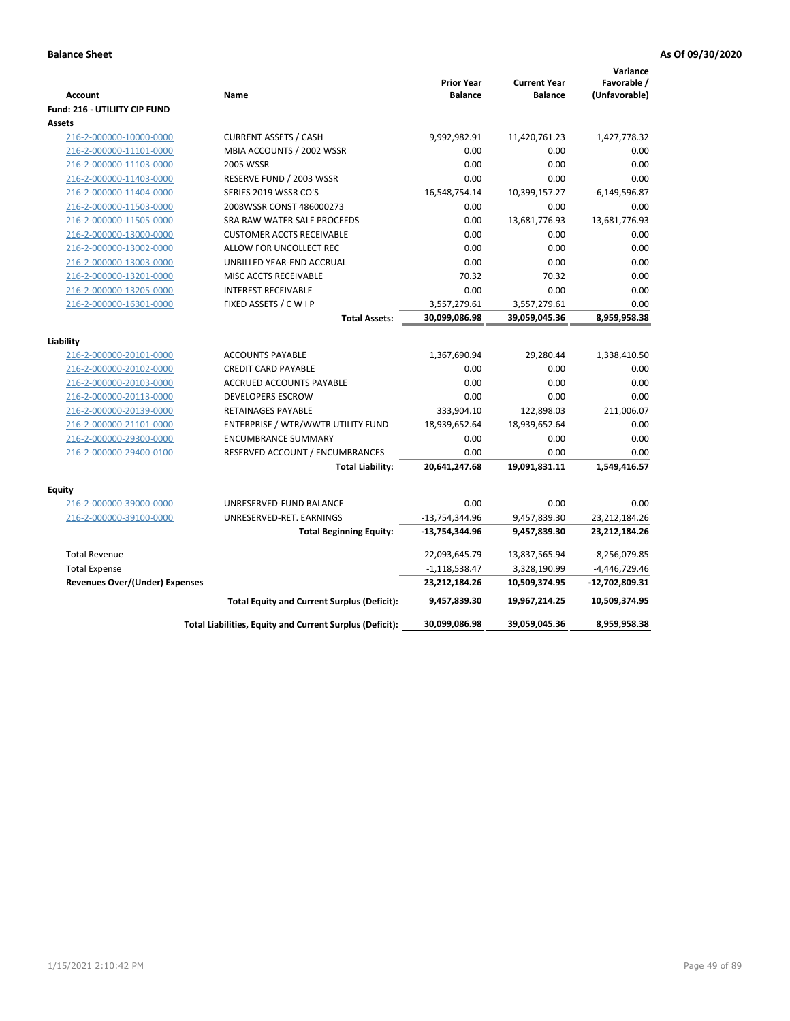| <b>Account</b><br><b>Fund: 216 - UTILIITY CIP FUND</b> | Name                                                     | <b>Prior Year</b><br><b>Balance</b> | <b>Current Year</b><br><b>Balance</b> | Variance<br>Favorable /<br>(Unfavorable) |
|--------------------------------------------------------|----------------------------------------------------------|-------------------------------------|---------------------------------------|------------------------------------------|
| <b>Assets</b>                                          |                                                          |                                     |                                       |                                          |
| 216-2-000000-10000-0000                                | <b>CURRENT ASSETS / CASH</b>                             | 9,992,982.91                        | 11,420,761.23                         | 1,427,778.32                             |
| 216-2-000000-11101-0000                                | MBIA ACCOUNTS / 2002 WSSR                                | 0.00                                | 0.00                                  | 0.00                                     |
| 216-2-000000-11103-0000                                | 2005 WSSR                                                | 0.00                                | 0.00                                  | 0.00                                     |
| 216-2-000000-11403-0000                                | RESERVE FUND / 2003 WSSR                                 | 0.00                                | 0.00                                  | 0.00                                     |
| 216-2-000000-11404-0000                                | SERIES 2019 WSSR CO'S                                    | 16,548,754.14                       | 10,399,157.27                         | $-6,149,596.87$                          |
| 216-2-000000-11503-0000                                | 2008WSSR CONST 486000273                                 | 0.00                                | 0.00                                  | 0.00                                     |
| 216-2-000000-11505-0000                                | SRA RAW WATER SALE PROCEEDS                              | 0.00                                | 13,681,776.93                         | 13,681,776.93                            |
| 216-2-000000-13000-0000                                | <b>CUSTOMER ACCTS RECEIVABLE</b>                         | 0.00                                | 0.00                                  | 0.00                                     |
| 216-2-000000-13002-0000                                | ALLOW FOR UNCOLLECT REC                                  | 0.00                                | 0.00                                  | 0.00                                     |
| 216-2-000000-13003-0000                                | UNBILLED YEAR-END ACCRUAL                                | 0.00                                | 0.00                                  | 0.00                                     |
| 216-2-000000-13201-0000                                | MISC ACCTS RECEIVABLE                                    | 70.32                               | 70.32                                 | 0.00                                     |
| 216-2-000000-13205-0000                                | <b>INTEREST RECEIVABLE</b>                               | 0.00                                | 0.00                                  | 0.00                                     |
| 216-2-000000-16301-0000                                | FIXED ASSETS / C W I P                                   | 3,557,279.61                        | 3,557,279.61                          | 0.00                                     |
|                                                        | <b>Total Assets:</b>                                     | 30,099,086.98                       | 39,059,045.36                         | 8,959,958.38                             |
|                                                        |                                                          |                                     |                                       |                                          |
| Liability                                              | <b>ACCOUNTS PAYABLE</b>                                  |                                     | 29,280.44                             | 1,338,410.50                             |
| 216-2-000000-20101-0000                                | <b>CREDIT CARD PAYABLE</b>                               | 1,367,690.94<br>0.00                | 0.00                                  | 0.00                                     |
| 216-2-000000-20102-0000<br>216-2-000000-20103-0000     | ACCRUED ACCOUNTS PAYABLE                                 | 0.00                                | 0.00                                  | 0.00                                     |
| 216-2-000000-20113-0000                                | <b>DEVELOPERS ESCROW</b>                                 | 0.00                                | 0.00                                  | 0.00                                     |
| 216-2-000000-20139-0000                                | <b>RETAINAGES PAYABLE</b>                                | 333,904.10                          | 122,898.03                            | 211,006.07                               |
| 216-2-000000-21101-0000                                | ENTERPRISE / WTR/WWTR UTILITY FUND                       | 18,939,652.64                       | 18,939,652.64                         | 0.00                                     |
| 216-2-000000-29300-0000                                | <b>ENCUMBRANCE SUMMARY</b>                               | 0.00                                | 0.00                                  | 0.00                                     |
| 216-2-000000-29400-0100                                | RESERVED ACCOUNT / ENCUMBRANCES                          | 0.00                                | 0.00                                  | 0.00                                     |
|                                                        | <b>Total Liability:</b>                                  | 20,641,247.68                       | 19,091,831.11                         | 1,549,416.57                             |
|                                                        |                                                          |                                     |                                       |                                          |
| <b>Equity</b>                                          |                                                          |                                     |                                       |                                          |
| 216-2-000000-39000-0000                                | UNRESERVED-FUND BALANCE                                  | 0.00                                | 0.00                                  | 0.00                                     |
| 216-2-000000-39100-0000                                | UNRESERVED-RET. EARNINGS                                 | $-13,754,344.96$                    | 9,457,839.30                          | 23,212,184.26                            |
|                                                        | <b>Total Beginning Equity:</b>                           | $-13,754,344.96$                    | 9,457,839.30                          | 23,212,184.26                            |
| <b>Total Revenue</b>                                   |                                                          | 22,093,645.79                       | 13,837,565.94                         | $-8,256,079.85$                          |
| <b>Total Expense</b>                                   |                                                          | $-1,118,538.47$                     | 3,328,190.99                          | -4,446,729.46                            |
| <b>Revenues Over/(Under) Expenses</b>                  |                                                          | 23,212,184.26                       | 10,509,374.95                         | -12,702,809.31                           |
|                                                        | <b>Total Equity and Current Surplus (Deficit):</b>       | 9,457,839.30                        | 19,967,214.25                         | 10,509,374.95                            |
|                                                        | Total Liabilities, Equity and Current Surplus (Deficit): | 30,099,086.98                       | 39,059,045.36                         | 8,959,958.38                             |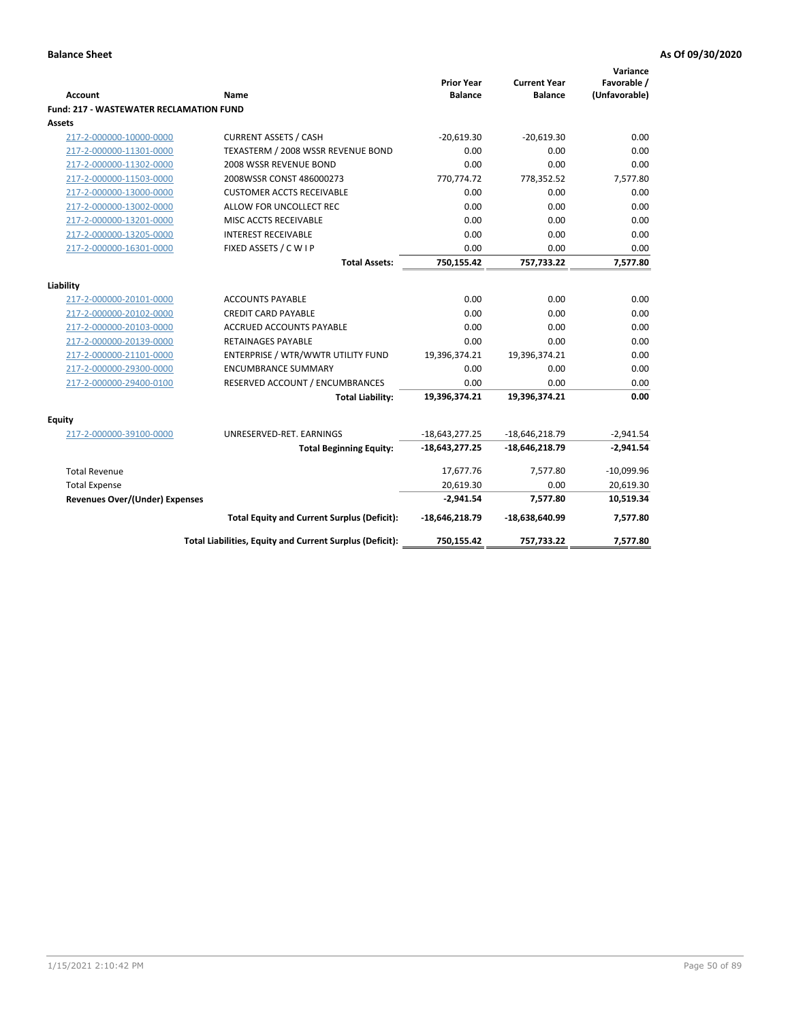| <b>Account</b>                                     | Name                                                     | <b>Prior Year</b><br><b>Balance</b> | <b>Current Year</b><br><b>Balance</b> | Variance<br>Favorable /<br>(Unfavorable) |
|----------------------------------------------------|----------------------------------------------------------|-------------------------------------|---------------------------------------|------------------------------------------|
| <b>Fund: 217 - WASTEWATER RECLAMATION FUND</b>     |                                                          |                                     |                                       |                                          |
| <b>Assets</b>                                      |                                                          |                                     |                                       |                                          |
| 217-2-000000-10000-0000                            | <b>CURRENT ASSETS / CASH</b>                             | $-20,619.30$                        | $-20,619.30$                          | 0.00                                     |
| 217-2-000000-11301-0000                            | TEXASTERM / 2008 WSSR REVENUE BOND                       | 0.00                                | 0.00                                  | 0.00                                     |
| 217-2-000000-11302-0000                            | 2008 WSSR REVENUE BOND                                   | 0.00                                | 0.00                                  | 0.00                                     |
| 217-2-000000-11503-0000                            | 2008WSSR CONST 486000273                                 | 770,774.72                          | 778,352.52                            | 7,577.80                                 |
| 217-2-000000-13000-0000                            | <b>CUSTOMER ACCTS RECEIVABLE</b>                         | 0.00                                | 0.00                                  | 0.00                                     |
| 217-2-000000-13002-0000                            | ALLOW FOR UNCOLLECT REC                                  | 0.00                                | 0.00                                  | 0.00                                     |
| 217-2-000000-13201-0000                            | MISC ACCTS RECEIVABLE                                    | 0.00                                | 0.00                                  | 0.00                                     |
| 217-2-000000-13205-0000                            | <b>INTEREST RECEIVABLE</b>                               | 0.00                                | 0.00                                  | 0.00                                     |
| 217-2-000000-16301-0000                            | FIXED ASSETS / C W I P                                   | 0.00                                | 0.00                                  | 0.00                                     |
|                                                    | <b>Total Assets:</b>                                     | 750,155.42                          | 757,733.22                            | 7,577.80                                 |
| Liability                                          |                                                          |                                     |                                       |                                          |
| 217-2-000000-20101-0000                            | <b>ACCOUNTS PAYABLE</b>                                  | 0.00                                | 0.00                                  | 0.00                                     |
| 217-2-000000-20102-0000                            | <b>CREDIT CARD PAYABLE</b>                               | 0.00                                | 0.00                                  | 0.00                                     |
|                                                    | ACCRUED ACCOUNTS PAYABLE                                 | 0.00                                | 0.00                                  | 0.00                                     |
| 217-2-000000-20103-0000<br>217-2-000000-20139-0000 | <b>RETAINAGES PAYABLE</b>                                | 0.00                                | 0.00                                  | 0.00                                     |
| 217-2-000000-21101-0000                            | ENTERPRISE / WTR/WWTR UTILITY FUND                       | 19,396,374.21                       | 19,396,374.21                         | 0.00                                     |
| 217-2-000000-29300-0000                            | <b>ENCUMBRANCE SUMMARY</b>                               | 0.00                                | 0.00                                  | 0.00                                     |
| 217-2-000000-29400-0100                            | RESERVED ACCOUNT / ENCUMBRANCES                          | 0.00                                | 0.00                                  | 0.00                                     |
|                                                    | <b>Total Liability:</b>                                  | 19,396,374.21                       | 19,396,374.21                         | 0.00                                     |
|                                                    |                                                          |                                     |                                       |                                          |
| <b>Equity</b>                                      |                                                          |                                     |                                       |                                          |
| 217-2-000000-39100-0000                            | UNRESERVED-RET. EARNINGS                                 | $-18,643,277.25$                    | $-18,646,218.79$                      | $-2,941.54$                              |
|                                                    | <b>Total Beginning Equity:</b>                           | $-18,643,277.25$                    | $-18,646,218.79$                      | $-2,941.54$                              |
| <b>Total Revenue</b>                               |                                                          | 17,677.76                           | 7,577.80                              | $-10,099.96$                             |
| <b>Total Expense</b>                               |                                                          | 20,619.30                           | 0.00                                  | 20,619.30                                |
| <b>Revenues Over/(Under) Expenses</b>              |                                                          | $-2,941.54$                         | 7,577.80                              | 10,519.34                                |
|                                                    | <b>Total Equity and Current Surplus (Deficit):</b>       | $-18,646,218.79$                    | -18,638,640.99                        | 7,577.80                                 |
|                                                    | Total Liabilities, Equity and Current Surplus (Deficit): | 750,155.42                          | 757,733.22                            | 7,577.80                                 |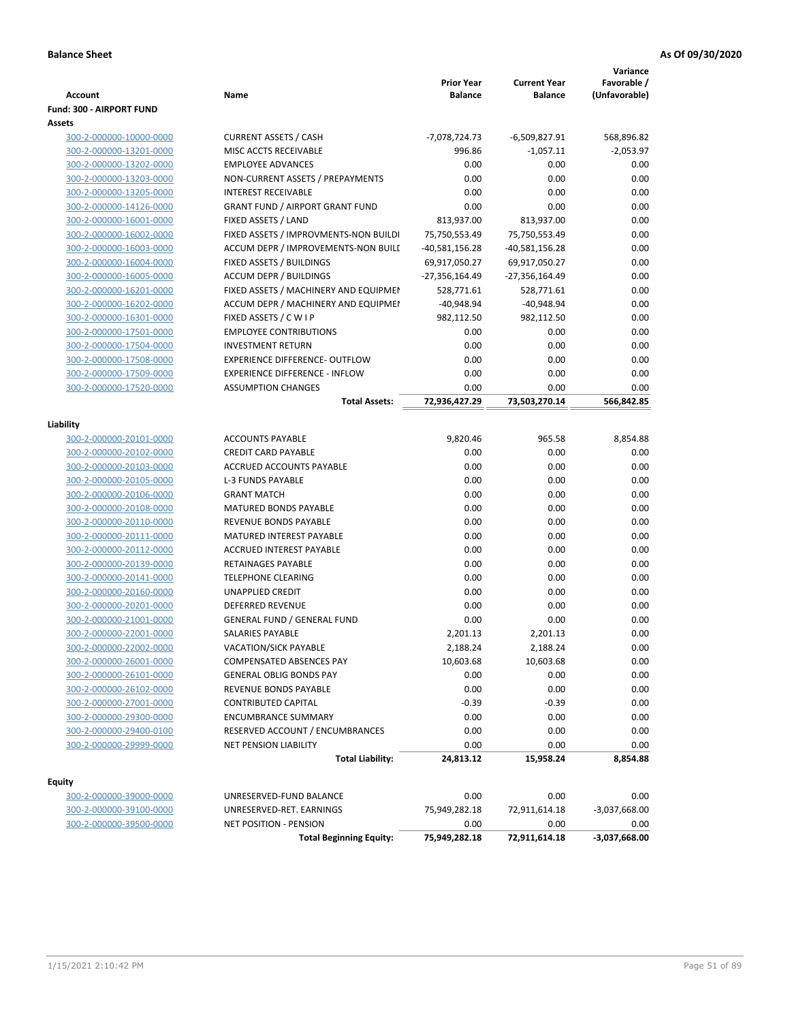|                                |                                        |                   |                     | Variance        |
|--------------------------------|----------------------------------------|-------------------|---------------------|-----------------|
|                                |                                        | <b>Prior Year</b> | <b>Current Year</b> | Favorable /     |
| <b>Account</b>                 | Name                                   | <b>Balance</b>    | <b>Balance</b>      | (Unfavorable)   |
| Fund: 300 - AIRPORT FUND       |                                        |                   |                     |                 |
| Assets                         |                                        |                   |                     |                 |
| 300-2-000000-10000-0000        | <b>CURRENT ASSETS / CASH</b>           | $-7,078,724.73$   | -6,509,827.91       | 568,896.82      |
| 300-2-000000-13201-0000        | MISC ACCTS RECEIVABLE                  | 996.86            | $-1,057.11$         | $-2,053.97$     |
| 300-2-000000-13202-0000        | <b>EMPLOYEE ADVANCES</b>               | 0.00              | 0.00                | 0.00            |
| 300-2-000000-13203-0000        | NON-CURRENT ASSETS / PREPAYMENTS       | 0.00              | 0.00                | 0.00            |
| 300-2-000000-13205-0000        | <b>INTEREST RECEIVABLE</b>             | 0.00              | 0.00                | 0.00            |
| 300-2-000000-14126-0000        | <b>GRANT FUND / AIRPORT GRANT FUND</b> | 0.00              | 0.00                | 0.00            |
| 300-2-000000-16001-0000        | FIXED ASSETS / LAND                    | 813,937.00        | 813,937.00          | 0.00            |
| 300-2-000000-16002-0000        | FIXED ASSETS / IMPROVMENTS-NON BUILDI  | 75,750,553.49     | 75,750,553.49       | 0.00            |
| 300-2-000000-16003-0000        | ACCUM DEPR / IMPROVEMENTS-NON BUILI    | $-40,581,156.28$  | $-40,581,156.28$    | 0.00            |
| 300-2-000000-16004-0000        | FIXED ASSETS / BUILDINGS               | 69,917,050.27     | 69,917,050.27       | 0.00            |
| 300-2-000000-16005-0000        | <b>ACCUM DEPR / BUILDINGS</b>          | -27,356,164.49    | -27,356,164.49      | 0.00            |
| 300-2-000000-16201-0000        | FIXED ASSETS / MACHINERY AND EQUIPMEN  | 528,771.61        | 528,771.61          | 0.00            |
| 300-2-000000-16202-0000        | ACCUM DEPR / MACHINERY AND EQUIPMEI    | $-40,948.94$      | $-40,948.94$        | 0.00            |
| 300-2-000000-16301-0000        | FIXED ASSETS / C W I P                 | 982,112.50        | 982,112.50          | 0.00            |
| 300-2-000000-17501-0000        | <b>EMPLOYEE CONTRIBUTIONS</b>          | 0.00              | 0.00                | 0.00            |
| 300-2-000000-17504-0000        | <b>INVESTMENT RETURN</b>               | 0.00              | 0.00                | 0.00            |
| 300-2-000000-17508-0000        | <b>EXPERIENCE DIFFERENCE- OUTFLOW</b>  | 0.00              | 0.00                | 0.00            |
| 300-2-000000-17509-0000        | <b>EXPERIENCE DIFFERENCE - INFLOW</b>  | 0.00              | 0.00                | 0.00            |
| 300-2-000000-17520-0000        | <b>ASSUMPTION CHANGES</b>              | 0.00              | 0.00                | 0.00            |
|                                | <b>Total Assets:</b>                   | 72,936,427.29     | 73,503,270.14       | 566,842.85      |
| Liability                      |                                        |                   |                     |                 |
| 300-2-000000-20101-0000        | <b>ACCOUNTS PAYABLE</b>                | 9,820.46          | 965.58              | 8,854.88        |
| 300-2-000000-20102-0000        | <b>CREDIT CARD PAYABLE</b>             | 0.00              | 0.00                | 0.00            |
| 300-2-000000-20103-0000        | ACCRUED ACCOUNTS PAYABLE               | 0.00              | 0.00                | 0.00            |
| 300-2-000000-20105-0000        | L-3 FUNDS PAYABLE                      | 0.00              | 0.00                | 0.00            |
| 300-2-000000-20106-0000        | <b>GRANT MATCH</b>                     | 0.00              | 0.00                | 0.00            |
| 300-2-000000-20108-0000        | <b>MATURED BONDS PAYABLE</b>           | 0.00              | 0.00                | 0.00            |
| 300-2-000000-20110-0000        | REVENUE BONDS PAYABLE                  | 0.00              | 0.00                | 0.00            |
| 300-2-000000-20111-0000        | MATURED INTEREST PAYABLE               | 0.00              | 0.00                | 0.00            |
| 300-2-000000-20112-0000        | <b>ACCRUED INTEREST PAYABLE</b>        | 0.00              | 0.00                | 0.00            |
| 300-2-000000-20139-0000        | RETAINAGES PAYABLE                     | 0.00              | 0.00                | 0.00            |
| 300-2-000000-20141-0000        | <b>TELEPHONE CLEARING</b>              | 0.00              | 0.00                | 0.00            |
| 300-2-000000-20160-0000        | <b>UNAPPLIED CREDIT</b>                | 0.00              | 0.00                | 0.00            |
| 300-2-000000-20201-0000        | <b>DEFERRED REVENUE</b>                | 0.00              | 0.00                | 0.00            |
| 300-2-000000-21001-0000        | <b>GENERAL FUND / GENERAL FUND</b>     | 0.00              | 0.00                | 0.00            |
| <u>300-2-000000-22001-0000</u> | SALARIES PAYABLE                       | 2,201.13          | 2,201.13            | 0.00            |
| 300-2-000000-22002-0000        | <b>VACATION/SICK PAYABLE</b>           | 2,188.24          | 2,188.24            | 0.00            |
| 300-2-000000-26001-0000        | COMPENSATED ABSENCES PAY               | 10,603.68         | 10,603.68           | 0.00            |
| 300-2-000000-26101-0000        | <b>GENERAL OBLIG BONDS PAY</b>         | 0.00              | 0.00                | 0.00            |
| 300-2-000000-26102-0000        | REVENUE BONDS PAYABLE                  | 0.00              | 0.00                | 0.00            |
| 300-2-000000-27001-0000        | <b>CONTRIBUTED CAPITAL</b>             | $-0.39$           | $-0.39$             | 0.00            |
| 300-2-000000-29300-0000        | <b>ENCUMBRANCE SUMMARY</b>             | 0.00              | 0.00                | 0.00            |
| 300-2-000000-29400-0100        | RESERVED ACCOUNT / ENCUMBRANCES        | 0.00              | 0.00                | 0.00            |
| 300-2-000000-29999-0000        | NET PENSION LIABILITY                  | 0.00              | 0.00                | 0.00            |
|                                | <b>Total Liability:</b>                | 24,813.12         | 15,958.24           | 8,854.88        |
|                                |                                        |                   |                     |                 |
| <b>Equity</b>                  |                                        |                   |                     |                 |
| 300-2-000000-39000-0000        | UNRESERVED-FUND BALANCE                | 0.00              | 0.00                | 0.00            |
| 300-2-000000-39100-0000        | UNRESERVED-RET. EARNINGS               | 75,949,282.18     | 72,911,614.18       | $-3,037,668.00$ |
| 300-2-000000-39500-0000        | <b>NET POSITION - PENSION</b>          | 0.00              | 0.00                | 0.00            |
|                                | <b>Total Beginning Equity:</b>         | 75,949,282.18     | 72,911,614.18       | $-3,037,668.00$ |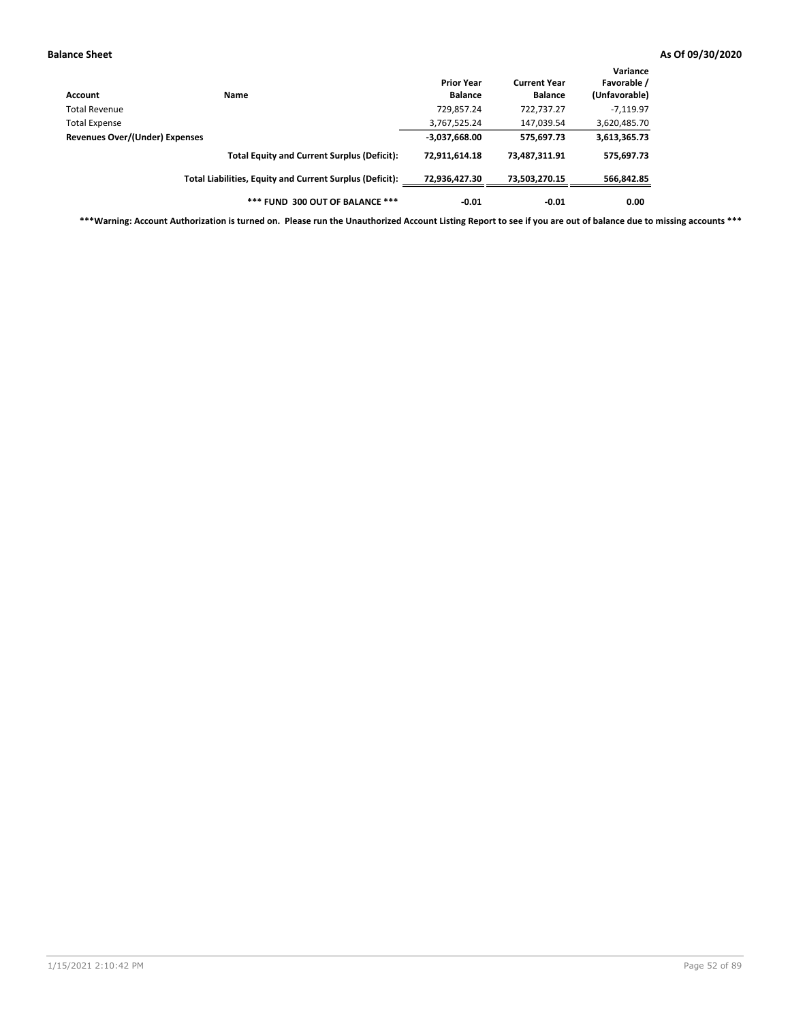| Account                        | Name                                                     | <b>Prior Year</b><br><b>Balance</b> | <b>Current Year</b><br><b>Balance</b> | Variance<br>Favorable /<br>(Unfavorable) |
|--------------------------------|----------------------------------------------------------|-------------------------------------|---------------------------------------|------------------------------------------|
| Total Revenue                  |                                                          | 729,857.24                          | 722,737.27                            | $-7,119.97$                              |
| Total Expense                  |                                                          | 3,767,525.24                        | 147,039.54                            | 3,620,485.70                             |
| Revenues Over/(Under) Expenses |                                                          | $-3,037,668.00$                     | 575,697.73                            | 3,613,365.73                             |
|                                | <b>Total Equity and Current Surplus (Deficit):</b>       | 72,911,614.18                       | 73,487,311.91                         | 575,697.73                               |
|                                | Total Liabilities, Equity and Current Surplus (Deficit): | 72,936,427.30                       | 73,503,270.15                         | 566,842.85                               |
|                                | *** FUND 300 OUT OF BALANCE ***                          | $-0.01$                             | $-0.01$                               | 0.00                                     |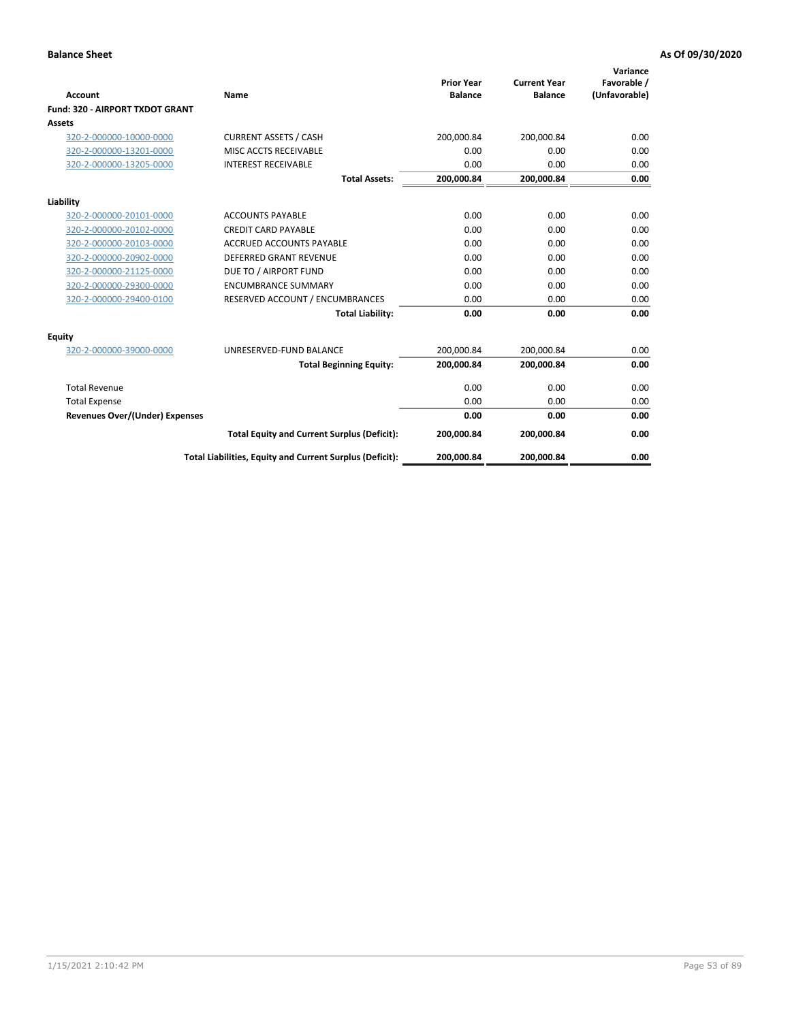|                                 |                                                          | <b>Prior Year</b> | <b>Current Year</b> | Variance<br>Favorable / |
|---------------------------------|----------------------------------------------------------|-------------------|---------------------|-------------------------|
| Account                         | Name                                                     | <b>Balance</b>    | <b>Balance</b>      | (Unfavorable)           |
| Fund: 320 - AIRPORT TXDOT GRANT |                                                          |                   |                     |                         |
| Assets                          |                                                          |                   |                     |                         |
| 320-2-000000-10000-0000         | <b>CURRENT ASSETS / CASH</b>                             | 200,000.84        | 200,000.84          | 0.00                    |
| 320-2-000000-13201-0000         | MISC ACCTS RECEIVABLE                                    | 0.00              | 0.00                | 0.00                    |
| 320-2-000000-13205-0000         | <b>INTEREST RECEIVABLE</b>                               | 0.00              | 0.00                | 0.00                    |
|                                 | <b>Total Assets:</b>                                     | 200,000.84        | 200,000.84          | 0.00                    |
| Liability                       |                                                          |                   |                     |                         |
| 320-2-000000-20101-0000         | <b>ACCOUNTS PAYABLE</b>                                  | 0.00              | 0.00                | 0.00                    |
| 320-2-000000-20102-0000         | <b>CREDIT CARD PAYABLE</b>                               | 0.00              | 0.00                | 0.00                    |
| 320-2-000000-20103-0000         | <b>ACCRUED ACCOUNTS PAYABLE</b>                          | 0.00              | 0.00                | 0.00                    |
| 320-2-000000-20902-0000         | DEFERRED GRANT REVENUE                                   | 0.00              | 0.00                | 0.00                    |
| 320-2-000000-21125-0000         | DUE TO / AIRPORT FUND                                    | 0.00              | 0.00                | 0.00                    |
| 320-2-000000-29300-0000         | <b>ENCUMBRANCE SUMMARY</b>                               | 0.00              | 0.00                | 0.00                    |
| 320-2-000000-29400-0100         | RESERVED ACCOUNT / ENCUMBRANCES                          | 0.00              | 0.00                | 0.00                    |
|                                 | <b>Total Liability:</b>                                  | 0.00              | 0.00                | 0.00                    |
| <b>Equity</b>                   |                                                          |                   |                     |                         |
| 320-2-000000-39000-0000         | UNRESERVED-FUND BALANCE                                  | 200,000.84        | 200,000.84          | 0.00                    |
|                                 | <b>Total Beginning Equity:</b>                           | 200,000.84        | 200,000.84          | 0.00                    |
| <b>Total Revenue</b>            |                                                          | 0.00              | 0.00                | 0.00                    |
| <b>Total Expense</b>            |                                                          | 0.00              | 0.00                | 0.00                    |
| Revenues Over/(Under) Expenses  |                                                          | 0.00              | 0.00                | 0.00                    |
|                                 | <b>Total Equity and Current Surplus (Deficit):</b>       | 200,000.84        | 200,000.84          | 0.00                    |
|                                 | Total Liabilities, Equity and Current Surplus (Deficit): | 200,000.84        | 200,000.84          | 0.00                    |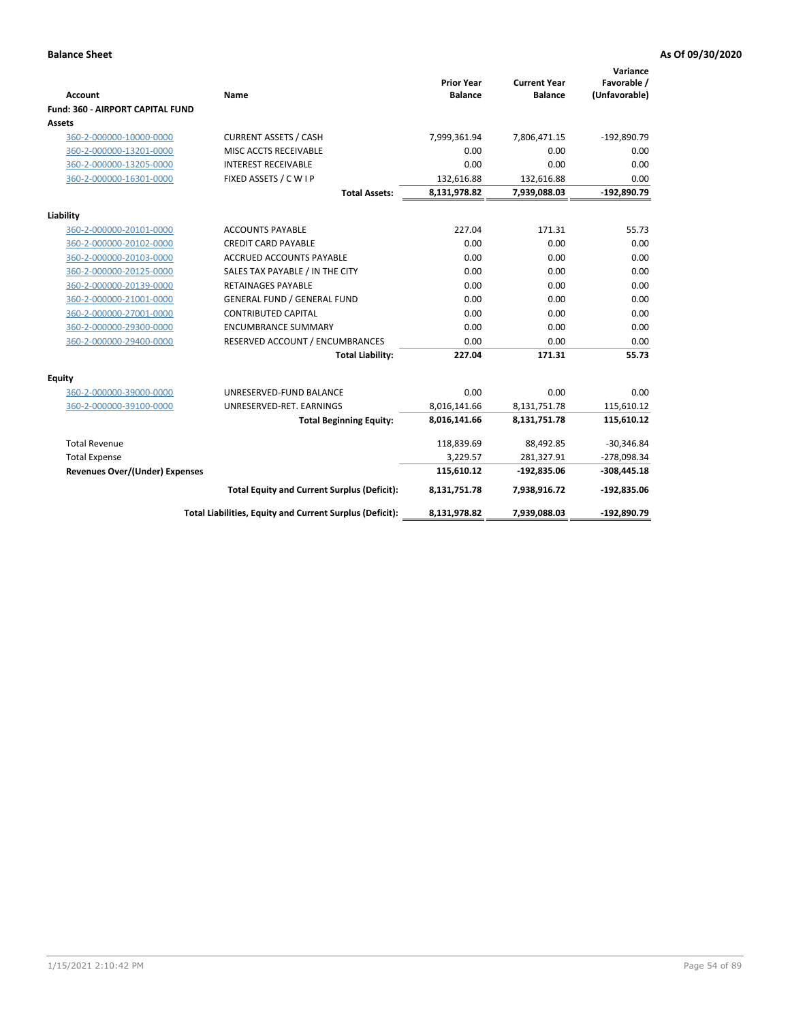| <b>Account</b>                          | Name                                                     | <b>Prior Year</b><br><b>Balance</b> | <b>Current Year</b><br><b>Balance</b> | Variance<br>Favorable /<br>(Unfavorable) |
|-----------------------------------------|----------------------------------------------------------|-------------------------------------|---------------------------------------|------------------------------------------|
| <b>Fund: 360 - AIRPORT CAPITAL FUND</b> |                                                          |                                     |                                       |                                          |
| Assets                                  |                                                          |                                     |                                       |                                          |
| 360-2-000000-10000-0000                 | <b>CURRENT ASSETS / CASH</b>                             | 7,999,361.94                        | 7,806,471.15                          | $-192,890.79$                            |
| 360-2-000000-13201-0000                 | MISC ACCTS RECEIVABLE                                    | 0.00                                | 0.00                                  | 0.00                                     |
| 360-2-000000-13205-0000                 | <b>INTEREST RECEIVABLE</b>                               | 0.00                                | 0.00                                  | 0.00                                     |
| 360-2-000000-16301-0000                 | FIXED ASSETS / C W I P                                   | 132,616.88                          | 132,616.88                            | 0.00                                     |
|                                         | <b>Total Assets:</b>                                     | 8,131,978.82                        | 7,939,088.03                          | -192,890.79                              |
| Liability                               |                                                          |                                     |                                       |                                          |
| 360-2-000000-20101-0000                 | <b>ACCOUNTS PAYABLE</b>                                  | 227.04                              | 171.31                                | 55.73                                    |
| 360-2-000000-20102-0000                 | <b>CREDIT CARD PAYABLE</b>                               | 0.00                                | 0.00                                  | 0.00                                     |
| 360-2-000000-20103-0000                 | ACCRUED ACCOUNTS PAYABLE                                 | 0.00                                | 0.00                                  | 0.00                                     |
| 360-2-000000-20125-0000                 | SALES TAX PAYABLE / IN THE CITY                          | 0.00                                | 0.00                                  | 0.00                                     |
| 360-2-000000-20139-0000                 | <b>RETAINAGES PAYABLE</b>                                | 0.00                                | 0.00                                  | 0.00                                     |
| 360-2-000000-21001-0000                 | <b>GENERAL FUND / GENERAL FUND</b>                       | 0.00                                | 0.00                                  | 0.00                                     |
| 360-2-000000-27001-0000                 | <b>CONTRIBUTED CAPITAL</b>                               | 0.00                                | 0.00                                  | 0.00                                     |
| 360-2-000000-29300-0000                 | <b>ENCUMBRANCE SUMMARY</b>                               | 0.00                                | 0.00                                  | 0.00                                     |
| 360-2-000000-29400-0000                 | RESERVED ACCOUNT / ENCUMBRANCES                          | 0.00                                | 0.00                                  | 0.00                                     |
|                                         | <b>Total Liability:</b>                                  | 227.04                              | 171.31                                | 55.73                                    |
| <b>Equity</b>                           |                                                          |                                     |                                       |                                          |
| 360-2-000000-39000-0000                 | UNRESERVED-FUND BALANCE                                  | 0.00                                | 0.00                                  | 0.00                                     |
| 360-2-000000-39100-0000                 | UNRESERVED-RET. EARNINGS                                 | 8,016,141.66                        | 8,131,751.78                          | 115,610.12                               |
|                                         | <b>Total Beginning Equity:</b>                           | 8,016,141.66                        | 8,131,751.78                          | 115,610.12                               |
|                                         |                                                          |                                     |                                       |                                          |
| <b>Total Revenue</b>                    |                                                          | 118,839.69                          | 88,492.85                             | $-30,346.84$                             |
| <b>Total Expense</b>                    |                                                          | 3,229.57                            | 281,327.91                            | $-278,098.34$                            |
| <b>Revenues Over/(Under) Expenses</b>   |                                                          | 115,610.12                          | $-192,835.06$                         | $-308,445.18$                            |
|                                         | <b>Total Equity and Current Surplus (Deficit):</b>       | 8,131,751.78                        | 7,938,916.72                          | $-192,835.06$                            |
|                                         | Total Liabilities, Equity and Current Surplus (Deficit): | 8,131,978.82                        | 7,939,088.03                          | -192,890.79                              |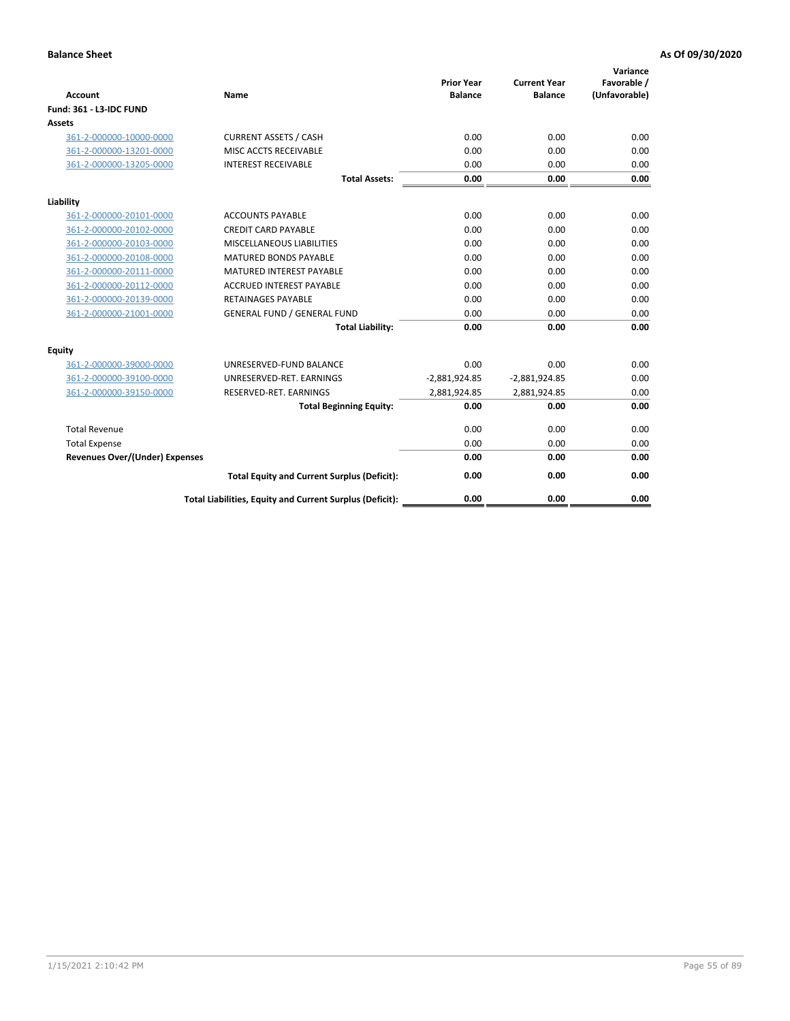| <b>Account</b>                        | <b>Name</b>                                              | <b>Prior Year</b><br><b>Balance</b> | <b>Current Year</b><br><b>Balance</b> | Variance<br>Favorable /<br>(Unfavorable) |
|---------------------------------------|----------------------------------------------------------|-------------------------------------|---------------------------------------|------------------------------------------|
| <b>Fund: 361 - L3-IDC FUND</b>        |                                                          |                                     |                                       |                                          |
| Assets                                |                                                          |                                     |                                       |                                          |
| 361-2-000000-10000-0000               | <b>CURRENT ASSETS / CASH</b>                             | 0.00                                | 0.00                                  | 0.00                                     |
| 361-2-000000-13201-0000               | MISC ACCTS RECEIVABLE                                    | 0.00                                | 0.00                                  | 0.00                                     |
| 361-2-000000-13205-0000               | <b>INTEREST RECEIVABLE</b>                               | 0.00                                | 0.00                                  | 0.00                                     |
|                                       | <b>Total Assets:</b>                                     | 0.00                                | 0.00                                  | 0.00                                     |
| Liability                             |                                                          |                                     |                                       |                                          |
| 361-2-000000-20101-0000               | <b>ACCOUNTS PAYABLE</b>                                  | 0.00                                | 0.00                                  | 0.00                                     |
| 361-2-000000-20102-0000               | <b>CREDIT CARD PAYABLE</b>                               | 0.00                                | 0.00                                  | 0.00                                     |
| 361-2-000000-20103-0000               | MISCELLANEOUS LIABILITIES                                | 0.00                                | 0.00                                  | 0.00                                     |
| 361-2-000000-20108-0000               | <b>MATURED BONDS PAYABLE</b>                             | 0.00                                | 0.00                                  | 0.00                                     |
| 361-2-000000-20111-0000               | <b>MATURED INTEREST PAYABLE</b>                          | 0.00                                | 0.00                                  | 0.00                                     |
| 361-2-000000-20112-0000               | <b>ACCRUED INTEREST PAYABLE</b>                          | 0.00                                | 0.00                                  | 0.00                                     |
| 361-2-000000-20139-0000               | <b>RETAINAGES PAYABLE</b>                                | 0.00                                | 0.00                                  | 0.00                                     |
| 361-2-000000-21001-0000               | <b>GENERAL FUND / GENERAL FUND</b>                       | 0.00                                | 0.00                                  | 0.00                                     |
|                                       | <b>Total Liability:</b>                                  | 0.00                                | 0.00                                  | 0.00                                     |
| Equity                                |                                                          |                                     |                                       |                                          |
| 361-2-000000-39000-0000               | UNRESERVED-FUND BALANCE                                  | 0.00                                | 0.00                                  | 0.00                                     |
| 361-2-000000-39100-0000               | UNRESERVED-RET. EARNINGS                                 | $-2,881,924.85$                     | $-2,881,924.85$                       | 0.00                                     |
| 361-2-000000-39150-0000               | RESERVED-RET. EARNINGS                                   | 2,881,924.85                        | 2,881,924.85                          | 0.00                                     |
|                                       | <b>Total Beginning Equity:</b>                           | 0.00                                | 0.00                                  | 0.00                                     |
| <b>Total Revenue</b>                  |                                                          | 0.00                                | 0.00                                  | 0.00                                     |
| <b>Total Expense</b>                  |                                                          | 0.00                                | 0.00                                  | 0.00                                     |
| <b>Revenues Over/(Under) Expenses</b> |                                                          | 0.00                                | 0.00                                  | 0.00                                     |
|                                       | <b>Total Equity and Current Surplus (Deficit):</b>       | 0.00                                | 0.00                                  | 0.00                                     |
|                                       | Total Liabilities, Equity and Current Surplus (Deficit): | 0.00                                | 0.00                                  | 0.00                                     |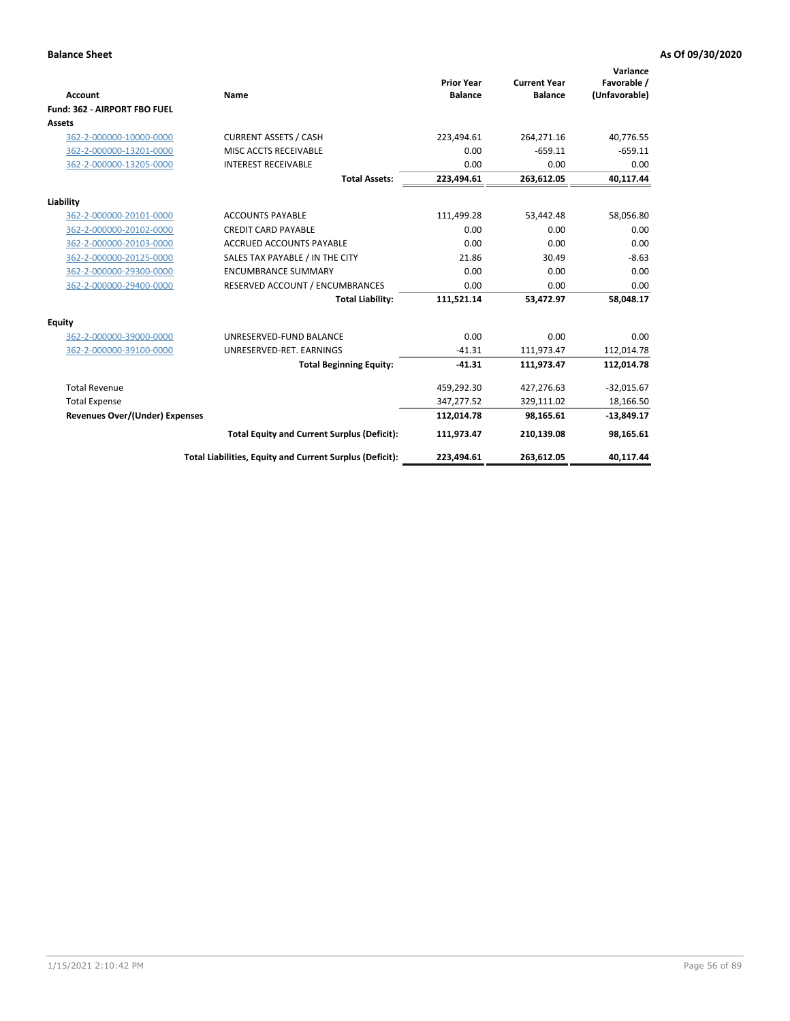|                                       |                                                          | <b>Prior Year</b> | <b>Current Year</b> | Variance<br>Favorable / |
|---------------------------------------|----------------------------------------------------------|-------------------|---------------------|-------------------------|
| <b>Account</b>                        | Name                                                     | <b>Balance</b>    | <b>Balance</b>      | (Unfavorable)           |
| Fund: 362 - AIRPORT FBO FUEL          |                                                          |                   |                     |                         |
| Assets                                |                                                          |                   |                     |                         |
| 362-2-000000-10000-0000               | <b>CURRENT ASSETS / CASH</b>                             | 223,494.61        | 264,271.16          | 40,776.55               |
| 362-2-000000-13201-0000               | MISC ACCTS RECEIVABLE                                    | 0.00              | $-659.11$           | $-659.11$               |
| 362-2-000000-13205-0000               | <b>INTEREST RECEIVABLE</b>                               | 0.00              | 0.00                | 0.00                    |
|                                       | <b>Total Assets:</b>                                     | 223,494.61        | 263,612.05          | 40,117.44               |
| Liability                             |                                                          |                   |                     |                         |
| 362-2-000000-20101-0000               | <b>ACCOUNTS PAYABLE</b>                                  | 111,499.28        | 53,442.48           | 58,056.80               |
| 362-2-000000-20102-0000               | <b>CREDIT CARD PAYABLE</b>                               | 0.00              | 0.00                | 0.00                    |
| 362-2-000000-20103-0000               | <b>ACCRUED ACCOUNTS PAYABLE</b>                          | 0.00              | 0.00                | 0.00                    |
| 362-2-000000-20125-0000               | SALES TAX PAYABLE / IN THE CITY                          | 21.86             | 30.49               | $-8.63$                 |
| 362-2-000000-29300-0000               | <b>ENCUMBRANCE SUMMARY</b>                               | 0.00              | 0.00                | 0.00                    |
| 362-2-000000-29400-0000               | RESERVED ACCOUNT / ENCUMBRANCES                          | 0.00              | 0.00                | 0.00                    |
|                                       | <b>Total Liability:</b>                                  | 111,521.14        | 53,472.97           | 58,048.17               |
| <b>Equity</b>                         |                                                          |                   |                     |                         |
| 362-2-000000-39000-0000               | UNRESERVED-FUND BALANCE                                  | 0.00              | 0.00                | 0.00                    |
| 362-2-000000-39100-0000               | UNRESERVED-RET, EARNINGS                                 | $-41.31$          | 111,973.47          | 112,014.78              |
|                                       | <b>Total Beginning Equity:</b>                           | $-41.31$          | 111,973.47          | 112,014.78              |
| <b>Total Revenue</b>                  |                                                          | 459,292.30        | 427,276.63          | $-32,015.67$            |
| <b>Total Expense</b>                  |                                                          | 347,277.52        | 329,111.02          | 18,166.50               |
| <b>Revenues Over/(Under) Expenses</b> |                                                          | 112,014.78        | 98,165.61           | $-13,849.17$            |
|                                       | <b>Total Equity and Current Surplus (Deficit):</b>       | 111,973.47        | 210,139.08          | 98,165.61               |
|                                       | Total Liabilities, Equity and Current Surplus (Deficit): | 223,494.61        | 263,612.05          | 40,117.44               |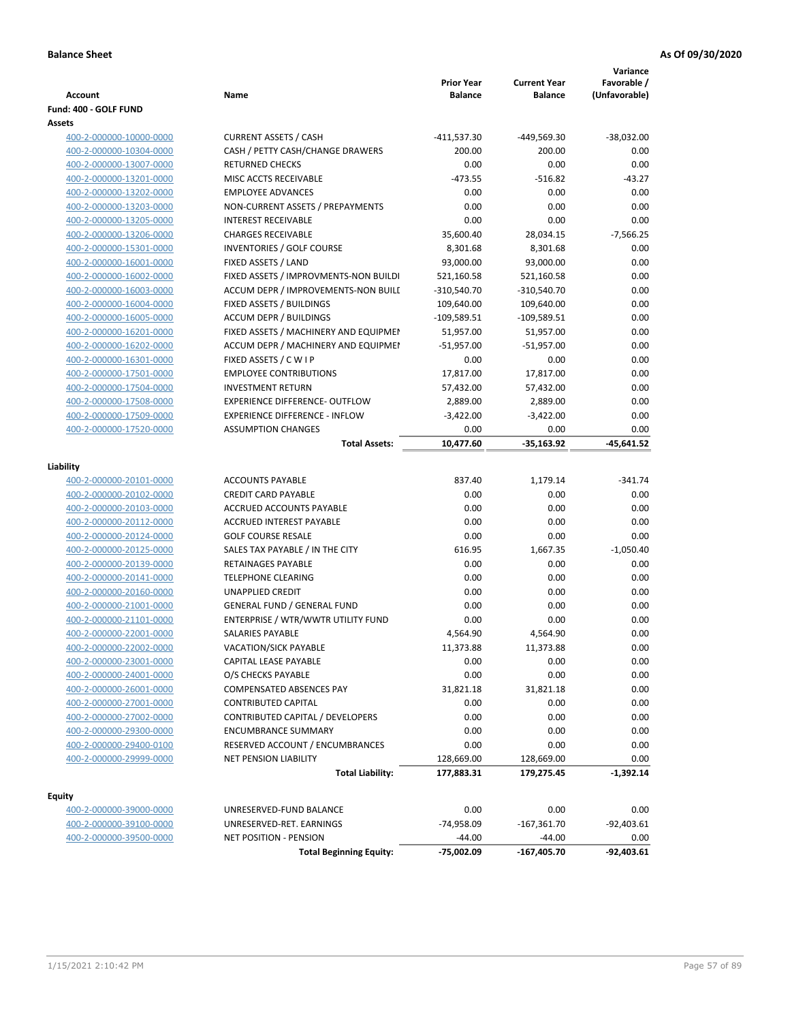| Account                 | Name                                  | <b>Prior Year</b><br><b>Balance</b> | <b>Current Year</b><br><b>Balance</b> | Variance<br>Favorable /<br>(Unfavorable) |
|-------------------------|---------------------------------------|-------------------------------------|---------------------------------------|------------------------------------------|
| Fund: 400 - GOLF FUND   |                                       |                                     |                                       |                                          |
| Assets                  |                                       |                                     |                                       |                                          |
| 400-2-000000-10000-0000 | <b>CURRENT ASSETS / CASH</b>          | -411,537.30                         | -449,569.30                           | $-38,032.00$                             |
| 400-2-000000-10304-0000 | CASH / PETTY CASH/CHANGE DRAWERS      | 200.00                              | 200.00                                | 0.00                                     |
| 400-2-000000-13007-0000 | <b>RETURNED CHECKS</b>                | 0.00                                | 0.00                                  | 0.00                                     |
| 400-2-000000-13201-0000 | MISC ACCTS RECEIVABLE                 | $-473.55$                           | $-516.82$                             | $-43.27$                                 |
| 400-2-000000-13202-0000 | <b>EMPLOYEE ADVANCES</b>              | 0.00                                | 0.00                                  | 0.00                                     |
| 400-2-000000-13203-0000 | NON-CURRENT ASSETS / PREPAYMENTS      | 0.00                                | 0.00                                  | 0.00                                     |
| 400-2-000000-13205-0000 | <b>INTEREST RECEIVABLE</b>            | 0.00                                | 0.00                                  | 0.00                                     |
| 400-2-000000-13206-0000 | <b>CHARGES RECEIVABLE</b>             | 35,600.40                           | 28,034.15                             | $-7,566.25$                              |
| 400-2-000000-15301-0000 | INVENTORIES / GOLF COURSE             | 8,301.68                            | 8,301.68                              | 0.00                                     |
| 400-2-000000-16001-0000 | FIXED ASSETS / LAND                   | 93,000.00                           | 93,000.00                             | 0.00                                     |
| 400-2-000000-16002-0000 | FIXED ASSETS / IMPROVMENTS-NON BUILDI | 521,160.58                          | 521,160.58                            | 0.00                                     |
| 400-2-000000-16003-0000 | ACCUM DEPR / IMPROVEMENTS-NON BUILI   | $-310,540.70$                       | $-310,540.70$                         | 0.00                                     |
| 400-2-000000-16004-0000 | FIXED ASSETS / BUILDINGS              | 109,640.00                          | 109,640.00                            | 0.00                                     |
| 400-2-000000-16005-0000 | <b>ACCUM DEPR / BUILDINGS</b>         | $-109,589.51$                       | $-109,589.51$                         | 0.00                                     |
| 400-2-000000-16201-0000 | FIXED ASSETS / MACHINERY AND EQUIPMEN | 51,957.00                           | 51,957.00                             | 0.00                                     |
| 400-2-000000-16202-0000 | ACCUM DEPR / MACHINERY AND EQUIPMEI   | $-51,957.00$                        | $-51,957.00$                          | 0.00                                     |
| 400-2-000000-16301-0000 | FIXED ASSETS / C W I P                | 0.00                                | 0.00                                  | 0.00                                     |
| 400-2-000000-17501-0000 | <b>EMPLOYEE CONTRIBUTIONS</b>         | 17,817.00                           | 17,817.00                             | 0.00                                     |
| 400-2-000000-17504-0000 | <b>INVESTMENT RETURN</b>              | 57,432.00                           | 57,432.00                             | 0.00                                     |
| 400-2-000000-17508-0000 | <b>EXPERIENCE DIFFERENCE- OUTFLOW</b> | 2,889.00                            | 2,889.00                              | 0.00                                     |
| 400-2-000000-17509-0000 | <b>EXPERIENCE DIFFERENCE - INFLOW</b> | $-3,422.00$                         | $-3,422.00$                           | 0.00                                     |
| 400-2-000000-17520-0000 | <b>ASSUMPTION CHANGES</b>             | 0.00                                | 0.00                                  | 0.00                                     |
|                         | <b>Total Assets:</b>                  | 10,477.60                           | $-35,163.92$                          | $-45,641.52$                             |
| Liability               |                                       |                                     |                                       |                                          |
| 400-2-000000-20101-0000 | <b>ACCOUNTS PAYABLE</b>               | 837.40                              | 1,179.14                              | $-341.74$                                |
| 400-2-000000-20102-0000 | <b>CREDIT CARD PAYABLE</b>            | 0.00                                | 0.00                                  | 0.00                                     |
| 400-2-000000-20103-0000 | ACCRUED ACCOUNTS PAYABLE              | 0.00                                | 0.00                                  | 0.00                                     |
| 400-2-000000-20112-0000 | <b>ACCRUED INTEREST PAYABLE</b>       | 0.00                                | 0.00                                  | 0.00                                     |
| 400-2-000000-20124-0000 | <b>GOLF COURSE RESALE</b>             | 0.00                                | 0.00                                  | 0.00                                     |
| 400-2-000000-20125-0000 | SALES TAX PAYABLE / IN THE CITY       | 616.95                              | 1,667.35                              | $-1,050.40$                              |
| 400-2-000000-20139-0000 | RETAINAGES PAYABLE                    | 0.00                                | 0.00                                  | 0.00                                     |
| 400-2-000000-20141-0000 | <b>TELEPHONE CLEARING</b>             | 0.00                                | 0.00                                  | 0.00                                     |
| 400-2-000000-20160-0000 | <b>UNAPPLIED CREDIT</b>               | 0.00                                | 0.00                                  | 0.00                                     |
| 400-2-000000-21001-0000 | <b>GENERAL FUND / GENERAL FUND</b>    | 0.00                                | 0.00                                  | 0.00                                     |
| 400-2-000000-21101-0000 | ENTERPRISE / WTR/WWTR UTILITY FUND    | 0.00                                | 0.00                                  | 0.00                                     |
| 400-2-000000-22001-0000 | SALARIES PAYABLE                      | 4,564.90                            | 4,564.90                              | 0.00                                     |
| 400-2-000000-22002-0000 | VACATION/SICK PAYABLE                 | 11,373.88                           | 11,373.88                             | 0.00                                     |
| 400-2-000000-23001-0000 | CAPITAL LEASE PAYABLE                 | 0.00                                | 0.00                                  | 0.00                                     |
| 400-2-000000-24001-0000 | O/S CHECKS PAYABLE                    | 0.00                                | 0.00                                  | 0.00                                     |
| 400-2-000000-26001-0000 | COMPENSATED ABSENCES PAY              | 31,821.18                           | 31,821.18                             | 0.00                                     |
| 400-2-000000-27001-0000 | <b>CONTRIBUTED CAPITAL</b>            | 0.00                                | 0.00                                  | 0.00                                     |
| 400-2-000000-27002-0000 | CONTRIBUTED CAPITAL / DEVELOPERS      | 0.00                                | 0.00                                  | 0.00                                     |
| 400-2-000000-29300-0000 | <b>ENCUMBRANCE SUMMARY</b>            | 0.00                                | 0.00                                  | 0.00                                     |
| 400-2-000000-29400-0100 | RESERVED ACCOUNT / ENCUMBRANCES       | 0.00                                | 0.00                                  | 0.00                                     |
| 400-2-000000-29999-0000 | NET PENSION LIABILITY                 | 128,669.00                          | 128,669.00                            | 0.00                                     |
|                         | <b>Total Liability:</b>               | 177,883.31                          | 179,275.45                            | $-1,392.14$                              |
|                         |                                       |                                     |                                       |                                          |
| <b>Equity</b>           |                                       |                                     |                                       |                                          |
| 400-2-000000-39000-0000 | UNRESERVED-FUND BALANCE               | 0.00                                | 0.00                                  | 0.00                                     |
| 400-2-000000-39100-0000 | UNRESERVED-RET. EARNINGS              | -74,958.09                          | $-167,361.70$                         | $-92,403.61$                             |
| 400-2-000000-39500-0000 | <b>NET POSITION - PENSION</b>         | $-44.00$                            | $-44.00$                              | 0.00                                     |
|                         | <b>Total Beginning Equity:</b>        | -75,002.09                          | -167,405.70                           | $-92,403.61$                             |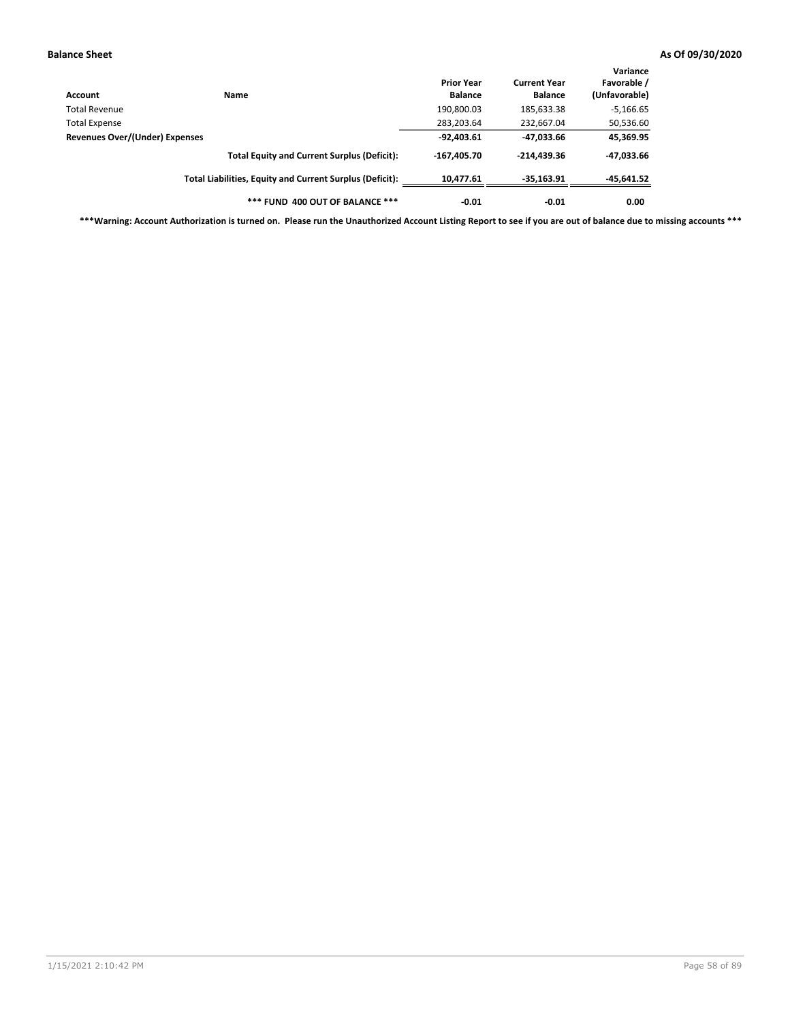| Account                        | Name                                                     | <b>Prior Year</b><br><b>Balance</b> | <b>Current Year</b><br><b>Balance</b> | Variance<br>Favorable /<br>(Unfavorable) |
|--------------------------------|----------------------------------------------------------|-------------------------------------|---------------------------------------|------------------------------------------|
| Total Revenue                  |                                                          | 190,800.03                          | 185,633.38                            | $-5,166.65$                              |
| <b>Total Expense</b>           |                                                          | 283,203.64                          | 232,667.04                            | 50,536.60                                |
| Revenues Over/(Under) Expenses |                                                          | $-92,403.61$                        | -47,033.66                            | 45,369.95                                |
|                                | <b>Total Equity and Current Surplus (Deficit):</b>       | $-167.405.70$                       | $-214.439.36$                         | -47,033.66                               |
|                                | Total Liabilities, Equity and Current Surplus (Deficit): | 10,477.61                           | $-35,163.91$                          | -45,641.52                               |
|                                | *** FUND 400 OUT OF BALANCE ***                          | $-0.01$                             | $-0.01$                               | 0.00                                     |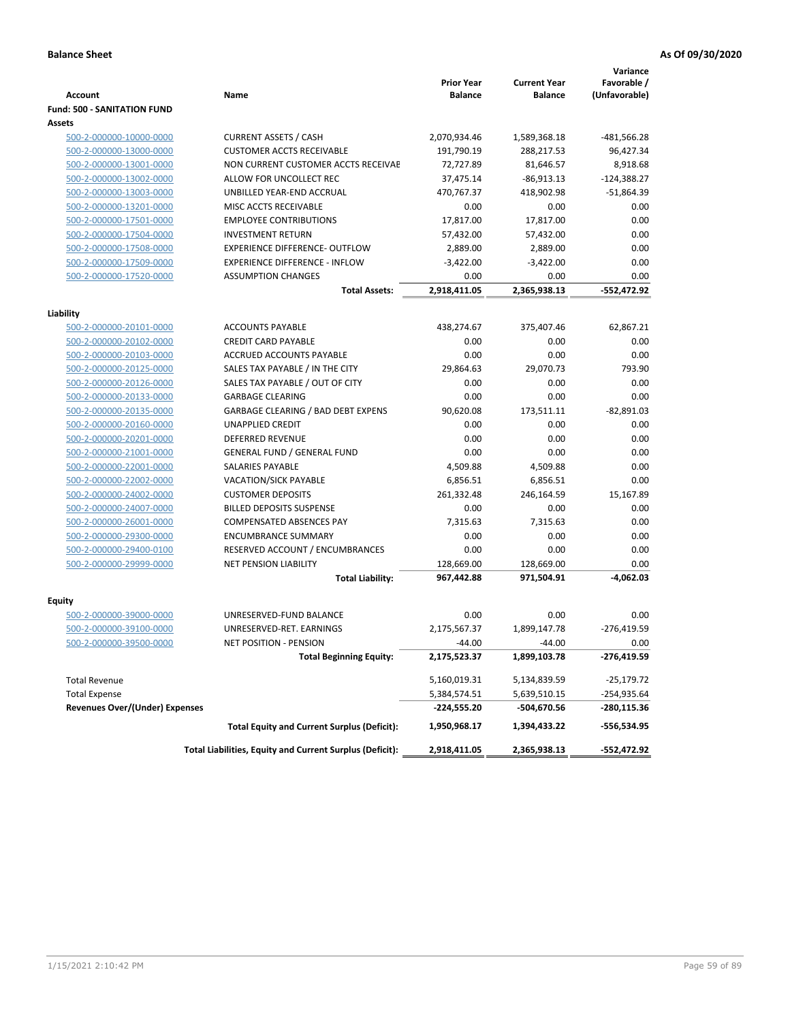| Account                            | Name                                                     | <b>Prior Year</b><br><b>Balance</b> | <b>Current Year</b><br><b>Balance</b> | Variance<br>Favorable /<br>(Unfavorable) |
|------------------------------------|----------------------------------------------------------|-------------------------------------|---------------------------------------|------------------------------------------|
| <b>Fund: 500 - SANITATION FUND</b> |                                                          |                                     |                                       |                                          |
| Assets                             |                                                          |                                     |                                       |                                          |
| 500-2-000000-10000-0000            | <b>CURRENT ASSETS / CASH</b>                             | 2,070,934.46                        | 1,589,368.18                          | $-481,566.28$                            |
| 500-2-000000-13000-0000            | <b>CUSTOMER ACCTS RECEIVABLE</b>                         | 191,790.19                          | 288,217.53                            | 96,427.34                                |
| 500-2-000000-13001-0000            | NON CURRENT CUSTOMER ACCTS RECEIVAE                      | 72,727.89                           | 81,646.57                             | 8,918.68                                 |
| 500-2-000000-13002-0000            | ALLOW FOR UNCOLLECT REC                                  | 37,475.14                           | $-86,913.13$                          | $-124,388.27$                            |
| 500-2-000000-13003-0000            | UNBILLED YEAR-END ACCRUAL                                | 470,767.37                          | 418,902.98                            | $-51,864.39$                             |
| 500-2-000000-13201-0000            | MISC ACCTS RECEIVABLE                                    | 0.00                                | 0.00                                  | 0.00                                     |
| 500-2-000000-17501-0000            | <b>EMPLOYEE CONTRIBUTIONS</b>                            | 17,817.00                           | 17,817.00                             | 0.00                                     |
| 500-2-000000-17504-0000            | <b>INVESTMENT RETURN</b>                                 | 57,432.00                           | 57,432.00                             | 0.00                                     |
| 500-2-000000-17508-0000            | <b>EXPERIENCE DIFFERENCE- OUTFLOW</b>                    | 2,889.00                            | 2,889.00                              | 0.00                                     |
| 500-2-000000-17509-0000            | <b>EXPERIENCE DIFFERENCE - INFLOW</b>                    | $-3,422.00$                         | $-3,422.00$                           | 0.00                                     |
| 500-2-000000-17520-0000            | <b>ASSUMPTION CHANGES</b>                                | 0.00                                | 0.00                                  | 0.00                                     |
|                                    | <b>Total Assets:</b>                                     | 2,918,411.05                        | 2,365,938.13                          | $-552,472.92$                            |
|                                    |                                                          |                                     |                                       |                                          |
| Liability                          |                                                          |                                     |                                       |                                          |
| 500-2-000000-20101-0000            | <b>ACCOUNTS PAYABLE</b>                                  | 438,274.67                          | 375,407.46                            | 62,867.21                                |
| 500-2-000000-20102-0000            | <b>CREDIT CARD PAYABLE</b>                               | 0.00                                | 0.00                                  | 0.00                                     |
| 500-2-000000-20103-0000            | <b>ACCRUED ACCOUNTS PAYABLE</b>                          | 0.00                                | 0.00                                  | 0.00                                     |
| 500-2-000000-20125-0000            | SALES TAX PAYABLE / IN THE CITY                          | 29,864.63                           | 29,070.73                             | 793.90                                   |
| 500-2-000000-20126-0000            | SALES TAX PAYABLE / OUT OF CITY                          | 0.00                                | 0.00                                  | 0.00                                     |
| 500-2-000000-20133-0000            | <b>GARBAGE CLEARING</b>                                  | 0.00                                | 0.00                                  | 0.00                                     |
| 500-2-000000-20135-0000            | GARBAGE CLEARING / BAD DEBT EXPENS                       | 90,620.08                           | 173,511.11                            | $-82,891.03$                             |
| 500-2-000000-20160-0000            | <b>UNAPPLIED CREDIT</b>                                  | 0.00                                | 0.00                                  | 0.00                                     |
| 500-2-000000-20201-0000            | <b>DEFERRED REVENUE</b>                                  | 0.00                                | 0.00                                  | 0.00                                     |
| 500-2-000000-21001-0000            | <b>GENERAL FUND / GENERAL FUND</b>                       | 0.00                                | 0.00                                  | 0.00                                     |
| 500-2-000000-22001-0000            | <b>SALARIES PAYABLE</b>                                  | 4,509.88                            | 4,509.88                              | 0.00                                     |
| 500-2-000000-22002-0000            | <b>VACATION/SICK PAYABLE</b>                             | 6,856.51                            | 6,856.51                              | 0.00                                     |
| 500-2-000000-24002-0000            | <b>CUSTOMER DEPOSITS</b>                                 | 261,332.48                          | 246,164.59                            | 15,167.89                                |
| 500-2-000000-24007-0000            | <b>BILLED DEPOSITS SUSPENSE</b>                          | 0.00                                | 0.00                                  | 0.00                                     |
| 500-2-000000-26001-0000            | <b>COMPENSATED ABSENCES PAY</b>                          | 7,315.63                            | 7,315.63                              | 0.00                                     |
| 500-2-000000-29300-0000            | <b>ENCUMBRANCE SUMMARY</b>                               | 0.00                                | 0.00                                  | 0.00                                     |
| 500-2-000000-29400-0100            | RESERVED ACCOUNT / ENCUMBRANCES                          | 0.00                                | 0.00                                  | 0.00                                     |
| 500-2-000000-29999-0000            | <b>NET PENSION LIABILITY</b>                             | 128,669.00                          | 128,669.00                            | 0.00                                     |
|                                    | <b>Total Liability:</b>                                  | 967,442.88                          | 971,504.91                            | $-4,062.03$                              |
| Equity                             |                                                          |                                     |                                       |                                          |
| 500-2-000000-39000-0000            | UNRESERVED-FUND BALANCE                                  | 0.00                                | 0.00                                  | 0.00                                     |
| 500-2-000000-39100-0000            | UNRESERVED-RET. EARNINGS                                 | 2,175,567.37                        | 1,899,147.78                          | $-276,419.59$                            |
|                                    |                                                          | -44.00                              | -44.00                                | 0.00                                     |
| <u>500-2-000000-39500-0000</u>     | NET POSITION - PENSION<br><b>Total Beginning Equity:</b> | 2,175,523.37                        | 1,899,103.78                          | -276,419.59                              |
|                                    |                                                          |                                     |                                       |                                          |
| <b>Total Revenue</b>               |                                                          | 5,160,019.31                        | 5,134,839.59                          | -25,179.72                               |
| <b>Total Expense</b>               |                                                          | 5,384,574.51                        | 5,639,510.15                          | -254,935.64                              |
| Revenues Over/(Under) Expenses     |                                                          | -224,555.20                         | -504,670.56                           | -280,115.36                              |
|                                    | <b>Total Equity and Current Surplus (Deficit):</b>       | 1,950,968.17                        | 1,394,433.22                          | -556,534.95                              |
|                                    | Total Liabilities, Equity and Current Surplus (Deficit): | 2,918,411.05                        | 2,365,938.13                          | -552,472.92                              |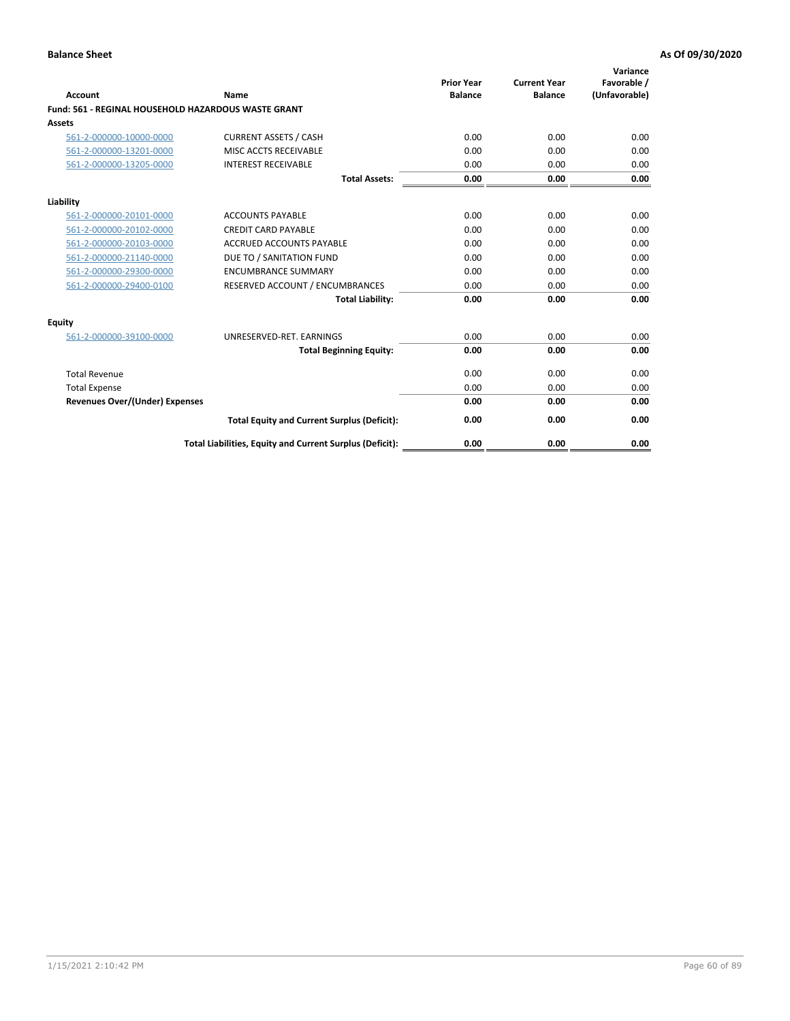| Account                                             | Name                                                     | <b>Prior Year</b><br><b>Balance</b> | <b>Current Year</b><br><b>Balance</b> | Variance<br>Favorable /<br>(Unfavorable) |
|-----------------------------------------------------|----------------------------------------------------------|-------------------------------------|---------------------------------------|------------------------------------------|
| Fund: 561 - REGINAL HOUSEHOLD HAZARDOUS WASTE GRANT |                                                          |                                     |                                       |                                          |
| <b>Assets</b>                                       |                                                          |                                     |                                       |                                          |
| 561-2-000000-10000-0000                             | <b>CURRENT ASSETS / CASH</b>                             | 0.00                                | 0.00                                  | 0.00                                     |
| 561-2-000000-13201-0000                             | MISC ACCTS RECEIVABLE                                    | 0.00                                | 0.00                                  | 0.00                                     |
| 561-2-000000-13205-0000                             | <b>INTEREST RECEIVABLE</b>                               | 0.00                                | 0.00                                  | 0.00                                     |
|                                                     | <b>Total Assets:</b>                                     | 0.00                                | 0.00                                  | 0.00                                     |
| Liability                                           |                                                          |                                     |                                       |                                          |
| 561-2-000000-20101-0000                             | <b>ACCOUNTS PAYABLE</b>                                  | 0.00                                | 0.00                                  | 0.00                                     |
| 561-2-000000-20102-0000                             | <b>CREDIT CARD PAYABLE</b>                               | 0.00                                | 0.00                                  | 0.00                                     |
| 561-2-000000-20103-0000                             | <b>ACCRUED ACCOUNTS PAYABLE</b>                          | 0.00                                | 0.00                                  | 0.00                                     |
| 561-2-000000-21140-0000                             | DUE TO / SANITATION FUND                                 | 0.00                                | 0.00                                  | 0.00                                     |
| 561-2-000000-29300-0000                             | <b>ENCUMBRANCE SUMMARY</b>                               | 0.00                                | 0.00                                  | 0.00                                     |
| 561-2-000000-29400-0100                             | RESERVED ACCOUNT / ENCUMBRANCES                          | 0.00                                | 0.00                                  | 0.00                                     |
|                                                     | <b>Total Liability:</b>                                  | 0.00                                | 0.00                                  | 0.00                                     |
| <b>Equity</b>                                       |                                                          |                                     |                                       |                                          |
| 561-2-000000-39100-0000                             | UNRESERVED-RET. EARNINGS                                 | 0.00                                | 0.00                                  | 0.00                                     |
|                                                     | <b>Total Beginning Equity:</b>                           | 0.00                                | 0.00                                  | 0.00                                     |
| <b>Total Revenue</b>                                |                                                          | 0.00                                | 0.00                                  | 0.00                                     |
| <b>Total Expense</b>                                |                                                          | 0.00                                | 0.00                                  | 0.00                                     |
| <b>Revenues Over/(Under) Expenses</b>               |                                                          | 0.00                                | 0.00                                  | 0.00                                     |
|                                                     | <b>Total Equity and Current Surplus (Deficit):</b>       | 0.00                                | 0.00                                  | 0.00                                     |
|                                                     | Total Liabilities, Equity and Current Surplus (Deficit): | 0.00                                | 0.00                                  | 0.00                                     |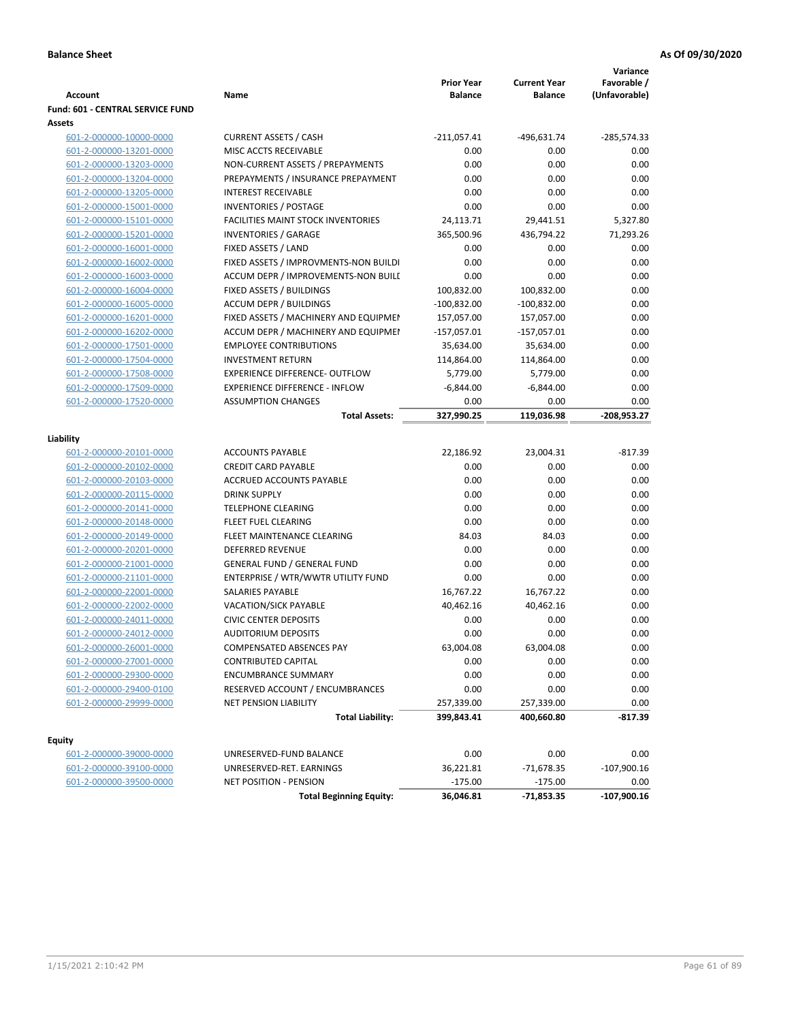|                                  |                                           |                                     |                                       | Variance                     |
|----------------------------------|-------------------------------------------|-------------------------------------|---------------------------------------|------------------------------|
| <b>Account</b>                   | Name                                      | <b>Prior Year</b><br><b>Balance</b> | <b>Current Year</b><br><b>Balance</b> | Favorable /<br>(Unfavorable) |
| Fund: 601 - CENTRAL SERVICE FUND |                                           |                                     |                                       |                              |
| Assets                           |                                           |                                     |                                       |                              |
| 601-2-000000-10000-0000          | <b>CURRENT ASSETS / CASH</b>              | $-211,057.41$                       | $-496,631.74$                         | $-285,574.33$                |
| 601-2-000000-13201-0000          | MISC ACCTS RECEIVABLE                     | 0.00                                | 0.00                                  | 0.00                         |
| 601-2-000000-13203-0000          | NON-CURRENT ASSETS / PREPAYMENTS          | 0.00                                | 0.00                                  | 0.00                         |
| 601-2-000000-13204-0000          | PREPAYMENTS / INSURANCE PREPAYMENT        | 0.00                                | 0.00                                  | 0.00                         |
| 601-2-000000-13205-0000          | <b>INTEREST RECEIVABLE</b>                | 0.00                                | 0.00                                  | 0.00                         |
| 601-2-000000-15001-0000          | <b>INVENTORIES / POSTAGE</b>              | 0.00                                | 0.00                                  | 0.00                         |
| 601-2-000000-15101-0000          | <b>FACILITIES MAINT STOCK INVENTORIES</b> | 24,113.71                           | 29,441.51                             | 5,327.80                     |
| 601-2-000000-15201-0000          | <b>INVENTORIES / GARAGE</b>               | 365,500.96                          | 436,794.22                            | 71,293.26                    |
| 601-2-000000-16001-0000          | FIXED ASSETS / LAND                       | 0.00                                | 0.00                                  | 0.00                         |
| 601-2-000000-16002-0000          | FIXED ASSETS / IMPROVMENTS-NON BUILDI     | 0.00                                | 0.00                                  | 0.00                         |
| 601-2-000000-16003-0000          | ACCUM DEPR / IMPROVEMENTS-NON BUILI       | 0.00                                | 0.00                                  | 0.00                         |
| 601-2-000000-16004-0000          | FIXED ASSETS / BUILDINGS                  | 100,832.00                          | 100,832.00                            | 0.00                         |
| 601-2-000000-16005-0000          | <b>ACCUM DEPR / BUILDINGS</b>             | $-100,832.00$                       | $-100,832.00$                         | 0.00                         |
| 601-2-000000-16201-0000          | FIXED ASSETS / MACHINERY AND EQUIPMEN     | 157,057.00                          | 157,057.00                            | 0.00                         |
| 601-2-000000-16202-0000          | ACCUM DEPR / MACHINERY AND EQUIPMEI       | $-157,057.01$                       | $-157,057.01$                         | 0.00                         |
| 601-2-000000-17501-0000          | <b>EMPLOYEE CONTRIBUTIONS</b>             | 35,634.00                           | 35,634.00                             | 0.00                         |
| 601-2-000000-17504-0000          | <b>INVESTMENT RETURN</b>                  | 114,864.00                          | 114,864.00                            | 0.00                         |
| 601-2-000000-17508-0000          | <b>EXPERIENCE DIFFERENCE- OUTFLOW</b>     | 5,779.00                            | 5,779.00                              | 0.00                         |
| 601-2-000000-17509-0000          | <b>EXPERIENCE DIFFERENCE - INFLOW</b>     | $-6,844.00$                         | $-6,844.00$                           | 0.00                         |
| 601-2-000000-17520-0000          | <b>ASSUMPTION CHANGES</b>                 | 0.00                                | 0.00                                  | 0.00                         |
|                                  | <b>Total Assets:</b>                      | 327,990.25                          | 119,036.98                            | -208,953.27                  |
|                                  |                                           |                                     |                                       |                              |
| Liability                        |                                           |                                     |                                       |                              |
| 601-2-000000-20101-0000          | <b>ACCOUNTS PAYABLE</b>                   | 22,186.92                           | 23,004.31                             | $-817.39$                    |
| 601-2-000000-20102-0000          | <b>CREDIT CARD PAYABLE</b>                | 0.00                                | 0.00                                  | 0.00                         |
| 601-2-000000-20103-0000          | ACCRUED ACCOUNTS PAYABLE                  | 0.00                                | 0.00                                  | 0.00                         |
| 601-2-000000-20115-0000          | <b>DRINK SUPPLY</b>                       | 0.00                                | 0.00                                  | 0.00                         |
| 601-2-000000-20141-0000          | <b>TELEPHONE CLEARING</b>                 | 0.00                                | 0.00                                  | 0.00                         |
| 601-2-000000-20148-0000          | <b>FLEET FUEL CLEARING</b>                | 0.00                                | 0.00                                  | 0.00                         |
| 601-2-000000-20149-0000          | FLEET MAINTENANCE CLEARING                | 84.03                               | 84.03                                 | 0.00                         |
| 601-2-000000-20201-0000          | <b>DEFERRED REVENUE</b>                   | 0.00                                | 0.00                                  | 0.00                         |
| 601-2-000000-21001-0000          | <b>GENERAL FUND / GENERAL FUND</b>        | 0.00                                | 0.00                                  | 0.00                         |
| 601-2-000000-21101-0000          | ENTERPRISE / WTR/WWTR UTILITY FUND        | 0.00                                | 0.00                                  | 0.00                         |
| 601-2-000000-22001-0000          | SALARIES PAYABLE                          | 16,767.22                           | 16,767.22                             | 0.00                         |
| 601-2-000000-22002-0000          | VACATION/SICK PAYABLE                     | 40,462.16                           | 40,462.16                             | 0.00                         |
| 601-2-000000-24011-0000          | <b>CIVIC CENTER DEPOSITS</b>              | 0.00                                | 0.00                                  | 0.00                         |
| 601-2-000000-24012-0000          | <b>AUDITORIUM DEPOSITS</b>                | 0.00                                | 0.00                                  | 0.00                         |
| 601-2-000000-26001-0000          | COMPENSATED ABSENCES PAY                  | 63,004.08                           | 63,004.08                             | 0.00                         |
| 601-2-000000-27001-0000          | <b>CONTRIBUTED CAPITAL</b>                | 0.00                                | 0.00                                  | 0.00                         |
| 601-2-000000-29300-0000          | <b>ENCUMBRANCE SUMMARY</b>                | 0.00                                | 0.00                                  | 0.00                         |
| 601-2-000000-29400-0100          | RESERVED ACCOUNT / ENCUMBRANCES           | 0.00                                | 0.00                                  | 0.00                         |
| 601-2-000000-29999-0000          | NET PENSION LIABILITY                     | 257,339.00                          | 257,339.00                            | 0.00                         |
|                                  | <b>Total Liability:</b>                   | 399,843.41                          | 400,660.80                            | $-817.39$                    |
|                                  |                                           |                                     |                                       |                              |
| Equity                           |                                           |                                     |                                       |                              |
| 601-2-000000-39000-0000          | UNRESERVED-FUND BALANCE                   | 0.00                                | 0.00                                  | 0.00                         |
| 601-2-000000-39100-0000          | UNRESERVED-RET. EARNINGS                  | 36,221.81                           | $-71,678.35$                          | $-107,900.16$                |
| 601-2-000000-39500-0000          | <b>NET POSITION - PENSION</b>             | $-175.00$                           | $-175.00$                             | 0.00                         |
|                                  | <b>Total Beginning Equity:</b>            | 36,046.81                           | $-71,853.35$                          | $-107,900.16$                |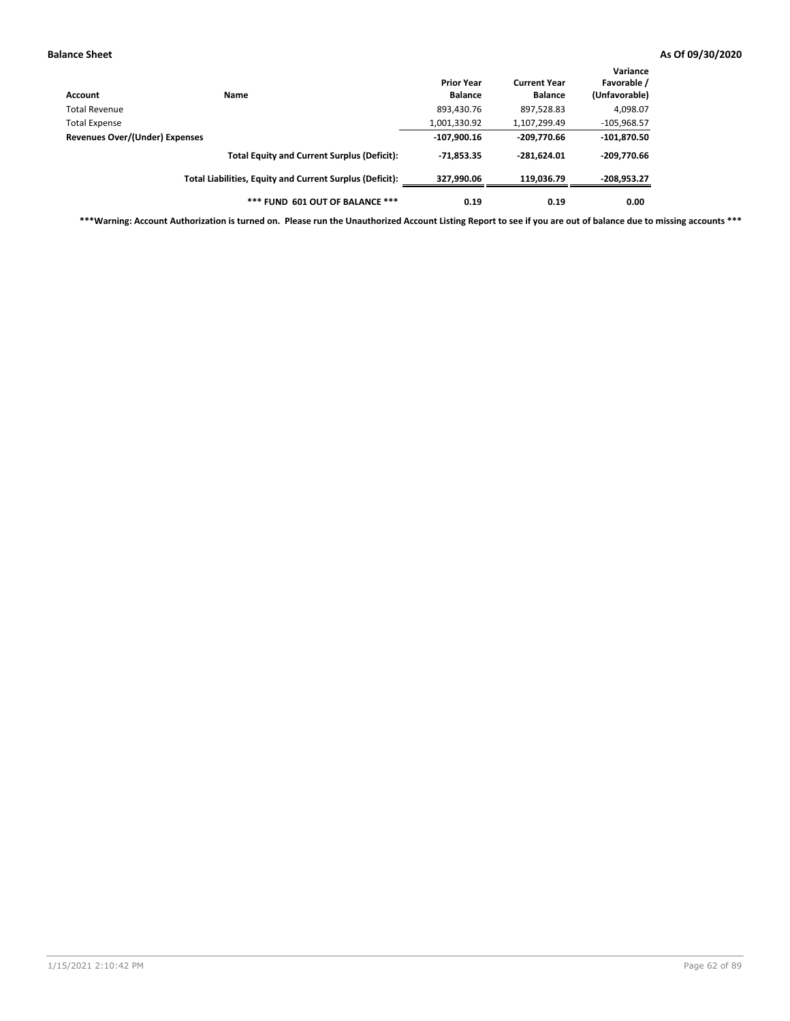| Account                        | Name                                                     | <b>Prior Year</b><br><b>Balance</b> | <b>Current Year</b><br><b>Balance</b> | Variance<br>Favorable /<br>(Unfavorable) |
|--------------------------------|----------------------------------------------------------|-------------------------------------|---------------------------------------|------------------------------------------|
| <b>Total Revenue</b>           |                                                          | 893,430.76                          | 897,528.83                            | 4,098.07                                 |
| <b>Total Expense</b>           |                                                          | 1,001,330.92                        | 1,107,299.49                          | $-105,968.57$                            |
| Revenues Over/(Under) Expenses |                                                          | $-107,900.16$                       | -209,770.66                           | $-101,870.50$                            |
|                                | <b>Total Equity and Current Surplus (Deficit):</b>       | $-71.853.35$                        | $-281.624.01$                         | $-209,770.66$                            |
|                                | Total Liabilities, Equity and Current Surplus (Deficit): | 327,990.06                          | 119.036.79                            | -208,953.27                              |
|                                | *** FUND 601 OUT OF BALANCE ***                          | 0.19                                | 0.19                                  | 0.00                                     |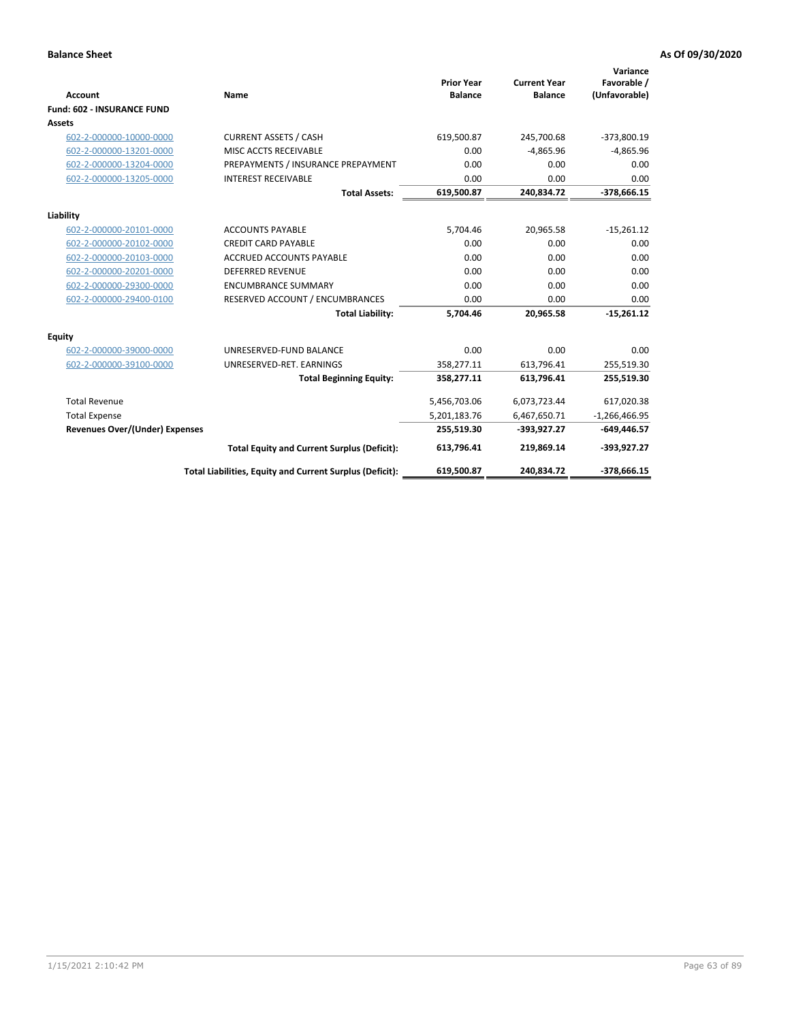|                                       |                                                          |                                     |                                       | Variance                     |
|---------------------------------------|----------------------------------------------------------|-------------------------------------|---------------------------------------|------------------------------|
| <b>Account</b>                        | Name                                                     | <b>Prior Year</b><br><b>Balance</b> | <b>Current Year</b><br><b>Balance</b> | Favorable /<br>(Unfavorable) |
| <b>Fund: 602 - INSURANCE FUND</b>     |                                                          |                                     |                                       |                              |
| <b>Assets</b>                         |                                                          |                                     |                                       |                              |
| 602-2-000000-10000-0000               | <b>CURRENT ASSETS / CASH</b>                             | 619,500.87                          | 245,700.68                            | $-373,800.19$                |
| 602-2-000000-13201-0000               | MISC ACCTS RECEIVABLE                                    | 0.00                                | $-4,865.96$                           | $-4,865.96$                  |
| 602-2-000000-13204-0000               | PREPAYMENTS / INSURANCE PREPAYMENT                       | 0.00                                | 0.00                                  | 0.00                         |
| 602-2-000000-13205-0000               | <b>INTEREST RECEIVABLE</b>                               | 0.00                                | 0.00                                  | 0.00                         |
|                                       | <b>Total Assets:</b>                                     | 619,500.87                          | 240,834.72                            | $-378,666.15$                |
| Liability                             |                                                          |                                     |                                       |                              |
| 602-2-000000-20101-0000               | <b>ACCOUNTS PAYABLE</b>                                  | 5,704.46                            | 20,965.58                             | $-15,261.12$                 |
| 602-2-000000-20102-0000               | <b>CREDIT CARD PAYABLE</b>                               | 0.00                                | 0.00                                  | 0.00                         |
| 602-2-000000-20103-0000               | <b>ACCRUED ACCOUNTS PAYABLE</b>                          | 0.00                                | 0.00                                  | 0.00                         |
| 602-2-000000-20201-0000               | <b>DEFERRED REVENUE</b>                                  | 0.00                                | 0.00                                  | 0.00                         |
| 602-2-000000-29300-0000               | <b>ENCUMBRANCE SUMMARY</b>                               | 0.00                                | 0.00                                  | 0.00                         |
| 602-2-000000-29400-0100               | RESERVED ACCOUNT / ENCUMBRANCES                          | 0.00                                | 0.00                                  | 0.00                         |
|                                       | <b>Total Liability:</b>                                  | 5,704.46                            | 20,965.58                             | $-15,261.12$                 |
| <b>Equity</b>                         |                                                          |                                     |                                       |                              |
| 602-2-000000-39000-0000               | UNRESERVED-FUND BALANCE                                  | 0.00                                | 0.00                                  | 0.00                         |
| 602-2-000000-39100-0000               | UNRESERVED-RET. EARNINGS                                 | 358,277.11                          | 613,796.41                            | 255,519.30                   |
|                                       | <b>Total Beginning Equity:</b>                           | 358,277.11                          | 613,796.41                            | 255,519.30                   |
| <b>Total Revenue</b>                  |                                                          | 5,456,703.06                        | 6,073,723.44                          | 617,020.38                   |
| <b>Total Expense</b>                  |                                                          | 5,201,183.76                        | 6,467,650.71                          | $-1,266,466.95$              |
| <b>Revenues Over/(Under) Expenses</b> |                                                          | 255,519.30                          | -393,927.27                           | $-649,446.57$                |
|                                       | <b>Total Equity and Current Surplus (Deficit):</b>       | 613,796.41                          | 219,869.14                            | -393,927.27                  |
|                                       | Total Liabilities, Equity and Current Surplus (Deficit): | 619,500.87                          | 240,834.72                            | $-378,666.15$                |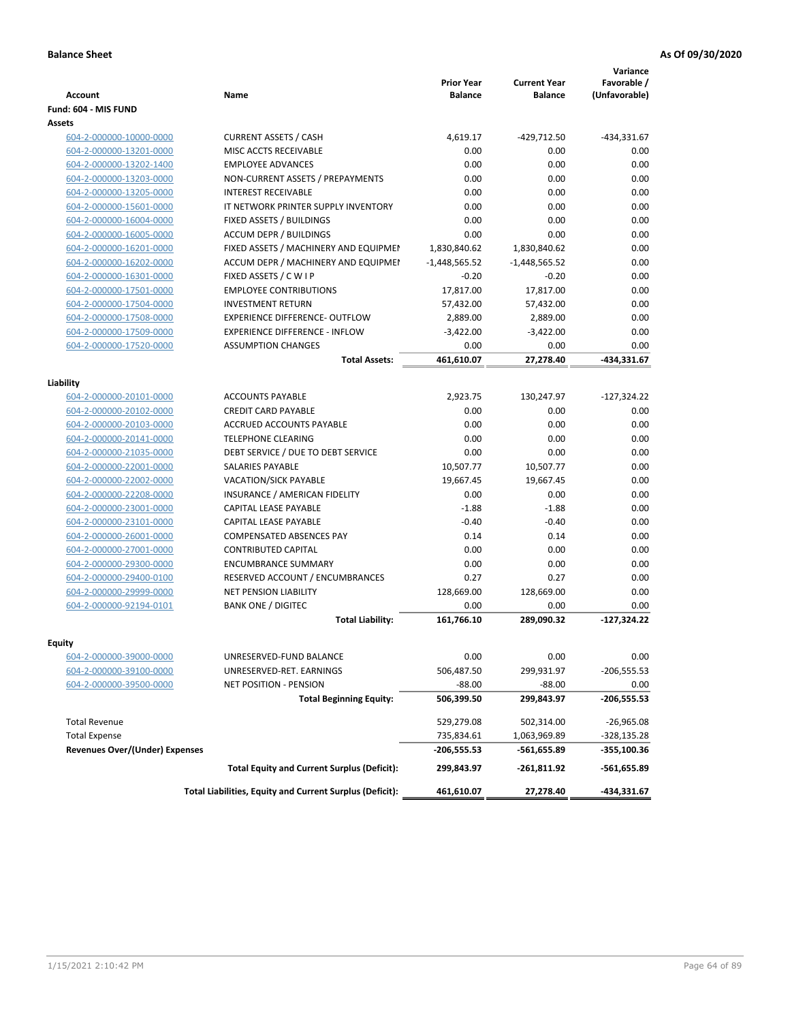| <b>Account</b>                        | Name                                                     | <b>Prior Year</b><br><b>Balance</b> | <b>Current Year</b><br><b>Balance</b> | Variance<br>Favorable /<br>(Unfavorable) |
|---------------------------------------|----------------------------------------------------------|-------------------------------------|---------------------------------------|------------------------------------------|
| Fund: 604 - MIS FUND                  |                                                          |                                     |                                       |                                          |
| Assets                                |                                                          |                                     |                                       |                                          |
| 604-2-000000-10000-0000               | <b>CURRENT ASSETS / CASH</b>                             | 4,619.17                            | -429,712.50                           | -434,331.67                              |
| 604-2-000000-13201-0000               | MISC ACCTS RECEIVABLE                                    | 0.00                                | 0.00                                  | 0.00                                     |
| 604-2-000000-13202-1400               | <b>EMPLOYEE ADVANCES</b>                                 | 0.00                                | 0.00                                  | 0.00                                     |
| 604-2-000000-13203-0000               | NON-CURRENT ASSETS / PREPAYMENTS                         | 0.00                                | 0.00                                  | 0.00                                     |
| 604-2-000000-13205-0000               | <b>INTEREST RECEIVABLE</b>                               | 0.00                                | 0.00                                  | 0.00                                     |
| 604-2-000000-15601-0000               | IT NETWORK PRINTER SUPPLY INVENTORY                      | 0.00                                | 0.00                                  | 0.00                                     |
| 604-2-000000-16004-0000               | FIXED ASSETS / BUILDINGS                                 | 0.00                                | 0.00                                  | 0.00                                     |
| 604-2-000000-16005-0000               | <b>ACCUM DEPR / BUILDINGS</b>                            | 0.00                                | 0.00                                  | 0.00                                     |
| 604-2-000000-16201-0000               | FIXED ASSETS / MACHINERY AND EQUIPMEN                    | 1,830,840.62                        | 1,830,840.62                          | 0.00                                     |
| 604-2-000000-16202-0000               | ACCUM DEPR / MACHINERY AND EQUIPMEI                      | $-1,448,565.52$                     | $-1,448,565.52$                       | 0.00                                     |
| 604-2-000000-16301-0000               | FIXED ASSETS / C W I P                                   | $-0.20$                             | $-0.20$                               | 0.00                                     |
| 604-2-000000-17501-0000               | <b>EMPLOYEE CONTRIBUTIONS</b>                            | 17,817.00                           | 17,817.00                             | 0.00                                     |
| 604-2-000000-17504-0000               | <b>INVESTMENT RETURN</b>                                 | 57,432.00                           | 57,432.00                             | 0.00                                     |
| 604-2-000000-17508-0000               | <b>EXPERIENCE DIFFERENCE- OUTFLOW</b>                    | 2,889.00                            | 2,889.00                              | 0.00                                     |
| 604-2-000000-17509-0000               | <b>EXPERIENCE DIFFERENCE - INFLOW</b>                    | $-3,422.00$                         | $-3,422.00$                           | 0.00                                     |
| 604-2-000000-17520-0000               | <b>ASSUMPTION CHANGES</b>                                | 0.00                                | 0.00                                  | 0.00                                     |
|                                       | <b>Total Assets:</b>                                     | 461,610.07                          | 27,278.40                             | -434,331.67                              |
|                                       |                                                          |                                     |                                       |                                          |
| Liability                             |                                                          |                                     |                                       |                                          |
| 604-2-000000-20101-0000               | <b>ACCOUNTS PAYABLE</b>                                  | 2.923.75                            | 130,247.97                            | $-127,324.22$                            |
| 604-2-000000-20102-0000               | <b>CREDIT CARD PAYABLE</b>                               | 0.00                                | 0.00                                  | 0.00                                     |
| 604-2-000000-20103-0000               | <b>ACCRUED ACCOUNTS PAYABLE</b>                          | 0.00                                | 0.00                                  | 0.00                                     |
| 604-2-000000-20141-0000               | <b>TELEPHONE CLEARING</b>                                | 0.00                                | 0.00                                  | 0.00                                     |
| 604-2-000000-21035-0000               | DEBT SERVICE / DUE TO DEBT SERVICE                       | 0.00                                | 0.00                                  | 0.00                                     |
| 604-2-000000-22001-0000               | <b>SALARIES PAYABLE</b>                                  | 10,507.77                           | 10,507.77                             | 0.00                                     |
| 604-2-000000-22002-0000               | <b>VACATION/SICK PAYABLE</b>                             | 19,667.45                           | 19,667.45                             | 0.00                                     |
| 604-2-000000-22208-0000               | INSURANCE / AMERICAN FIDELITY                            | 0.00                                | 0.00                                  | 0.00                                     |
| 604-2-000000-23001-0000               | CAPITAL LEASE PAYABLE                                    | $-1.88$                             | $-1.88$                               | 0.00                                     |
| 604-2-000000-23101-0000               | CAPITAL LEASE PAYABLE                                    | $-0.40$                             | $-0.40$                               | 0.00                                     |
| 604-2-000000-26001-0000               | <b>COMPENSATED ABSENCES PAY</b>                          | 0.14                                | 0.14                                  | 0.00                                     |
| 604-2-000000-27001-0000               | <b>CONTRIBUTED CAPITAL</b>                               | 0.00                                | 0.00                                  | 0.00                                     |
| 604-2-000000-29300-0000               | <b>ENCUMBRANCE SUMMARY</b>                               | 0.00                                | 0.00                                  | 0.00                                     |
| 604-2-000000-29400-0100               | RESERVED ACCOUNT / ENCUMBRANCES                          | 0.27                                | 0.27                                  | 0.00                                     |
| 604-2-000000-29999-0000               | <b>NET PENSION LIABILITY</b>                             | 128,669.00                          | 128,669.00                            | 0.00                                     |
| 604-2-000000-92194-0101               | <b>BANK ONE / DIGITEC</b>                                | 0.00                                | 0.00                                  | 0.00                                     |
|                                       | <b>Total Liability:</b>                                  | 161,766.10                          | 289,090.32                            | $-127.324.22$                            |
|                                       |                                                          |                                     |                                       |                                          |
| Equity                                |                                                          |                                     |                                       |                                          |
| 604-2-000000-39000-0000               | UNRESERVED-FUND BALANCE                                  | 0.00                                | 0.00                                  | 0.00                                     |
| 604-2-000000-39100-0000               | UNRESERVED-RET. EARNINGS                                 | 506,487.50                          | 299,931.97                            | $-206,555.53$                            |
| 604-2-000000-39500-0000               | NET POSITION - PENSION                                   | $-88.00$                            | $-88.00$                              | 0.00                                     |
|                                       | <b>Total Beginning Equity:</b>                           | 506,399.50                          | 299,843.97                            | -206,555.53                              |
| <b>Total Revenue</b>                  |                                                          | 529,279.08                          | 502,314.00                            | $-26,965.08$                             |
| <b>Total Expense</b>                  |                                                          | 735,834.61                          | 1,063,969.89                          | -328,135.28                              |
| <b>Revenues Over/(Under) Expenses</b> |                                                          | -206,555.53                         | -561,655.89                           | -355,100.36                              |
|                                       | <b>Total Equity and Current Surplus (Deficit):</b>       | 299,843.97                          | -261,811.92                           | -561,655.89                              |
|                                       | Total Liabilities, Equity and Current Surplus (Deficit): | 461,610.07                          | 27,278.40                             | -434,331.67                              |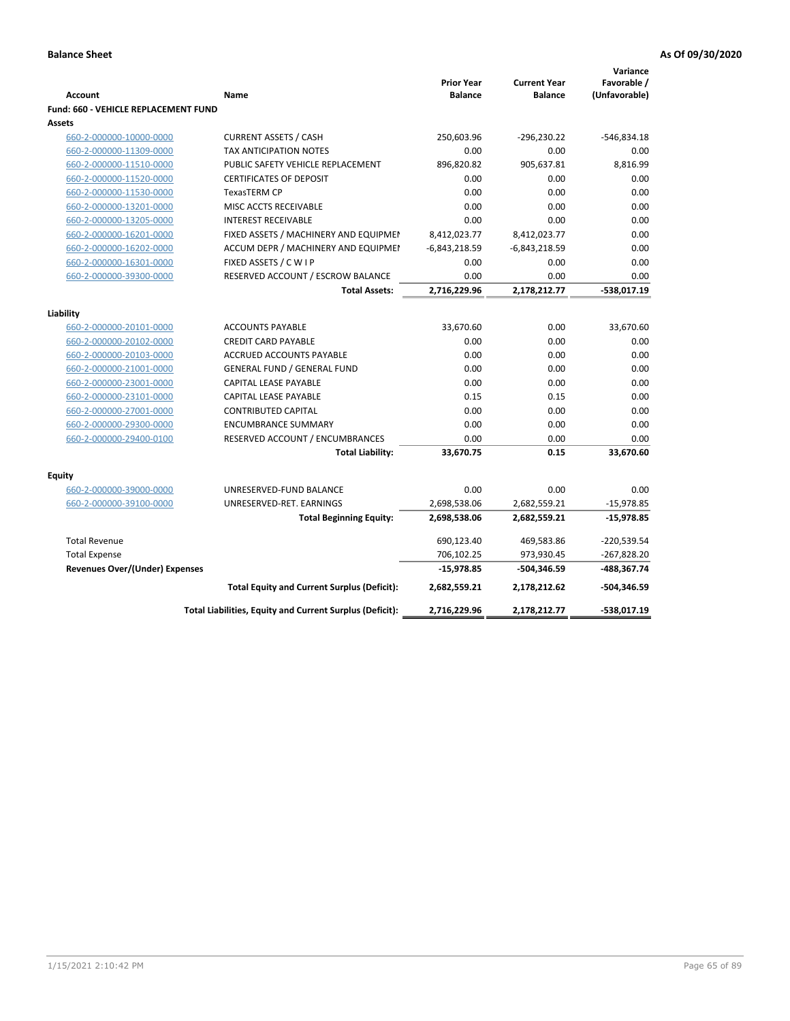|                                                       |                                                          |                                     |                                       | Variance      |
|-------------------------------------------------------|----------------------------------------------------------|-------------------------------------|---------------------------------------|---------------|
|                                                       |                                                          | <b>Prior Year</b><br><b>Balance</b> | <b>Current Year</b><br><b>Balance</b> | Favorable /   |
| <b>Account</b>                                        | Name                                                     |                                     |                                       | (Unfavorable) |
| <b>Fund: 660 - VEHICLE REPLACEMENT FUND</b><br>Assets |                                                          |                                     |                                       |               |
|                                                       | <b>CURRENT ASSETS / CASH</b>                             | 250,603.96                          | $-296,230.22$                         | -546,834.18   |
| 660-2-000000-10000-0000                               | TAX ANTICIPATION NOTES                                   | 0.00                                | 0.00                                  | 0.00          |
| 660-2-000000-11309-0000<br>660-2-000000-11510-0000    | PUBLIC SAFETY VEHICLE REPLACEMENT                        | 896,820.82                          | 905,637.81                            | 8,816.99      |
| 660-2-000000-11520-0000                               | <b>CERTIFICATES OF DEPOSIT</b>                           | 0.00                                | 0.00                                  | 0.00          |
| 660-2-000000-11530-0000                               | <b>TexasTERM CP</b>                                      | 0.00                                | 0.00                                  | 0.00          |
| 660-2-000000-13201-0000                               | MISC ACCTS RECEIVABLE                                    | 0.00                                | 0.00                                  | 0.00          |
|                                                       | <b>INTEREST RECEIVABLE</b>                               | 0.00                                | 0.00                                  | 0.00          |
| 660-2-000000-13205-0000<br>660-2-000000-16201-0000    | FIXED ASSETS / MACHINERY AND EQUIPMEN                    | 8,412,023.77                        | 8,412,023.77                          | 0.00          |
| 660-2-000000-16202-0000                               | ACCUM DEPR / MACHINERY AND EQUIPMEI                      | $-6,843,218.59$                     | $-6,843,218.59$                       | 0.00          |
| 660-2-000000-16301-0000                               | FIXED ASSETS / C W I P                                   | 0.00                                | 0.00                                  | 0.00          |
| 660-2-000000-39300-0000                               | RESERVED ACCOUNT / ESCROW BALANCE                        | 0.00                                | 0.00                                  | 0.00          |
|                                                       | <b>Total Assets:</b>                                     | 2,716,229.96                        | 2,178,212.77                          | -538,017.19   |
|                                                       |                                                          |                                     |                                       |               |
| Liability                                             |                                                          |                                     |                                       |               |
| 660-2-000000-20101-0000                               | <b>ACCOUNTS PAYABLE</b>                                  | 33,670.60                           | 0.00                                  | 33,670.60     |
| 660-2-000000-20102-0000                               | <b>CREDIT CARD PAYABLE</b>                               | 0.00                                | 0.00                                  | 0.00          |
| 660-2-000000-20103-0000                               | ACCRUED ACCOUNTS PAYABLE                                 | 0.00                                | 0.00                                  | 0.00          |
| 660-2-000000-21001-0000                               | <b>GENERAL FUND / GENERAL FUND</b>                       | 0.00                                | 0.00                                  | 0.00          |
| 660-2-000000-23001-0000                               | <b>CAPITAL LEASE PAYABLE</b>                             | 0.00                                | 0.00                                  | 0.00          |
| 660-2-000000-23101-0000                               | <b>CAPITAL LEASE PAYABLE</b>                             | 0.15                                | 0.15                                  | 0.00          |
| 660-2-000000-27001-0000                               | <b>CONTRIBUTED CAPITAL</b>                               | 0.00                                | 0.00                                  | 0.00          |
| 660-2-000000-29300-0000                               | <b>ENCUMBRANCE SUMMARY</b>                               | 0.00                                | 0.00                                  | 0.00          |
| 660-2-000000-29400-0100                               | RESERVED ACCOUNT / ENCUMBRANCES                          | 0.00                                | 0.00                                  | 0.00          |
|                                                       | <b>Total Liability:</b>                                  | 33,670.75                           | 0.15                                  | 33,670.60     |
| <b>Equity</b>                                         |                                                          |                                     |                                       |               |
| 660-2-000000-39000-0000                               | UNRESERVED-FUND BALANCE                                  | 0.00                                | 0.00                                  | 0.00          |
| 660-2-000000-39100-0000                               | UNRESERVED-RET. EARNINGS                                 | 2,698,538.06                        | 2,682,559.21                          | $-15,978.85$  |
|                                                       | <b>Total Beginning Equity:</b>                           | 2,698,538.06                        | 2,682,559.21                          | $-15,978.85$  |
|                                                       |                                                          |                                     |                                       |               |
| <b>Total Revenue</b>                                  |                                                          | 690,123.40                          | 469,583.86                            | -220,539.54   |
| <b>Total Expense</b>                                  |                                                          | 706,102.25                          | 973,930.45                            | $-267,828.20$ |
| <b>Revenues Over/(Under) Expenses</b>                 |                                                          | $-15,978.85$                        | -504,346.59                           | -488,367.74   |
|                                                       | <b>Total Equity and Current Surplus (Deficit):</b>       | 2,682,559.21                        | 2,178,212.62                          | -504,346.59   |
|                                                       | Total Liabilities, Equity and Current Surplus (Deficit): | 2,716,229.96                        | 2,178,212.77                          | -538,017.19   |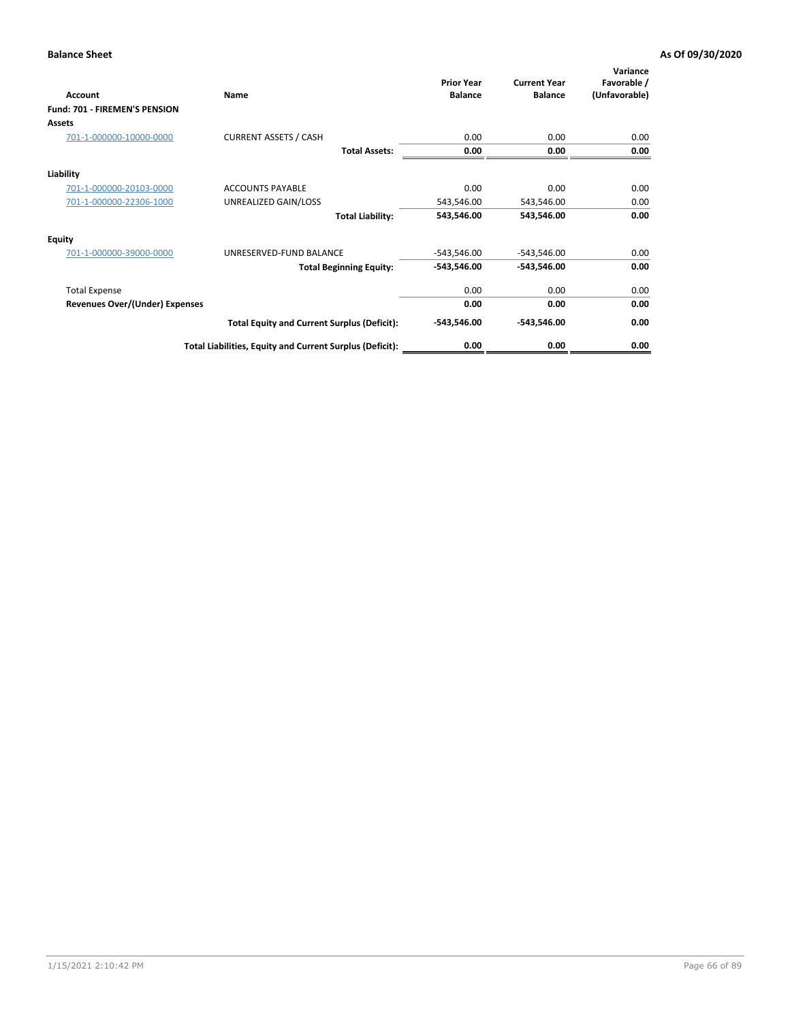| Account                               | Name                                                     | <b>Prior Year</b><br><b>Balance</b> | <b>Current Year</b><br><b>Balance</b> | Variance<br>Favorable /<br>(Unfavorable) |
|---------------------------------------|----------------------------------------------------------|-------------------------------------|---------------------------------------|------------------------------------------|
| Fund: 701 - FIREMEN'S PENSION         |                                                          |                                     |                                       |                                          |
| <b>Assets</b>                         |                                                          |                                     |                                       |                                          |
| 701-1-000000-10000-0000               | <b>CURRENT ASSETS / CASH</b>                             | 0.00                                | 0.00                                  | 0.00                                     |
|                                       | <b>Total Assets:</b>                                     | 0.00                                | 0.00                                  | 0.00                                     |
| Liability                             |                                                          |                                     |                                       |                                          |
| 701-1-000000-20103-0000               | <b>ACCOUNTS PAYABLE</b>                                  | 0.00                                | 0.00                                  | 0.00                                     |
| 701-1-000000-22306-1000               | UNREALIZED GAIN/LOSS                                     | 543,546.00                          | 543,546.00                            | 0.00                                     |
|                                       | <b>Total Liability:</b>                                  | 543,546.00                          | 543,546.00                            | 0.00                                     |
| <b>Equity</b>                         |                                                          |                                     |                                       |                                          |
| 701-1-000000-39000-0000               | UNRESERVED-FUND BALANCE                                  | $-543,546.00$                       | $-543,546.00$                         | 0.00                                     |
|                                       | <b>Total Beginning Equity:</b>                           | $-543,546.00$                       | -543,546.00                           | 0.00                                     |
| <b>Total Expense</b>                  |                                                          | 0.00                                | 0.00                                  | 0.00                                     |
| <b>Revenues Over/(Under) Expenses</b> |                                                          | 0.00                                | 0.00                                  | 0.00                                     |
|                                       | <b>Total Equity and Current Surplus (Deficit):</b>       | $-543,546.00$                       | -543,546.00                           | 0.00                                     |
|                                       | Total Liabilities, Equity and Current Surplus (Deficit): | 0.00                                | 0.00                                  | 0.00                                     |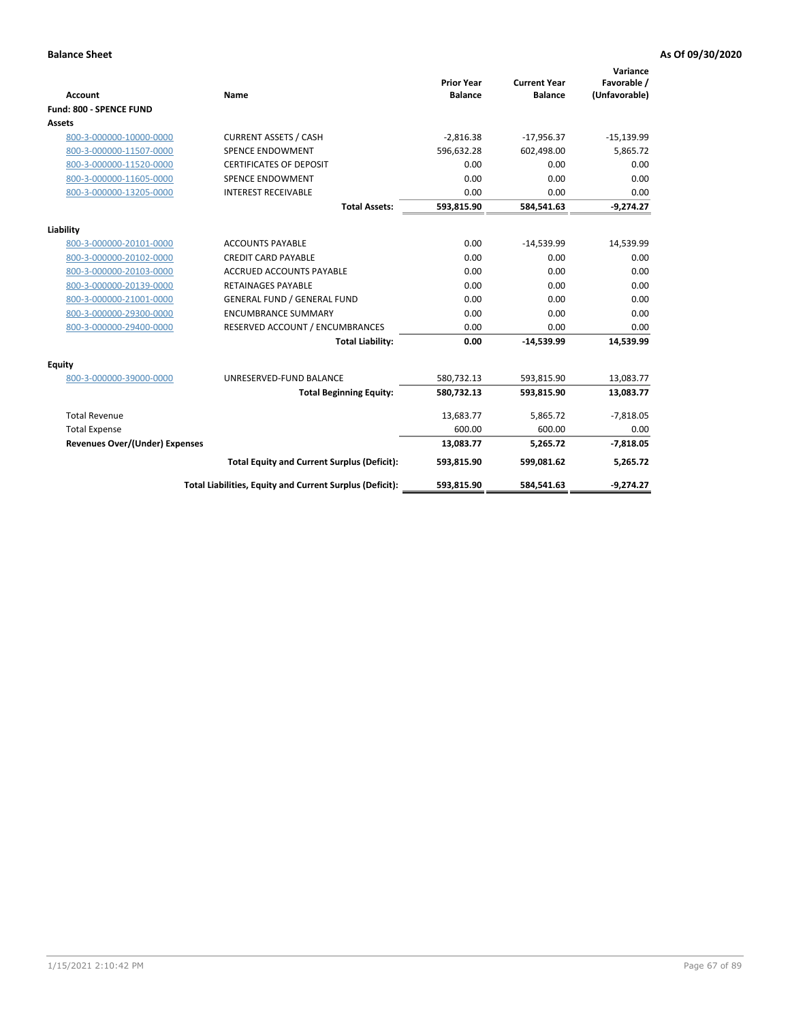|                                       |                                                          |                                     |                                       | Variance                     |
|---------------------------------------|----------------------------------------------------------|-------------------------------------|---------------------------------------|------------------------------|
| <b>Account</b>                        | <b>Name</b>                                              | <b>Prior Year</b><br><b>Balance</b> | <b>Current Year</b><br><b>Balance</b> | Favorable /<br>(Unfavorable) |
| Fund: 800 - SPENCE FUND               |                                                          |                                     |                                       |                              |
| <b>Assets</b>                         |                                                          |                                     |                                       |                              |
| 800-3-000000-10000-0000               | <b>CURRENT ASSETS / CASH</b>                             | $-2,816.38$                         | $-17,956.37$                          | $-15,139.99$                 |
| 800-3-000000-11507-0000               | <b>SPENCE ENDOWMENT</b>                                  | 596,632.28                          | 602,498.00                            | 5,865.72                     |
| 800-3-000000-11520-0000               | <b>CERTIFICATES OF DEPOSIT</b>                           | 0.00                                | 0.00                                  | 0.00                         |
| 800-3-000000-11605-0000               | <b>SPENCE ENDOWMENT</b>                                  | 0.00                                | 0.00                                  | 0.00                         |
| 800-3-000000-13205-0000               | <b>INTEREST RECEIVABLE</b>                               | 0.00                                | 0.00                                  | 0.00                         |
|                                       | <b>Total Assets:</b>                                     | 593,815.90                          | 584,541.63                            | $-9,274.27$                  |
| Liability                             |                                                          |                                     |                                       |                              |
| 800-3-000000-20101-0000               | <b>ACCOUNTS PAYABLE</b>                                  | 0.00                                | $-14,539.99$                          | 14,539.99                    |
| 800-3-000000-20102-0000               | <b>CREDIT CARD PAYABLE</b>                               | 0.00                                | 0.00                                  | 0.00                         |
| 800-3-000000-20103-0000               | <b>ACCRUED ACCOUNTS PAYABLE</b>                          | 0.00                                | 0.00                                  | 0.00                         |
| 800-3-000000-20139-0000               | <b>RETAINAGES PAYABLE</b>                                | 0.00                                | 0.00                                  | 0.00                         |
| 800-3-000000-21001-0000               | <b>GENERAL FUND / GENERAL FUND</b>                       | 0.00                                | 0.00                                  | 0.00                         |
| 800-3-000000-29300-0000               | <b>ENCUMBRANCE SUMMARY</b>                               | 0.00                                | 0.00                                  | 0.00                         |
| 800-3-000000-29400-0000               | RESERVED ACCOUNT / ENCUMBRANCES                          | 0.00                                | 0.00                                  | 0.00                         |
|                                       | <b>Total Liability:</b>                                  | 0.00                                | $-14,539.99$                          | 14,539.99                    |
| <b>Equity</b>                         |                                                          |                                     |                                       |                              |
| 800-3-000000-39000-0000               | UNRESERVED-FUND BALANCE                                  | 580,732.13                          | 593,815.90                            | 13,083.77                    |
|                                       | <b>Total Beginning Equity:</b>                           | 580,732.13                          | 593,815.90                            | 13,083.77                    |
| <b>Total Revenue</b>                  |                                                          | 13,683.77                           | 5,865.72                              | $-7,818.05$                  |
| <b>Total Expense</b>                  |                                                          | 600.00                              | 600.00                                | 0.00                         |
| <b>Revenues Over/(Under) Expenses</b> |                                                          | 13,083.77                           | 5,265.72                              | $-7,818.05$                  |
|                                       | <b>Total Equity and Current Surplus (Deficit):</b>       | 593,815.90                          | 599,081.62                            | 5,265.72                     |
|                                       | Total Liabilities, Equity and Current Surplus (Deficit): | 593,815.90                          | 584,541.63                            | $-9,274.27$                  |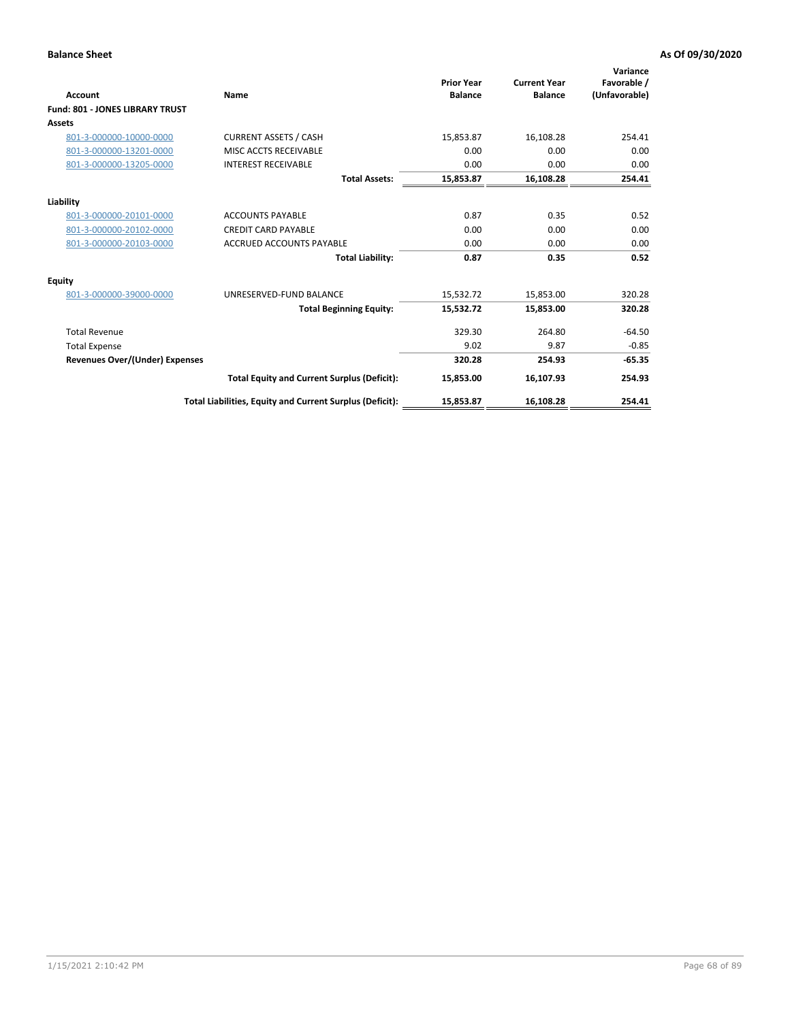| Account                               | Name                                                     | <b>Prior Year</b><br><b>Balance</b> | <b>Current Year</b><br><b>Balance</b> | Variance<br>Favorable /<br>(Unfavorable) |
|---------------------------------------|----------------------------------------------------------|-------------------------------------|---------------------------------------|------------------------------------------|
| Fund: 801 - JONES LIBRARY TRUST       |                                                          |                                     |                                       |                                          |
| Assets                                |                                                          |                                     |                                       |                                          |
| 801-3-000000-10000-0000               | <b>CURRENT ASSETS / CASH</b>                             | 15,853.87                           | 16,108.28                             | 254.41                                   |
| 801-3-000000-13201-0000               | MISC ACCTS RECEIVABLE                                    | 0.00                                | 0.00                                  | 0.00                                     |
| 801-3-000000-13205-0000               | <b>INTEREST RECEIVABLE</b>                               | 0.00                                | 0.00                                  | 0.00                                     |
|                                       | <b>Total Assets:</b>                                     | 15,853.87                           | 16,108.28                             | 254.41                                   |
| Liability                             |                                                          |                                     |                                       |                                          |
| 801-3-000000-20101-0000               | <b>ACCOUNTS PAYABLE</b>                                  | 0.87                                | 0.35                                  | 0.52                                     |
| 801-3-000000-20102-0000               | <b>CREDIT CARD PAYABLE</b>                               | 0.00                                | 0.00                                  | 0.00                                     |
| 801-3-000000-20103-0000               | <b>ACCRUED ACCOUNTS PAYABLE</b>                          | 0.00                                | 0.00                                  | 0.00                                     |
|                                       | <b>Total Liability:</b>                                  | 0.87                                | 0.35                                  | 0.52                                     |
| Equity                                |                                                          |                                     |                                       |                                          |
| 801-3-000000-39000-0000               | UNRESERVED-FUND BALANCE                                  | 15,532.72                           | 15,853.00                             | 320.28                                   |
|                                       | <b>Total Beginning Equity:</b>                           | 15,532.72                           | 15,853.00                             | 320.28                                   |
| <b>Total Revenue</b>                  |                                                          | 329.30                              | 264.80                                | $-64.50$                                 |
| <b>Total Expense</b>                  |                                                          | 9.02                                | 9.87                                  | $-0.85$                                  |
| <b>Revenues Over/(Under) Expenses</b> |                                                          | 320.28                              | 254.93                                | $-65.35$                                 |
|                                       | <b>Total Equity and Current Surplus (Deficit):</b>       | 15,853.00                           | 16,107.93                             | 254.93                                   |
|                                       | Total Liabilities, Equity and Current Surplus (Deficit): | 15,853.87                           | 16,108.28                             | 254.41                                   |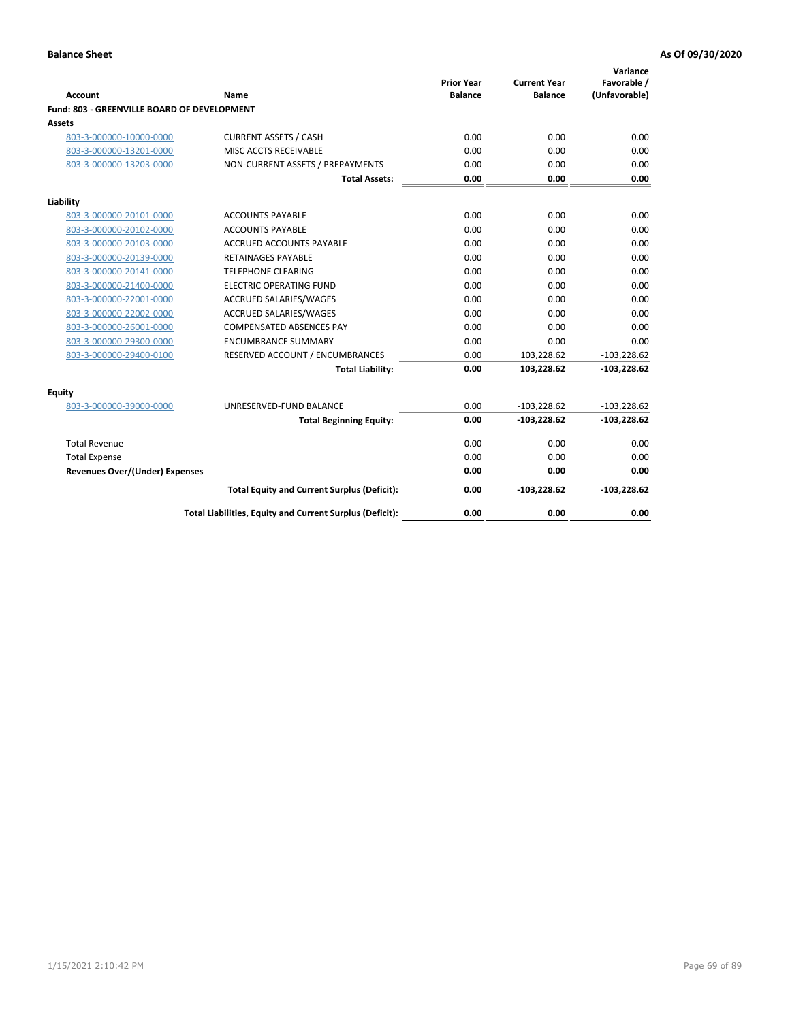| <b>Account</b>                              | Name                                                     | <b>Prior Year</b><br><b>Balance</b> | <b>Current Year</b><br><b>Balance</b> | Variance<br>Favorable /<br>(Unfavorable) |
|---------------------------------------------|----------------------------------------------------------|-------------------------------------|---------------------------------------|------------------------------------------|
| Fund: 803 - GREENVILLE BOARD OF DEVELOPMENT |                                                          |                                     |                                       |                                          |
| Assets                                      |                                                          |                                     |                                       |                                          |
| 803-3-000000-10000-0000                     | <b>CURRENT ASSETS / CASH</b>                             | 0.00                                | 0.00                                  | 0.00                                     |
| 803-3-000000-13201-0000                     | MISC ACCTS RECEIVABLE                                    | 0.00                                | 0.00                                  | 0.00                                     |
| 803-3-000000-13203-0000                     | NON-CURRENT ASSETS / PREPAYMENTS                         | 0.00                                | 0.00                                  | 0.00                                     |
|                                             | <b>Total Assets:</b>                                     | 0.00                                | 0.00                                  | 0.00                                     |
| Liability                                   |                                                          |                                     |                                       |                                          |
| 803-3-000000-20101-0000                     | <b>ACCOUNTS PAYABLE</b>                                  | 0.00                                | 0.00                                  | 0.00                                     |
| 803-3-000000-20102-0000                     | <b>ACCOUNTS PAYABLE</b>                                  | 0.00                                | 0.00                                  | 0.00                                     |
| 803-3-000000-20103-0000                     | <b>ACCRUED ACCOUNTS PAYABLE</b>                          | 0.00                                | 0.00                                  | 0.00                                     |
| 803-3-000000-20139-0000                     | <b>RETAINAGES PAYABLE</b>                                | 0.00                                | 0.00                                  | 0.00                                     |
| 803-3-000000-20141-0000                     | <b>TELEPHONE CLEARING</b>                                | 0.00                                | 0.00                                  | 0.00                                     |
| 803-3-000000-21400-0000                     | <b>ELECTRIC OPERATING FUND</b>                           | 0.00                                | 0.00                                  | 0.00                                     |
| 803-3-000000-22001-0000                     | ACCRUED SALARIES/WAGES                                   | 0.00                                | 0.00                                  | 0.00                                     |
| 803-3-000000-22002-0000                     | <b>ACCRUED SALARIES/WAGES</b>                            | 0.00                                | 0.00                                  | 0.00                                     |
| 803-3-000000-26001-0000                     | <b>COMPENSATED ABSENCES PAY</b>                          | 0.00                                | 0.00                                  | 0.00                                     |
| 803-3-000000-29300-0000                     | <b>ENCUMBRANCE SUMMARY</b>                               | 0.00                                | 0.00                                  | 0.00                                     |
| 803-3-000000-29400-0100                     | RESERVED ACCOUNT / ENCUMBRANCES                          | 0.00                                | 103,228.62                            | $-103,228.62$                            |
|                                             | <b>Total Liability:</b>                                  | 0.00                                | 103,228.62                            | $-103,228.62$                            |
| Equity                                      |                                                          |                                     |                                       |                                          |
| 803-3-000000-39000-0000                     | UNRESERVED-FUND BALANCE                                  | 0.00                                | $-103,228.62$                         | $-103,228.62$                            |
|                                             | <b>Total Beginning Equity:</b>                           | 0.00                                | $-103,228.62$                         | $-103,228.62$                            |
| <b>Total Revenue</b>                        |                                                          | 0.00                                | 0.00                                  | 0.00                                     |
| <b>Total Expense</b>                        |                                                          | 0.00                                | 0.00                                  | 0.00                                     |
| <b>Revenues Over/(Under) Expenses</b>       |                                                          | 0.00                                | 0.00                                  | 0.00                                     |
|                                             | <b>Total Equity and Current Surplus (Deficit):</b>       | 0.00                                | $-103,228.62$                         | $-103,228.62$                            |
|                                             | Total Liabilities, Equity and Current Surplus (Deficit): | 0.00                                | 0.00                                  | 0.00                                     |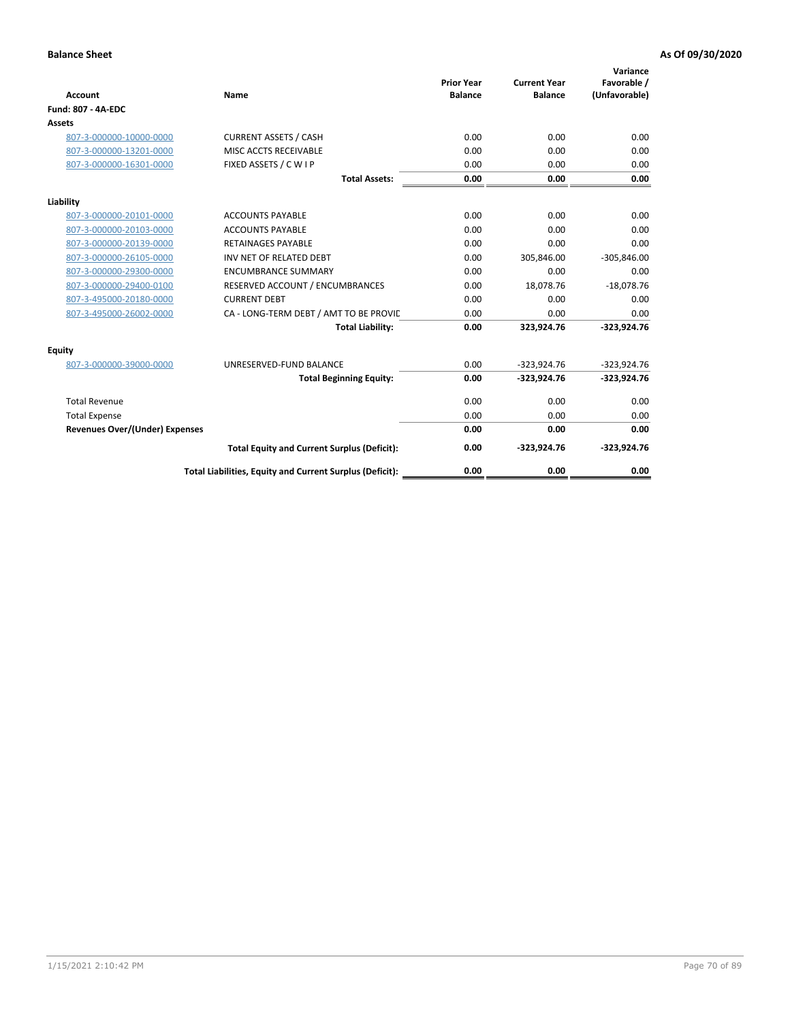| <b>Account</b>                        | Name                                                     | <b>Prior Year</b><br><b>Balance</b> | <b>Current Year</b><br><b>Balance</b> | Variance<br>Favorable /<br>(Unfavorable) |
|---------------------------------------|----------------------------------------------------------|-------------------------------------|---------------------------------------|------------------------------------------|
| <b>Fund: 807 - 4A-EDC</b>             |                                                          |                                     |                                       |                                          |
| <b>Assets</b>                         |                                                          |                                     |                                       |                                          |
| 807-3-000000-10000-0000               | <b>CURRENT ASSETS / CASH</b>                             | 0.00                                | 0.00                                  | 0.00                                     |
| 807-3-000000-13201-0000               | MISC ACCTS RECEIVABLE                                    | 0.00                                | 0.00                                  | 0.00                                     |
| 807-3-000000-16301-0000               | FIXED ASSETS / C W I P                                   | 0.00                                | 0.00                                  | 0.00                                     |
|                                       | <b>Total Assets:</b>                                     | 0.00                                | 0.00                                  | 0.00                                     |
| Liability                             |                                                          |                                     |                                       |                                          |
| 807-3-000000-20101-0000               | <b>ACCOUNTS PAYABLE</b>                                  | 0.00                                | 0.00                                  | 0.00                                     |
| 807-3-000000-20103-0000               | <b>ACCOUNTS PAYABLE</b>                                  | 0.00                                | 0.00                                  | 0.00                                     |
| 807-3-000000-20139-0000               | <b>RETAINAGES PAYABLE</b>                                | 0.00                                | 0.00                                  | 0.00                                     |
| 807-3-000000-26105-0000               | INV NET OF RELATED DEBT                                  | 0.00                                | 305,846.00                            | $-305,846.00$                            |
| 807-3-000000-29300-0000               | <b>ENCUMBRANCE SUMMARY</b>                               | 0.00                                | 0.00                                  | 0.00                                     |
| 807-3-000000-29400-0100               | RESERVED ACCOUNT / ENCUMBRANCES                          | 0.00                                | 18,078.76                             | $-18,078.76$                             |
| 807-3-495000-20180-0000               | <b>CURRENT DEBT</b>                                      | 0.00                                | 0.00                                  | 0.00                                     |
| 807-3-495000-26002-0000               | CA - LONG-TERM DEBT / AMT TO BE PROVIL                   | 0.00                                | 0.00                                  | 0.00                                     |
|                                       | <b>Total Liability:</b>                                  | 0.00                                | 323,924.76                            | $-323,924.76$                            |
| Equity                                |                                                          |                                     |                                       |                                          |
| 807-3-000000-39000-0000               | UNRESERVED-FUND BALANCE                                  | 0.00                                | $-323,924.76$                         | $-323,924.76$                            |
|                                       | <b>Total Beginning Equity:</b>                           | 0.00                                | $-323,924.76$                         | $-323,924.76$                            |
| <b>Total Revenue</b>                  |                                                          | 0.00                                | 0.00                                  | 0.00                                     |
| <b>Total Expense</b>                  |                                                          | 0.00                                | 0.00                                  | 0.00                                     |
| <b>Revenues Over/(Under) Expenses</b> |                                                          | 0.00                                | 0.00                                  | 0.00                                     |
|                                       | <b>Total Equity and Current Surplus (Deficit):</b>       | 0.00                                | $-323,924.76$                         | $-323,924.76$                            |
|                                       | Total Liabilities, Equity and Current Surplus (Deficit): | 0.00                                | 0.00                                  | 0.00                                     |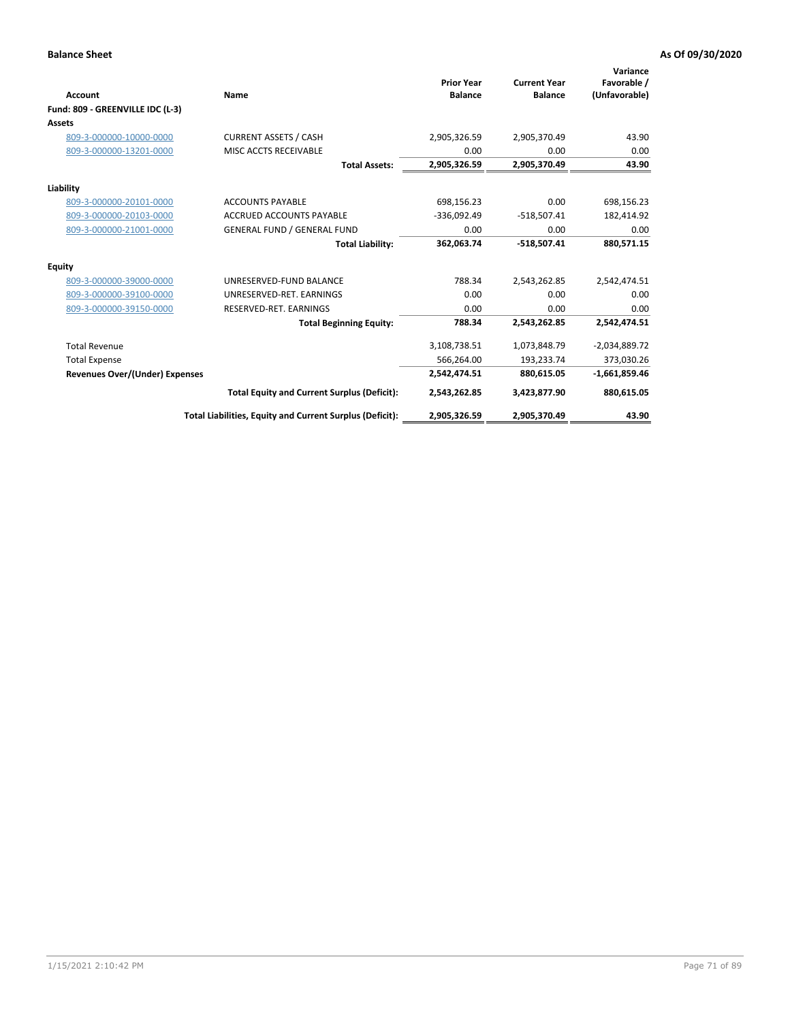| <b>Account</b><br>Fund: 809 - GREENVILLE IDC (L-3) | Name                                                     | <b>Prior Year</b><br><b>Balance</b> | <b>Current Year</b><br><b>Balance</b> | Variance<br>Favorable /<br>(Unfavorable) |
|----------------------------------------------------|----------------------------------------------------------|-------------------------------------|---------------------------------------|------------------------------------------|
| Assets                                             |                                                          |                                     |                                       |                                          |
| 809-3-000000-10000-0000                            | <b>CURRENT ASSETS / CASH</b>                             | 2,905,326.59                        | 2,905,370.49                          | 43.90                                    |
| 809-3-000000-13201-0000                            | MISC ACCTS RECEIVABLE                                    | 0.00                                | 0.00                                  | 0.00                                     |
|                                                    | <b>Total Assets:</b>                                     | 2,905,326.59                        | 2,905,370.49                          | 43.90                                    |
| Liability                                          |                                                          |                                     |                                       |                                          |
| 809-3-000000-20101-0000                            | <b>ACCOUNTS PAYABLE</b>                                  | 698,156.23                          | 0.00                                  | 698,156.23                               |
| 809-3-000000-20103-0000                            | <b>ACCRUED ACCOUNTS PAYABLE</b>                          | $-336,092.49$                       | $-518,507.41$                         | 182,414.92                               |
| 809-3-000000-21001-0000                            | <b>GENERAL FUND / GENERAL FUND</b>                       | 0.00                                | 0.00                                  | 0.00                                     |
|                                                    | <b>Total Liability:</b>                                  | 362,063.74                          | $-518,507.41$                         | 880,571.15                               |
| Equity                                             |                                                          |                                     |                                       |                                          |
| 809-3-000000-39000-0000                            | UNRESERVED-FUND BALANCE                                  | 788.34                              | 2,543,262.85                          | 2,542,474.51                             |
| 809-3-000000-39100-0000                            | UNRESERVED-RET. EARNINGS                                 | 0.00                                | 0.00                                  | 0.00                                     |
| 809-3-000000-39150-0000                            | RESERVED-RET. EARNINGS                                   | 0.00                                | 0.00                                  | 0.00                                     |
|                                                    | <b>Total Beginning Equity:</b>                           | 788.34                              | 2,543,262.85                          | 2,542,474.51                             |
| <b>Total Revenue</b>                               |                                                          | 3,108,738.51                        | 1,073,848.79                          | $-2,034,889.72$                          |
| <b>Total Expense</b>                               |                                                          | 566,264.00                          | 193,233.74                            | 373,030.26                               |
| <b>Revenues Over/(Under) Expenses</b>              |                                                          | 2,542,474.51                        | 880.615.05                            | $-1,661,859.46$                          |
|                                                    | <b>Total Equity and Current Surplus (Deficit):</b>       | 2,543,262.85                        | 3,423,877.90                          | 880,615.05                               |
|                                                    | Total Liabilities, Equity and Current Surplus (Deficit): | 2,905,326.59                        | 2,905,370.49                          | 43.90                                    |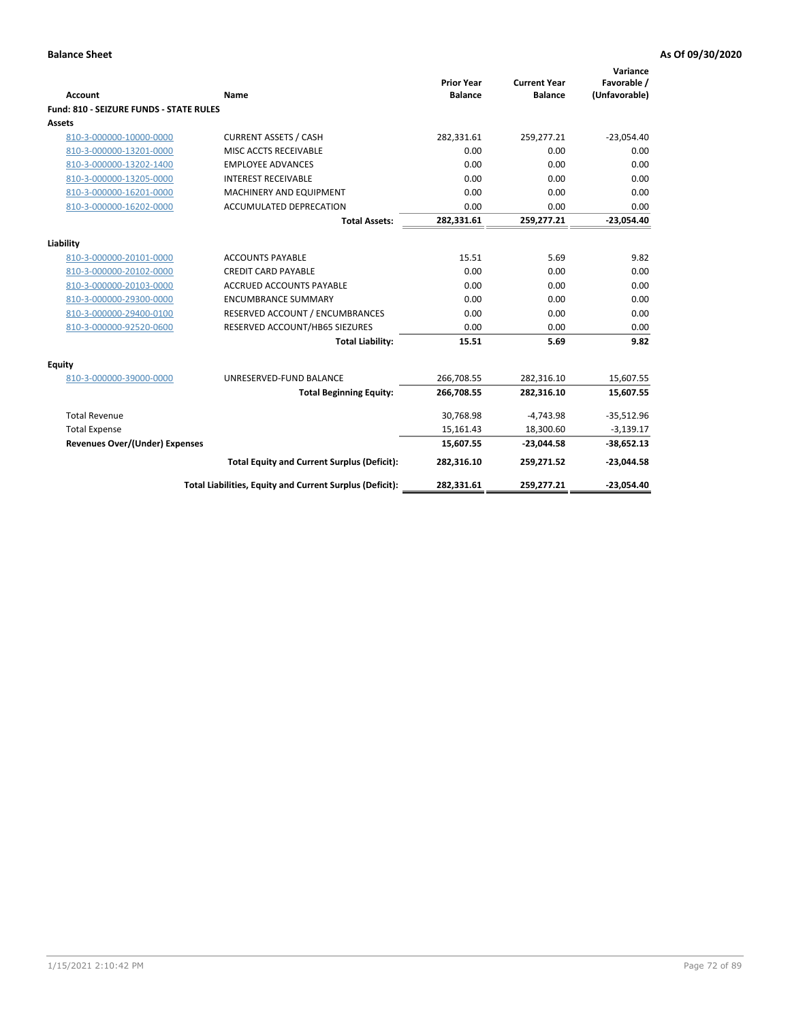| <b>Account</b>                                     | Name                                                          | <b>Prior Year</b><br><b>Balance</b> | <b>Current Year</b><br><b>Balance</b> | Variance<br>Favorable /<br>(Unfavorable) |
|----------------------------------------------------|---------------------------------------------------------------|-------------------------------------|---------------------------------------|------------------------------------------|
| Fund: 810 - SEIZURE FUNDS - STATE RULES            |                                                               |                                     |                                       |                                          |
| Assets                                             |                                                               |                                     |                                       |                                          |
| 810-3-000000-10000-0000                            | <b>CURRENT ASSETS / CASH</b>                                  | 282,331.61                          | 259,277.21                            | $-23,054.40$                             |
| 810-3-000000-13201-0000                            | MISC ACCTS RECEIVABLE                                         | 0.00                                | 0.00                                  | 0.00                                     |
| 810-3-000000-13202-1400                            | <b>EMPLOYEE ADVANCES</b>                                      | 0.00                                | 0.00                                  | 0.00                                     |
| 810-3-000000-13205-0000                            | <b>INTEREST RECEIVABLE</b>                                    | 0.00                                | 0.00                                  | 0.00                                     |
| 810-3-000000-16201-0000                            | MACHINERY AND EQUIPMENT                                       | 0.00                                | 0.00                                  | 0.00                                     |
| 810-3-000000-16202-0000                            | ACCUMULATED DEPRECATION                                       | 0.00                                | 0.00                                  | 0.00                                     |
|                                                    | <b>Total Assets:</b>                                          | 282,331.61                          | 259,277.21                            | $-23,054.40$                             |
|                                                    |                                                               |                                     |                                       |                                          |
| Liability                                          |                                                               |                                     | 5.69                                  |                                          |
| 810-3-000000-20101-0000                            | <b>ACCOUNTS PAYABLE</b>                                       | 15.51<br>0.00                       |                                       | 9.82                                     |
| 810-3-000000-20102-0000<br>810-3-000000-20103-0000 | <b>CREDIT CARD PAYABLE</b><br><b>ACCRUED ACCOUNTS PAYABLE</b> | 0.00                                | 0.00<br>0.00                          | 0.00<br>0.00                             |
|                                                    |                                                               |                                     |                                       |                                          |
| 810-3-000000-29300-0000                            | <b>ENCUMBRANCE SUMMARY</b>                                    | 0.00                                | 0.00                                  | 0.00                                     |
| 810-3-000000-29400-0100                            | RESERVED ACCOUNT / ENCUMBRANCES                               | 0.00                                | 0.00                                  | 0.00                                     |
| 810-3-000000-92520-0600                            | RESERVED ACCOUNT/HB65 SIEZURES                                | 0.00                                | 0.00                                  | 0.00                                     |
|                                                    | <b>Total Liability:</b>                                       | 15.51                               | 5.69                                  | 9.82                                     |
| <b>Equity</b>                                      |                                                               |                                     |                                       |                                          |
| 810-3-000000-39000-0000                            | UNRESERVED-FUND BALANCE                                       | 266,708.55                          | 282,316.10                            | 15,607.55                                |
|                                                    | <b>Total Beginning Equity:</b>                                | 266,708.55                          | 282,316.10                            | 15,607.55                                |
| <b>Total Revenue</b>                               |                                                               | 30,768.98                           | $-4,743.98$                           | $-35,512.96$                             |
| <b>Total Expense</b>                               |                                                               | 15,161.43                           | 18,300.60                             | $-3,139.17$                              |
| <b>Revenues Over/(Under) Expenses</b>              |                                                               | 15,607.55                           | $-23,044.58$                          | $-38,652.13$                             |
|                                                    | <b>Total Equity and Current Surplus (Deficit):</b>            | 282,316.10                          | 259,271.52                            | $-23,044.58$                             |
|                                                    | Total Liabilities, Equity and Current Surplus (Deficit):      | 282,331.61                          | 259,277.21                            | $-23,054.40$                             |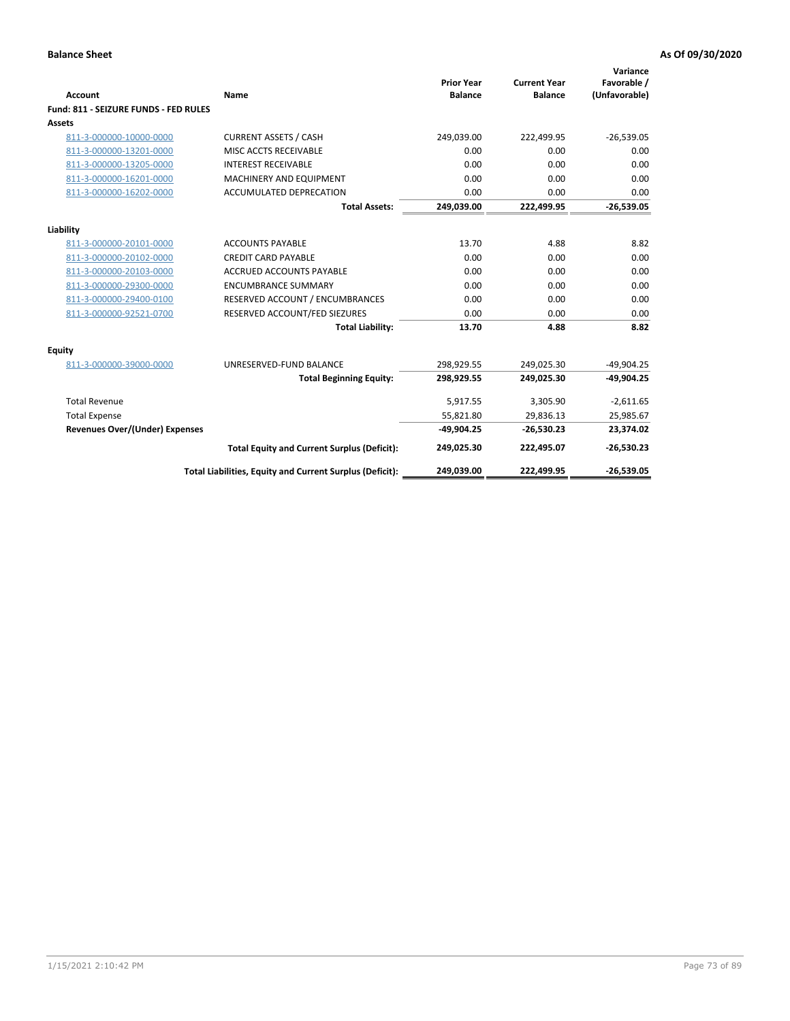| Account                               | Name                                                     | <b>Prior Year</b><br><b>Balance</b> | <b>Current Year</b><br><b>Balance</b> | Variance<br>Favorable /<br>(Unfavorable) |
|---------------------------------------|----------------------------------------------------------|-------------------------------------|---------------------------------------|------------------------------------------|
| Fund: 811 - SEIZURE FUNDS - FED RULES |                                                          |                                     |                                       |                                          |
| <b>Assets</b>                         |                                                          |                                     |                                       |                                          |
| 811-3-000000-10000-0000               | <b>CURRENT ASSETS / CASH</b>                             | 249,039.00                          | 222,499.95                            | $-26,539.05$                             |
| 811-3-000000-13201-0000               | MISC ACCTS RECEIVABLE                                    | 0.00                                | 0.00                                  | 0.00                                     |
| 811-3-000000-13205-0000               | <b>INTEREST RECEIVABLE</b>                               | 0.00                                | 0.00                                  | 0.00                                     |
| 811-3-000000-16201-0000               | <b>MACHINERY AND EQUIPMENT</b>                           | 0.00                                | 0.00                                  | 0.00                                     |
| 811-3-000000-16202-0000               | <b>ACCUMULATED DEPRECATION</b>                           | 0.00                                | 0.00                                  | 0.00                                     |
|                                       | <b>Total Assets:</b>                                     | 249,039.00                          | 222,499.95                            | $-26,539.05$                             |
| Liability                             |                                                          |                                     |                                       |                                          |
| 811-3-000000-20101-0000               | <b>ACCOUNTS PAYABLE</b>                                  | 13.70                               | 4.88                                  | 8.82                                     |
| 811-3-000000-20102-0000               | <b>CREDIT CARD PAYABLE</b>                               | 0.00                                | 0.00                                  | 0.00                                     |
| 811-3-000000-20103-0000               | <b>ACCRUED ACCOUNTS PAYABLE</b>                          | 0.00                                | 0.00                                  | 0.00                                     |
| 811-3-000000-29300-0000               | <b>ENCUMBRANCE SUMMARY</b>                               | 0.00                                | 0.00                                  | 0.00                                     |
| 811-3-000000-29400-0100               | RESERVED ACCOUNT / ENCUMBRANCES                          | 0.00                                | 0.00                                  | 0.00                                     |
| 811-3-000000-92521-0700               | RESERVED ACCOUNT/FED SIEZURES                            | 0.00                                | 0.00                                  | 0.00                                     |
|                                       | <b>Total Liability:</b>                                  | 13.70                               | 4.88                                  | 8.82                                     |
| <b>Equity</b>                         |                                                          |                                     |                                       |                                          |
| 811-3-000000-39000-0000               | UNRESERVED-FUND BALANCE                                  | 298,929.55                          | 249,025.30                            | $-49,904.25$                             |
|                                       | <b>Total Beginning Equity:</b>                           | 298,929.55                          | 249,025.30                            | $-49.904.25$                             |
| <b>Total Revenue</b>                  |                                                          | 5,917.55                            | 3.305.90                              | $-2,611.65$                              |
| <b>Total Expense</b>                  |                                                          | 55,821.80                           | 29,836.13                             | 25,985.67                                |
| Revenues Over/(Under) Expenses        |                                                          | $-49,904.25$                        | $-26,530.23$                          | 23,374.02                                |
|                                       | <b>Total Equity and Current Surplus (Deficit):</b>       | 249,025.30                          | 222,495.07                            | $-26,530.23$                             |
|                                       | Total Liabilities, Equity and Current Surplus (Deficit): | 249,039.00                          | 222,499.95                            | $-26,539.05$                             |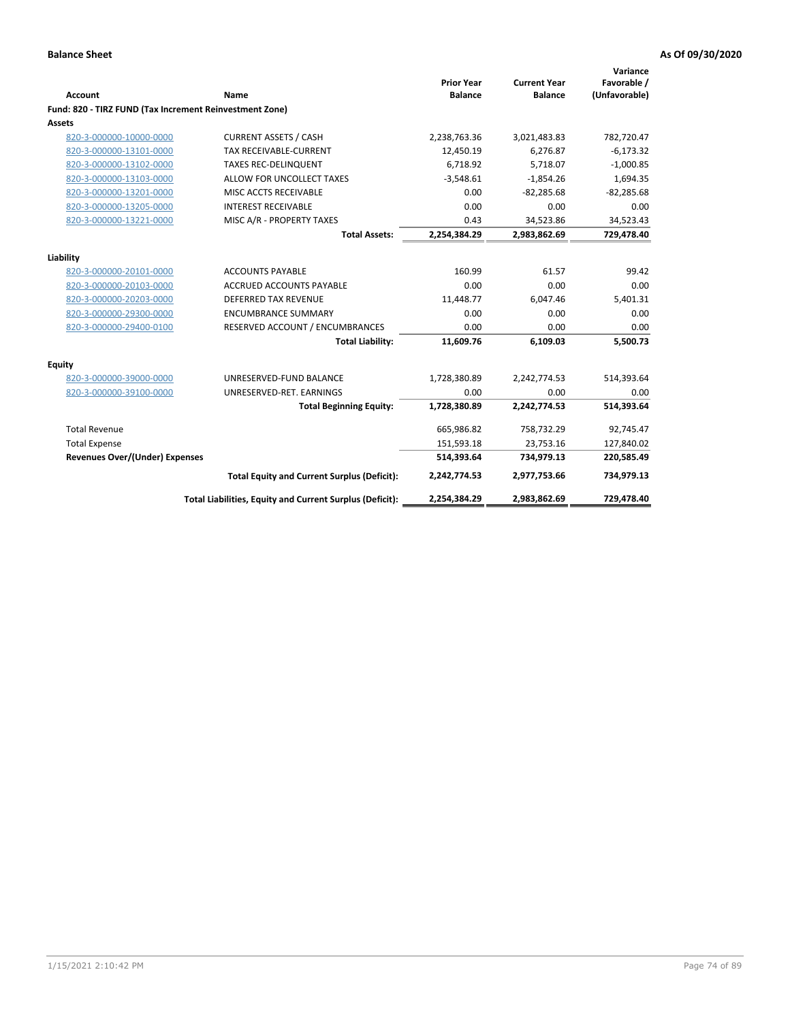|                                                         |                                                          | <b>Prior Year</b> | <b>Current Year</b> | Variance<br>Favorable / |
|---------------------------------------------------------|----------------------------------------------------------|-------------------|---------------------|-------------------------|
| <b>Account</b>                                          | Name                                                     | <b>Balance</b>    | <b>Balance</b>      | (Unfavorable)           |
| Fund: 820 - TIRZ FUND (Tax Increment Reinvestment Zone) |                                                          |                   |                     |                         |
| Assets                                                  |                                                          |                   |                     |                         |
| 820-3-000000-10000-0000                                 | <b>CURRENT ASSETS / CASH</b>                             | 2,238,763.36      | 3,021,483.83        | 782,720.47              |
| 820-3-000000-13101-0000                                 | TAX RECEIVABLE-CURRENT                                   | 12,450.19         | 6,276.87            | $-6,173.32$             |
| 820-3-000000-13102-0000                                 | <b>TAXES REC-DELINQUENT</b>                              | 6,718.92          | 5,718.07            | $-1,000.85$             |
| 820-3-000000-13103-0000                                 | ALLOW FOR UNCOLLECT TAXES                                | $-3,548.61$       | $-1,854.26$         | 1,694.35                |
| 820-3-000000-13201-0000                                 | MISC ACCTS RECEIVABLE                                    | 0.00              | $-82,285.68$        | $-82,285.68$            |
| 820-3-000000-13205-0000                                 | <b>INTEREST RECEIVABLE</b>                               | 0.00              | 0.00                | 0.00                    |
| 820-3-000000-13221-0000                                 | MISC A/R - PROPERTY TAXES                                | 0.43              | 34,523.86           | 34,523.43               |
|                                                         | <b>Total Assets:</b>                                     | 2,254,384.29      | 2,983,862.69        | 729,478.40              |
| Liability                                               |                                                          |                   |                     |                         |
| 820-3-000000-20101-0000                                 | <b>ACCOUNTS PAYABLE</b>                                  | 160.99            | 61.57               | 99.42                   |
| 820-3-000000-20103-0000                                 | <b>ACCRUED ACCOUNTS PAYABLE</b>                          | 0.00              | 0.00                | 0.00                    |
| 820-3-000000-20203-0000                                 | <b>DEFERRED TAX REVENUE</b>                              | 11,448.77         | 6,047.46            | 5,401.31                |
| 820-3-000000-29300-0000                                 | <b>ENCUMBRANCE SUMMARY</b>                               | 0.00              | 0.00                | 0.00                    |
| 820-3-000000-29400-0100                                 | RESERVED ACCOUNT / ENCUMBRANCES                          | 0.00              | 0.00                | 0.00                    |
|                                                         | <b>Total Liability:</b>                                  | 11,609.76         | 6,109.03            | 5,500.73                |
| Equity                                                  |                                                          |                   |                     |                         |
| 820-3-000000-39000-0000                                 | UNRESERVED-FUND BALANCE                                  | 1,728,380.89      | 2,242,774.53        | 514,393.64              |
| 820-3-000000-39100-0000                                 | UNRESERVED-RET. EARNINGS                                 | 0.00              | 0.00                | 0.00                    |
|                                                         | <b>Total Beginning Equity:</b>                           | 1,728,380.89      | 2,242,774.53        | 514,393.64              |
| <b>Total Revenue</b>                                    |                                                          | 665,986.82        | 758,732.29          | 92,745.47               |
| <b>Total Expense</b>                                    |                                                          | 151,593.18        | 23,753.16           | 127,840.02              |
| <b>Revenues Over/(Under) Expenses</b>                   |                                                          | 514,393.64        | 734,979.13          | 220,585.49              |
|                                                         | <b>Total Equity and Current Surplus (Deficit):</b>       | 2,242,774.53      | 2,977,753.66        | 734,979.13              |
|                                                         | Total Liabilities, Equity and Current Surplus (Deficit): | 2,254,384.29      | 2,983,862.69        | 729,478.40              |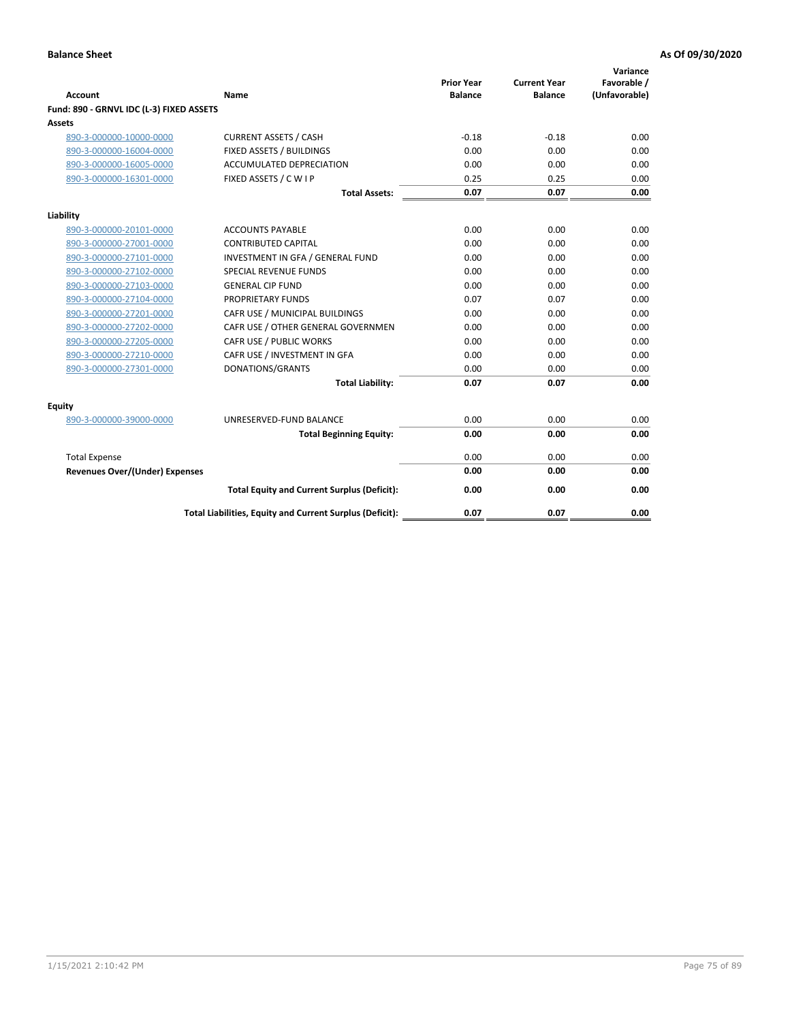| <b>Account</b>                           | Name                                                     | <b>Prior Year</b><br><b>Balance</b> | <b>Current Year</b><br><b>Balance</b> | Variance<br>Favorable /<br>(Unfavorable) |
|------------------------------------------|----------------------------------------------------------|-------------------------------------|---------------------------------------|------------------------------------------|
| Fund: 890 - GRNVL IDC (L-3) FIXED ASSETS |                                                          |                                     |                                       |                                          |
| <b>Assets</b>                            |                                                          |                                     |                                       |                                          |
| 890-3-000000-10000-0000                  | <b>CURRENT ASSETS / CASH</b>                             | $-0.18$                             | $-0.18$                               | 0.00                                     |
| 890-3-000000-16004-0000                  | FIXED ASSETS / BUILDINGS                                 | 0.00                                | 0.00                                  | 0.00                                     |
| 890-3-000000-16005-0000                  | <b>ACCUMULATED DEPRECIATION</b>                          | 0.00                                | 0.00                                  | 0.00                                     |
| 890-3-000000-16301-0000                  | FIXED ASSETS / C W I P                                   | 0.25                                | 0.25                                  | 0.00                                     |
|                                          | <b>Total Assets:</b>                                     | 0.07                                | 0.07                                  | 0.00                                     |
| Liability                                |                                                          |                                     |                                       |                                          |
| 890-3-000000-20101-0000                  | <b>ACCOUNTS PAYABLE</b>                                  | 0.00                                | 0.00                                  | 0.00                                     |
| 890-3-000000-27001-0000                  | <b>CONTRIBUTED CAPITAL</b>                               | 0.00                                | 0.00                                  | 0.00                                     |
| 890-3-000000-27101-0000                  | INVESTMENT IN GFA / GENERAL FUND                         | 0.00                                | 0.00                                  | 0.00                                     |
| 890-3-000000-27102-0000                  | <b>SPECIAL REVENUE FUNDS</b>                             | 0.00                                | 0.00                                  | 0.00                                     |
| 890-3-000000-27103-0000                  | <b>GENERAL CIP FUND</b>                                  | 0.00                                | 0.00                                  | 0.00                                     |
| 890-3-000000-27104-0000                  | PROPRIETARY FUNDS                                        | 0.07                                | 0.07                                  | 0.00                                     |
| 890-3-000000-27201-0000                  | CAFR USE / MUNICIPAL BUILDINGS                           | 0.00                                | 0.00                                  | 0.00                                     |
| 890-3-000000-27202-0000                  | CAFR USE / OTHER GENERAL GOVERNMEN                       | 0.00                                | 0.00                                  | 0.00                                     |
| 890-3-000000-27205-0000                  | CAFR USE / PUBLIC WORKS                                  | 0.00                                | 0.00                                  | 0.00                                     |
| 890-3-000000-27210-0000                  | CAFR USE / INVESTMENT IN GFA                             | 0.00                                | 0.00                                  | 0.00                                     |
| 890-3-000000-27301-0000                  | DONATIONS/GRANTS                                         | 0.00                                | 0.00                                  | 0.00                                     |
|                                          | <b>Total Liability:</b>                                  | 0.07                                | 0.07                                  | 0.00                                     |
| Equity                                   |                                                          |                                     |                                       |                                          |
| 890-3-000000-39000-0000                  | UNRESERVED-FUND BALANCE                                  | 0.00                                | 0.00                                  | 0.00                                     |
|                                          | <b>Total Beginning Equity:</b>                           | 0.00                                | 0.00                                  | 0.00                                     |
| <b>Total Expense</b>                     |                                                          | 0.00                                | 0.00                                  | 0.00                                     |
| Revenues Over/(Under) Expenses           |                                                          | 0.00                                | 0.00                                  | 0.00                                     |
|                                          |                                                          |                                     |                                       |                                          |
|                                          | <b>Total Equity and Current Surplus (Deficit):</b>       | 0.00                                | 0.00                                  | 0.00                                     |
|                                          | Total Liabilities, Equity and Current Surplus (Deficit): | 0.07                                | 0.07                                  | 0.00                                     |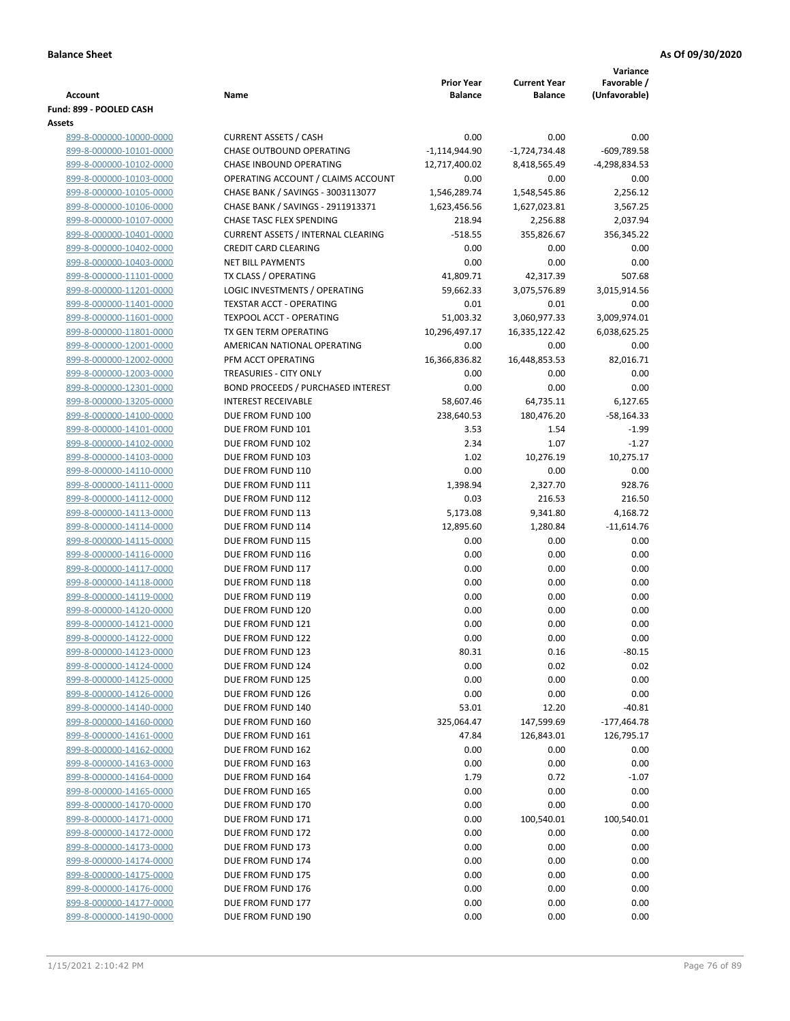|                                                    |                                           |                   |                     | Variance      |
|----------------------------------------------------|-------------------------------------------|-------------------|---------------------|---------------|
|                                                    |                                           | <b>Prior Year</b> | <b>Current Year</b> | Favorable /   |
| <b>Account</b>                                     | Name                                      | <b>Balance</b>    | <b>Balance</b>      | (Unfavorable) |
| Fund: 899 - POOLED CASH<br>Assets                  |                                           |                   |                     |               |
| 899-8-000000-10000-0000                            | <b>CURRENT ASSETS / CASH</b>              | 0.00              | 0.00                | 0.00          |
| 899-8-000000-10101-0000                            | <b>CHASE OUTBOUND OPERATING</b>           | $-1,114,944.90$   | $-1,724,734.48$     | $-609,789.58$ |
| 899-8-000000-10102-0000                            | CHASE INBOUND OPERATING                   | 12,717,400.02     | 8,418,565.49        | -4,298,834.53 |
| 899-8-000000-10103-0000                            | OPERATING ACCOUNT / CLAIMS ACCOUNT        | 0.00              | 0.00                | 0.00          |
| 899-8-000000-10105-0000                            | CHASE BANK / SAVINGS - 3003113077         | 1,546,289.74      | 1,548,545.86        | 2,256.12      |
| 899-8-000000-10106-0000                            | CHASE BANK / SAVINGS - 2911913371         | 1,623,456.56      | 1,627,023.81        | 3,567.25      |
| 899-8-000000-10107-0000                            | CHASE TASC FLEX SPENDING                  | 218.94            | 2,256.88            | 2,037.94      |
| 899-8-000000-10401-0000                            | <b>CURRENT ASSETS / INTERNAL CLEARING</b> | $-518.55$         | 355,826.67          | 356,345.22    |
| 899-8-000000-10402-0000                            | <b>CREDIT CARD CLEARING</b>               | 0.00              | 0.00                | 0.00          |
| 899-8-000000-10403-0000                            | <b>NET BILL PAYMENTS</b>                  | 0.00              | 0.00                | 0.00          |
| 899-8-000000-11101-0000                            | TX CLASS / OPERATING                      | 41,809.71         | 42,317.39           | 507.68        |
| 899-8-000000-11201-0000                            | LOGIC INVESTMENTS / OPERATING             | 59,662.33         | 3,075,576.89        | 3,015,914.56  |
| 899-8-000000-11401-0000                            | TEXSTAR ACCT - OPERATING                  | 0.01              | 0.01                | 0.00          |
| 899-8-000000-11601-0000                            | TEXPOOL ACCT - OPERATING                  | 51,003.32         | 3,060,977.33        | 3,009,974.01  |
| 899-8-000000-11801-0000                            | TX GEN TERM OPERATING                     | 10,296,497.17     | 16,335,122.42       | 6,038,625.25  |
| 899-8-000000-12001-0000                            | AMERICAN NATIONAL OPERATING               | 0.00              | 0.00                | 0.00          |
| 899-8-000000-12002-0000                            | PFM ACCT OPERATING                        | 16,366,836.82     | 16,448,853.53       | 82,016.71     |
| 899-8-000000-12003-0000                            | TREASURIES - CITY ONLY                    | 0.00              | 0.00                | 0.00          |
| 899-8-000000-12301-0000                            | BOND PROCEEDS / PURCHASED INTEREST        | 0.00              | 0.00                | 0.00          |
| 899-8-000000-13205-0000                            | <b>INTEREST RECEIVABLE</b>                | 58,607.46         | 64,735.11           | 6,127.65      |
| 899-8-000000-14100-0000                            | DUE FROM FUND 100                         | 238,640.53        | 180,476.20          | $-58,164.33$  |
| 899-8-000000-14101-0000                            | DUE FROM FUND 101                         | 3.53              | 1.54                | $-1.99$       |
| 899-8-000000-14102-0000                            | DUE FROM FUND 102                         | 2.34              | 1.07                | $-1.27$       |
| 899-8-000000-14103-0000                            | DUE FROM FUND 103                         | 1.02              | 10,276.19           | 10,275.17     |
| 899-8-000000-14110-0000                            | DUE FROM FUND 110                         | 0.00              | 0.00                | 0.00          |
| 899-8-000000-14111-0000                            | DUE FROM FUND 111                         | 1,398.94          | 2,327.70            | 928.76        |
| 899-8-000000-14112-0000                            | DUE FROM FUND 112                         | 0.03              | 216.53              | 216.50        |
| 899-8-000000-14113-0000                            | DUE FROM FUND 113                         | 5,173.08          | 9,341.80            | 4,168.72      |
| 899-8-000000-14114-0000                            | DUE FROM FUND 114                         | 12,895.60         | 1,280.84            | $-11,614.76$  |
| 899-8-000000-14115-0000                            | DUE FROM FUND 115                         | 0.00<br>0.00      | 0.00                | 0.00          |
| 899-8-000000-14116-0000<br>899-8-000000-14117-0000 | DUE FROM FUND 116<br>DUE FROM FUND 117    | 0.00              | 0.00<br>0.00        | 0.00<br>0.00  |
| 899-8-000000-14118-0000                            | DUE FROM FUND 118                         | 0.00              | 0.00                | 0.00          |
| 899-8-000000-14119-0000                            | DUE FROM FUND 119                         | 0.00              | 0.00                | 0.00          |
| 899-8-000000-14120-0000                            | DUE FROM FUND 120                         | 0.00              | 0.00                | 0.00          |
| 899-8-000000-14121-0000                            | DUE FROM FUND 121                         | 0.00              | 0.00                | 0.00          |
| 899-8-000000-14122-0000                            | DUE FROM FUND 122                         | 0.00              | 0.00                | 0.00          |
| 899-8-000000-14123-0000                            | DUE FROM FUND 123                         | 80.31             | 0.16                | -80.15        |
| 899-8-000000-14124-0000                            | DUE FROM FUND 124                         | 0.00              | 0.02                | 0.02          |
| 899-8-000000-14125-0000                            | DUE FROM FUND 125                         | 0.00              | 0.00                | 0.00          |
| 899-8-000000-14126-0000                            | DUE FROM FUND 126                         | 0.00              | 0.00                | 0.00          |
| 899-8-000000-14140-0000                            | DUE FROM FUND 140                         | 53.01             | 12.20               | $-40.81$      |
| 899-8-000000-14160-0000                            | DUE FROM FUND 160                         | 325,064.47        | 147,599.69          | $-177,464.78$ |
| 899-8-000000-14161-0000                            | DUE FROM FUND 161                         | 47.84             | 126,843.01          | 126,795.17    |
| 899-8-000000-14162-0000                            | DUE FROM FUND 162                         | 0.00              | 0.00                | 0.00          |
| 899-8-000000-14163-0000                            | DUE FROM FUND 163                         | 0.00              | 0.00                | 0.00          |
| 899-8-000000-14164-0000                            | DUE FROM FUND 164                         | 1.79              | 0.72                | $-1.07$       |
| 899-8-000000-14165-0000                            | DUE FROM FUND 165                         | 0.00              | 0.00                | 0.00          |
| 899-8-000000-14170-0000                            | DUE FROM FUND 170                         | 0.00              | 0.00                | 0.00          |
| 899-8-000000-14171-0000                            | DUE FROM FUND 171                         | 0.00              | 100,540.01          | 100,540.01    |
| 899-8-000000-14172-0000                            | DUE FROM FUND 172                         | 0.00              | 0.00                | 0.00          |
| 899-8-000000-14173-0000                            | DUE FROM FUND 173                         | 0.00              | 0.00                | 0.00          |
| 899-8-000000-14174-0000                            | DUE FROM FUND 174                         | 0.00              | 0.00                | 0.00          |
| 899-8-000000-14175-0000                            | DUE FROM FUND 175                         | 0.00              | 0.00                | 0.00          |
| 899-8-000000-14176-0000                            | DUE FROM FUND 176                         | 0.00              | 0.00                | 0.00          |
| 899-8-000000-14177-0000<br>899-8-000000-14190-0000 | DUE FROM FUND 177<br>DUE FROM FUND 190    | 0.00<br>0.00      | 0.00<br>0.00        | 0.00<br>0.00  |
|                                                    |                                           |                   |                     |               |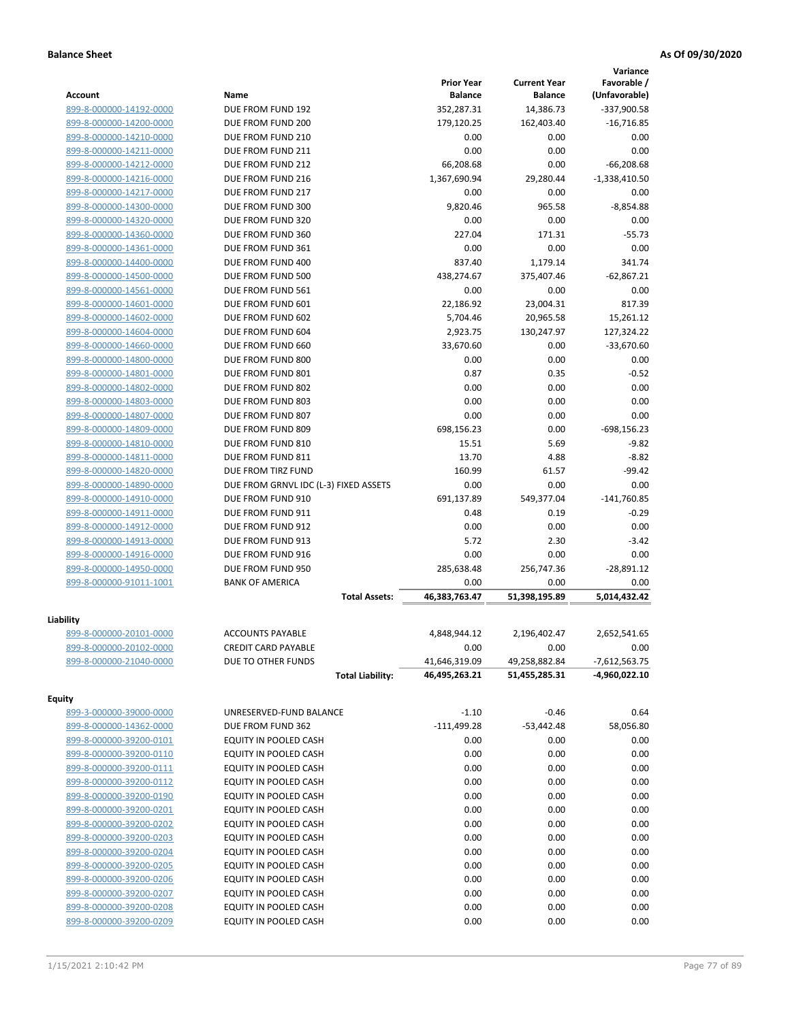|                         |                                       |                                     |                                       | Variance                     |
|-------------------------|---------------------------------------|-------------------------------------|---------------------------------------|------------------------------|
| <b>Account</b>          | Name                                  | <b>Prior Year</b><br><b>Balance</b> | <b>Current Year</b><br><b>Balance</b> | Favorable /<br>(Unfavorable) |
| 899-8-000000-14192-0000 | DUE FROM FUND 192                     | 352,287.31                          | 14,386.73                             | -337,900.58                  |
| 899-8-000000-14200-0000 | DUE FROM FUND 200                     | 179,120.25                          | 162,403.40                            | $-16,716.85$                 |
| 899-8-000000-14210-0000 | DUE FROM FUND 210                     | 0.00                                | 0.00                                  | 0.00                         |
| 899-8-000000-14211-0000 | DUE FROM FUND 211                     | 0.00                                | 0.00                                  | 0.00                         |
| 899-8-000000-14212-0000 | DUE FROM FUND 212                     | 66,208.68                           | 0.00                                  | $-66,208.68$                 |
| 899-8-000000-14216-0000 | DUE FROM FUND 216                     | 1,367,690.94                        | 29,280.44                             | $-1,338,410.50$              |
| 899-8-000000-14217-0000 | DUE FROM FUND 217                     | 0.00                                | 0.00                                  | 0.00                         |
| 899-8-000000-14300-0000 | DUE FROM FUND 300                     | 9,820.46                            | 965.58                                | $-8,854.88$                  |
| 899-8-000000-14320-0000 | DUE FROM FUND 320                     | 0.00                                | 0.00                                  | 0.00                         |
| 899-8-000000-14360-0000 | DUE FROM FUND 360                     | 227.04                              | 171.31                                | $-55.73$                     |
| 899-8-000000-14361-0000 | DUE FROM FUND 361                     | 0.00                                | 0.00                                  | 0.00                         |
| 899-8-000000-14400-0000 | DUE FROM FUND 400                     | 837.40                              | 1,179.14                              | 341.74                       |
| 899-8-000000-14500-0000 | DUE FROM FUND 500                     | 438,274.67                          | 375,407.46                            | $-62,867.21$                 |
| 899-8-000000-14561-0000 | DUE FROM FUND 561                     | 0.00                                | 0.00                                  | 0.00                         |
| 899-8-000000-14601-0000 | DUE FROM FUND 601                     | 22,186.92                           | 23,004.31                             | 817.39                       |
| 899-8-000000-14602-0000 | DUE FROM FUND 602                     | 5,704.46                            | 20,965.58                             | 15,261.12                    |
| 899-8-000000-14604-0000 | DUE FROM FUND 604                     | 2,923.75                            | 130,247.97                            | 127,324.22                   |
| 899-8-000000-14660-0000 | DUE FROM FUND 660                     | 33,670.60                           | 0.00                                  | $-33,670.60$                 |
| 899-8-000000-14800-0000 | DUE FROM FUND 800                     | 0.00                                | 0.00                                  | 0.00                         |
| 899-8-000000-14801-0000 | DUE FROM FUND 801                     | 0.87                                | 0.35                                  | $-0.52$                      |
| 899-8-000000-14802-0000 | DUE FROM FUND 802                     | 0.00                                | 0.00                                  | 0.00                         |
| 899-8-000000-14803-0000 | DUE FROM FUND 803                     | 0.00                                | 0.00                                  | 0.00                         |
| 899-8-000000-14807-0000 | DUE FROM FUND 807                     | 0.00                                | 0.00                                  | 0.00                         |
| 899-8-000000-14809-0000 | DUE FROM FUND 809                     | 698,156.23                          | 0.00                                  | $-698, 156.23$               |
| 899-8-000000-14810-0000 | DUE FROM FUND 810                     | 15.51                               | 5.69                                  | $-9.82$                      |
| 899-8-000000-14811-0000 | DUE FROM FUND 811                     | 13.70                               | 4.88                                  | $-8.82$                      |
| 899-8-000000-14820-0000 | DUE FROM TIRZ FUND                    | 160.99                              | 61.57                                 | $-99.42$                     |
| 899-8-000000-14890-0000 | DUE FROM GRNVL IDC (L-3) FIXED ASSETS | 0.00                                | 0.00                                  | 0.00                         |
| 899-8-000000-14910-0000 | DUE FROM FUND 910                     | 691,137.89                          | 549,377.04                            | $-141,760.85$                |
| 899-8-000000-14911-0000 | DUE FROM FUND 911                     | 0.48                                | 0.19                                  | $-0.29$                      |
| 899-8-000000-14912-0000 | DUE FROM FUND 912                     | 0.00                                | 0.00                                  | 0.00                         |
| 899-8-000000-14913-0000 | DUE FROM FUND 913                     | 5.72                                | 2.30                                  | $-3.42$                      |
| 899-8-000000-14916-0000 | DUE FROM FUND 916                     | 0.00                                | 0.00                                  | 0.00                         |
| 899-8-000000-14950-0000 | DUE FROM FUND 950                     | 285,638.48                          | 256,747.36                            | $-28,891.12$                 |
| 899-8-000000-91011-1001 | <b>BANK OF AMERICA</b>                | 0.00                                | 0.00                                  | 0.00                         |
|                         | <b>Total Assets:</b>                  | 46,383,763.47                       | 51,398,195.89                         | 5,014,432.42                 |
| Liability               |                                       |                                     |                                       |                              |
| 899-8-000000-20101-0000 | <b>ACCOUNTS PAYABLE</b>               | 4,848,944.12                        | 2,196,402.47                          | 2,652,541.65                 |
| 899-8-000000-20102-0000 | <b>CREDIT CARD PAYABLE</b>            | 0.00                                | 0.00                                  | 0.00                         |
| 899-8-000000-21040-0000 | DUE TO OTHER FUNDS                    | 41,646,319.09                       | 49,258,882.84                         | $-7,612,563.75$              |
|                         | <b>Total Liability:</b>               | 46,495,263.21                       | 51,455,285.31                         | -4,960,022.10                |
| <b>Equity</b>           |                                       |                                     |                                       |                              |
| 899-3-000000-39000-0000 | UNRESERVED-FUND BALANCE               | $-1.10$                             | $-0.46$                               | 0.64                         |
| 899-8-000000-14362-0000 | DUE FROM FUND 362                     | $-111,499.28$                       | $-53,442.48$                          | 58,056.80                    |
| 899-8-000000-39200-0101 | EQUITY IN POOLED CASH                 | 0.00                                | 0.00                                  | 0.00                         |
| 899-8-000000-39200-0110 | EQUITY IN POOLED CASH                 | 0.00                                | 0.00                                  | 0.00                         |
| 899-8-000000-39200-0111 | EQUITY IN POOLED CASH                 | 0.00                                | 0.00                                  | 0.00                         |
| 899-8-000000-39200-0112 | <b>EQUITY IN POOLED CASH</b>          | 0.00                                | 0.00                                  | 0.00                         |
| 899-8-000000-39200-0190 | EQUITY IN POOLED CASH                 | 0.00                                | 0.00                                  | 0.00                         |
| 899-8-000000-39200-0201 | EQUITY IN POOLED CASH                 | 0.00                                | 0.00                                  | 0.00                         |
| 899-8-000000-39200-0202 | EQUITY IN POOLED CASH                 | 0.00                                | 0.00                                  | 0.00                         |
| 899-8-000000-39200-0203 | EQUITY IN POOLED CASH                 | 0.00                                | 0.00                                  | 0.00                         |
| 899-8-000000-39200-0204 | EQUITY IN POOLED CASH                 | 0.00                                | 0.00                                  | 0.00                         |
| 899-8-000000-39200-0205 | EQUITY IN POOLED CASH                 | 0.00                                | 0.00                                  | 0.00                         |
| 899-8-000000-39200-0206 | EQUITY IN POOLED CASH                 | 0.00                                | 0.00                                  | 0.00                         |
| 899-8-000000-39200-0207 | EQUITY IN POOLED CASH                 | 0.00                                | 0.00                                  | 0.00                         |
| 899-8-000000-39200-0208 | EQUITY IN POOLED CASH                 | 0.00                                | 0.00                                  | 0.00                         |
| 899-8-000000-39200-0209 | EQUITY IN POOLED CASH                 | 0.00                                | 0.00                                  | 0.00                         |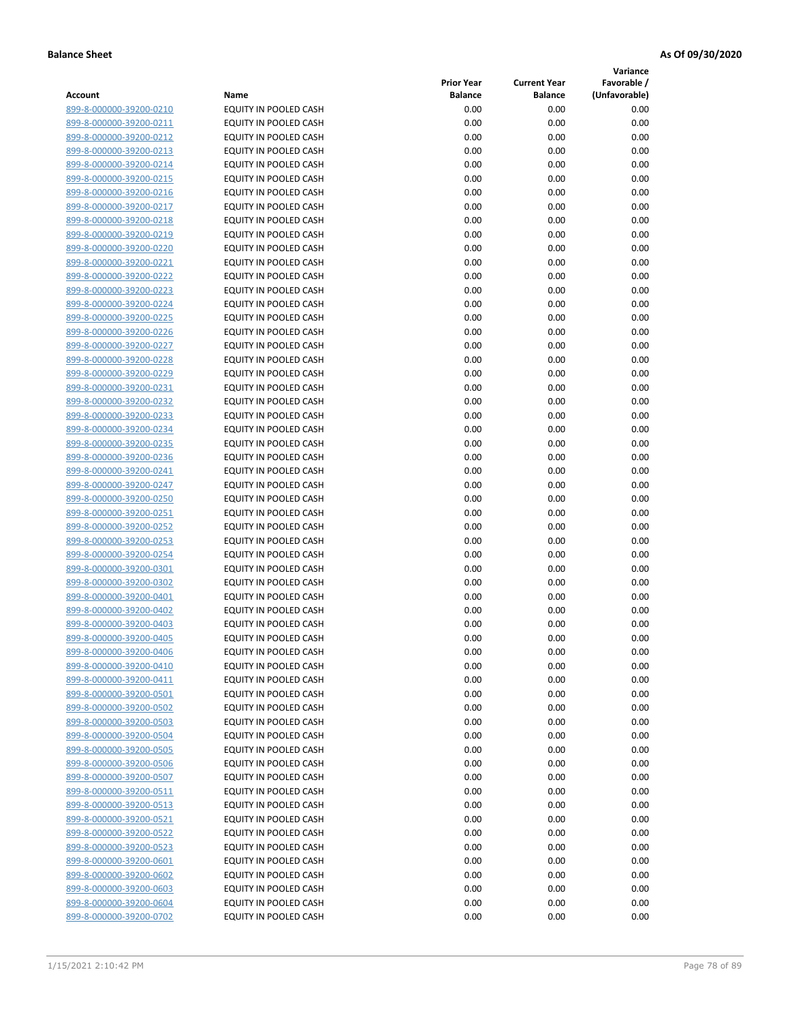**Variance**

|                         |                              | <b>Prior Year</b> | <b>Current Year</b> | Favorable /   |
|-------------------------|------------------------------|-------------------|---------------------|---------------|
| Account                 | Name                         | <b>Balance</b>    | <b>Balance</b>      | (Unfavorable) |
| 899-8-000000-39200-0210 | EQUITY IN POOLED CASH        | 0.00              | 0.00                | 0.00          |
| 899-8-000000-39200-0211 | EQUITY IN POOLED CASH        | 0.00              | 0.00                | 0.00          |
| 899-8-000000-39200-0212 | EQUITY IN POOLED CASH        | 0.00              | 0.00                | 0.00          |
| 899-8-000000-39200-0213 | EQUITY IN POOLED CASH        | 0.00              | 0.00                | 0.00          |
| 899-8-000000-39200-0214 | EQUITY IN POOLED CASH        | 0.00              | 0.00                | 0.00          |
| 899-8-000000-39200-0215 | EQUITY IN POOLED CASH        | 0.00              | 0.00                | 0.00          |
| 899-8-000000-39200-0216 | EQUITY IN POOLED CASH        | 0.00              | 0.00                | 0.00          |
| 899-8-000000-39200-0217 | EQUITY IN POOLED CASH        | 0.00              | 0.00                | 0.00          |
| 899-8-000000-39200-0218 | EQUITY IN POOLED CASH        | 0.00              | 0.00                | 0.00          |
| 899-8-000000-39200-0219 | EQUITY IN POOLED CASH        | 0.00              | 0.00                | 0.00          |
| 899-8-000000-39200-0220 | <b>EQUITY IN POOLED CASH</b> | 0.00              | 0.00                | 0.00          |
| 899-8-000000-39200-0221 | EQUITY IN POOLED CASH        | 0.00              | 0.00                | 0.00          |
| 899-8-000000-39200-0222 | EQUITY IN POOLED CASH        | 0.00              | 0.00                | 0.00          |
| 899-8-000000-39200-0223 | EQUITY IN POOLED CASH        | 0.00              | 0.00                | 0.00          |
| 899-8-000000-39200-0224 | EQUITY IN POOLED CASH        | 0.00              | 0.00                | 0.00          |
| 899-8-000000-39200-0225 | EQUITY IN POOLED CASH        | 0.00              | 0.00                | 0.00          |
| 899-8-000000-39200-0226 | EQUITY IN POOLED CASH        | 0.00              | 0.00                | 0.00          |
| 899-8-000000-39200-0227 | EQUITY IN POOLED CASH        | 0.00              | 0.00                | 0.00          |
| 899-8-000000-39200-0228 | EQUITY IN POOLED CASH        | 0.00              | 0.00                | 0.00          |
| 899-8-000000-39200-0229 | <b>EQUITY IN POOLED CASH</b> | 0.00              | 0.00                | 0.00          |
| 899-8-000000-39200-0231 | EQUITY IN POOLED CASH        | 0.00              | 0.00                | 0.00          |
| 899-8-000000-39200-0232 | EQUITY IN POOLED CASH        | 0.00              | 0.00                | 0.00          |
| 899-8-000000-39200-0233 | EQUITY IN POOLED CASH        | 0.00              | 0.00                | 0.00          |
| 899-8-000000-39200-0234 | EQUITY IN POOLED CASH        | 0.00              | 0.00                | 0.00          |
| 899-8-000000-39200-0235 | EQUITY IN POOLED CASH        | 0.00              | 0.00                | 0.00          |
| 899-8-000000-39200-0236 | EQUITY IN POOLED CASH        | 0.00              | 0.00                | 0.00          |
| 899-8-000000-39200-0241 | EQUITY IN POOLED CASH        | 0.00              | 0.00                | 0.00          |
| 899-8-000000-39200-0247 | EQUITY IN POOLED CASH        | 0.00              | 0.00                | 0.00          |
| 899-8-000000-39200-0250 | EQUITY IN POOLED CASH        | 0.00              | 0.00                | 0.00          |
| 899-8-000000-39200-0251 | EQUITY IN POOLED CASH        | 0.00              | 0.00                | 0.00          |
| 899-8-000000-39200-0252 | EQUITY IN POOLED CASH        | 0.00              | 0.00                | 0.00          |
| 899-8-000000-39200-0253 | EQUITY IN POOLED CASH        | 0.00              | 0.00                | 0.00          |
| 899-8-000000-39200-0254 | EQUITY IN POOLED CASH        | 0.00              | 0.00                | 0.00          |
| 899-8-000000-39200-0301 | EQUITY IN POOLED CASH        | 0.00              | 0.00                | 0.00          |
| 899-8-000000-39200-0302 | EQUITY IN POOLED CASH        | 0.00              | 0.00                | 0.00          |
| 899-8-000000-39200-0401 | EQUITY IN POOLED CASH        | 0.00              | 0.00                | 0.00          |
| 899-8-000000-39200-0402 | EQUITY IN POOLED CASH        | 0.00              | 0.00                | 0.00          |
| 899-8-000000-39200-0403 | EQUITY IN POOLED CASH        | 0.00              | 0.00                | 0.00          |
| 899-8-000000-39200-0405 | EQUITY IN POOLED CASH        | 0.00              | 0.00                | 0.00          |
| 899-8-000000-39200-0406 | EQUITY IN POOLED CASH        | 0.00              | 0.00                | 0.00          |
| 899-8-000000-39200-0410 | EQUITY IN POOLED CASH        | 0.00              | 0.00                | 0.00          |
| 899-8-000000-39200-0411 | EQUITY IN POOLED CASH        | 0.00              | 0.00                | 0.00          |
| 899-8-000000-39200-0501 | EQUITY IN POOLED CASH        | 0.00              | 0.00                | 0.00          |
| 899-8-000000-39200-0502 | EQUITY IN POOLED CASH        | 0.00              | 0.00                | 0.00          |
| 899-8-000000-39200-0503 | EQUITY IN POOLED CASH        | 0.00              | 0.00                | 0.00          |
| 899-8-000000-39200-0504 | EQUITY IN POOLED CASH        | 0.00              | 0.00                | 0.00          |
| 899-8-000000-39200-0505 | EQUITY IN POOLED CASH        | 0.00              | 0.00                | 0.00          |
| 899-8-000000-39200-0506 | EQUITY IN POOLED CASH        | 0.00              | 0.00                | 0.00          |
| 899-8-000000-39200-0507 | EQUITY IN POOLED CASH        | 0.00              | 0.00                | 0.00          |
| 899-8-000000-39200-0511 | <b>EQUITY IN POOLED CASH</b> | 0.00              | 0.00                | 0.00          |
| 899-8-000000-39200-0513 | EQUITY IN POOLED CASH        | 0.00              | 0.00                | 0.00          |
| 899-8-000000-39200-0521 | EQUITY IN POOLED CASH        | 0.00              | 0.00                | 0.00          |
| 899-8-000000-39200-0522 | EQUITY IN POOLED CASH        | 0.00              | 0.00                | 0.00          |
| 899-8-000000-39200-0523 | EQUITY IN POOLED CASH        | 0.00              | 0.00                | 0.00          |
| 899-8-000000-39200-0601 | EQUITY IN POOLED CASH        | 0.00              | 0.00                | 0.00          |
| 899-8-000000-39200-0602 | EQUITY IN POOLED CASH        | 0.00              | 0.00                | 0.00          |
| 899-8-000000-39200-0603 | EQUITY IN POOLED CASH        | 0.00              | 0.00                | 0.00          |
| 899-8-000000-39200-0604 | EQUITY IN POOLED CASH        | 0.00              | 0.00                | 0.00          |
| 899-8-000000-39200-0702 | EQUITY IN POOLED CASH        | 0.00              | 0.00                | 0.00          |
|                         |                              |                   |                     |               |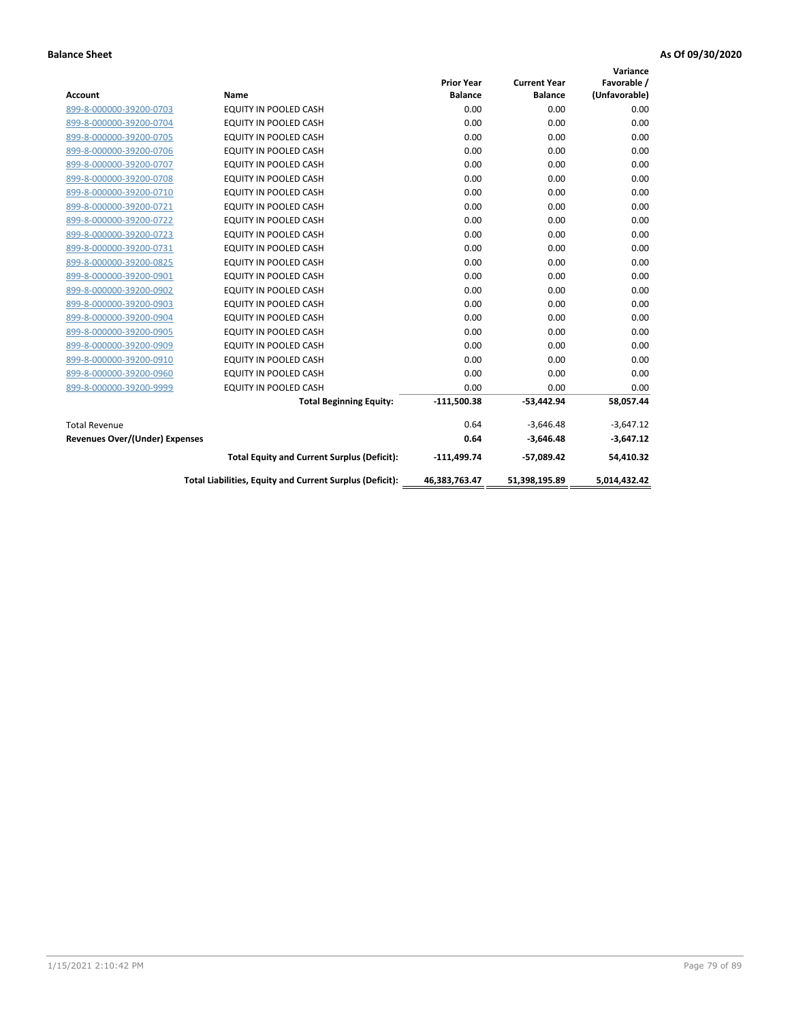|                                |                                                          |                   |                     | Variance      |
|--------------------------------|----------------------------------------------------------|-------------------|---------------------|---------------|
|                                |                                                          | <b>Prior Year</b> | <b>Current Year</b> | Favorable /   |
| <b>Account</b>                 | <b>Name</b>                                              | <b>Balance</b>    | <b>Balance</b>      | (Unfavorable) |
| 899-8-000000-39200-0703        | EQUITY IN POOLED CASH                                    | 0.00              | 0.00                | 0.00          |
| 899-8-000000-39200-0704        | EQUITY IN POOLED CASH                                    | 0.00              | 0.00                | 0.00          |
| 899-8-000000-39200-0705        | EQUITY IN POOLED CASH                                    | 0.00              | 0.00                | 0.00          |
| 899-8-000000-39200-0706        | <b>EQUITY IN POOLED CASH</b>                             | 0.00              | 0.00                | 0.00          |
| 899-8-000000-39200-0707        | <b>EQUITY IN POOLED CASH</b>                             | 0.00              | 0.00                | 0.00          |
| 899-8-000000-39200-0708        | <b>EQUITY IN POOLED CASH</b>                             | 0.00              | 0.00                | 0.00          |
| 899-8-000000-39200-0710        | EQUITY IN POOLED CASH                                    | 0.00              | 0.00                | 0.00          |
| 899-8-000000-39200-0721        | <b>EQUITY IN POOLED CASH</b>                             | 0.00              | 0.00                | 0.00          |
| 899-8-000000-39200-0722        | <b>EQUITY IN POOLED CASH</b>                             | 0.00              | 0.00                | 0.00          |
| 899-8-000000-39200-0723        | <b>EQUITY IN POOLED CASH</b>                             | 0.00              | 0.00                | 0.00          |
| 899-8-000000-39200-0731        | <b>EQUITY IN POOLED CASH</b>                             | 0.00              | 0.00                | 0.00          |
| 899-8-000000-39200-0825        | <b>EQUITY IN POOLED CASH</b>                             | 0.00              | 0.00                | 0.00          |
| 899-8-000000-39200-0901        | <b>EQUITY IN POOLED CASH</b>                             | 0.00              | 0.00                | 0.00          |
| 899-8-000000-39200-0902        | EQUITY IN POOLED CASH                                    | 0.00              | 0.00                | 0.00          |
| 899-8-000000-39200-0903        | <b>EQUITY IN POOLED CASH</b>                             | 0.00              | 0.00                | 0.00          |
| 899-8-000000-39200-0904        | <b>EQUITY IN POOLED CASH</b>                             | 0.00              | 0.00                | 0.00          |
| 899-8-000000-39200-0905        | EQUITY IN POOLED CASH                                    | 0.00              | 0.00                | 0.00          |
| 899-8-000000-39200-0909        | EQUITY IN POOLED CASH                                    | 0.00              | 0.00                | 0.00          |
| 899-8-000000-39200-0910        | <b>EQUITY IN POOLED CASH</b>                             | 0.00              | 0.00                | 0.00          |
| 899-8-000000-39200-0960        | <b>EQUITY IN POOLED CASH</b>                             | 0.00              | 0.00                | 0.00          |
| 899-8-000000-39200-9999        | EQUITY IN POOLED CASH                                    | 0.00              | 0.00                | 0.00          |
|                                | <b>Total Beginning Equity:</b>                           | $-111,500.38$     | $-53,442.94$        | 58,057.44     |
| <b>Total Revenue</b>           |                                                          | 0.64              | $-3,646.48$         | $-3,647.12$   |
| Revenues Over/(Under) Expenses |                                                          | 0.64              | $-3,646.48$         | $-3,647.12$   |
|                                | <b>Total Equity and Current Surplus (Deficit):</b>       | $-111,499.74$     | $-57,089.42$        | 54,410.32     |
|                                | Total Liabilities, Equity and Current Surplus (Deficit): | 46,383,763.47     | 51,398,195.89       | 5,014,432.42  |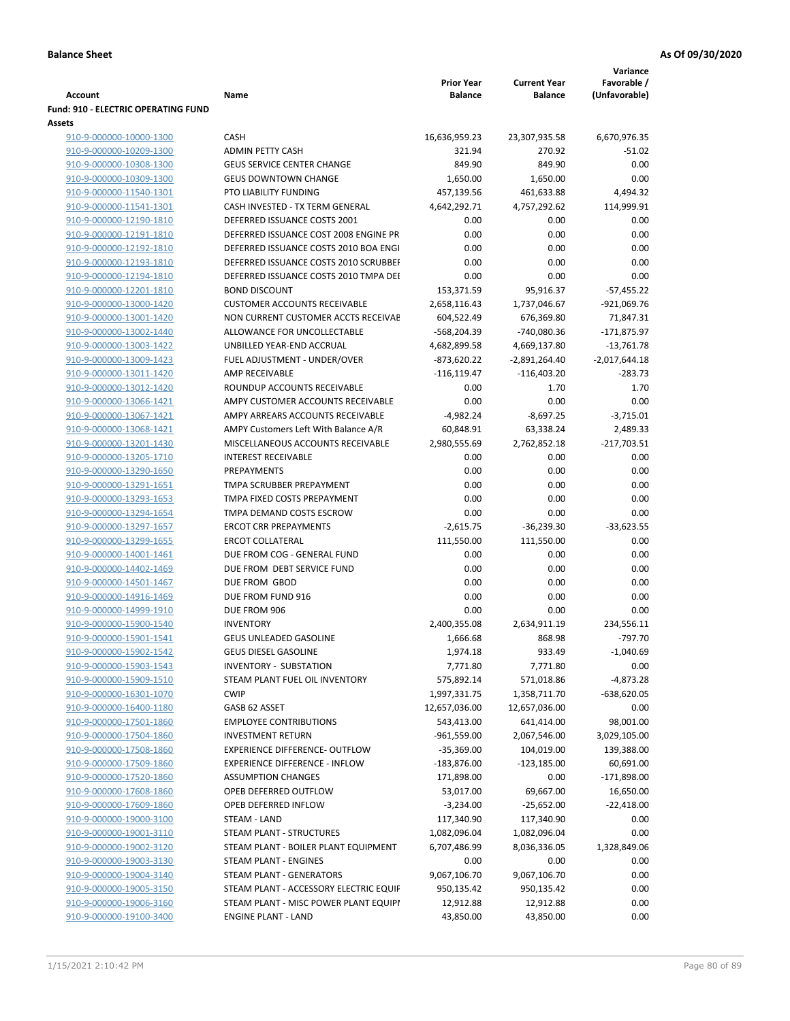|                                                             |                                                              |                        | Variance               |                   |
|-------------------------------------------------------------|--------------------------------------------------------------|------------------------|------------------------|-------------------|
|                                                             |                                                              | <b>Prior Year</b>      | <b>Current Year</b>    | Favorable /       |
| Account                                                     | Name                                                         | <b>Balance</b>         | <b>Balance</b>         | (Unfavorable)     |
| <b>Fund: 910 - ELECTRIC OPERATING FUND</b><br><b>Assets</b> |                                                              |                        |                        |                   |
| 910-9-000000-10000-1300                                     | <b>CASH</b>                                                  | 16,636,959.23          | 23,307,935.58          | 6,670,976.35      |
| 910-9-000000-10209-1300                                     | <b>ADMIN PETTY CASH</b>                                      | 321.94                 | 270.92                 | $-51.02$          |
| 910-9-000000-10308-1300                                     | <b>GEUS SERVICE CENTER CHANGE</b>                            | 849.90                 | 849.90                 | 0.00              |
| 910-9-000000-10309-1300                                     | <b>GEUS DOWNTOWN CHANGE</b>                                  | 1,650.00               | 1,650.00               | 0.00              |
| 910-9-000000-11540-1301                                     | PTO LIABILITY FUNDING                                        | 457,139.56             | 461,633.88             | 4,494.32          |
| 910-9-000000-11541-1301                                     | CASH INVESTED - TX TERM GENERAL                              | 4,642,292.71           | 4,757,292.62           | 114,999.91        |
| 910-9-000000-12190-1810                                     | DEFERRED ISSUANCE COSTS 2001                                 | 0.00                   | 0.00                   | 0.00              |
| 910-9-000000-12191-1810                                     | DEFERRED ISSUANCE COST 2008 ENGINE PR                        | 0.00                   | 0.00                   | 0.00              |
| 910-9-000000-12192-1810                                     | DEFERRED ISSUANCE COSTS 2010 BOA ENGI                        | 0.00                   | 0.00                   | 0.00              |
| 910-9-000000-12193-1810                                     | DEFERRED ISSUANCE COSTS 2010 SCRUBBEF                        | 0.00                   | 0.00                   | 0.00              |
| 910-9-000000-12194-1810                                     | DEFERRED ISSUANCE COSTS 2010 TMPA DEI                        | 0.00                   | 0.00                   | 0.00              |
| 910-9-000000-12201-1810                                     | <b>BOND DISCOUNT</b>                                         | 153,371.59             | 95,916.37              | $-57,455.22$      |
| 910-9-000000-13000-1420                                     | <b>CUSTOMER ACCOUNTS RECEIVABLE</b>                          | 2,658,116.43           | 1,737,046.67           | $-921,069.76$     |
| 910-9-000000-13001-1420                                     | NON CURRENT CUSTOMER ACCTS RECEIVAE                          | 604,522.49             | 676,369.80             | 71,847.31         |
| 910-9-000000-13002-1440                                     | ALLOWANCE FOR UNCOLLECTABLE                                  | -568,204.39            | -740,080.36            | $-171,875.97$     |
| 910-9-000000-13003-1422                                     | UNBILLED YEAR-END ACCRUAL                                    | 4,682,899.58           | 4,669,137.80           | $-13,761.78$      |
| 910-9-000000-13009-1423                                     | FUEL ADJUSTMENT - UNDER/OVER                                 | $-873,620.22$          | $-2,891,264.40$        | $-2,017,644.18$   |
| 910-9-000000-13011-1420                                     | AMP RECEIVABLE                                               | $-116, 119.47$         | $-116,403.20$          | $-283.73$         |
| 910-9-000000-13012-1420                                     | ROUNDUP ACCOUNTS RECEIVABLE                                  | 0.00                   | 1.70                   | 1.70              |
| 910-9-000000-13066-1421                                     | AMPY CUSTOMER ACCOUNTS RECEIVABLE                            | 0.00                   | 0.00                   | 0.00              |
| 910-9-000000-13067-1421                                     | AMPY ARREARS ACCOUNTS RECEIVABLE                             | $-4,982.24$            | $-8,697.25$            | $-3,715.01$       |
| 910-9-000000-13068-1421                                     | AMPY Customers Left With Balance A/R                         | 60,848.91              | 63,338.24              | 2,489.33          |
| 910-9-000000-13201-1430                                     | MISCELLANEOUS ACCOUNTS RECEIVABLE                            | 2,980,555.69           | 2,762,852.18           | $-217,703.51$     |
| 910-9-000000-13205-1710                                     | <b>INTEREST RECEIVABLE</b>                                   | 0.00                   | 0.00                   | 0.00              |
| 910-9-000000-13290-1650                                     | <b>PREPAYMENTS</b>                                           | 0.00                   | 0.00                   | 0.00              |
| 910-9-000000-13291-1651                                     | TMPA SCRUBBER PREPAYMENT                                     | 0.00                   | 0.00                   | 0.00              |
| 910-9-000000-13293-1653                                     | TMPA FIXED COSTS PREPAYMENT                                  | 0.00                   | 0.00                   | 0.00              |
| 910-9-000000-13294-1654                                     | TMPA DEMAND COSTS ESCROW                                     | 0.00                   | 0.00                   | 0.00              |
| 910-9-000000-13297-1657                                     | <b>ERCOT CRR PREPAYMENTS</b>                                 | $-2,615.75$            | $-36,239.30$           | $-33,623.55$      |
| 910-9-000000-13299-1655                                     | <b>ERCOT COLLATERAL</b>                                      | 111,550.00             | 111,550.00             | 0.00              |
| 910-9-000000-14001-1461                                     | DUE FROM COG - GENERAL FUND                                  | 0.00                   | 0.00                   | 0.00              |
| 910-9-000000-14402-1469                                     | DUE FROM DEBT SERVICE FUND                                   | 0.00                   | 0.00                   | 0.00              |
| 910-9-000000-14501-1467                                     | DUE FROM GBOD                                                | 0.00                   | 0.00                   | 0.00              |
| 910-9-000000-14916-1469                                     | DUE FROM FUND 916                                            | 0.00                   | 0.00                   | 0.00              |
| 910-9-000000-14999-1910                                     | DUE FROM 906                                                 | 0.00                   | 0.00                   | 0.00              |
| 910-9-000000-15900-1540                                     | <b>INVENTORY</b>                                             | 2,400,355.08           | 2,634,911.19           | 234,556.11        |
| 910-9-000000-15901-1541                                     | GEUS UNLEADED GASOLINE                                       | 1,666.68               | 868.98                 | -797.70           |
| 910-9-000000-15902-1542                                     | <b>GEUS DIESEL GASOLINE</b><br><b>INVENTORY - SUBSTATION</b> | 1,974.18               | 933.49                 | $-1,040.69$       |
| 910-9-000000-15903-1543<br>910-9-000000-15909-1510          | STEAM PLANT FUEL OIL INVENTORY                               | 7,771.80<br>575,892.14 | 7,771.80<br>571,018.86 | 0.00<br>-4,873.28 |
| 910-9-000000-16301-1070                                     | <b>CWIP</b>                                                  | 1,997,331.75           | 1,358,711.70           | $-638,620.05$     |
| 910-9-000000-16400-1180                                     | GASB 62 ASSET                                                | 12,657,036.00          | 12,657,036.00          | 0.00              |
| 910-9-000000-17501-1860                                     | <b>EMPLOYEE CONTRIBUTIONS</b>                                | 543,413.00             | 641,414.00             | 98,001.00         |
| 910-9-000000-17504-1860                                     | <b>INVESTMENT RETURN</b>                                     | $-961,559.00$          | 2,067,546.00           | 3,029,105.00      |
| 910-9-000000-17508-1860                                     | EXPERIENCE DIFFERENCE- OUTFLOW                               | $-35,369.00$           | 104,019.00             | 139,388.00        |
| 910-9-000000-17509-1860                                     | <b>EXPERIENCE DIFFERENCE - INFLOW</b>                        | $-183,876.00$          | $-123,185.00$          | 60,691.00         |
| 910-9-000000-17520-1860                                     | <b>ASSUMPTION CHANGES</b>                                    | 171,898.00             | 0.00                   | $-171,898.00$     |
| 910-9-000000-17608-1860                                     | OPEB DEFERRED OUTFLOW                                        | 53,017.00              | 69,667.00              | 16,650.00         |
| 910-9-000000-17609-1860                                     | OPEB DEFERRED INFLOW                                         | $-3,234.00$            | $-25,652.00$           | $-22,418.00$      |
| 910-9-000000-19000-3100                                     | STEAM - LAND                                                 | 117,340.90             | 117,340.90             | 0.00              |
| 910-9-000000-19001-3110                                     | STEAM PLANT - STRUCTURES                                     | 1,082,096.04           | 1,082,096.04           | 0.00              |
| 910-9-000000-19002-3120                                     | STEAM PLANT - BOILER PLANT EQUIPMENT                         | 6,707,486.99           | 8,036,336.05           | 1,328,849.06      |
| 910-9-000000-19003-3130                                     | STEAM PLANT - ENGINES                                        | 0.00                   | 0.00                   | 0.00              |
| 910-9-000000-19004-3140                                     | STEAM PLANT - GENERATORS                                     | 9,067,106.70           | 9,067,106.70           | 0.00              |
| 910-9-000000-19005-3150                                     | STEAM PLANT - ACCESSORY ELECTRIC EQUIF                       | 950,135.42             | 950,135.42             | 0.00              |
| 910-9-000000-19006-3160                                     | STEAM PLANT - MISC POWER PLANT EQUIPI                        | 12,912.88              | 12,912.88              | 0.00              |
| 910-9-000000-19100-3400                                     | <b>ENGINE PLANT - LAND</b>                                   | 43,850.00              | 43,850.00              | 0.00              |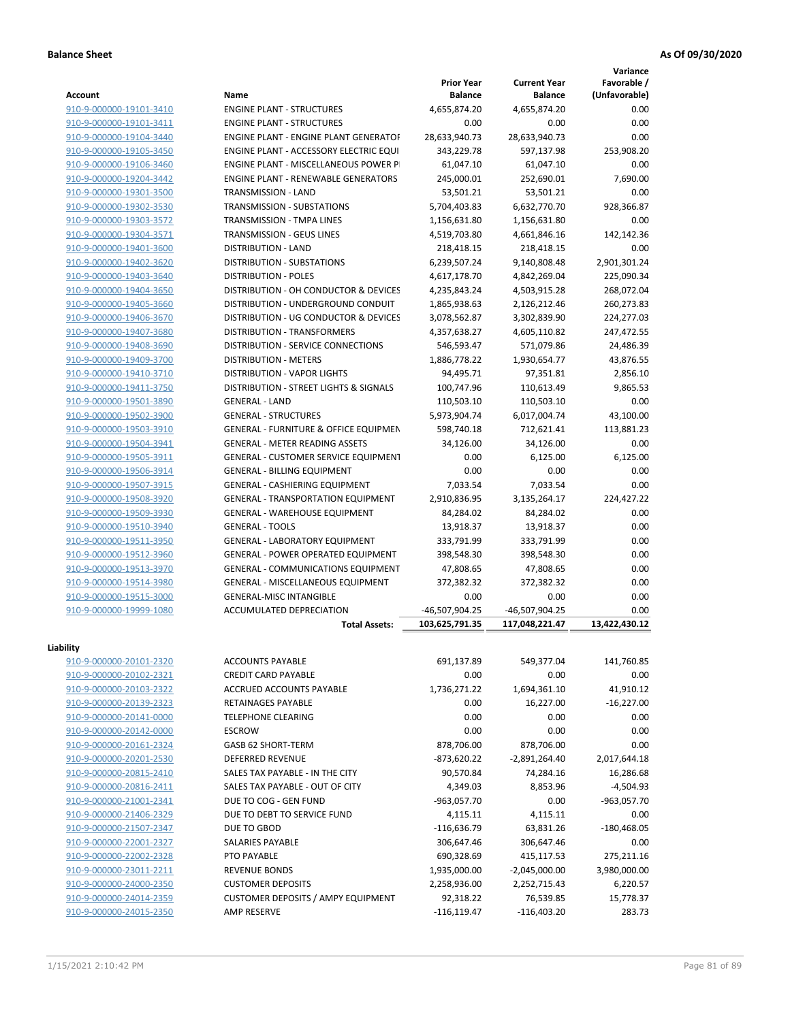**Variance**

| <b>Account</b>          | Name                                                            | <b>Prior Year</b><br><b>Balance</b> | <b>Current Year</b><br><b>Balance</b> | Favorable /<br>(Unfavorable) |
|-------------------------|-----------------------------------------------------------------|-------------------------------------|---------------------------------------|------------------------------|
| 910-9-000000-19101-3410 | <b>ENGINE PLANT - STRUCTURES</b>                                | 4,655,874.20                        | 4,655,874.20                          | 0.00                         |
| 910-9-000000-19101-3411 | <b>ENGINE PLANT - STRUCTURES</b>                                | 0.00                                | 0.00                                  | 0.00                         |
| 910-9-000000-19104-3440 | <b>ENGINE PLANT - ENGINE PLANT GENERATOF</b>                    | 28,633,940.73                       | 28,633,940.73                         | 0.00                         |
| 910-9-000000-19105-3450 | ENGINE PLANT - ACCESSORY ELECTRIC EQUI                          | 343,229.78                          | 597,137.98                            | 253,908.20                   |
| 910-9-000000-19106-3460 | ENGINE PLANT - MISCELLANEOUS POWER P                            | 61,047.10                           | 61,047.10                             | 0.00                         |
| 910-9-000000-19204-3442 | <b>ENGINE PLANT - RENEWABLE GENERATORS</b>                      | 245,000.01                          | 252,690.01                            | 7,690.00                     |
| 910-9-000000-19301-3500 | TRANSMISSION - LAND                                             | 53,501.21                           | 53,501.21                             | 0.00                         |
| 910-9-000000-19302-3530 | <b>TRANSMISSION - SUBSTATIONS</b>                               | 5,704,403.83                        | 6,632,770.70                          | 928,366.87                   |
| 910-9-000000-19303-3572 | TRANSMISSION - TMPA LINES                                       | 1,156,631.80                        | 1,156,631.80                          | 0.00                         |
| 910-9-000000-19304-3571 | TRANSMISSION - GEUS LINES                                       | 4,519,703.80                        | 4,661,846.16                          | 142,142.36                   |
| 910-9-000000-19401-3600 | <b>DISTRIBUTION - LAND</b>                                      | 218,418.15                          | 218,418.15                            | 0.00                         |
| 910-9-000000-19402-3620 | DISTRIBUTION - SUBSTATIONS                                      | 6,239,507.24                        | 9,140,808.48                          | 2,901,301.24                 |
| 910-9-000000-19403-3640 | <b>DISTRIBUTION - POLES</b>                                     | 4,617,178.70                        | 4,842,269.04                          | 225,090.34                   |
| 910-9-000000-19404-3650 | DISTRIBUTION - OH CONDUCTOR & DEVICES                           | 4,235,843.24                        | 4,503,915.28                          | 268,072.04                   |
| 910-9-000000-19405-3660 | DISTRIBUTION - UNDERGROUND CONDUIT                              | 1,865,938.63                        | 2,126,212.46                          | 260,273.83                   |
| 910-9-000000-19406-3670 | DISTRIBUTION - UG CONDUCTOR & DEVICES                           | 3,078,562.87                        | 3,302,839.90                          | 224,277.03                   |
| 910-9-000000-19407-3680 | DISTRIBUTION - TRANSFORMERS                                     | 4,357,638.27                        | 4,605,110.82                          | 247,472.55                   |
|                         | DISTRIBUTION - SERVICE CONNECTIONS                              | 546,593.47                          | 571,079.86                            |                              |
| 910-9-000000-19408-3690 |                                                                 |                                     |                                       | 24,486.39                    |
| 910-9-000000-19409-3700 | <b>DISTRIBUTION - METERS</b>                                    | 1,886,778.22                        | 1,930,654.77                          | 43,876.55                    |
| 910-9-000000-19410-3710 | DISTRIBUTION - VAPOR LIGHTS                                     | 94,495.71                           | 97,351.81                             | 2,856.10                     |
| 910-9-000000-19411-3750 | DISTRIBUTION - STREET LIGHTS & SIGNALS                          | 100,747.96                          | 110,613.49                            | 9,865.53                     |
| 910-9-000000-19501-3890 | <b>GENERAL - LAND</b>                                           | 110,503.10                          | 110,503.10                            | 0.00                         |
| 910-9-000000-19502-3900 | <b>GENERAL - STRUCTURES</b>                                     | 5,973,904.74                        | 6,017,004.74                          | 43,100.00                    |
| 910-9-000000-19503-3910 | <b>GENERAL - FURNITURE &amp; OFFICE EQUIPMEN</b>                | 598,740.18                          | 712,621.41                            | 113,881.23                   |
| 910-9-000000-19504-3941 | <b>GENERAL - METER READING ASSETS</b>                           | 34,126.00                           | 34,126.00                             | 0.00                         |
| 910-9-000000-19505-3911 | <b>GENERAL - CUSTOMER SERVICE EQUIPMENT</b>                     | 0.00                                | 6,125.00                              | 6,125.00                     |
| 910-9-000000-19506-3914 | <b>GENERAL - BILLING EQUIPMENT</b>                              | 0.00                                | 0.00                                  | 0.00                         |
| 910-9-000000-19507-3915 | <b>GENERAL - CASHIERING EQUIPMENT</b>                           | 7,033.54                            | 7,033.54                              | 0.00                         |
| 910-9-000000-19508-3920 | <b>GENERAL - TRANSPORTATION EQUIPMENT</b>                       | 2,910,836.95                        | 3,135,264.17                          | 224,427.22                   |
| 910-9-000000-19509-3930 | <b>GENERAL - WAREHOUSE EQUIPMENT</b>                            | 84,284.02                           | 84,284.02                             | 0.00                         |
| 910-9-000000-19510-3940 | <b>GENERAL - TOOLS</b>                                          | 13,918.37                           | 13,918.37                             | 0.00                         |
| 910-9-000000-19511-3950 | <b>GENERAL - LABORATORY EQUIPMENT</b>                           | 333,791.99                          | 333,791.99                            | 0.00                         |
| 910-9-000000-19512-3960 | <b>GENERAL - POWER OPERATED EQUIPMENT</b>                       | 398,548.30                          | 398,548.30                            | 0.00                         |
| 910-9-000000-19513-3970 | GENERAL - COMMUNICATIONS EQUIPMENT                              | 47,808.65                           | 47,808.65                             | 0.00                         |
| 910-9-000000-19514-3980 | GENERAL - MISCELLANEOUS EQUIPMENT                               | 372,382.32                          | 372,382.32                            | 0.00                         |
| 910-9-000000-19515-3000 | <b>GENERAL-MISC INTANGIBLE</b>                                  | 0.00                                | 0.00                                  | 0.00                         |
| 910-9-000000-19999-1080 | ACCUMULATED DEPRECIATION                                        | -46,507,904.25                      | -46,507,904.25                        | 0.00                         |
|                         | <b>Total Assets:</b>                                            | 103,625,791.35                      | 117,048,221.47                        | 13,422,430.12                |
| Liability               |                                                                 |                                     |                                       |                              |
| 910-9-000000-20101-2320 | <b>ACCOUNTS PAYABLE</b>                                         | 691,137.89                          | 549,377.04                            | 141,760.85                   |
| 910-9-000000-20102-2321 | <b>CREDIT CARD PAYABLE</b>                                      | 0.00                                | 0.00                                  | 0.00                         |
| 910-9-000000-20103-2322 | ACCRUED ACCOUNTS PAYABLE                                        | 1,736,271.22                        | 1,694,361.10                          | 41,910.12                    |
| 910-9-000000-20139-2323 | RETAINAGES PAYABLE                                              | 0.00                                | 16,227.00                             | $-16,227.00$                 |
| 910-9-000000-20141-0000 | <b>TELEPHONE CLEARING</b>                                       | 0.00                                | 0.00                                  | 0.00                         |
| 910-9-000000-20142-0000 | <b>ESCROW</b>                                                   | 0.00                                | 0.00                                  | 0.00                         |
| 910-9-000000-20161-2324 | GASB 62 SHORT-TERM                                              | 878,706.00                          | 878,706.00                            | 0.00                         |
| 910-9-000000-20201-2530 | <b>DEFERRED REVENUE</b>                                         | $-873,620.22$                       | $-2,891,264.40$                       | 2,017,644.18                 |
| 910-9-000000-20815-2410 | SALES TAX PAYABLE - IN THE CITY                                 | 90,570.84                           | 74,284.16                             | 16,286.68                    |
| 910-9-000000-20816-2411 | SALES TAX PAYABLE - OUT OF CITY                                 | 4,349.03                            | 8,853.96                              | $-4,504.93$                  |
| 910-9-000000-21001-2341 | DUE TO COG - GEN FUND                                           | $-963,057.70$                       | 0.00                                  | -963,057.70                  |
| 910-9-000000-21406-2329 | DUE TO DEBT TO SERVICE FUND                                     | 4,115.11                            | 4,115.11                              | 0.00                         |
| 910-9-000000-21507-2347 | DUE TO GBOD                                                     | $-116,636.79$                       | 63,831.26                             | $-180,468.05$                |
| 910-9-000000-22001-2327 | SALARIES PAYABLE                                                | 306,647.46                          | 306,647.46                            | 0.00                         |
| 910-9-000000-22002-2328 | PTO PAYABLE                                                     | 690,328.69                          | 415,117.53                            | 275,211.16                   |
| 910-9-000000-23011-2211 | <b>REVENUE BONDS</b>                                            | 1,935,000.00                        | $-2,045,000.00$                       | 3,980,000.00                 |
| 910-9-000000-24000-2350 | <b>CUSTOMER DEPOSITS</b>                                        | 2,258,936.00                        | 2,252,715.43                          |                              |
|                         |                                                                 |                                     |                                       | 6,220.57                     |
| 910-9-000000-24014-2359 | <b>CUSTOMER DEPOSITS / AMPY EQUIPMENT</b><br><b>AMP RESERVE</b> | 92,318.22                           | 76,539.85                             | 15,778.37<br>283.73          |
| 910-9-000000-24015-2350 |                                                                 | $-116, 119.47$                      | $-116,403.20$                         |                              |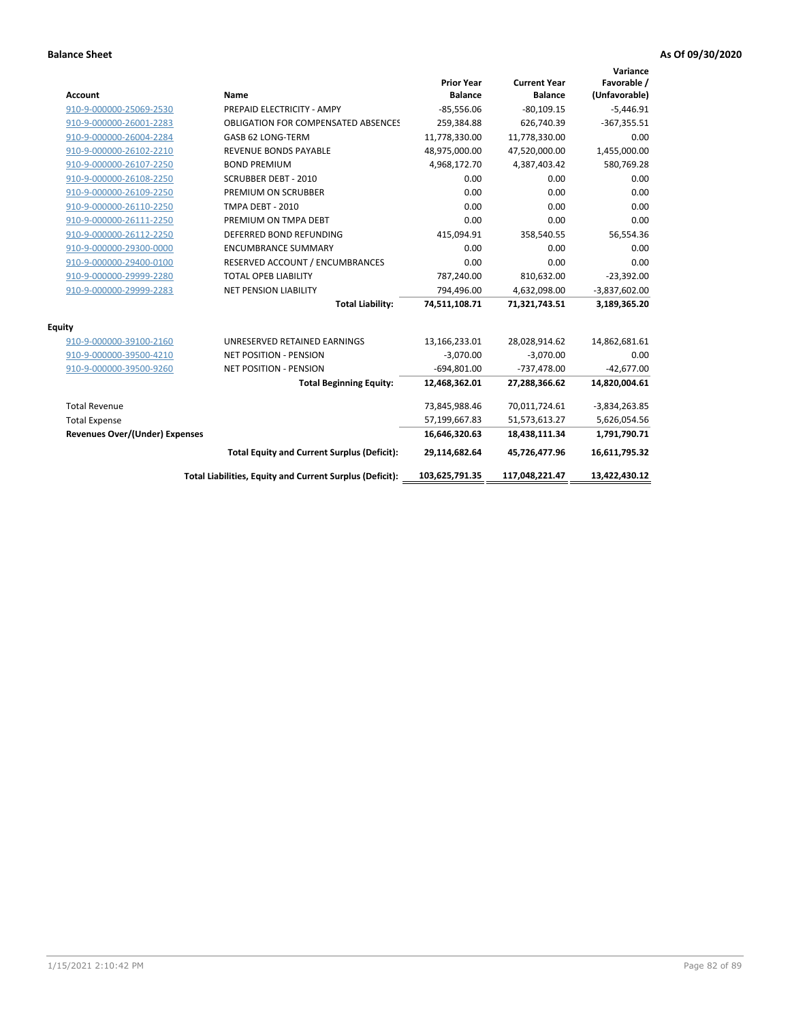| <b>Account</b>                        | Name                                                     | <b>Prior Year</b><br><b>Balance</b> | <b>Current Year</b><br><b>Balance</b> | Variance<br>Favorable /<br>(Unfavorable) |
|---------------------------------------|----------------------------------------------------------|-------------------------------------|---------------------------------------|------------------------------------------|
| 910-9-000000-25069-2530               | PREPAID ELECTRICITY - AMPY                               | $-85,556.06$                        | $-80,109.15$                          | $-5,446.91$                              |
| 910-9-000000-26001-2283               | <b>OBLIGATION FOR COMPENSATED ABSENCES</b>               | 259,384.88                          | 626,740.39                            | $-367,355.51$                            |
| 910-9-000000-26004-2284               | GASB 62 LONG-TERM                                        | 11,778,330.00                       | 11,778,330.00                         | 0.00                                     |
| 910-9-000000-26102-2210               | <b>REVENUE BONDS PAYABLE</b>                             | 48,975,000.00                       | 47,520,000.00                         | 1,455,000.00                             |
| 910-9-000000-26107-2250               | <b>BOND PREMIUM</b>                                      | 4,968,172.70                        | 4,387,403.42                          | 580,769.28                               |
| 910-9-000000-26108-2250               | <b>SCRUBBER DEBT - 2010</b>                              | 0.00                                | 0.00                                  | 0.00                                     |
| 910-9-000000-26109-2250               | PREMIUM ON SCRUBBER                                      | 0.00                                | 0.00                                  | 0.00                                     |
| 910-9-000000-26110-2250               | <b>TMPA DEBT - 2010</b>                                  | 0.00                                | 0.00                                  | 0.00                                     |
| 910-9-000000-26111-2250               | PREMIUM ON TMPA DEBT                                     | 0.00                                | 0.00                                  | 0.00                                     |
| 910-9-000000-26112-2250               | DEFERRED BOND REFUNDING                                  | 415,094.91                          | 358,540.55                            | 56,554.36                                |
| 910-9-000000-29300-0000               | <b>ENCUMBRANCE SUMMARY</b>                               | 0.00                                | 0.00                                  | 0.00                                     |
| 910-9-000000-29400-0100               | RESERVED ACCOUNT / ENCUMBRANCES                          | 0.00                                | 0.00                                  | 0.00                                     |
| 910-9-000000-29999-2280               | <b>TOTAL OPEB LIABILITY</b>                              | 787,240.00                          | 810,632.00                            | $-23,392.00$                             |
| 910-9-000000-29999-2283               | <b>NET PENSION LIABILITY</b>                             | 794,496.00                          | 4,632,098.00                          | $-3,837,602.00$                          |
|                                       | <b>Total Liability:</b>                                  | 74,511,108.71                       | 71,321,743.51                         | 3,189,365.20                             |
| <b>Equity</b>                         |                                                          |                                     |                                       |                                          |
| 910-9-000000-39100-2160               | UNRESERVED RETAINED EARNINGS                             | 13,166,233.01                       | 28,028,914.62                         | 14,862,681.61                            |
| 910-9-000000-39500-4210               | <b>NET POSITION - PENSION</b>                            | $-3,070.00$                         | $-3,070.00$                           | 0.00                                     |
| 910-9-000000-39500-9260               | <b>NET POSITION - PENSION</b>                            | $-694,801.00$                       | $-737,478.00$                         | $-42,677.00$                             |
|                                       | <b>Total Beginning Equity:</b>                           | 12,468,362.01                       | 27,288,366.62                         | 14,820,004.61                            |
| <b>Total Revenue</b>                  |                                                          | 73,845,988.46                       | 70,011,724.61                         | $-3,834,263.85$                          |
| <b>Total Expense</b>                  |                                                          | 57,199,667.83                       | 51,573,613.27                         | 5,626,054.56                             |
| <b>Revenues Over/(Under) Expenses</b> |                                                          | 16,646,320.63                       | 18,438,111.34                         | 1,791,790.71                             |
|                                       | <b>Total Equity and Current Surplus (Deficit):</b>       | 29,114,682.64                       | 45,726,477.96                         | 16,611,795.32                            |
|                                       | Total Liabilities, Equity and Current Surplus (Deficit): | 103,625,791.35                      | 117,048,221.47                        | 13,422,430.12                            |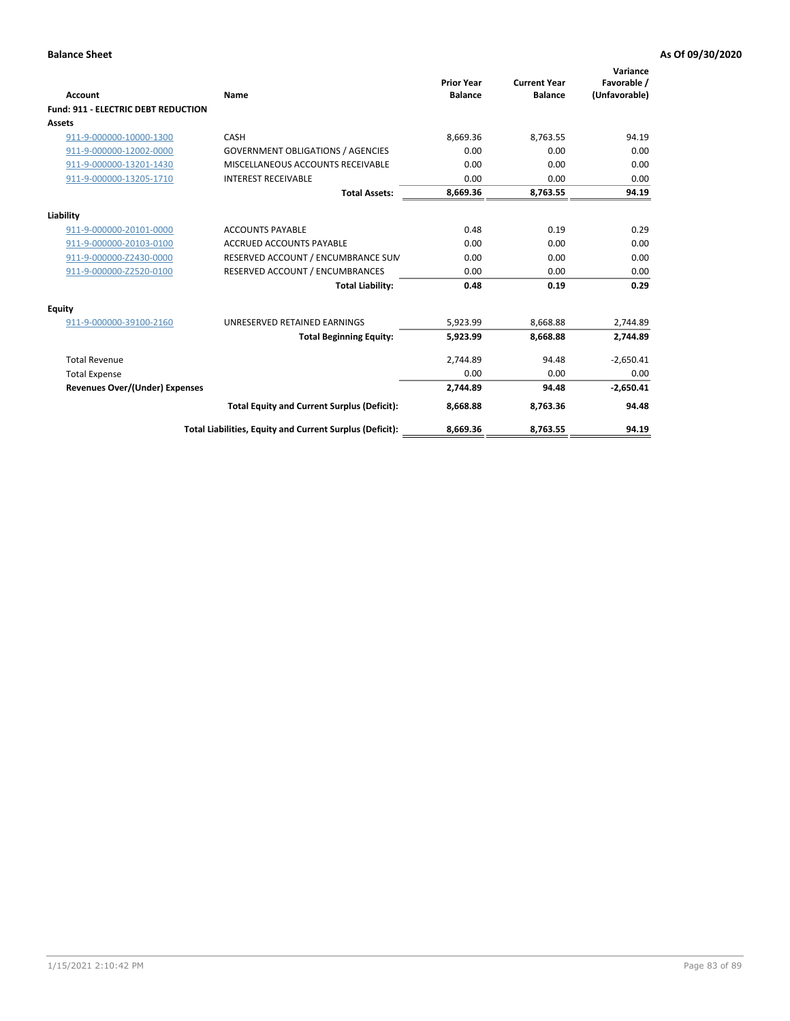| <b>Account</b>                             | Name                                                     | <b>Prior Year</b><br><b>Balance</b> | <b>Current Year</b><br><b>Balance</b> | Variance<br>Favorable /<br>(Unfavorable) |
|--------------------------------------------|----------------------------------------------------------|-------------------------------------|---------------------------------------|------------------------------------------|
| <b>Fund: 911 - ELECTRIC DEBT REDUCTION</b> |                                                          |                                     |                                       |                                          |
| Assets                                     |                                                          |                                     |                                       |                                          |
| 911-9-000000-10000-1300                    | CASH                                                     | 8,669.36                            | 8,763.55                              | 94.19                                    |
| 911-9-000000-12002-0000                    | <b>GOVERNMENT OBLIGATIONS / AGENCIES</b>                 | 0.00                                | 0.00                                  | 0.00                                     |
| 911-9-000000-13201-1430                    | MISCELLANEOUS ACCOUNTS RECEIVABLE                        | 0.00                                | 0.00                                  | 0.00                                     |
| 911-9-000000-13205-1710                    | <b>INTEREST RECEIVABLE</b>                               | 0.00                                | 0.00                                  | 0.00                                     |
|                                            | <b>Total Assets:</b>                                     | 8,669.36                            | 8,763.55                              | 94.19                                    |
| Liability                                  |                                                          |                                     |                                       |                                          |
| 911-9-000000-20101-0000                    | <b>ACCOUNTS PAYABLE</b>                                  | 0.48                                | 0.19                                  | 0.29                                     |
| 911-9-000000-20103-0100                    | <b>ACCRUED ACCOUNTS PAYABLE</b>                          | 0.00                                | 0.00                                  | 0.00                                     |
| 911-9-000000-Z2430-0000                    | RESERVED ACCOUNT / ENCUMBRANCE SUM                       | 0.00                                | 0.00                                  | 0.00                                     |
| 911-9-000000-Z2520-0100                    | RESERVED ACCOUNT / ENCUMBRANCES                          | 0.00                                | 0.00                                  | 0.00                                     |
|                                            | <b>Total Liability:</b>                                  | 0.48                                | 0.19                                  | 0.29                                     |
| <b>Equity</b>                              |                                                          |                                     |                                       |                                          |
| 911-9-000000-39100-2160                    | UNRESERVED RETAINED EARNINGS                             | 5,923.99                            | 8,668.88                              | 2,744.89                                 |
|                                            | <b>Total Beginning Equity:</b>                           | 5,923.99                            | 8.668.88                              | 2,744.89                                 |
| <b>Total Revenue</b>                       |                                                          | 2,744.89                            | 94.48                                 | $-2,650.41$                              |
| <b>Total Expense</b>                       |                                                          | 0.00                                | 0.00                                  | 0.00                                     |
| <b>Revenues Over/(Under) Expenses</b>      |                                                          | 2,744.89                            | 94.48                                 | $-2,650.41$                              |
|                                            | <b>Total Equity and Current Surplus (Deficit):</b>       | 8,668.88                            | 8,763.36                              | 94.48                                    |
|                                            | Total Liabilities, Equity and Current Surplus (Deficit): | 8,669.36                            | 8,763.55                              | 94.19                                    |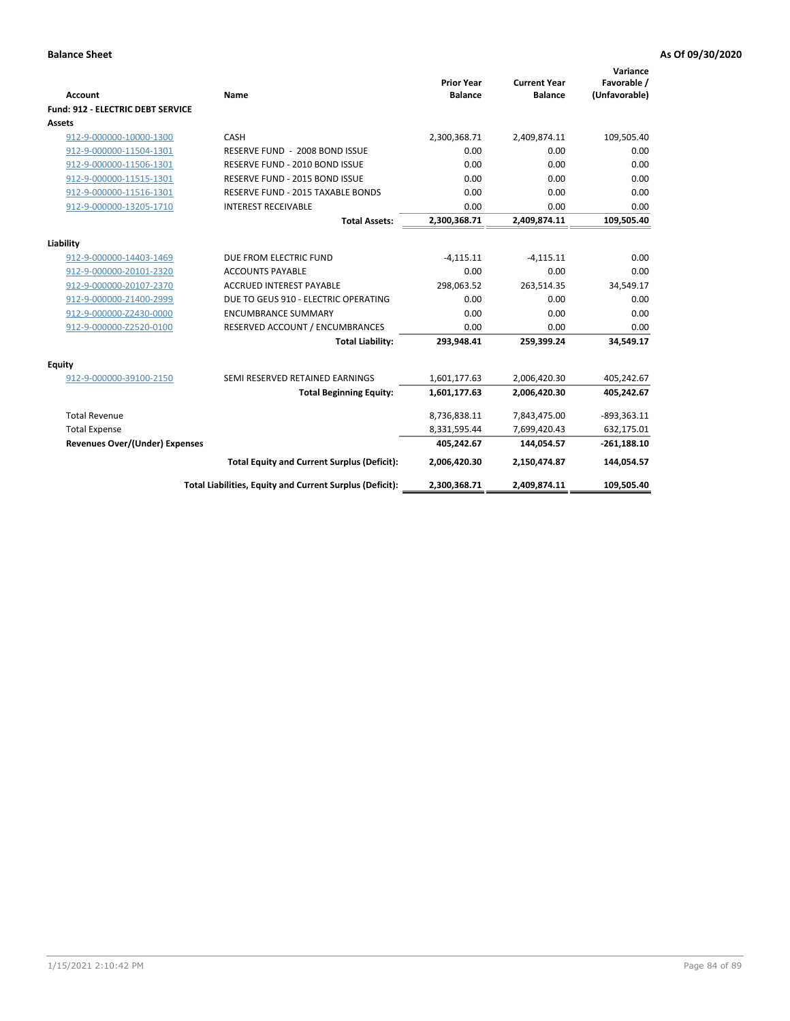| <b>Account</b>                           | Name                                                     | <b>Prior Year</b><br><b>Balance</b> | <b>Current Year</b><br><b>Balance</b> | Variance<br>Favorable /<br>(Unfavorable) |
|------------------------------------------|----------------------------------------------------------|-------------------------------------|---------------------------------------|------------------------------------------|
| <b>Fund: 912 - ELECTRIC DEBT SERVICE</b> |                                                          |                                     |                                       |                                          |
| <b>Assets</b>                            |                                                          |                                     |                                       |                                          |
| 912-9-000000-10000-1300                  | CASH                                                     | 2,300,368.71                        | 2,409,874.11                          | 109,505.40                               |
| 912-9-000000-11504-1301                  | RESERVE FUND - 2008 BOND ISSUE                           | 0.00                                | 0.00                                  | 0.00                                     |
| 912-9-000000-11506-1301                  | RESERVE FUND - 2010 BOND ISSUE                           | 0.00                                | 0.00                                  | 0.00                                     |
| 912-9-000000-11515-1301                  | RESERVE FUND - 2015 BOND ISSUE                           | 0.00                                | 0.00                                  | 0.00                                     |
| 912-9-000000-11516-1301                  | <b>RESERVE FUND - 2015 TAXABLE BONDS</b>                 | 0.00                                | 0.00                                  | 0.00                                     |
| 912-9-000000-13205-1710                  | <b>INTEREST RECEIVABLE</b>                               | 0.00                                | 0.00                                  | 0.00                                     |
|                                          | <b>Total Assets:</b>                                     | 2,300,368.71                        | 2,409,874.11                          | 109,505.40                               |
| Liability                                |                                                          |                                     |                                       |                                          |
| 912-9-000000-14403-1469                  | DUE FROM ELECTRIC FUND                                   | $-4,115.11$                         | $-4,115.11$                           | 0.00                                     |
| 912-9-000000-20101-2320                  | <b>ACCOUNTS PAYABLE</b>                                  | 0.00                                | 0.00                                  | 0.00                                     |
| 912-9-000000-20107-2370                  | <b>ACCRUED INTEREST PAYABLE</b>                          | 298,063.52                          | 263,514.35                            | 34,549.17                                |
| 912-9-000000-21400-2999                  | DUE TO GEUS 910 - ELECTRIC OPERATING                     | 0.00                                | 0.00                                  | 0.00                                     |
| 912-9-000000-Z2430-0000                  | <b>ENCUMBRANCE SUMMARY</b>                               | 0.00                                | 0.00                                  | 0.00                                     |
| 912-9-000000-Z2520-0100                  | RESERVED ACCOUNT / ENCUMBRANCES                          | 0.00                                | 0.00                                  | 0.00                                     |
|                                          | <b>Total Liability:</b>                                  | 293,948.41                          | 259,399.24                            | 34,549.17                                |
|                                          |                                                          |                                     |                                       |                                          |
| Equity                                   |                                                          |                                     |                                       |                                          |
| 912-9-000000-39100-2150                  | SEMI RESERVED RETAINED EARNINGS                          | 1,601,177.63                        | 2,006,420.30                          | 405,242.67                               |
|                                          | <b>Total Beginning Equity:</b>                           | 1,601,177.63                        | 2,006,420.30                          | 405,242.67                               |
| <b>Total Revenue</b>                     |                                                          | 8,736,838.11                        | 7,843,475.00                          | $-893,363.11$                            |
| <b>Total Expense</b>                     |                                                          | 8,331,595.44                        | 7,699,420.43                          | 632,175.01                               |
| <b>Revenues Over/(Under) Expenses</b>    |                                                          | 405,242.67                          | 144,054.57                            | $-261,188.10$                            |
|                                          | <b>Total Equity and Current Surplus (Deficit):</b>       | 2,006,420.30                        | 2,150,474.87                          | 144,054.57                               |
|                                          | Total Liabilities, Equity and Current Surplus (Deficit): | 2,300,368.71                        | 2,409,874.11                          | 109,505.40                               |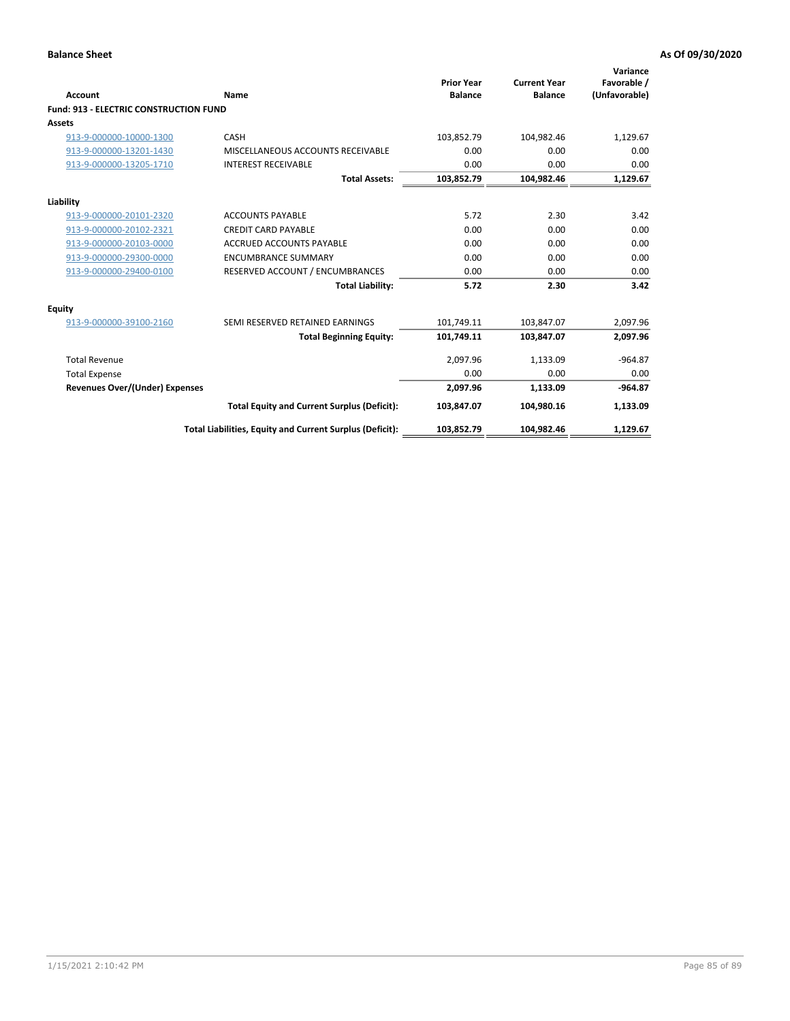| Account                                       | Name                                                     | <b>Prior Year</b><br><b>Balance</b> | <b>Current Year</b><br><b>Balance</b> | Variance<br>Favorable /<br>(Unfavorable) |
|-----------------------------------------------|----------------------------------------------------------|-------------------------------------|---------------------------------------|------------------------------------------|
| <b>Fund: 913 - ELECTRIC CONSTRUCTION FUND</b> |                                                          |                                     |                                       |                                          |
| <b>Assets</b>                                 |                                                          |                                     |                                       |                                          |
| 913-9-000000-10000-1300                       | CASH                                                     | 103,852.79                          | 104,982.46                            | 1,129.67                                 |
| 913-9-000000-13201-1430                       | MISCELLANEOUS ACCOUNTS RECEIVABLE                        | 0.00                                | 0.00                                  | 0.00                                     |
| 913-9-000000-13205-1710                       | <b>INTEREST RECEIVABLE</b>                               | 0.00                                | 0.00                                  | 0.00                                     |
|                                               | <b>Total Assets:</b>                                     | 103,852.79                          | 104,982.46                            | 1,129.67                                 |
| Liability                                     |                                                          |                                     |                                       |                                          |
| 913-9-000000-20101-2320                       | <b>ACCOUNTS PAYABLE</b>                                  | 5.72                                | 2.30                                  | 3.42                                     |
| 913-9-000000-20102-2321                       | <b>CREDIT CARD PAYABLE</b>                               | 0.00                                | 0.00                                  | 0.00                                     |
| 913-9-000000-20103-0000                       | <b>ACCRUED ACCOUNTS PAYABLE</b>                          | 0.00                                | 0.00                                  | 0.00                                     |
| 913-9-000000-29300-0000                       | <b>ENCUMBRANCE SUMMARY</b>                               | 0.00                                | 0.00                                  | 0.00                                     |
| 913-9-000000-29400-0100                       | RESERVED ACCOUNT / ENCUMBRANCES                          | 0.00                                | 0.00                                  | 0.00                                     |
|                                               | <b>Total Liability:</b>                                  | 5.72                                | 2.30                                  | 3.42                                     |
| <b>Equity</b>                                 |                                                          |                                     |                                       |                                          |
| 913-9-000000-39100-2160                       | SEMI RESERVED RETAINED EARNINGS                          | 101,749.11                          | 103,847.07                            | 2,097.96                                 |
|                                               | <b>Total Beginning Equity:</b>                           | 101,749.11                          | 103.847.07                            | 2,097.96                                 |
| <b>Total Revenue</b>                          |                                                          | 2,097.96                            | 1,133.09                              | $-964.87$                                |
| <b>Total Expense</b>                          |                                                          | 0.00                                | 0.00                                  | 0.00                                     |
| <b>Revenues Over/(Under) Expenses</b>         |                                                          | 2,097.96                            | 1,133.09                              | $-964.87$                                |
|                                               | <b>Total Equity and Current Surplus (Deficit):</b>       | 103,847.07                          | 104.980.16                            | 1,133.09                                 |
|                                               | Total Liabilities, Equity and Current Surplus (Deficit): | 103,852.79                          | 104,982.46                            | 1,129.67                                 |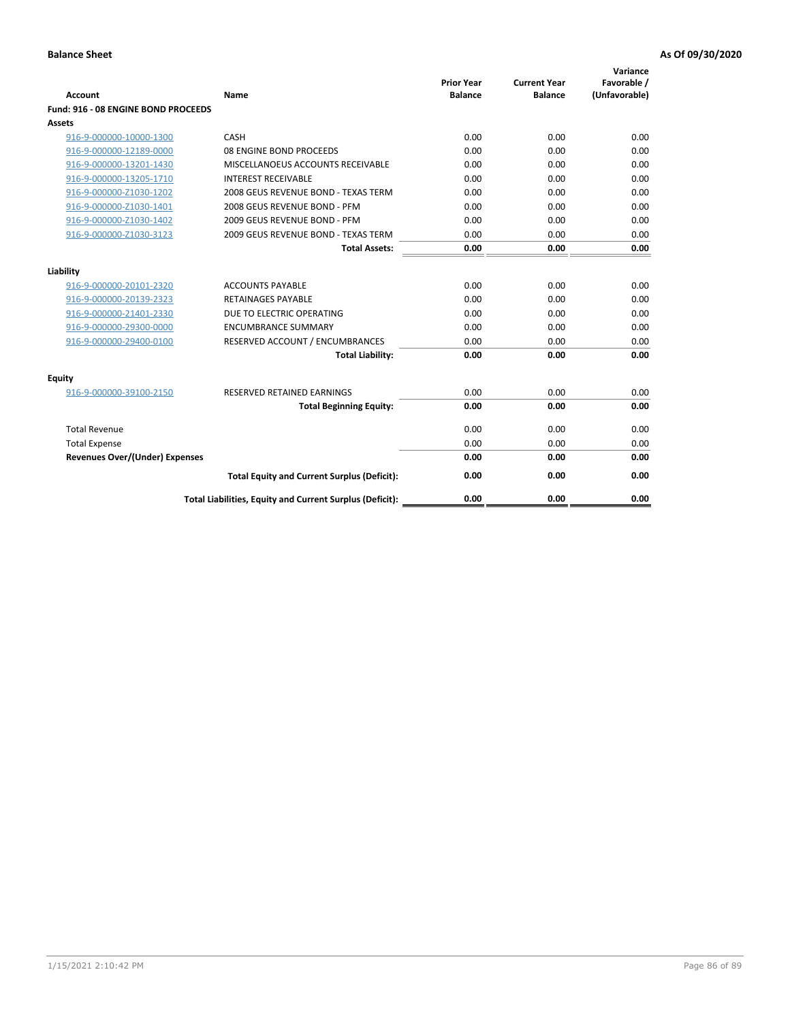| <b>Account</b>                        | Name                                                     | <b>Prior Year</b><br><b>Balance</b> | <b>Current Year</b><br><b>Balance</b> | Variance<br>Favorable /<br>(Unfavorable) |
|---------------------------------------|----------------------------------------------------------|-------------------------------------|---------------------------------------|------------------------------------------|
| Fund: 916 - 08 ENGINE BOND PROCEEDS   |                                                          |                                     |                                       |                                          |
| <b>Assets</b>                         |                                                          |                                     |                                       |                                          |
| 916-9-000000-10000-1300               | CASH                                                     | 0.00                                | 0.00                                  | 0.00                                     |
| 916-9-000000-12189-0000               | 08 ENGINE BOND PROCEEDS                                  | 0.00                                | 0.00                                  | 0.00                                     |
| 916-9-000000-13201-1430               | MISCELLANOEUS ACCOUNTS RECEIVABLE                        | 0.00                                | 0.00                                  | 0.00                                     |
| 916-9-000000-13205-1710               | <b>INTEREST RECEIVABLE</b>                               | 0.00                                | 0.00                                  | 0.00                                     |
| 916-9-000000-Z1030-1202               | 2008 GEUS REVENUE BOND - TEXAS TERM                      | 0.00                                | 0.00                                  | 0.00                                     |
| 916-9-000000-Z1030-1401               | 2008 GEUS REVENUE BOND - PFM                             | 0.00                                | 0.00                                  | 0.00                                     |
| 916-9-000000-Z1030-1402               | 2009 GEUS REVENUE BOND - PFM                             | 0.00                                | 0.00                                  | 0.00                                     |
| 916-9-000000-Z1030-3123               | 2009 GEUS REVENUE BOND - TEXAS TERM                      | 0.00                                | 0.00                                  | 0.00                                     |
|                                       | <b>Total Assets:</b>                                     | 0.00                                | 0.00                                  | 0.00                                     |
| Liability                             |                                                          |                                     |                                       |                                          |
| 916-9-000000-20101-2320               | <b>ACCOUNTS PAYABLE</b>                                  | 0.00                                | 0.00                                  | 0.00                                     |
| 916-9-000000-20139-2323               | <b>RETAINAGES PAYABLE</b>                                | 0.00                                | 0.00                                  | 0.00                                     |
| 916-9-000000-21401-2330               | DUE TO ELECTRIC OPERATING                                | 0.00                                | 0.00                                  | 0.00                                     |
| 916-9-000000-29300-0000               | <b>ENCUMBRANCE SUMMARY</b>                               | 0.00                                | 0.00                                  | 0.00                                     |
| 916-9-000000-29400-0100               | RESERVED ACCOUNT / ENCUMBRANCES                          | 0.00                                | 0.00                                  | 0.00                                     |
|                                       | <b>Total Liability:</b>                                  | 0.00                                | 0.00                                  | 0.00                                     |
| Equity                                |                                                          |                                     |                                       |                                          |
| 916-9-000000-39100-2150               | <b>RESERVED RETAINED EARNINGS</b>                        | 0.00                                | 0.00                                  | 0.00                                     |
|                                       | <b>Total Beginning Equity:</b>                           | 0.00                                | 0.00                                  | 0.00                                     |
| <b>Total Revenue</b>                  |                                                          | 0.00                                | 0.00                                  | 0.00                                     |
| <b>Total Expense</b>                  |                                                          | 0.00                                | 0.00                                  | 0.00                                     |
| <b>Revenues Over/(Under) Expenses</b> |                                                          | 0.00                                | 0.00                                  | 0.00                                     |
|                                       | <b>Total Equity and Current Surplus (Deficit):</b>       | 0.00                                | 0.00                                  | 0.00                                     |
|                                       | Total Liabilities, Equity and Current Surplus (Deficit): | 0.00                                | 0.00                                  | 0.00                                     |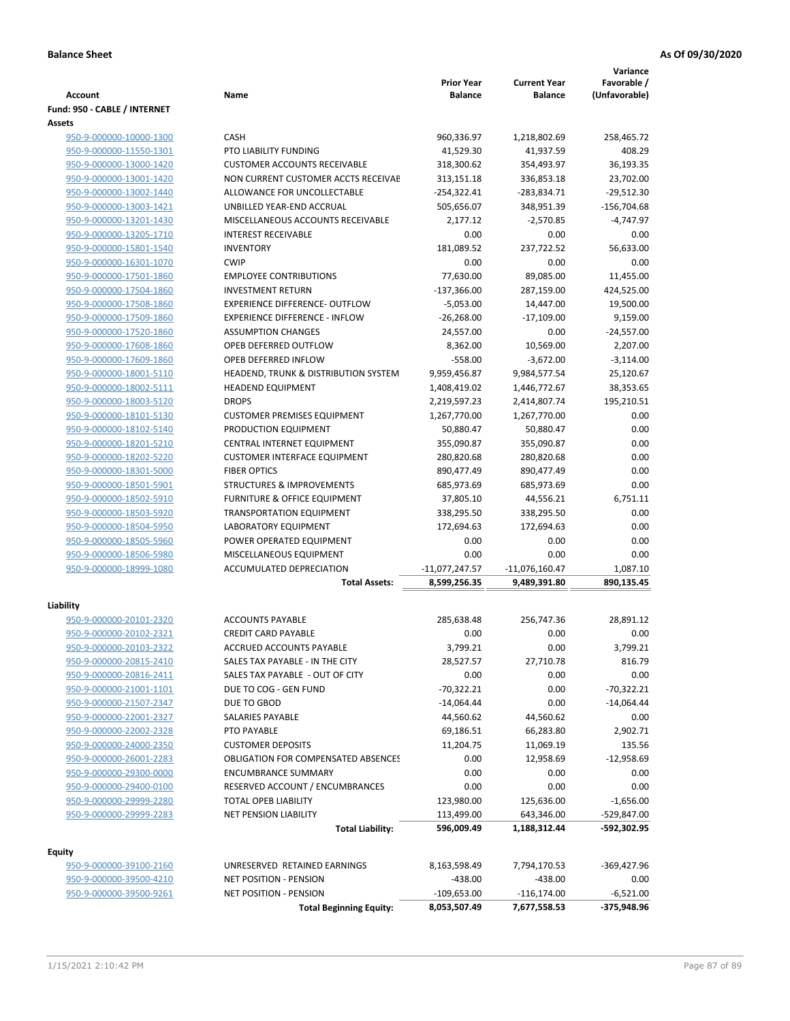|                                                    |                                                                        | <b>Prior Year</b>            | <b>Current Year</b>     | Variance<br>Favorable / |
|----------------------------------------------------|------------------------------------------------------------------------|------------------------------|-------------------------|-------------------------|
| <b>Account</b>                                     | Name                                                                   | <b>Balance</b>               | <b>Balance</b>          | (Unfavorable)           |
| Fund: 950 - CABLE / INTERNET                       |                                                                        |                              |                         |                         |
| <b>Assets</b>                                      |                                                                        |                              |                         |                         |
| 950-9-000000-10000-1300                            | <b>CASH</b>                                                            | 960,336.97                   | 1,218,802.69            | 258,465.72              |
| 950-9-000000-11550-1301                            | PTO LIABILITY FUNDING                                                  | 41,529.30                    | 41,937.59               | 408.29                  |
| 950-9-000000-13000-1420                            | <b>CUSTOMER ACCOUNTS RECEIVABLE</b>                                    | 318,300.62                   | 354,493.97              | 36,193.35               |
| 950-9-000000-13001-1420                            | NON CURRENT CUSTOMER ACCTS RECEIVAE                                    | 313,151.18                   | 336,853.18              | 23,702.00               |
| 950-9-000000-13002-1440                            | ALLOWANCE FOR UNCOLLECTABLE                                            | $-254,322.41$                | -283,834.71             | $-29,512.30$            |
| 950-9-000000-13003-1421                            | UNBILLED YEAR-END ACCRUAL                                              | 505,656.07                   | 348,951.39              | $-156,704.68$           |
| 950-9-000000-13201-1430                            | MISCELLANEOUS ACCOUNTS RECEIVABLE                                      | 2,177.12                     | $-2,570.85$             | $-4,747.97$             |
| 950-9-000000-13205-1710                            | <b>INTEREST RECEIVABLE</b>                                             | 0.00                         | 0.00                    | 0.00                    |
| 950-9-000000-15801-1540                            | <b>INVENTORY</b>                                                       | 181,089.52                   | 237.722.52              | 56.633.00               |
| 950-9-000000-16301-1070                            | <b>CWIP</b>                                                            | 0.00                         | 0.00                    | 0.00                    |
| 950-9-000000-17501-1860                            | <b>EMPLOYEE CONTRIBUTIONS</b><br><b>INVESTMENT RETURN</b>              | 77,630.00                    | 89,085.00               | 11,455.00               |
| 950-9-000000-17504-1860<br>950-9-000000-17508-1860 | <b>EXPERIENCE DIFFERENCE- OUTFLOW</b>                                  | $-137,366.00$<br>$-5,053.00$ | 287,159.00<br>14,447.00 | 424,525.00<br>19,500.00 |
| 950-9-000000-17509-1860                            | <b>EXPERIENCE DIFFERENCE - INFLOW</b>                                  | $-26,268.00$                 | $-17,109.00$            | 9,159.00                |
| 950-9-000000-17520-1860                            | <b>ASSUMPTION CHANGES</b>                                              | 24,557.00                    | 0.00                    | $-24,557.00$            |
| 950-9-000000-17608-1860                            | OPEB DEFERRED OUTFLOW                                                  | 8,362.00                     | 10,569.00               | 2,207.00                |
| 950-9-000000-17609-1860                            | OPEB DEFERRED INFLOW                                                   | $-558.00$                    | $-3,672.00$             | $-3,114.00$             |
| 950-9-000000-18001-5110                            | HEADEND, TRUNK & DISTRIBUTION SYSTEM                                   | 9,959,456.87                 | 9,984,577.54            | 25,120.67               |
| 950-9-000000-18002-5111                            | <b>HEADEND EQUIPMENT</b>                                               | 1,408,419.02                 | 1,446,772.67            | 38,353.65               |
| 950-9-000000-18003-5120                            | <b>DROPS</b>                                                           | 2,219,597.23                 | 2,414,807.74            | 195,210.51              |
| 950-9-000000-18101-5130                            | <b>CUSTOMER PREMISES EQUIPMENT</b>                                     | 1,267,770.00                 | 1,267,770.00            | 0.00                    |
| 950-9-000000-18102-5140                            | PRODUCTION EQUIPMENT                                                   | 50,880.47                    | 50,880.47               | 0.00                    |
| 950-9-000000-18201-5210                            | CENTRAL INTERNET EQUIPMENT                                             | 355,090.87                   | 355,090.87              | 0.00                    |
| 950-9-000000-18202-5220                            | <b>CUSTOMER INTERFACE EQUIPMENT</b>                                    | 280,820.68                   | 280,820.68              | 0.00                    |
| 950-9-000000-18301-5000                            | <b>FIBER OPTICS</b>                                                    | 890,477.49                   | 890,477.49              | 0.00                    |
| 950-9-000000-18501-5901                            | <b>STRUCTURES &amp; IMPROVEMENTS</b>                                   | 685,973.69                   | 685,973.69              | 0.00                    |
| 950-9-000000-18502-5910                            | <b>FURNITURE &amp; OFFICE EQUIPMENT</b>                                | 37,805.10                    | 44,556.21               | 6,751.11                |
| 950-9-000000-18503-5920                            | <b>TRANSPORTATION EQUIPMENT</b>                                        | 338,295.50                   | 338,295.50              | 0.00                    |
| 950-9-000000-18504-5950                            | <b>LABORATORY EQUIPMENT</b>                                            | 172,694.63                   | 172,694.63              | 0.00                    |
| 950-9-000000-18505-5960                            | POWER OPERATED EQUIPMENT                                               | 0.00                         | 0.00                    | 0.00                    |
| 950-9-000000-18506-5980                            | MISCELLANEOUS EQUIPMENT                                                | 0.00                         | 0.00                    | 0.00                    |
| 950-9-000000-18999-1080                            | <b>ACCUMULATED DEPRECIATION</b>                                        | $-11,077,247.57$             | $-11,076,160.47$        | 1,087.10                |
|                                                    | <b>Total Assets:</b>                                                   | 8,599,256.35                 | 9,489,391.80            | 890,135.45              |
|                                                    |                                                                        |                              |                         |                         |
| Liability                                          |                                                                        |                              |                         |                         |
| 950-9-000000-20101-2320                            | <b>ACCOUNTS PAYABLE</b>                                                | 285,638.48                   | 256,747.36              | 28,891.12               |
| 950-9-000000-20102-2321                            | <b>CREDIT CARD PAYABLE</b>                                             | 0.00                         | 0.00                    | 0.00                    |
| 950-9-000000-20103-2322                            | ACCRUED ACCOUNTS PAYABLE                                               | 3,799.21                     | 0.00                    | 3,799.21                |
| 950-9-000000-20815-2410                            | SALES TAX PAYABLE - IN THE CITY                                        | 28,527.57                    | 27,710.78               | 816.79                  |
| 950-9-000000-20816-2411                            | SALES TAX PAYABLE - OUT OF CITY                                        | 0.00                         | 0.00                    | 0.00                    |
| 950-9-000000-21001-1101                            | DUE TO COG - GEN FUND                                                  | $-70,322.21$                 | 0.00                    | $-70,322.21$            |
| 950-9-000000-21507-2347                            | DUE TO GBOD                                                            | $-14,064.44$                 | 0.00                    | $-14,064.44$            |
| 950-9-000000-22001-2327                            | SALARIES PAYABLE                                                       | 44,560.62                    | 44,560.62               | 0.00                    |
| 950-9-000000-22002-2328                            | PTO PAYABLE                                                            | 69,186.51                    | 66,283.80               | 2,902.71                |
| 950-9-000000-24000-2350                            | <b>CUSTOMER DEPOSITS</b><br><b>OBLIGATION FOR COMPENSATED ABSENCES</b> | 11,204.75                    | 11,069.19               | 135.56                  |
| 950-9-000000-26001-2283<br>950-9-000000-29300-0000 | <b>ENCUMBRANCE SUMMARY</b>                                             | 0.00<br>0.00                 | 12,958.69<br>0.00       | $-12,958.69$<br>0.00    |
| 950-9-000000-29400-0100                            | RESERVED ACCOUNT / ENCUMBRANCES                                        | 0.00                         | 0.00                    | 0.00                    |
| 950-9-000000-29999-2280                            | TOTAL OPEB LIABILITY                                                   | 123,980.00                   | 125,636.00              | $-1,656.00$             |
| 950-9-000000-29999-2283                            | <b>NET PENSION LIABILITY</b>                                           | 113,499.00                   | 643,346.00              | -529,847.00             |
|                                                    | <b>Total Liability:</b>                                                | 596,009.49                   | 1,188,312.44            | -592,302.95             |
|                                                    |                                                                        |                              |                         |                         |
| <b>Equity</b>                                      |                                                                        |                              |                         |                         |
| 950-9-000000-39100-2160                            | UNRESERVED RETAINED EARNINGS                                           | 8,163,598.49                 | 7,794,170.53            | $-369,427.96$           |
| 950-9-000000-39500-4210                            | NET POSITION - PENSION                                                 | $-438.00$                    | $-438.00$               | 0.00                    |
| 950-9-000000-39500-9261                            | <b>NET POSITION - PENSION</b>                                          | $-109,653.00$                | $-116, 174.00$          | $-6,521.00$             |
|                                                    | <b>Total Beginning Equity:</b>                                         | 8,053,507.49                 | 7,677,558.53            | -375,948.96             |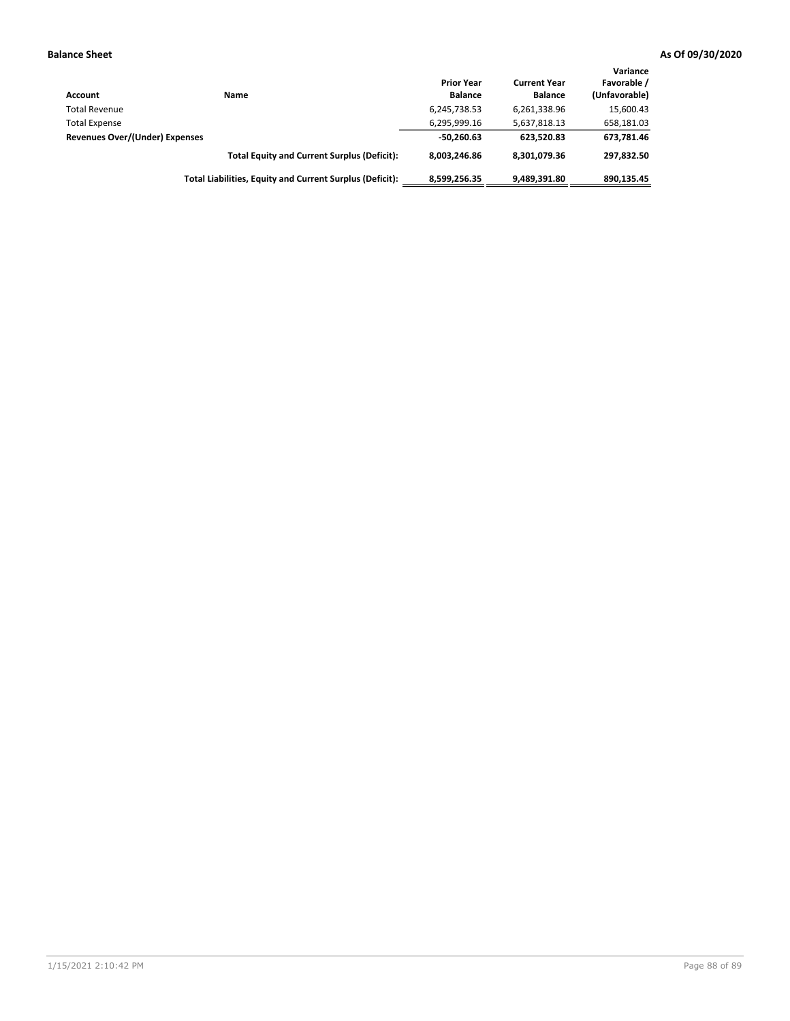| Account                        | Name                                                     | <b>Prior Year</b><br><b>Balance</b> | <b>Current Year</b><br><b>Balance</b> | Variance<br>Favorable /<br>(Unfavorable) |
|--------------------------------|----------------------------------------------------------|-------------------------------------|---------------------------------------|------------------------------------------|
| <b>Total Revenue</b>           |                                                          | 6,245,738.53                        | 6,261,338.96                          | 15,600.43                                |
| <b>Total Expense</b>           |                                                          | 6,295,999.16                        | 5,637,818.13                          | 658,181.03                               |
| Revenues Over/(Under) Expenses |                                                          | $-50,260.63$                        | 623.520.83                            | 673,781.46                               |
|                                | <b>Total Equity and Current Surplus (Deficit):</b>       | 8.003.246.86                        | 8,301,079.36                          | 297.832.50                               |
|                                | Total Liabilities, Equity and Current Surplus (Deficit): | 8,599,256.35                        | 9,489,391.80                          | 890,135.45                               |